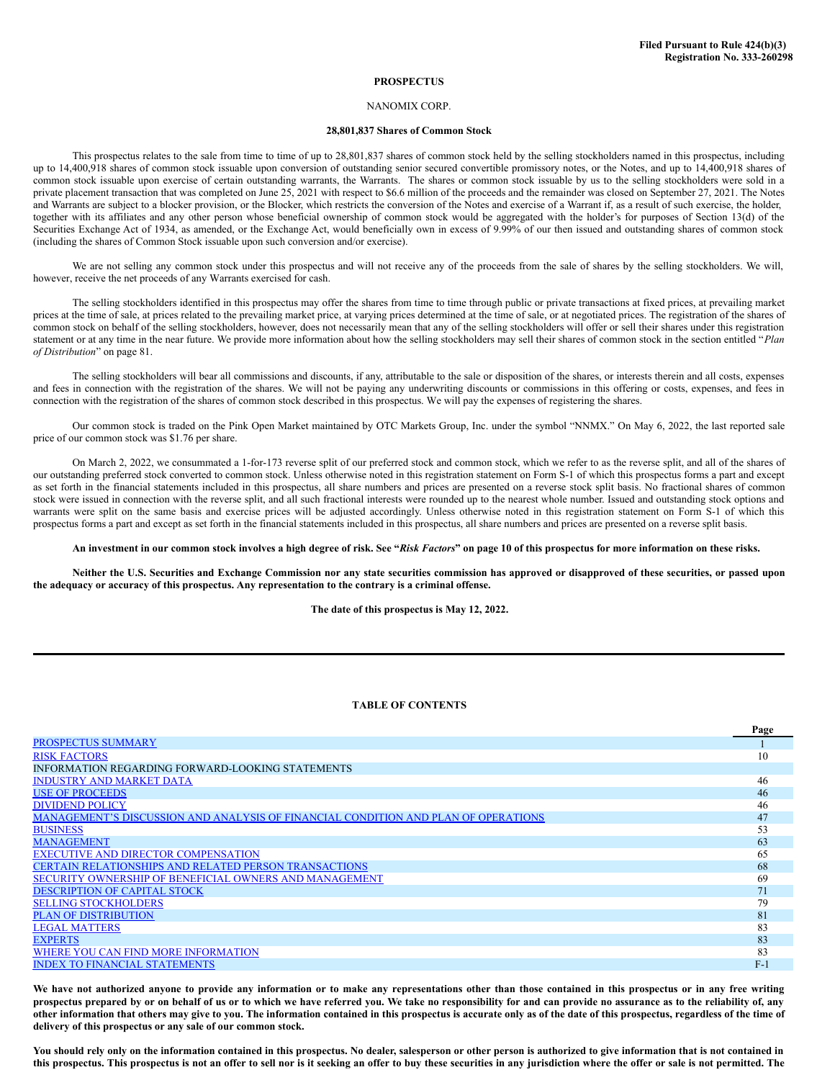### **PROSPECTUS**

#### NANOMIX CORP.

#### **28,801,837 Shares of Common Stock**

This prospectus relates to the sale from time to time of up to 28,801,837 shares of common stock held by the selling stockholders named in this prospectus, including up to 14,400,918 shares of common stock issuable upon conversion of outstanding senior secured convertible promissory notes, or the Notes, and up to 14,400,918 shares of common stock issuable upon exercise of certain outstanding warrants, the Warrants. The shares or common stock issuable by us to the selling stockholders were sold in a private placement transaction that was completed on June 25, 2021 with respect to \$6.6 million of the proceeds and the remainder was closed on September 27, 2021. The Notes and Warrants are subject to a blocker provision, or the Blocker, which restricts the conversion of the Notes and exercise of a Warrant if, as a result of such exercise, the holder, together with its affiliates and any other person whose beneficial ownership of common stock would be aggregated with the holder's for purposes of Section 13(d) of the Securities Exchange Act of 1934, as amended, or the Exchange Act, would beneficially own in excess of 9.99% of our then issued and outstanding shares of common stock (including the shares of Common Stock issuable upon such conversion and/or exercise).

We are not selling any common stock under this prospectus and will not receive any of the proceeds from the sale of shares by the selling stockholders. We will, however, receive the net proceeds of any Warrants exercised for cash.

The selling stockholders identified in this prospectus may offer the shares from time to time through public or private transactions at fixed prices, at prevailing market prices at the time of sale, at prices related to the prevailing market price, at varying prices determined at the time of sale, or at negotiated prices. The registration of the shares of common stock on behalf of the selling stockholders, however, does not necessarily mean that any of the selling stockholders will offer or sell their shares under this registration statement or at any time in the near future. We provide more information about how the selling stockholders may sell their shares of common stock in the section entitled "*Plan of Distribution*" on page 81.

The selling stockholders will bear all commissions and discounts, if any, attributable to the sale or disposition of the shares, or interests therein and all costs, expenses and fees in connection with the registration of the shares. We will not be paying any underwriting discounts or commissions in this offering or costs, expenses, and fees in connection with the registration of the shares of common stock described in this prospectus. We will pay the expenses of registering the shares.

Our common stock is traded on the Pink Open Market maintained by OTC Markets Group, Inc. under the symbol "NNMX." On May 6, 2022, the last reported sale price of our common stock was \$1.76 per share.

On March 2, 2022, we consummated a 1-for-173 reverse split of our preferred stock and common stock, which we refer to as the reverse split, and all of the shares of our outstanding preferred stock converted to common stock. Unless otherwise noted in this registration statement on Form S-1 of which this prospectus forms a part and except as set forth in the financial statements included in this prospectus, all share numbers and prices are presented on a reverse stock split basis. No fractional shares of common stock were issued in connection with the reverse split, and all such fractional interests were rounded up to the nearest whole number. Issued and outstanding stock options and warrants were split on the same basis and exercise prices will be adjusted accordingly. Unless otherwise noted in this registration statement on Form S-1 of which this prospectus forms a part and except as set forth in the financial statements included in this prospectus, all share numbers and prices are presented on a reverse split basis.

An investment in our common stock involves a high degree of risk. See "Risk Factors" on page 10 of this prospectus for more information on these risks.

Neither the U.S. Securities and Exchange Commission nor any state securities commission has approved or disapproved of these securities, or passed upon **the adequacy or accuracy of this prospectus. Any representation to the contrary is a criminal offense.**

**The date of this prospectus is May 12, 2022.**

# **TABLE OF CONTENTS**

|                                                                                    | Page  |
|------------------------------------------------------------------------------------|-------|
| <b>PROSPECTUS SUMMARY</b>                                                          |       |
| <b>RISK FACTORS</b>                                                                | 10    |
| INFORMATION REGARDING FORWARD-LOOKING STATEMENTS                                   |       |
| <b>INDUSTRY AND MARKET DATA</b>                                                    | 46    |
| <b>USE OF PROCEEDS</b>                                                             | 46    |
| <b>DIVIDEND POLICY</b>                                                             | 46    |
| MANAGEMENT'S DISCUSSION AND ANALYSIS OF FINANCIAL CONDITION AND PLAN OF OPERATIONS | 47    |
| <b>BUSINESS</b>                                                                    | 53    |
| <b>MANAGEMENT</b>                                                                  | 63    |
| <b>EXECUTIVE AND DIRECTOR COMPENSATION</b>                                         | 65    |
| <b>CERTAIN RELATIONSHIPS AND RELATED PERSON TRANSACTIONS</b>                       | 68    |
| SECURITY OWNERSHIP OF BENEFICIAL OWNERS AND MANAGEMENT                             | 69    |
| <b>DESCRIPTION OF CAPITAL STOCK</b>                                                | 71    |
| <b>SELLING STOCKHOLDERS</b>                                                        | 79    |
| <b>PLAN OF DISTRIBUTION</b>                                                        | 81    |
| <b>LEGAL MATTERS</b>                                                               | 83    |
| <b>EXPERTS</b>                                                                     | 83    |
| WHERE YOU CAN FIND MORE INFORMATION                                                | 83    |
| <b>INDEX TO FINANCIAL STATEMENTS</b>                                               | $F-1$ |

We have not authorized anyone to provide any information or to make any representations other than those contained in this prospectus or in any free writing prospectus prepared by or on behalf of us or to which we have referred you. We take no responsibility for and can provide no assurance as to the reliability of, any other information that others may give to you. The information contained in this prospectus is accurate only as of the date of this prospectus, regardless of the time of **delivery of this prospectus or any sale of our common stock.**

You should rely only on the information contained in this prospectus. No dealer, salesperson or other person is authorized to give information that is not contained in this prospectus. This prospectus is not an offer to sell nor is it seeking an offer to buy these securities in any jurisdiction where the offer or sale is not permitted. The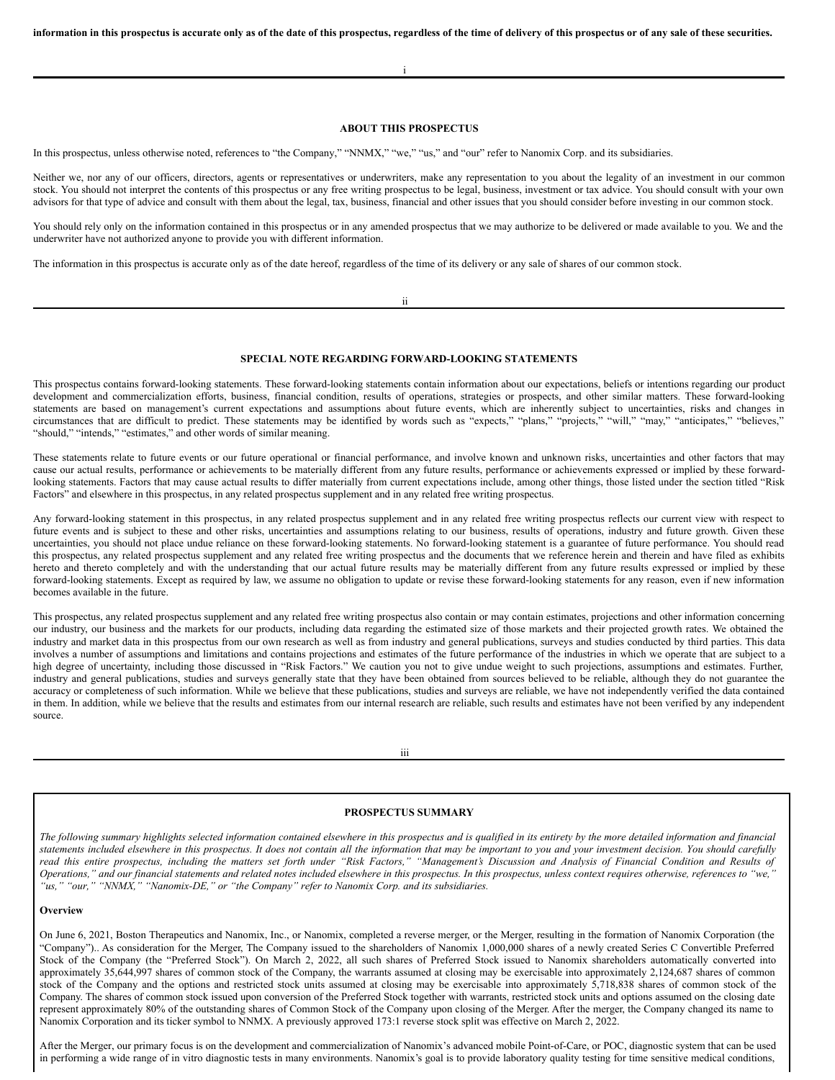i

# **ABOUT THIS PROSPECTUS**

In this prospectus, unless otherwise noted, references to "the Company," "NNMX," "we," "us," and "our" refer to Nanomix Corp. and its subsidiaries.

Neither we, nor any of our officers, directors, agents or representatives or underwriters, make any representation to you about the legality of an investment in our common stock. You should not interpret the contents of this prospectus or any free writing prospectus to be legal, business, investment or tax advice. You should consult with your own advisors for that type of advice and consult with them about the legal, tax, business, financial and other issues that you should consider before investing in our common stock.

You should rely only on the information contained in this prospectus or in any amended prospectus that we may authorize to be delivered or made available to you. We and the underwriter have not authorized anyone to provide you with different information.

The information in this prospectus is accurate only as of the date hereof, regardless of the time of its delivery or any sale of shares of our common stock.

## ii

## **SPECIAL NOTE REGARDING FORWARD-LOOKING STATEMENTS**

This prospectus contains forward-looking statements. These forward-looking statements contain information about our expectations, beliefs or intentions regarding our product development and commercialization efforts, business, financial condition, results of operations, strategies or prospects, and other similar matters. These forward-looking statements are based on management's current expectations and assumptions about future events, which are inherently subject to uncertainties, risks and changes in circumstances that are difficult to predict. These statements may be identified by words such as "expects," "plans," "projects," "will," "may," "anticipates," "believes," "should," "intends," "estimates," and other words of similar meaning.

These statements relate to future events or our future operational or financial performance, and involve known and unknown risks, uncertainties and other factors that may cause our actual results, performance or achievements to be materially different from any future results, performance or achievements expressed or implied by these forwardlooking statements. Factors that may cause actual results to differ materially from current expectations include, among other things, those listed under the section titled "Risk Factors" and elsewhere in this prospectus, in any related prospectus supplement and in any related free writing prospectus.

Any forward-looking statement in this prospectus, in any related prospectus supplement and in any related free writing prospectus reflects our current view with respect to future events and is subject to these and other risks, uncertainties and assumptions relating to our business, results of operations, industry and future growth. Given these uncertainties, you should not place undue reliance on these forward-looking statements. No forward-looking statement is a guarantee of future performance. You should read this prospectus, any related prospectus supplement and any related free writing prospectus and the documents that we reference herein and therein and have filed as exhibits hereto and thereto completely and with the understanding that our actual future results may be materially different from any future results expressed or implied by these forward-looking statements. Except as required by law, we assume no obligation to update or revise these forward-looking statements for any reason, even if new information becomes available in the future.

This prospectus, any related prospectus supplement and any related free writing prospectus also contain or may contain estimates, projections and other information concerning our industry, our business and the markets for our products, including data regarding the estimated size of those markets and their projected growth rates. We obtained the industry and market data in this prospectus from our own research as well as from industry and general publications, surveys and studies conducted by third parties. This data involves a number of assumptions and limitations and contains projections and estimates of the future performance of the industries in which we operate that are subject to a high degree of uncertainty, including those discussed in "Risk Factors." We caution you not to give undue weight to such projections, assumptions and estimates. Further, industry and general publications, studies and surveys generally state that they have been obtained from sources believed to be reliable, although they do not guarantee the accuracy or completeness of such information. While we believe that these publications, studies and surveys are reliable, we have not independently verified the data contained in them. In addition, while we believe that the results and estimates from our internal research are reliable, such results and estimates have not been verified by any independent source.

iii

#### <span id="page-1-0"></span>**PROSPECTUS SUMMARY**

The following summary highlights selected information contained elsewhere in this prospectus and is qualified in its entirety by the more detailed information and financial statements included elsewhere in this prospectus. It does not contain all the information that may be important to you and your investment decision. You should carefully read this entire prospectus, including the matters set forth under "Risk Factors," "Management's Discussion and Analysis of Financial Condition and Results of Operations," and our financial statements and related notes included elsewhere in this prospectus. In this prospectus, unless context requires otherwise, references to "we," *"us," "our," "NNMX," "Nanomix-DE," or "the Company" refer to Nanomix Corp. and its subsidiaries.*

#### **Overview**

On June 6, 2021, Boston Therapeutics and Nanomix, Inc., or Nanomix, completed a reverse merger, or the Merger, resulting in the formation of Nanomix Corporation (the "Company").. As consideration for the Merger, The Company issued to the shareholders of Nanomix 1,000,000 shares of a newly created Series C Convertible Preferred Stock of the Company (the "Preferred Stock"). On March 2, 2022, all such shares of Preferred Stock issued to Nanomix shareholders automatically converted into approximately 35,644,997 shares of common stock of the Company, the warrants assumed at closing may be exercisable into approximately 2,124,687 shares of common stock of the Company and the options and restricted stock units assumed at closing may be exercisable into approximately 5,718,838 shares of common stock of the Company. The shares of common stock issued upon conversion of the Preferred Stock together with warrants, restricted stock units and options assumed on the closing date represent approximately 80% of the outstanding shares of Common Stock of the Company upon closing of the Merger. After the merger, the Company changed its name to Nanomix Corporation and its ticker symbol to NNMX. A previously approved 173:1 reverse stock split was effective on March 2, 2022.

After the Merger, our primary focus is on the development and commercialization of Nanomix's advanced mobile Point-of-Care, or POC, diagnostic system that can be used in performing a wide range of in vitro diagnostic tests in many environments. Nanomix's goal is to provide laboratory quality testing for time sensitive medical conditions,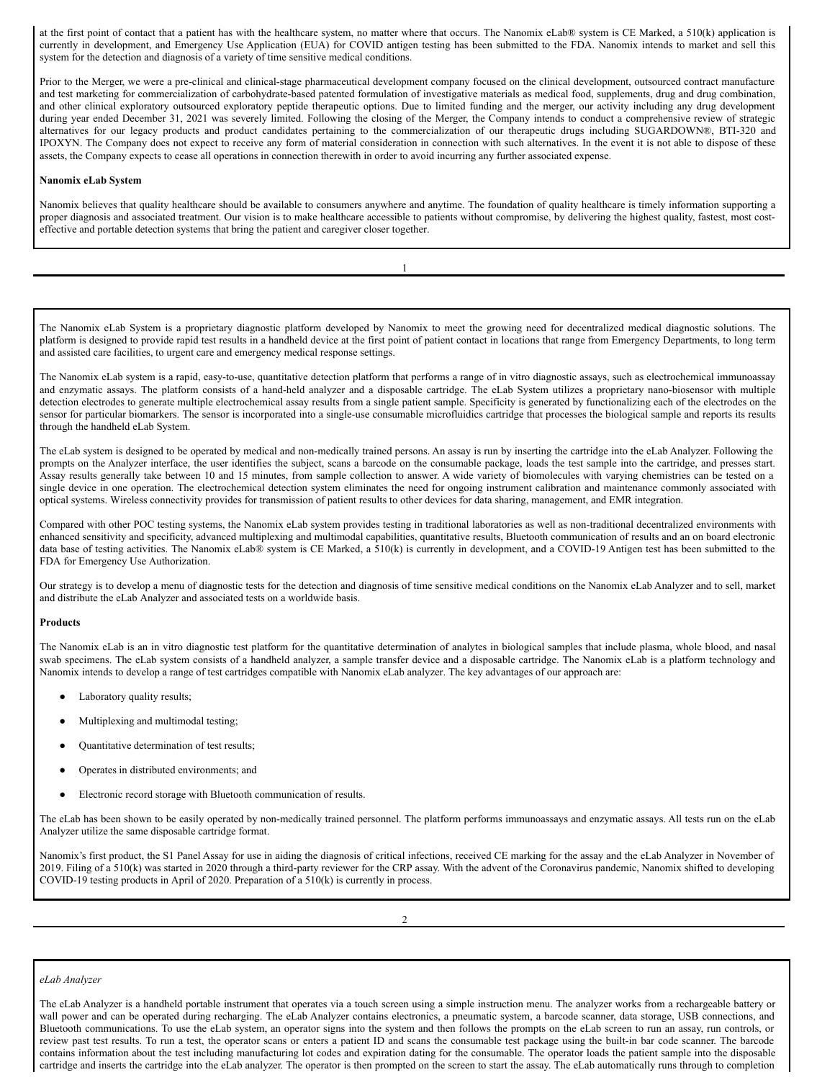at the first point of contact that a patient has with the healthcare system, no matter where that occurs. The Nanomix eLab® system is CE Marked, a 510(k) application is currently in development, and Emergency Use Application (EUA) for COVID antigen testing has been submitted to the FDA. Nanomix intends to market and sell this system for the detection and diagnosis of a variety of time sensitive medical conditions.

Prior to the Merger, we were a pre-clinical and clinical-stage pharmaceutical development company focused on the clinical development, outsourced contract manufacture and test marketing for commercialization of carbohydrate-based patented formulation of investigative materials as medical food, supplements, drug and drug combination, and other clinical exploratory outsourced exploratory peptide therapeutic options. Due to limited funding and the merger, our activity including any drug development during year ended December 31, 2021 was severely limited. Following the closing of the Merger, the Company intends to conduct a comprehensive review of strategic alternatives for our legacy products and product candidates pertaining to the commercialization of our therapeutic drugs including SUGARDOWN®, BTI-320 and IPOXYN. The Company does not expect to receive any form of material consideration in connection with such alternatives. In the event it is not able to dispose of these assets, the Company expects to cease all operations in connection therewith in order to avoid incurring any further associated expense.

# **Nanomix eLab System**

Nanomix believes that quality healthcare should be available to consumers anywhere and anytime. The foundation of quality healthcare is timely information supporting a proper diagnosis and associated treatment. Our vision is to make healthcare accessible to patients without compromise, by delivering the highest quality, fastest, most costeffective and portable detection systems that bring the patient and caregiver closer together.

1

The Nanomix eLab System is a proprietary diagnostic platform developed by Nanomix to meet the growing need for decentralized medical diagnostic solutions. The platform is designed to provide rapid test results in a handheld device at the first point of patient contact in locations that range from Emergency Departments, to long term and assisted care facilities, to urgent care and emergency medical response settings.

The Nanomix eLab system is a rapid, easy-to-use, quantitative detection platform that performs a range of in vitro diagnostic assays, such as electrochemical immunoassay and enzymatic assays. The platform consists of a hand-held analyzer and a disposable cartridge. The eLab System utilizes a proprietary nano-biosensor with multiple detection electrodes to generate multiple electrochemical assay results from a single patient sample. Specificity is generated by functionalizing each of the electrodes on the sensor for particular biomarkers. The sensor is incorporated into a single-use consumable microfluidics cartridge that processes the biological sample and reports its results through the handheld eLab System.

The eLab system is designed to be operated by medical and non-medically trained persons. An assay is run by inserting the cartridge into the eLab Analyzer. Following the prompts on the Analyzer interface, the user identifies the subject, scans a barcode on the consumable package, loads the test sample into the cartridge, and presses start. Assay results generally take between 10 and 15 minutes, from sample collection to answer. A wide variety of biomolecules with varying chemistries can be tested on a single device in one operation. The electrochemical detection system eliminates the need for ongoing instrument calibration and maintenance commonly associated with optical systems. Wireless connectivity provides for transmission of patient results to other devices for data sharing, management, and EMR integration.

Compared with other POC testing systems, the Nanomix eLab system provides testing in traditional laboratories as well as non-traditional decentralized environments with enhanced sensitivity and specificity, advanced multiplexing and multimodal capabilities, quantitative results, Bluetooth communication of results and an on board electronic data base of testing activities. The Nanomix eLab® system is CE Marked, a 510(k) is currently in development, and a COVID-19 Antigen test has been submitted to the FDA for Emergency Use Authorization.

Our strategy is to develop a menu of diagnostic tests for the detection and diagnosis of time sensitive medical conditions on the Nanomix eLab Analyzer and to sell, market and distribute the eLab Analyzer and associated tests on a worldwide basis.

#### **Products**

The Nanomix eLab is an in vitro diagnostic test platform for the quantitative determination of analytes in biological samples that include plasma, whole blood, and nasal swab specimens. The eLab system consists of a handheld analyzer, a sample transfer device and a disposable cartridge. The Nanomix eLab is a platform technology and Nanomix intends to develop a range of test cartridges compatible with Nanomix eLab analyzer. The key advantages of our approach are:

- Laboratory quality results;
- Multiplexing and multimodal testing;
- Quantitative determination of test results;
- Operates in distributed environments; and
- Electronic record storage with Bluetooth communication of results.

The eLab has been shown to be easily operated by non-medically trained personnel. The platform performs immunoassays and enzymatic assays. All tests run on the eLab Analyzer utilize the same disposable cartridge format.

Nanomix's first product, the S1 Panel Assay for use in aiding the diagnosis of critical infections, received CE marking for the assay and the eLab Analyzer in November of 2019. Filing of a 510(k) was started in 2020 through a third-party reviewer for the CRP assay. With the advent of the Coronavirus pandemic, Nanomix shifted to developing COVID-19 testing products in April of 2020. Preparation of a 510(k) is currently in process.

#### *eLab Analyzer*

The eLab Analyzer is a handheld portable instrument that operates via a touch screen using a simple instruction menu. The analyzer works from a rechargeable battery or wall power and can be operated during recharging. The eLab Analyzer contains electronics, a pneumatic system, a barcode scanner, data storage, USB connections, and Bluetooth communications. To use the eLab system, an operator signs into the system and then follows the prompts on the eLab screen to run an assay, run controls, or review past test results. To run a test, the operator scans or enters a patient ID and scans the consumable test package using the built-in bar code scanner. The barcode contains information about the test including manufacturing lot codes and expiration dating for the consumable. The operator loads the patient sample into the disposable cartridge and inserts the cartridge into the eLab analyzer. The operator is then prompted on the screen to start the assay. The eLab automatically runs through to completion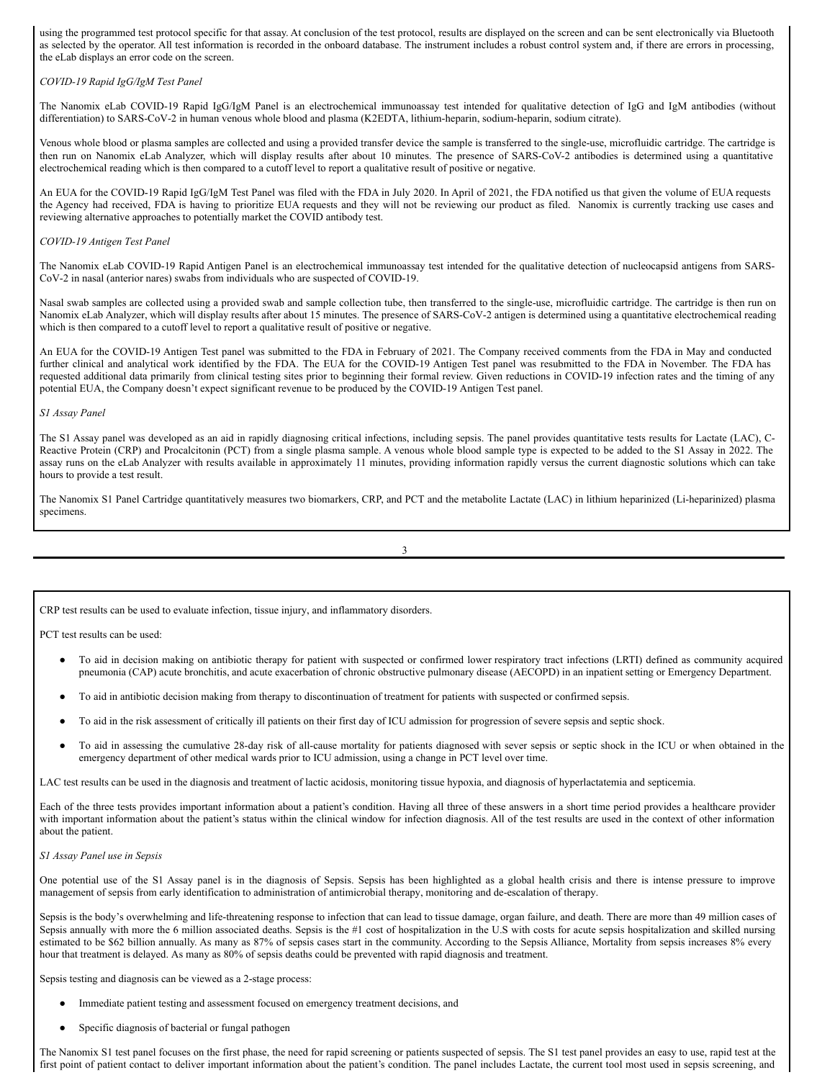using the programmed test protocol specific for that assay. At conclusion of the test protocol, results are displayed on the screen and can be sent electronically via Bluetooth as selected by the operator. All test information is recorded in the onboard database. The instrument includes a robust control system and, if there are errors in processing, the eLab displays an error code on the screen.

# *COVID-19 Rapid IgG/IgM Test Panel*

The Nanomix eLab COVID-19 Rapid IgG/IgM Panel is an electrochemical immunoassay test intended for qualitative detection of IgG and IgM antibodies (without differentiation) to SARS-CoV-2 in human venous whole blood and plasma (K2EDTA, lithium-heparin, sodium-heparin, sodium citrate).

Venous whole blood or plasma samples are collected and using a provided transfer device the sample is transferred to the single-use, microfluidic cartridge. The cartridge is then run on Nanomix eLab Analyzer, which will display results after about 10 minutes. The presence of SARS-CoV-2 antibodies is determined using a quantitative electrochemical reading which is then compared to a cutoff level to report a qualitative result of positive or negative.

An EUA for the COVID-19 Rapid IgG/IgM Test Panel was filed with the FDA in July 2020. In April of 2021, the FDA notified us that given the volume of EUA requests the Agency had received, FDA is having to prioritize EUA requests and they will not be reviewing our product as filed. Nanomix is currently tracking use cases and reviewing alternative approaches to potentially market the COVID antibody test.

# *COVID-19 Antigen Test Panel*

The Nanomix eLab COVID-19 Rapid Antigen Panel is an electrochemical immunoassay test intended for the qualitative detection of nucleocapsid antigens from SARS-CoV-2 in nasal (anterior nares) swabs from individuals who are suspected of COVID-19.

Nasal swab samples are collected using a provided swab and sample collection tube, then transferred to the single-use, microfluidic cartridge. The cartridge is then run on Nanomix eLab Analyzer, which will display results after about 15 minutes. The presence of SARS-CoV-2 antigen is determined using a quantitative electrochemical reading which is then compared to a cutoff level to report a qualitative result of positive or negative.

An EUA for the COVID-19 Antigen Test panel was submitted to the FDA in February of 2021. The Company received comments from the FDA in May and conducted further clinical and analytical work identified by the FDA. The EUA for the COVID-19 Antigen Test panel was resubmitted to the FDA in November. The FDA has requested additional data primarily from clinical testing sites prior to beginning their formal review. Given reductions in COVID-19 infection rates and the timing of any potential EUA, the Company doesn't expect significant revenue to be produced by the COVID-19 Antigen Test panel.

# *S1 Assay Panel*

The S1 Assay panel was developed as an aid in rapidly diagnosing critical infections, including sepsis. The panel provides quantitative tests results for Lactate (LAC), C-Reactive Protein (CRP) and Procalcitonin (PCT) from a single plasma sample. A venous whole blood sample type is expected to be added to the S1 Assay in 2022. The assay runs on the eLab Analyzer with results available in approximately 11 minutes, providing information rapidly versus the current diagnostic solutions which can take hours to provide a test result.

The Nanomix S1 Panel Cartridge quantitatively measures two biomarkers, CRP, and PCT and the metabolite Lactate (LAC) in lithium heparinized (Li-heparinized) plasma specimens.

3

CRP test results can be used to evaluate infection, tissue injury, and inflammatory disorders.

PCT test results can be used:

- To aid in decision making on antibiotic therapy for patient with suspected or confirmed lower respiratory tract infections (LRTI) defined as community acquired pneumonia (CAP) acute bronchitis, and acute exacerbation of chronic obstructive pulmonary disease (AECOPD) in an inpatient setting or Emergency Department.
- To aid in antibiotic decision making from therapy to discontinuation of treatment for patients with suspected or confirmed sepsis.
- To aid in the risk assessment of critically ill patients on their first day of ICU admission for progression of severe sepsis and septic shock.
- To aid in assessing the cumulative 28-day risk of all-cause mortality for patients diagnosed with sever sepsis or septic shock in the ICU or when obtained in the emergency department of other medical wards prior to ICU admission, using a change in PCT level over time.

LAC test results can be used in the diagnosis and treatment of lactic acidosis, monitoring tissue hypoxia, and diagnosis of hyperlactatemia and septicemia.

Each of the three tests provides important information about a patient's condition. Having all three of these answers in a short time period provides a healthcare provider with important information about the patient's status within the clinical window for infection diagnosis. All of the test results are used in the context of other information about the patient.

# *S1 Assay Panel use in Sepsis*

One potential use of the S1 Assay panel is in the diagnosis of Sepsis. Sepsis has been highlighted as a global health crisis and there is intense pressure to improve management of sepsis from early identification to administration of antimicrobial therapy, monitoring and de-escalation of therapy.

Sepsis is the body's overwhelming and life-threatening response to infection that can lead to tissue damage, organ failure, and death. There are more than 49 million cases of Sepsis annually with more the 6 million associated deaths. Sepsis is the #1 cost of hospitalization in the U.S with costs for acute sepsis hospitalization and skilled nursing estimated to be \$62 billion annually. As many as 87% of sepsis cases start in the community. According to the Sepsis Alliance, Mortality from sepsis increases 8% every hour that treatment is delayed. As many as 80% of sepsis deaths could be prevented with rapid diagnosis and treatment.

Sepsis testing and diagnosis can be viewed as a 2-stage process:

- Immediate patient testing and assessment focused on emergency treatment decisions, and
- Specific diagnosis of bacterial or fungal pathogen

The Nanomix S1 test panel focuses on the first phase, the need for rapid screening or patients suspected of sepsis. The S1 test panel provides an easy to use, rapid test at the first point of patient contact to deliver important information about the patient's condition. The panel includes Lactate, the current tool most used in sepsis screening, and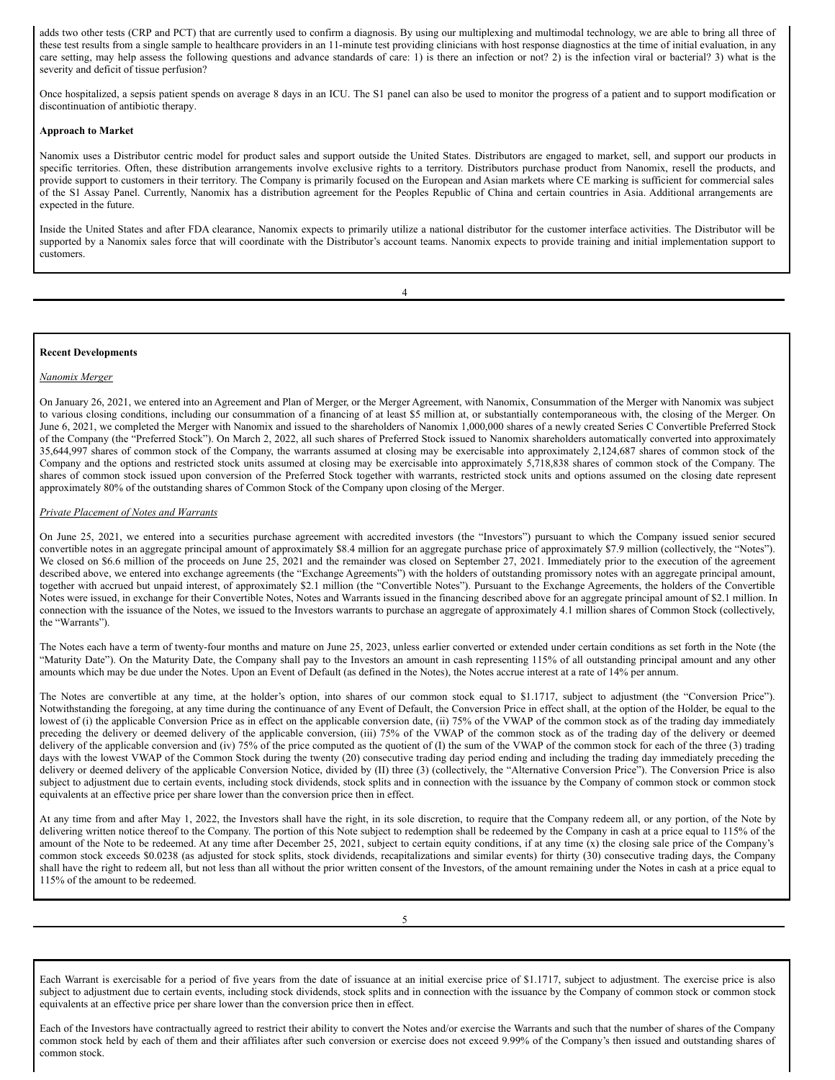adds two other tests (CRP and PCT) that are currently used to confirm a diagnosis. By using our multiplexing and multimodal technology, we are able to bring all three of these test results from a single sample to healthcare providers in an 11-minute test providing clinicians with host response diagnostics at the time of initial evaluation, in any care setting, may help assess the following questions and advance standards of care: 1) is there an infection or not? 2) is the infection viral or bacterial? 3) what is the severity and deficit of tissue perfusion?

Once hospitalized, a sepsis patient spends on average 8 days in an ICU. The S1 panel can also be used to monitor the progress of a patient and to support modification or discontinuation of antibiotic therapy.

# **Approach to Market**

Nanomix uses a Distributor centric model for product sales and support outside the United States. Distributors are engaged to market, sell, and support our products in specific territories. Often, these distribution arrangements involve exclusive rights to a territory. Distributors purchase product from Nanomix, resell the products, and provide support to customers in their territory. The Company is primarily focused on the European and Asian markets where CE marking is sufficient for commercial sales of the S1 Assay Panel. Currently, Nanomix has a distribution agreement for the Peoples Republic of China and certain countries in Asia. Additional arrangements are expected in the future.

Inside the United States and after FDA clearance, Nanomix expects to primarily utilize a national distributor for the customer interface activities. The Distributor will be supported by a Nanomix sales force that will coordinate with the Distributor's account teams. Nanomix expects to provide training and initial implementation support to customers.

4

# **Recent Developments**

# *Nanomix Merger*

On January 26, 2021, we entered into an Agreement and Plan of Merger, or the Merger Agreement, with Nanomix, Consummation of the Merger with Nanomix was subject to various closing conditions, including our consummation of a financing of at least \$5 million at, or substantially contemporaneous with, the closing of the Merger. On June 6, 2021, we completed the Merger with Nanomix and issued to the shareholders of Nanomix 1,000,000 shares of a newly created Series C Convertible Preferred Stock of the Company (the "Preferred Stock"). On March 2, 2022, all such shares of Preferred Stock issued to Nanomix shareholders automatically converted into approximately 35,644,997 shares of common stock of the Company, the warrants assumed at closing may be exercisable into approximately 2,124,687 shares of common stock of the Company and the options and restricted stock units assumed at closing may be exercisable into approximately 5,718,838 shares of common stock of the Company. The shares of common stock issued upon conversion of the Preferred Stock together with warrants, restricted stock units and options assumed on the closing date represent approximately 80% of the outstanding shares of Common Stock of the Company upon closing of the Merger.

# *Private Placement of Notes and Warrants*

On June 25, 2021, we entered into a securities purchase agreement with accredited investors (the "Investors") pursuant to which the Company issued senior secured convertible notes in an aggregate principal amount of approximately \$8.4 million for an aggregate purchase price of approximately \$7.9 million (collectively, the "Notes"). We closed on \$6.6 million of the proceeds on June 25, 2021 and the remainder was closed on September 27, 2021. Immediately prior to the execution of the agreement described above, we entered into exchange agreements (the "Exchange Agreements") with the holders of outstanding promissory notes with an aggregate principal amount, together with accrued but unpaid interest, of approximately \$2.1 million (the "Convertible Notes"). Pursuant to the Exchange Agreements, the holders of the Convertible Notes were issued, in exchange for their Convertible Notes, Notes and Warrants issued in the financing described above for an aggregate principal amount of \$2.1 million. In connection with the issuance of the Notes, we issued to the Investors warrants to purchase an aggregate of approximately 4.1 million shares of Common Stock (collectively, the "Warrants").

The Notes each have a term of twenty-four months and mature on June 25, 2023, unless earlier converted or extended under certain conditions as set forth in the Note (the "Maturity Date"). On the Maturity Date, the Company shall pay to the Investors an amount in cash representing 115% of all outstanding principal amount and any other amounts which may be due under the Notes. Upon an Event of Default (as defined in the Notes), the Notes accrue interest at a rate of 14% per annum.

The Notes are convertible at any time, at the holder's option, into shares of our common stock equal to \$1.1717, subject to adjustment (the "Conversion Price"). Notwithstanding the foregoing, at any time during the continuance of any Event of Default, the Conversion Price in effect shall, at the option of the Holder, be equal to the lowest of (i) the applicable Conversion Price as in effect on the applicable conversion date, (ii) 75% of the VWAP of the common stock as of the trading day immediately preceding the delivery or deemed delivery of the applicable conversion, (iii) 75% of the VWAP of the common stock as of the trading day of the delivery or deemed delivery of the applicable conversion and (iv) 75% of the price computed as the quotient of (I) the sum of the VWAP of the common stock for each of the three (3) trading days with the lowest VWAP of the Common Stock during the twenty (20) consecutive trading day period ending and including the trading day immediately preceding the delivery or deemed delivery of the applicable Conversion Notice, divided by (II) three (3) (collectively, the "Alternative Conversion Price"). The Conversion Price is also subject to adjustment due to certain events, including stock dividends, stock splits and in connection with the issuance by the Company of common stock or common stock equivalents at an effective price per share lower than the conversion price then in effect.

At any time from and after May 1, 2022, the Investors shall have the right, in its sole discretion, to require that the Company redeem all, or any portion, of the Note by delivering written notice thereof to the Company. The portion of this Note subject to redemption shall be redeemed by the Company in cash at a price equal to 115% of the amount of the Note to be redeemed. At any time after December 25, 2021, subject to certain equity conditions, if at any time  $(x)$  the closing sale price of the Company's common stock exceeds \$0.0238 (as adjusted for stock splits, stock dividends, recapitalizations and similar events) for thirty (30) consecutive trading days, the Company shall have the right to redeem all, but not less than all without the prior written consent of the Investors, of the amount remaining under the Notes in cash at a price equal to 115% of the amount to be redeemed.

5

Each Warrant is exercisable for a period of five years from the date of issuance at an initial exercise price of \$1.1717, subject to adjustment. The exercise price is also subject to adjustment due to certain events, including stock dividends, stock splits and in connection with the issuance by the Company of common stock or common stock equivalents at an effective price per share lower than the conversion price then in effect.

Each of the Investors have contractually agreed to restrict their ability to convert the Notes and/or exercise the Warrants and such that the number of shares of the Company common stock held by each of them and their affiliates after such conversion or exercise does not exceed 9.99% of the Company's then issued and outstanding shares of common stock.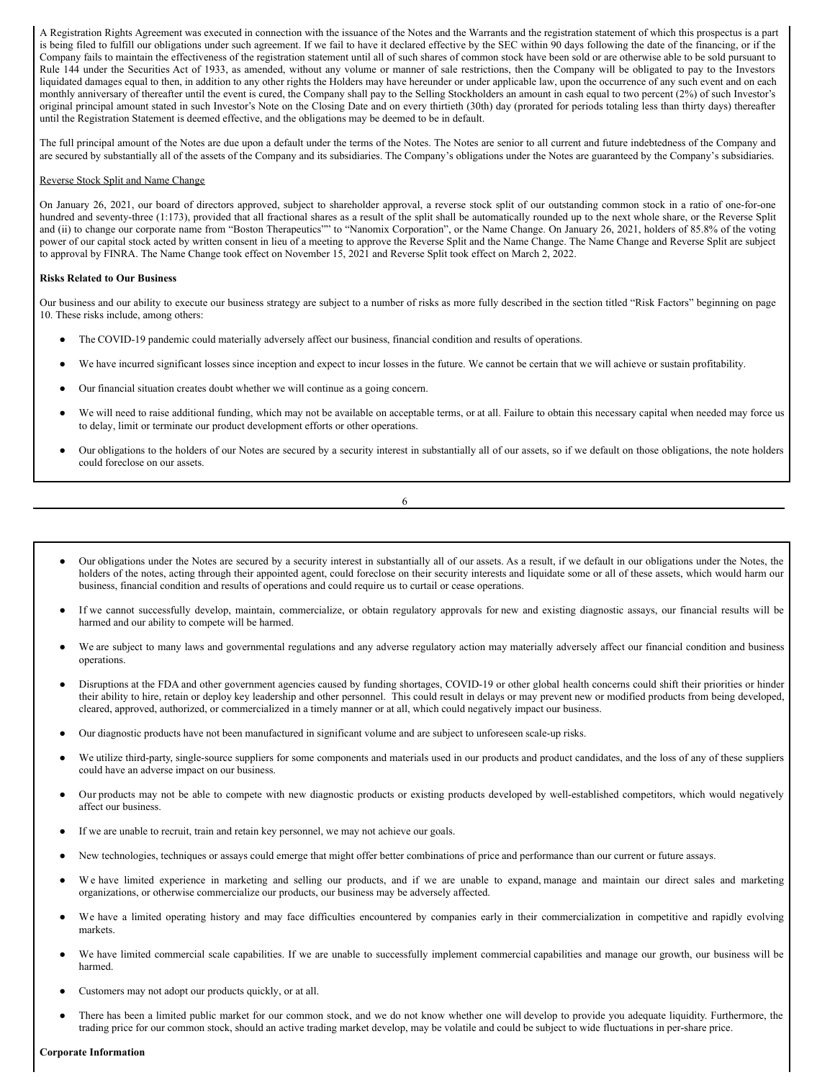A Registration Rights Agreement was executed in connection with the issuance of the Notes and the Warrants and the registration statement of which this prospectus is a part is being filed to fulfill our obligations under such agreement. If we fail to have it declared effective by the SEC within 90 days following the date of the financing, or if the Company fails to maintain the effectiveness of the registration statement until all of such shares of common stock have been sold or are otherwise able to be sold pursuant to Rule 144 under the Securities Act of 1933, as amended, without any volume or manner of sale restrictions, then the Company will be obligated to pay to the Investors liquidated damages equal to then, in addition to any other rights the Holders may have hereunder or under applicable law, upon the occurrence of any such event and on each monthly anniversary of thereafter until the event is cured, the Company shall pay to the Selling Stockholders an amount in cash equal to two percent (2%) of such Investor's original principal amount stated in such Investor's Note on the Closing Date and on every thirtieth (30th) day (prorated for periods totaling less than thirty days) thereafter until the Registration Statement is deemed effective, and the obligations may be deemed to be in default.

The full principal amount of the Notes are due upon a default under the terms of the Notes. The Notes are senior to all current and future indebtedness of the Company and are secured by substantially all of the assets of the Company and its subsidiaries. The Company's obligations under the Notes are guaranteed by the Company's subsidiaries.

## Reverse Stock Split and Name Change

On January 26, 2021, our board of directors approved, subject to shareholder approval, a reverse stock split of our outstanding common stock in a ratio of one-for-one hundred and seventy-three (1:173), provided that all fractional shares as a result of the split shall be automatically rounded up to the next whole share, or the Reverse Split and (ii) to change our corporate name from "Boston Therapeutics"" to "Nanomix Corporation", or the Name Change. On January 26, 2021, holders of 85.8% of the voting power of our capital stock acted by written consent in lieu of a meeting to approve the Reverse Split and the Name Change. The Name Change and Reverse Split are subject to approval by FINRA. The Name Change took effect on November 15, 2021 and Reverse Split took effect on March 2, 2022.

## **Risks Related to Our Business**

Our business and our ability to execute our business strategy are subject to a number of risks as more fully described in the section titled "Risk Factors" beginning on page 10. These risks include, among others:

- The COVID-19 pandemic could materially adversely affect our business, financial condition and results of operations.
- We have incurred significant losses since inception and expect to incur losses in the future. We cannot be certain that we will achieve or sustain profitability.
- Our financial situation creates doubt whether we will continue as a going concern.
- We will need to raise additional funding, which may not be available on acceptable terms, or at all. Failure to obtain this necessary capital when needed may force us to delay, limit or terminate our product development efforts or other operations.
- Our obligations to the holders of our Notes are secured by a security interest in substantially all of our assets, so if we default on those obligations, the note holders could foreclose on our assets.

6

- Our obligations under the Notes are secured by a security interest in substantially all of our assets. As a result, if we default in our obligations under the Notes, the holders of the notes, acting through their appointed agent, could foreclose on their security interests and liquidate some or all of these assets, which would harm our business, financial condition and results of operations and could require us to curtail or cease operations.
- If we cannot successfully develop, maintain, commercialize, or obtain regulatory approvals for new and existing diagnostic assays, our financial results will be harmed and our ability to compete will be harmed.
- We are subject to many laws and governmental regulations and any adverse regulatory action may materially adversely affect our financial condition and business operations.
- Disruptions at the FDA and other government agencies caused by funding shortages, COVID-19 or other global health concerns could shift their priorities or hinder their ability to hire, retain or deploy key leadership and other personnel. This could result in delays or may prevent new or modified products from being developed, cleared, approved, authorized, or commercialized in a timely manner or at all, which could negatively impact our business.
- Our diagnostic products have not been manufactured in significant volume and are subject to unforeseen scale-up risks.
- We utilize third-party, single-source suppliers for some components and materials used in our products and product candidates, and the loss of any of these suppliers could have an adverse impact on our business.
- Our products may not be able to compete with new diagnostic products or existing products developed by well-established competitors, which would negatively affect our business.
- If we are unable to recruit, train and retain key personnel, we may not achieve our goals.
- New technologies, techniques or assays could emerge that might offer better combinations of price and performance than our current or future assays.
- We have limited experience in marketing and selling our products, and if we are unable to expand, manage and maintain our direct sales and marketing organizations, or otherwise commercialize our products, our business may be adversely affected.
- We have a limited operating history and may face difficulties encountered by companies early in their commercialization in competitive and rapidly evolving markets.
- We have limited commercial scale capabilities. If we are unable to successfully implement commercial capabilities and manage our growth, our business will be harmed.
- Customers may not adopt our products quickly, or at all.
- There has been a limited public market for our common stock, and we do not know whether one will develop to provide you adequate liquidity. Furthermore, the trading price for our common stock, should an active trading market develop, may be volatile and could be subject to wide fluctuations in per-share price.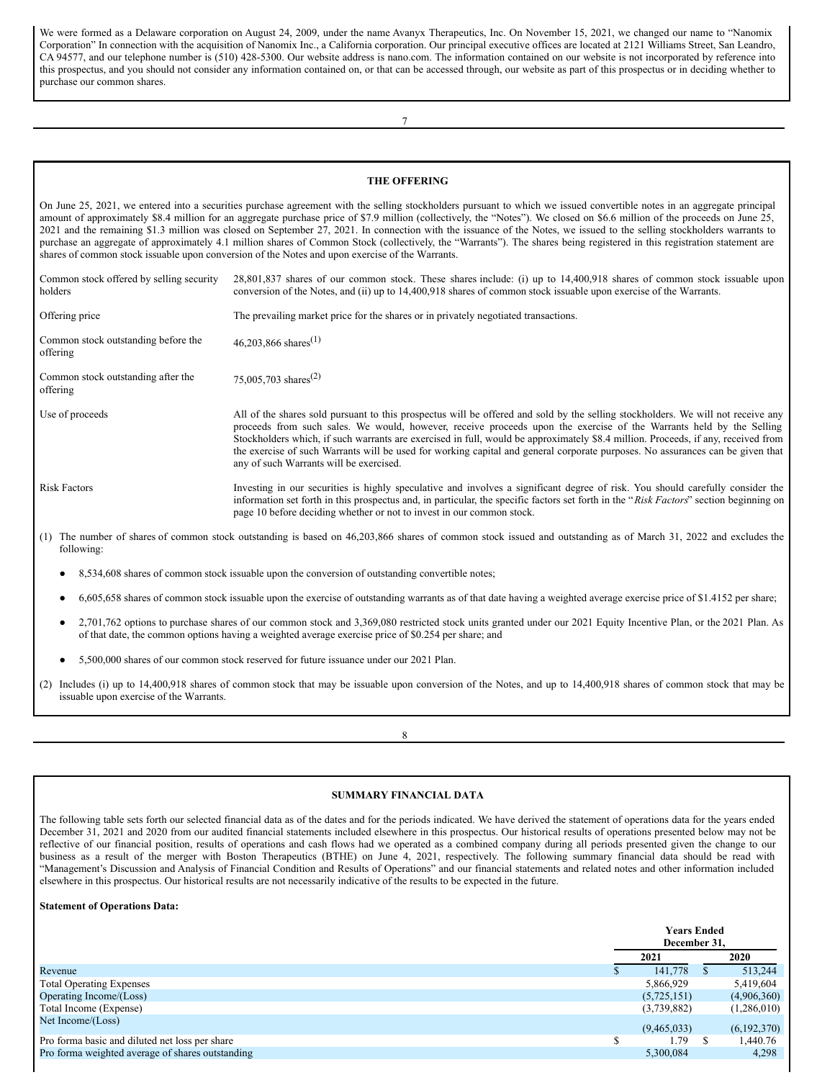We were formed as a Delaware corporation on August 24, 2009, under the name Avanyx Therapeutics, Inc. On November 15, 2021, we changed our name to "Nanomix Corporation" In connection with the acquisition of Nanomix Inc., a California corporation. Our principal executive offices are located at 2121 Williams Street, San Leandro, CA 94577, and our telephone number is (510) 428-5300. Our website address is nano.com. The information contained on our website is not incorporated by reference into this prospectus, and you should not consider any information contained on, or that can be accessed through, our website as part of this prospectus or in deciding whether to purchase our common shares.

| 7                                                                                                                                                                        |                                                                                                                                                                                                                                                                                                                                                                                                                                                                                                                                                                                                                                                                                                                                                                                                                |  |
|--------------------------------------------------------------------------------------------------------------------------------------------------------------------------|----------------------------------------------------------------------------------------------------------------------------------------------------------------------------------------------------------------------------------------------------------------------------------------------------------------------------------------------------------------------------------------------------------------------------------------------------------------------------------------------------------------------------------------------------------------------------------------------------------------------------------------------------------------------------------------------------------------------------------------------------------------------------------------------------------------|--|
|                                                                                                                                                                          |                                                                                                                                                                                                                                                                                                                                                                                                                                                                                                                                                                                                                                                                                                                                                                                                                |  |
|                                                                                                                                                                          | <b>THE OFFERING</b>                                                                                                                                                                                                                                                                                                                                                                                                                                                                                                                                                                                                                                                                                                                                                                                            |  |
|                                                                                                                                                                          | On June 25, 2021, we entered into a securities purchase agreement with the selling stockholders pursuant to which we issued convertible notes in an aggregate principal<br>amount of approximately \$8.4 million for an aggregate purchase price of \$7.9 million (collectively, the "Notes"). We closed on \$6.6 million of the proceeds on June 25,<br>2021 and the remaining \$1.3 million was closed on September 27, 2021. In connection with the issuance of the Notes, we issued to the selling stockholders warrants to<br>purchase an aggregate of approximately 4.1 million shares of Common Stock (collectively, the "Warrants"). The shares being registered in this registration statement are<br>shares of common stock issuable upon conversion of the Notes and upon exercise of the Warrants. |  |
| Common stock offered by selling security<br>holders                                                                                                                      | 28,801,837 shares of our common stock. These shares include: (i) up to 14,400,918 shares of common stock issuable upon<br>conversion of the Notes, and (ii) up to 14,400,918 shares of common stock issuable upon exercise of the Warrants.                                                                                                                                                                                                                                                                                                                                                                                                                                                                                                                                                                    |  |
| Offering price                                                                                                                                                           | The prevailing market price for the shares or in privately negotiated transactions.                                                                                                                                                                                                                                                                                                                                                                                                                                                                                                                                                                                                                                                                                                                            |  |
| Common stock outstanding before the<br>offering                                                                                                                          | 46,203,866 shares <sup>(1)</sup>                                                                                                                                                                                                                                                                                                                                                                                                                                                                                                                                                                                                                                                                                                                                                                               |  |
| Common stock outstanding after the<br>offering                                                                                                                           | 75,005,703 shares <sup>(2)</sup>                                                                                                                                                                                                                                                                                                                                                                                                                                                                                                                                                                                                                                                                                                                                                                               |  |
| Use of proceeds                                                                                                                                                          | All of the shares sold pursuant to this prospectus will be offered and sold by the selling stockholders. We will not receive any<br>proceeds from such sales. We would, however, receive proceeds upon the exercise of the Warrants held by the Selling<br>Stockholders which, if such warrants are exercised in full, would be approximately \$8.4 million. Proceeds, if any, received from<br>the exercise of such Warrants will be used for working capital and general corporate purposes. No assurances can be given that<br>any of such Warrants will be exercised.                                                                                                                                                                                                                                      |  |
| <b>Risk Factors</b>                                                                                                                                                      | Investing in our securities is highly speculative and involves a significant degree of risk. You should carefully consider the<br>information set forth in this prospectus and, in particular, the specific factors set forth in the "Risk Factors" section beginning on<br>page 10 before deciding whether or not to invest in our common stock.                                                                                                                                                                                                                                                                                                                                                                                                                                                              |  |
| following:                                                                                                                                                               | (1) The number of shares of common stock outstanding is based on 46,203,866 shares of common stock issued and outstanding as of March 31, 2022 and excludes the                                                                                                                                                                                                                                                                                                                                                                                                                                                                                                                                                                                                                                                |  |
|                                                                                                                                                                          | 8,534,608 shares of common stock issuable upon the conversion of outstanding convertible notes;                                                                                                                                                                                                                                                                                                                                                                                                                                                                                                                                                                                                                                                                                                                |  |
| 6,605,658 shares of common stock issuable upon the exercise of outstanding warrants as of that date having a weighted average exercise price of \$1.4152 per share;<br>٠ |                                                                                                                                                                                                                                                                                                                                                                                                                                                                                                                                                                                                                                                                                                                                                                                                                |  |
|                                                                                                                                                                          | 2,701,762 options to purchase shares of our common stock and 3,369,080 restricted stock units granted under our 2021 Equity Incentive Plan, or the 2021 Plan. As<br>of that date, the common options having a weighted average exercise price of \$0.254 per share; and                                                                                                                                                                                                                                                                                                                                                                                                                                                                                                                                        |  |
| 5,500,000 shares of our common stock reserved for future issuance under our 2021 Plan.                                                                                   |                                                                                                                                                                                                                                                                                                                                                                                                                                                                                                                                                                                                                                                                                                                                                                                                                |  |

(2) Includes (i) up to 14,400,918 shares of common stock that may be issuable upon conversion of the Notes, and up to 14,400,918 shares of common stock that may be issuable upon exercise of the Warrants.

**SUMMARY FINANCIAL DATA**

8

The following table sets forth our selected financial data as of the dates and for the periods indicated. We have derived the statement of operations data for the years ended December 31, 2021 and 2020 from our audited financial statements included elsewhere in this prospectus. Our historical results of operations presented below may not be reflective of our financial position, results of operations and cash flows had we operated as a combined company during all periods presented given the change to our business as a result of the merger with Boston Therapeutics (BTHE) on June 4, 2021, respectively. The following summary financial data should be read with "Management's Discussion and Analysis of Financial Condition and Results of Operations" and our financial statements and related notes and other information included elsewhere in this prospectus. Our historical results are not necessarily indicative of the results to be expected in the future.

# **Statement of Operations Data:**

|                                                  |             | <b>Years Ended</b><br>December 31. |  |
|--------------------------------------------------|-------------|------------------------------------|--|
|                                                  | 2021        | 2020                               |  |
| Revenue                                          | 141,778     | 513,244                            |  |
| <b>Total Operating Expenses</b>                  | 5,866,929   | 5,419,604                          |  |
| Operating Income/(Loss)                          | (5,725,151) | (4,906,360)                        |  |
| Total Income (Expense)                           | (3,739,882) | (1,286,010)                        |  |
| Net Income/(Loss)                                | (9,465,033) | (6,192,370)                        |  |
| Pro forma basic and diluted net loss per share   | 1.79        | 1,440.76                           |  |
| Pro forma weighted average of shares outstanding | 5,300,084   | 4,298                              |  |
|                                                  |             |                                    |  |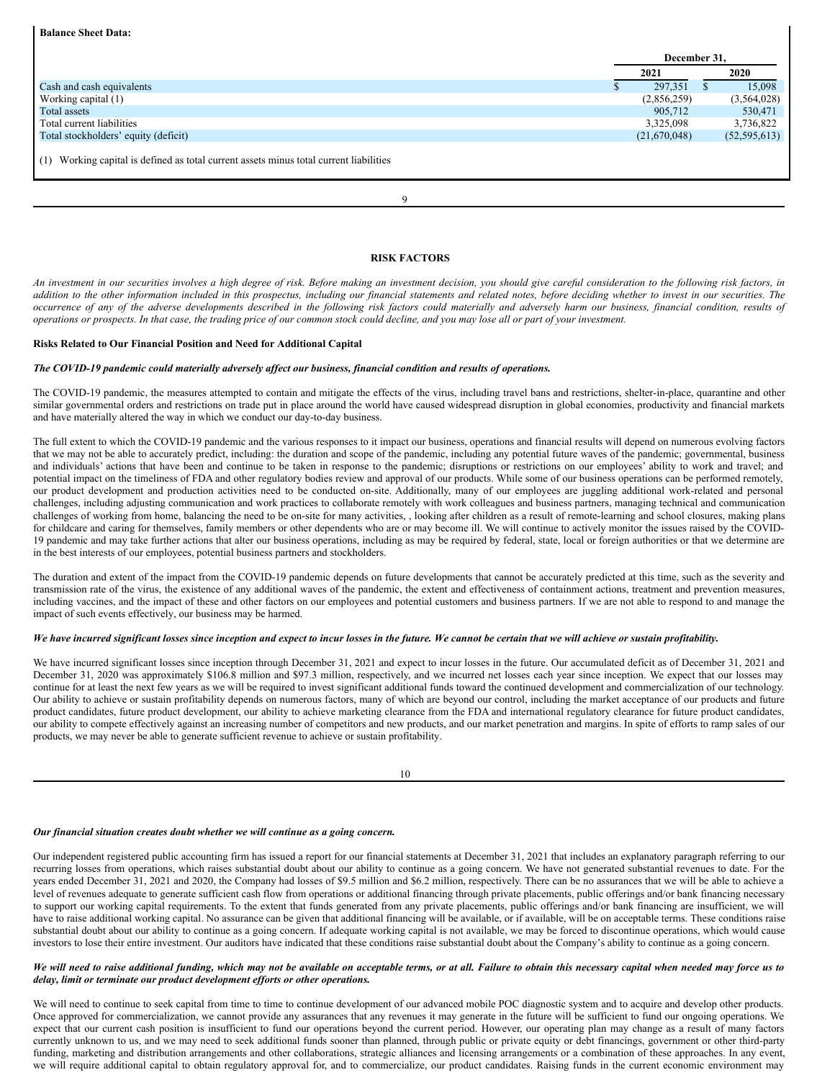| 2021<br>297,351<br>(2,856,259)<br>905,712 | -8 | 2020<br>15,098<br>(3, 564, 028) |
|-------------------------------------------|----|---------------------------------|
|                                           |    |                                 |
|                                           |    |                                 |
|                                           |    |                                 |
|                                           |    | 530,471                         |
| 3,325,098                                 |    | 3,736,822                       |
|                                           |    | (52, 595, 613)                  |
|                                           |    |                                 |
|                                           |    | (21,670,048)                    |

## <span id="page-7-0"></span>**RISK FACTORS**

An investment in our securities involves a high degree of risk. Before making an investment decision, you should give careful consideration to the following risk factors, in addition to the other information included in this prospectus, including our financial statements and related notes, before deciding whether to invest in our securities. The occurrence of any of the adverse developments described in the following risk factors could materially and adversely harm our business, financial condition, results of operations or prospects. In that case, the trading price of our common stock could decline, and you may lose all or part of your investment.

## **Risks Related to Our Financial Position and Need for Additional Capital**

**Balance Sheet Data:**

## The COVID-19 pandemic could materially adversely affect our business, financial condition and results of operations.

The COVID-19 pandemic, the measures attempted to contain and mitigate the effects of the virus, including travel bans and restrictions, shelter-in-place, quarantine and other similar governmental orders and restrictions on trade put in place around the world have caused widespread disruption in global economies, productivity and financial markets and have materially altered the way in which we conduct our day-to-day business.

The full extent to which the COVID-19 pandemic and the various responses to it impact our business, operations and financial results will depend on numerous evolving factors that we may not be able to accurately predict, including: the duration and scope of the pandemic, including any potential future waves of the pandemic; governmental, business and individuals' actions that have been and continue to be taken in response to the pandemic; disruptions or restrictions on our employees' ability to work and travel; and potential impact on the timeliness of FDA and other regulatory bodies review and approval of our products. While some of our business operations can be performed remotely, our product development and production activities need to be conducted on-site. Additionally, many of our employees are juggling additional work-related and personal challenges, including adjusting communication and work practices to collaborate remotely with work colleagues and business partners, managing technical and communication challenges of working from home, balancing the need to be on-site for many activities, , looking after children as a result of remote-learning and school closures, making plans for childcare and caring for themselves, family members or other dependents who are or may become ill. We will continue to actively monitor the issues raised by the COVID-19 pandemic and may take further actions that alter our business operations, including as may be required by federal, state, local or foreign authorities or that we determine are in the best interests of our employees, potential business partners and stockholders.

The duration and extent of the impact from the COVID-19 pandemic depends on future developments that cannot be accurately predicted at this time, such as the severity and transmission rate of the virus, the existence of any additional waves of the pandemic, the extent and effectiveness of containment actions, treatment and prevention measures, including vaccines, and the impact of these and other factors on our employees and potential customers and business partners. If we are not able to respond to and manage the impact of such events effectively, our business may be harmed.

#### We have incurred significant losses since inception and expect to incur losses in the future. We cannot be certain that we will achieve or sustain profitability.

We have incurred significant losses since inception through December 31, 2021 and expect to incur losses in the future. Our accumulated deficit as of December 31, 2021 and December 31, 2020 was approximately \$106.8 million and \$97.3 million, respectively, and we incurred net losses each year since inception. We expect that our losses may continue for at least the next few years as we will be required to invest significant additional funds toward the continued development and commercialization of our technology. Our ability to achieve or sustain profitability depends on numerous factors, many of which are beyond our control, including the market acceptance of our products and future product candidates, future product development, our ability to achieve marketing clearance from the FDA and international regulatory clearance for future product candidates, our ability to compete effectively against an increasing number of competitors and new products, and our market penetration and margins. In spite of efforts to ramp sales of our products, we may never be able to generate sufficient revenue to achieve or sustain profitability.

| ۰.<br>×<br>٩ |
|--------------|

# *Our financial situation creates doubt whether we will continue as a going concern.*

Our independent registered public accounting firm has issued a report for our financial statements at December 31, 2021 that includes an explanatory paragraph referring to our recurring losses from operations, which raises substantial doubt about our ability to continue as a going concern. We have not generated substantial revenues to date. For the years ended December 31, 2021 and 2020, the Company had losses of \$9.5 million and \$6.2 million, respectively. There can be no assurances that we will be able to achieve a level of revenues adequate to generate sufficient cash flow from operations or additional financing through private placements, public offerings and/or bank financing necessary to support our working capital requirements. To the extent that funds generated from any private placements, public offerings and/or bank financing are insufficient, we will have to raise additional working capital. No assurance can be given that additional financing will be available, or if available, will be on acceptable terms. These conditions raise substantial doubt about our ability to continue as a going concern. If adequate working capital is not available, we may be forced to discontinue operations, which would cause investors to lose their entire investment. Our auditors have indicated that these conditions raise substantial doubt about the Company's ability to continue as a going concern.

# We will need to raise additional funding, which may not be available on acceptable terms, or at all. Failure to obtain this necessary capital when needed may force us to *delay, limit or terminate our product development ef orts or other operations.*

We will need to continue to seek capital from time to time to continue development of our advanced mobile POC diagnostic system and to acquire and develop other products. Once approved for commercialization, we cannot provide any assurances that any revenues it may generate in the future will be sufficient to fund our ongoing operations. We expect that our current cash position is insufficient to fund our operations beyond the current period. However, our operating plan may change as a result of many factors currently unknown to us, and we may need to seek additional funds sooner than planned, through public or private equity or debt financings, government or other third-party funding, marketing and distribution arrangements and other collaborations, strategic alliances and licensing arrangements or a combination of these approaches. In any event, we will require additional capital to obtain regulatory approval for, and to commercialize, our product candidates. Raising funds in the current economic environment may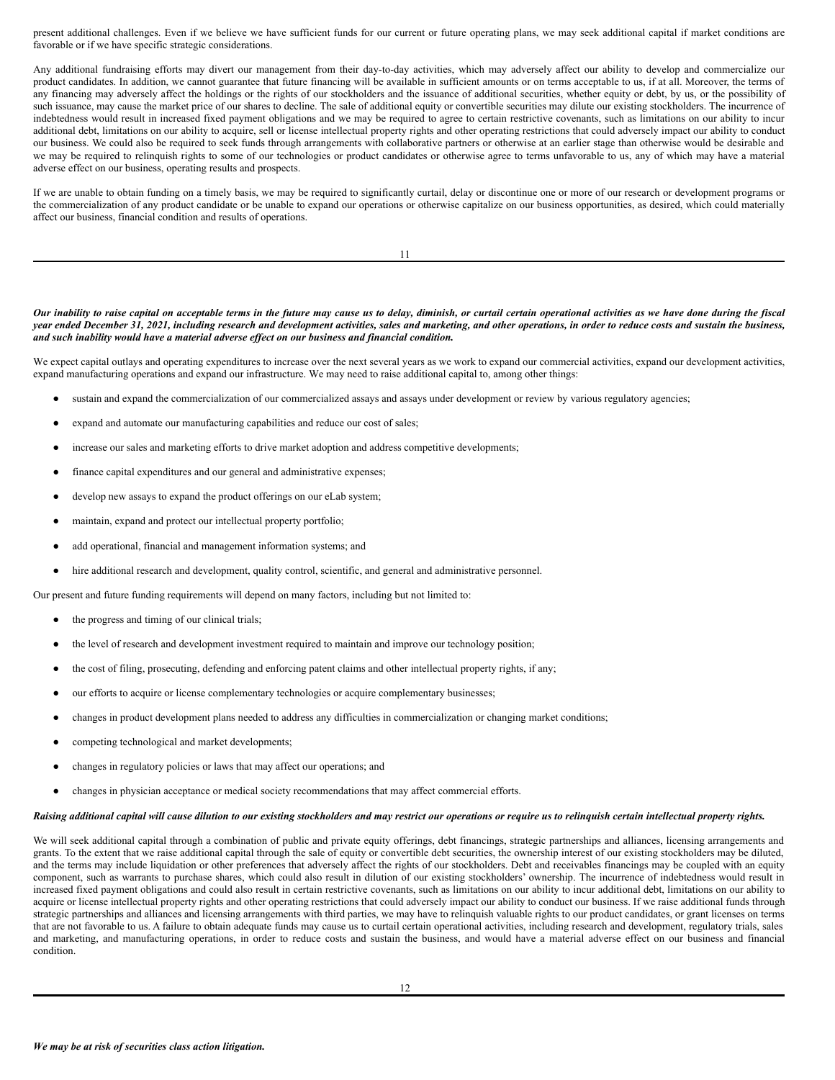present additional challenges. Even if we believe we have sufficient funds for our current or future operating plans, we may seek additional capital if market conditions are favorable or if we have specific strategic considerations.

Any additional fundraising efforts may divert our management from their day-to-day activities, which may adversely affect our ability to develop and commercialize our product candidates. In addition, we cannot guarantee that future financing will be available in sufficient amounts or on terms acceptable to us, if at all. Moreover, the terms of any financing may adversely affect the holdings or the rights of our stockholders and the issuance of additional securities, whether equity or debt, by us, or the possibility of such issuance, may cause the market price of our shares to decline. The sale of additional equity or convertible securities may dilute our existing stockholders. The incurrence of indebtedness would result in increased fixed payment obligations and we may be required to agree to certain restrictive covenants, such as limitations on our ability to incur additional debt, limitations on our ability to acquire, sell or license intellectual property rights and other operating restrictions that could adversely impact our ability to conduct our business. We could also be required to seek funds through arrangements with collaborative partners or otherwise at an earlier stage than otherwise would be desirable and we may be required to relinquish rights to some of our technologies or product candidates or otherwise agree to terms unfavorable to us, any of which may have a material adverse effect on our business, operating results and prospects.

If we are unable to obtain funding on a timely basis, we may be required to significantly curtail, delay or discontinue one or more of our research or development programs or the commercialization of any product candidate or be unable to expand our operations or otherwise capitalize on our business opportunities, as desired, which could materially affect our business, financial condition and results of operations.

Our inability to raise capital on acceptable terms in the future may cause us to delay, diminish, or curtail certain operational activities as we have done during the fiscal year ended December 31, 2021, including research and development activities, sales and marketing, and other operations, in order to reduce costs and sustain the business, *and such inability would have a material adverse ef ect on our business and financial condition.*

We expect capital outlays and operating expenditures to increase over the next several years as we work to expand our commercial activities, expand our development activities, expand manufacturing operations and expand our infrastructure. We may need to raise additional capital to, among other things:

- sustain and expand the commercialization of our commercialized assays and assays under development or review by various regulatory agencies;
- expand and automate our manufacturing capabilities and reduce our cost of sales;
- increase our sales and marketing efforts to drive market adoption and address competitive developments;
- finance capital expenditures and our general and administrative expenses;
- develop new assays to expand the product offerings on our eLab system;
- maintain, expand and protect our intellectual property portfolio;
- add operational, financial and management information systems; and
- hire additional research and development, quality control, scientific, and general and administrative personnel.

Our present and future funding requirements will depend on many factors, including but not limited to:

- the progress and timing of our clinical trials;
- the level of research and development investment required to maintain and improve our technology position;
- the cost of filing, prosecuting, defending and enforcing patent claims and other intellectual property rights, if any;
- our efforts to acquire or license complementary technologies or acquire complementary businesses;
- changes in product development plans needed to address any difficulties in commercialization or changing market conditions;
- competing technological and market developments;
- changes in regulatory policies or laws that may affect our operations; and
- changes in physician acceptance or medical society recommendations that may affect commercial efforts.

#### Raising additional capital will cause dilution to our existing stockholders and may restrict our operations or require us to relinquish certain intellectual property rights.

We will seek additional capital through a combination of public and private equity offerings, debt financings, strategic partnerships and alliances, licensing arrangements and grants. To the extent that we raise additional capital through the sale of equity or convertible debt securities, the ownership interest of our existing stockholders may be diluted, and the terms may include liquidation or other preferences that adversely affect the rights of our stockholders. Debt and receivables financings may be coupled with an equity component, such as warrants to purchase shares, which could also result in dilution of our existing stockholders' ownership. The incurrence of indebtedness would result in increased fixed payment obligations and could also result in certain restrictive covenants, such as limitations on our ability to incur additional debt, limitations on our ability to acquire or license intellectual property rights and other operating restrictions that could adversely impact our ability to conduct our business. If we raise additional funds through strategic partnerships and alliances and licensing arrangements with third parties, we may have to relinquish valuable rights to our product candidates, or grant licenses on terms that are not favorable to us. A failure to obtain adequate funds may cause us to curtail certain operational activities, including research and development, regulatory trials, sales and marketing, and manufacturing operations, in order to reduce costs and sustain the business, and would have a material adverse effect on our business and financial condition.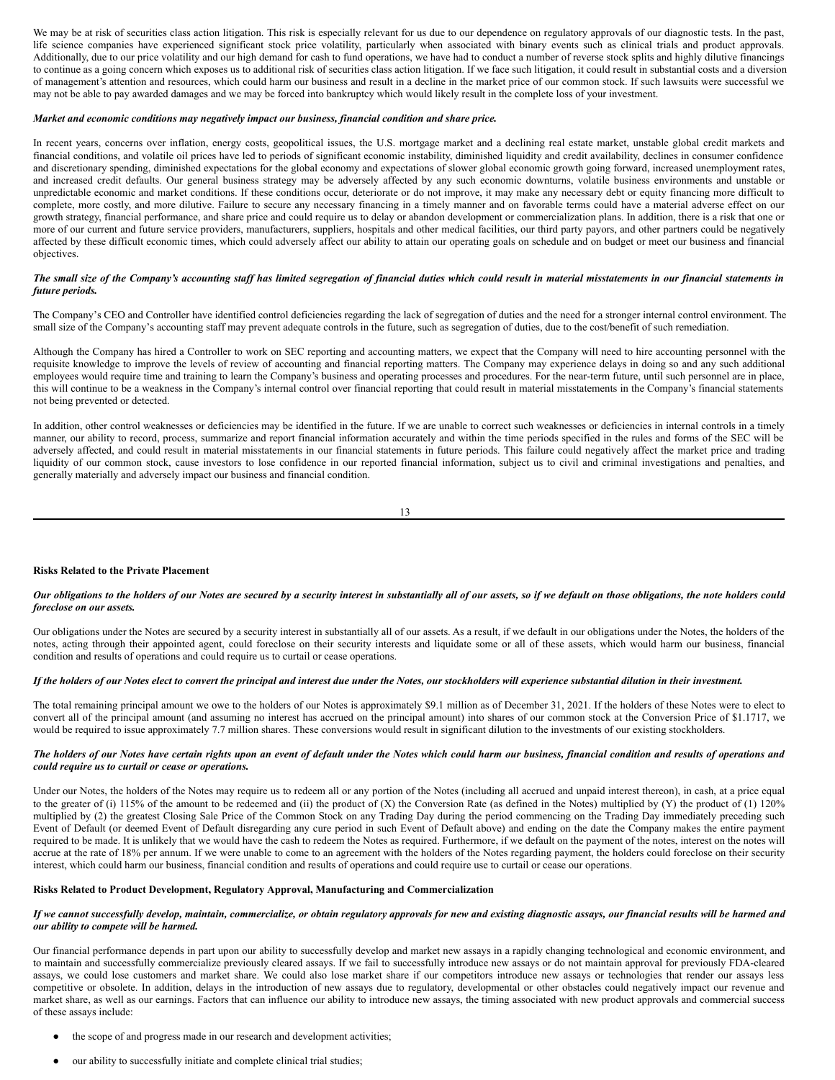We may be at risk of securities class action litigation. This risk is especially relevant for us due to our dependence on regulatory approvals of our diagnostic tests. In the past, life science companies have experienced significant stock price volatility, particularly when associated with binary events such as clinical trials and product approvals. Additionally, due to our price volatility and our high demand for cash to fund operations, we have had to conduct a number of reverse stock splits and highly dilutive financings to continue as a going concern which exposes us to additional risk of securities class action litigation. If we face such litigation, it could result in substantial costs and a diversion of management's attention and resources, which could harm our business and result in a decline in the market price of our common stock. If such lawsuits were successful we may not be able to pay awarded damages and we may be forced into bankruptcy which would likely result in the complete loss of your investment.

# *Market and economic conditions may negatively impact our business, financial condition and share price.*

In recent years, concerns over inflation, energy costs, geopolitical issues, the U.S. mortgage market and a declining real estate market, unstable global credit markets and financial conditions, and volatile oil prices have led to periods of significant economic instability, diminished liquidity and credit availability, declines in consumer confidence and discretionary spending, diminished expectations for the global economy and expectations of slower global economic growth going forward, increased unemployment rates, and increased credit defaults. Our general business strategy may be adversely affected by any such economic downturns, volatile business environments and unstable or unpredictable economic and market conditions. If these conditions occur, deteriorate or do not improve, it may make any necessary debt or equity financing more difficult to complete, more costly, and more dilutive. Failure to secure any necessary financing in a timely manner and on favorable terms could have a material adverse effect on our growth strategy, financial performance, and share price and could require us to delay or abandon development or commercialization plans. In addition, there is a risk that one or more of our current and future service providers, manufacturers, suppliers, hospitals and other medical facilities, our third party payors, and other partners could be negatively affected by these difficult economic times, which could adversely affect our ability to attain our operating goals on schedule and on budget or meet our business and financial objectives.

## The small size of the Company's accounting staff has limited segregation of financial duties which could result in material misstatements in our financial statements in *future periods.*

The Company's CEO and Controller have identified control deficiencies regarding the lack of segregation of duties and the need for a stronger internal control environment. The small size of the Company's accounting staff may prevent adequate controls in the future, such as segregation of duties, due to the cost/benefit of such remediation.

Although the Company has hired a Controller to work on SEC reporting and accounting matters, we expect that the Company will need to hire accounting personnel with the requisite knowledge to improve the levels of review of accounting and financial reporting matters. The Company may experience delays in doing so and any such additional employees would require time and training to learn the Company's business and operating processes and procedures. For the near-term future, until such personnel are in place, this will continue to be a weakness in the Company's internal control over financial reporting that could result in material misstatements in the Company's financial statements not being prevented or detected.

In addition, other control weaknesses or deficiencies may be identified in the future. If we are unable to correct such weaknesses or deficiencies in internal controls in a timely manner, our ability to record, process, summarize and report financial information accurately and within the time periods specified in the rules and forms of the SEC will be adversely affected, and could result in material misstatements in our financial statements in future periods. This failure could negatively affect the market price and trading liquidity of our common stock, cause investors to lose confidence in our reported financial information, subject us to civil and criminal investigations and penalties, and generally materially and adversely impact our business and financial condition.

13

# **Risks Related to the Private Placement**

## Our obligations to the holders of our Notes are secured by a security interest in substantially all of our assets, so if we default on those obligations, the note holders could *foreclose on our assets.*

Our obligations under the Notes are secured by a security interest in substantially all of our assets. As a result, if we default in our obligations under the Notes, the holders of the notes, acting through their appointed agent, could foreclose on their security interests and liquidate some or all of these assets, which would harm our business, financial condition and results of operations and could require us to curtail or cease operations.

# If the holders of our Notes elect to convert the principal and interest due under the Notes, our stockholders will experience substantial dilution in their investment.

The total remaining principal amount we owe to the holders of our Notes is approximately \$9.1 million as of December 31, 2021. If the holders of these Notes were to elect to convert all of the principal amount (and assuming no interest has accrued on the principal amount) into shares of our common stock at the Conversion Price of \$1.1717, we would be required to issue approximately 7.7 million shares. These conversions would result in significant dilution to the investments of our existing stockholders.

### The holders of our Notes have certain rights upon an event of default under the Notes which could harm our business, financial condition and results of operations and *could require us to curtail or cease or operations.*

Under our Notes, the holders of the Notes may require us to redeem all or any portion of the Notes (including all accrued and unpaid interest thereon), in cash, at a price equal to the greater of (i) 115% of the amount to be redeemed and (ii) the product of (X) the Conversion Rate (as defined in the Notes) multiplied by (Y) the product of (1) 120% multiplied by (2) the greatest Closing Sale Price of the Common Stock on any Trading Day during the period commencing on the Trading Day immediately preceding such Event of Default (or deemed Event of Default disregarding any cure period in such Event of Default above) and ending on the date the Company makes the entire payment required to be made. It is unlikely that we would have the cash to redeem the Notes as required. Furthermore, if we default on the payment of the notes, interest on the notes will accrue at the rate of 18% per annum. If we were unable to come to an agreement with the holders of the Notes regarding payment, the holders could foreclose on their security interest, which could harm our business, financial condition and results of operations and could require use to curtail or cease our operations.

# **Risks Related to Product Development, Regulatory Approval, Manufacturing and Commercialization**

## If we cannot successfully develop, maintain, commercialize, or obtain regulatory approvals for new and existing diagnostic assays, our financial results will be harmed and *our ability to compete will be harmed.*

Our financial performance depends in part upon our ability to successfully develop and market new assays in a rapidly changing technological and economic environment, and to maintain and successfully commercialize previously cleared assays. If we fail to successfully introduce new assays or do not maintain approval for previously FDA-cleared assays, we could lose customers and market share. We could also lose market share if our competitors introduce new assays or technologies that render our assays less competitive or obsolete. In addition, delays in the introduction of new assays due to regulatory, developmental or other obstacles could negatively impact our revenue and market share, as well as our earnings. Factors that can influence our ability to introduce new assays, the timing associated with new product approvals and commercial success of these assays include:

- the scope of and progress made in our research and development activities;
- our ability to successfully initiate and complete clinical trial studies;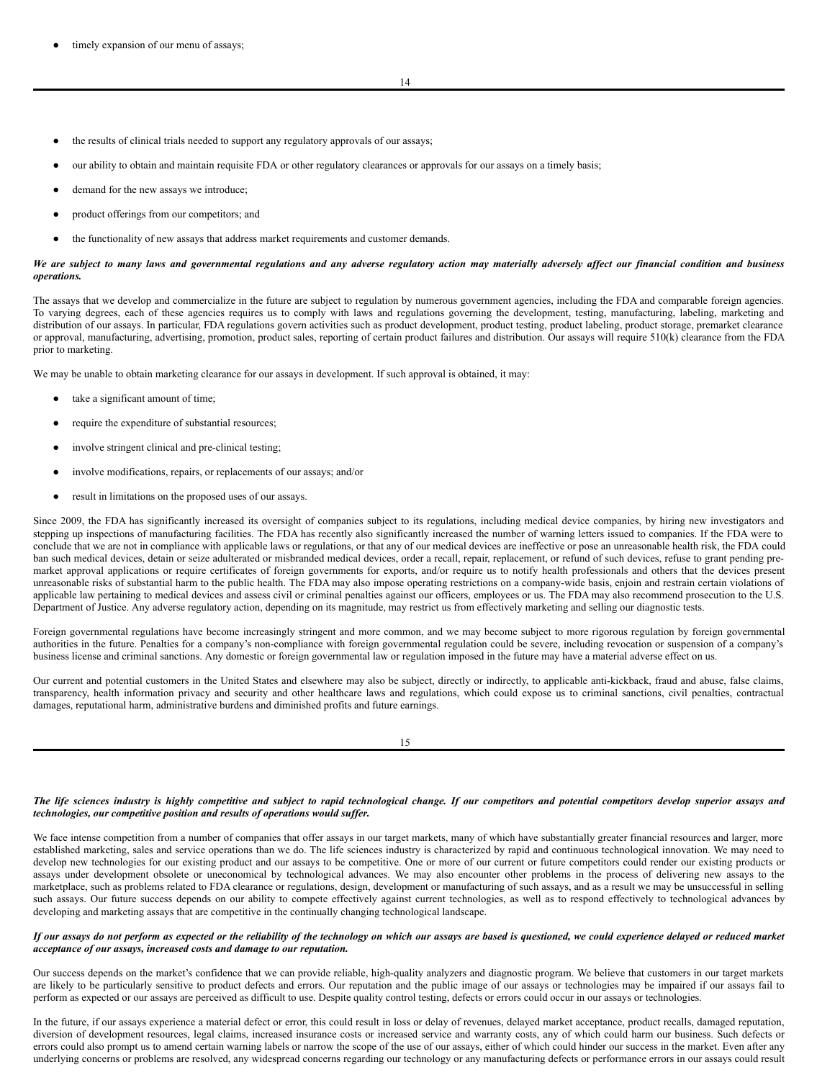- the results of clinical trials needed to support any regulatory approvals of our assays;
- our ability to obtain and maintain requisite FDA or other regulatory clearances or approvals for our assays on a timely basis;
- demand for the new assays we introduce;
- product offerings from our competitors; and
- the functionality of new assays that address market requirements and customer demands.

# We are subject to many laws and governmental regulations and any adverse regulatory action may materially adversely affect our financial condition and business *operations.*

The assays that we develop and commercialize in the future are subject to regulation by numerous government agencies, including the FDA and comparable foreign agencies. To varying degrees, each of these agencies requires us to comply with laws and regulations governing the development, testing, manufacturing, labeling, marketing and distribution of our assays. In particular, FDA regulations govern activities such as product development, product testing, product labeling, product storage, premarket clearance or approval, manufacturing, advertising, promotion, product sales, reporting of certain product failures and distribution. Our assays will require 510(k) clearance from the FDA prior to marketing.

We may be unable to obtain marketing clearance for our assays in development. If such approval is obtained, it may:

- take a significant amount of time;
- require the expenditure of substantial resources;
- involve stringent clinical and pre-clinical testing;
- involve modifications, repairs, or replacements of our assays; and/or
- result in limitations on the proposed uses of our assays.

Since 2009, the FDA has significantly increased its oversight of companies subject to its regulations, including medical device companies, by hiring new investigators and stepping up inspections of manufacturing facilities. The FDA has recently also significantly increased the number of warning letters issued to companies. If the FDA were to conclude that we are not in compliance with applicable laws or regulations, or that any of our medical devices are ineffective or pose an unreasonable health risk, the FDA could ban such medical devices, detain or seize adulterated or misbranded medical devices, order a recall, repair, replacement, or refund of such devices, refuse to grant pending premarket approval applications or require certificates of foreign governments for exports, and/or require us to notify health professionals and others that the devices present unreasonable risks of substantial harm to the public health. The FDA may also impose operating restrictions on a company-wide basis, enjoin and restrain certain violations of applicable law pertaining to medical devices and assess civil or criminal penalties against our officers, employees or us. The FDA may also recommend prosecution to the U.S. Department of Justice. Any adverse regulatory action, depending on its magnitude, may restrict us from effectively marketing and selling our diagnostic tests.

Foreign governmental regulations have become increasingly stringent and more common, and we may become subject to more rigorous regulation by foreign governmental authorities in the future. Penalties for a company's non-compliance with foreign governmental regulation could be severe, including revocation or suspension of a company's business license and criminal sanctions. Any domestic or foreign governmental law or regulation imposed in the future may have a material adverse effect on us.

Our current and potential customers in the United States and elsewhere may also be subject, directly or indirectly, to applicable anti-kickback, fraud and abuse, false claims, transparency, health information privacy and security and other healthcare laws and regulations, which could expose us to criminal sanctions, civil penalties, contractual damages, reputational harm, administrative burdens and diminished profits and future earnings.

| ۰.<br>۰.<br>$\sim$ |
|--------------------|

# The life sciences industry is highly competitive and subject to rapid technological change. If our competitors and potential competitors develop superior assays and *technologies, our competitive position and results of operations would suffer.*

We face intense competition from a number of companies that offer assays in our target markets, many of which have substantially greater financial resources and larger, more established marketing, sales and service operations than we do. The life sciences industry is characterized by rapid and continuous technological innovation. We may need to develop new technologies for our existing product and our assays to be competitive. One or more of our current or future competitors could render our existing products or assays under development obsolete or uneconomical by technological advances. We may also encounter other problems in the process of delivering new assays to the marketplace, such as problems related to FDA clearance or regulations, design, development or manufacturing of such assays, and as a result we may be unsuccessful in selling such assays. Our future success depends on our ability to compete effectively against current technologies, as well as to respond effectively to technological advances by developing and marketing assays that are competitive in the continually changing technological landscape.

# If our assays do not perform as expected or the reliability of the technology on which our assays are based is questioned, we could experience delayed or reduced market *acceptance of our assays, increased costs and damage to our reputation.*

Our success depends on the market's confidence that we can provide reliable, high-quality analyzers and diagnostic program. We believe that customers in our target markets are likely to be particularly sensitive to product defects and errors. Our reputation and the public image of our assays or technologies may be impaired if our assays fail to perform as expected or our assays are perceived as difficult to use. Despite quality control testing, defects or errors could occur in our assays or technologies.

In the future, if our assays experience a material defect or error, this could result in loss or delay of revenues, delayed market acceptance, product recalls, damaged reputation, diversion of development resources, legal claims, increased insurance costs or increased service and warranty costs, any of which could harm our business. Such defects or errors could also prompt us to amend certain warning labels or narrow the scope of the use of our assays, either of which could hinder our success in the market. Even after any underlying concerns or problems are resolved, any widespread concerns regarding our technology or any manufacturing defects or performance errors in our assays could result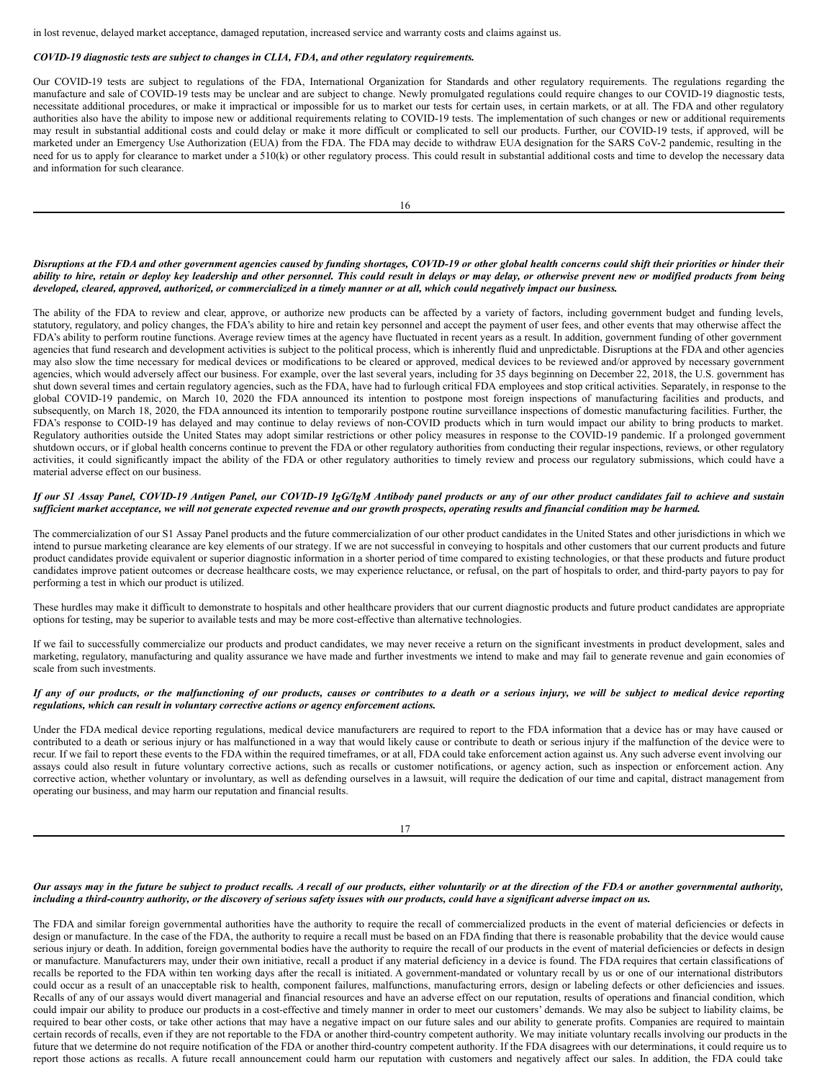in lost revenue, delayed market acceptance, damaged reputation, increased service and warranty costs and claims against us.

# *COVID-19 diagnostic tests are subject to changes in CLIA, FDA, and other regulatory requirements.*

Our COVID-19 tests are subject to regulations of the FDA, International Organization for Standards and other regulatory requirements. The regulations regarding the manufacture and sale of COVID-19 tests may be unclear and are subject to change. Newly promulgated regulations could require changes to our COVID-19 diagnostic tests, necessitate additional procedures, or make it impractical or impossible for us to market our tests for certain uses, in certain markets, or at all. The FDA and other regulatory authorities also have the ability to impose new or additional requirements relating to COVID-19 tests. The implementation of such changes or new or additional requirements may result in substantial additional costs and could delay or make it more difficult or complicated to sell our products. Further, our COVID-19 tests, if approved, will be marketed under an Emergency Use Authorization (EUA) from the FDA. The FDA may decide to withdraw EUA designation for the SARS CoV-2 pandemic, resulting in the need for us to apply for clearance to market under a 510(k) or other regulatory process. This could result in substantial additional costs and time to develop the necessary data and information for such clearance.

## Disruptions at the FDA and other government agencies caused by funding shortages, COVID-19 or other global health concerns could shift their priorities or hinder their ability to hire, retain or deploy key leadership and other personnel. This could result in delays or may delay, or otherwise prevent new or modified products from being developed, cleared, approved, authorized, or commercialized in a timely manner or at all, which could negatively impact our business.

The ability of the FDA to review and clear, approve, or authorize new products can be affected by a variety of factors, including government budget and funding levels, statutory, regulatory, and policy changes, the FDA's ability to hire and retain key personnel and accept the payment of user fees, and other events that may otherwise affect the FDA's ability to perform routine functions. Average review times at the agency have fluctuated in recent years as a result. In addition, government funding of other government agencies that fund research and development activities is subject to the political process, which is inherently fluid and unpredictable. Disruptions at the FDA and other agencies may also slow the time necessary for medical devices or modifications to be cleared or approved, medical devices to be reviewed and/or approved by necessary government agencies, which would adversely affect our business. For example, over the last several years, including for 35 days beginning on December 22, 2018, the U.S. government has shut down several times and certain regulatory agencies, such as the FDA, have had to furlough critical FDA employees and stop critical activities. Separately, in response to the global COVID-19 pandemic, on March 10, 2020 the FDA announced its intention to postpone most foreign inspections of manufacturing facilities and products, and subsequently, on March 18, 2020, the FDA announced its intention to temporarily postpone routine surveillance inspections of domestic manufacturing facilities. Further, the FDA's response to COID-19 has delayed and may continue to delay reviews of non-COVID products which in turn would impact our ability to bring products to market. Regulatory authorities outside the United States may adopt similar restrictions or other policy measures in response to the COVID-19 pandemic. If a prolonged government shutdown occurs, or if global health concerns continue to prevent the FDA or other regulatory authorities from conducting their regular inspections, reviews, or other regulatory activities, it could significantly impact the ability of the FDA or other regulatory authorities to timely review and process our regulatory submissions, which could have a material adverse effect on our business.

## If our S1 Assay Panel, COVID-19 Antigen Panel, our COVID-19 IgG/IgM Antibody panel products or any of our other product candidates fail to achieve and sustain sufficient market acceptance, we will not generate expected revenue and our growth prospects, operating results and financial condition may be harmed.

The commercialization of our S1 Assay Panel products and the future commercialization of our other product candidates in the United States and other jurisdictions in which we intend to pursue marketing clearance are key elements of our strategy. If we are not successful in conveying to hospitals and other customers that our current products and future product candidates provide equivalent or superior diagnostic information in a shorter period of time compared to existing technologies, or that these products and future product candidates improve patient outcomes or decrease healthcare costs, we may experience reluctance, or refusal, on the part of hospitals to order, and third-party payors to pay for performing a test in which our product is utilized.

These hurdles may make it difficult to demonstrate to hospitals and other healthcare providers that our current diagnostic products and future product candidates are appropriate options for testing, may be superior to available tests and may be more cost-effective than alternative technologies.

If we fail to successfully commercialize our products and product candidates, we may never receive a return on the significant investments in product development, sales and marketing, regulatory, manufacturing and quality assurance we have made and further investments we intend to make and may fail to generate revenue and gain economies of scale from such investments.

## If any of our products, or the malfunctioning of our products, causes or contributes to a death or a serious injury, we will be subject to medical device reporting *regulations, which can result in voluntary corrective actions or agency enforcement actions.*

Under the FDA medical device reporting regulations, medical device manufacturers are required to report to the FDA information that a device has or may have caused or contributed to a death or serious injury or has malfunctioned in a way that would likely cause or contribute to death or serious injury if the malfunction of the device were to recur. If we fail to report these events to the FDA within the required timeframes, or at all, FDA could take enforcement action against us. Any such adverse event involving our assays could also result in future voluntary corrective actions, such as recalls or customer notifications, or agency action, such as inspection or enforcement action. Any corrective action, whether voluntary or involuntary, as well as defending ourselves in a lawsuit, will require the dedication of our time and capital, distract management from operating our business, and may harm our reputation and financial results.

17

# Our assays may in the future be subject to product recalls. A recall of our products, either voluntarily or at the direction of the FDA or another governmental authority, including a third-country authority, or the discovery of serious safety issues with our products, could have a significant adverse impact on us.

The FDA and similar foreign governmental authorities have the authority to require the recall of commercialized products in the event of material deficiencies or defects in design or manufacture. In the case of the FDA, the authority to require a recall must be based on an FDA finding that there is reasonable probability that the device would cause serious injury or death. In addition, foreign governmental bodies have the authority to require the recall of our products in the event of material deficiencies or defects in design or manufacture. Manufacturers may, under their own initiative, recall a product if any material deficiency in a device is found. The FDA requires that certain classifications of recalls be reported to the FDA within ten working days after the recall is initiated. A government-mandated or voluntary recall by us or one of our international distributors could occur as a result of an unacceptable risk to health, component failures, malfunctions, manufacturing errors, design or labeling defects or other deficiencies and issues. Recalls of any of our assays would divert managerial and financial resources and have an adverse effect on our reputation, results of operations and financial condition, which could impair our ability to produce our products in a cost-effective and timely manner in order to meet our customers' demands. We may also be subject to liability claims, be required to bear other costs, or take other actions that may have a negative impact on our future sales and our ability to generate profits. Companies are required to maintain certain records of recalls, even if they are not reportable to the FDA or another third-country competent authority. We may initiate voluntary recalls involving our products in the future that we determine do not require notification of the FDA or another third-country competent authority. If the FDA disagrees with our determinations, it could require us to report those actions as recalls. A future recall announcement could harm our reputation with customers and negatively affect our sales. In addition, the FDA could take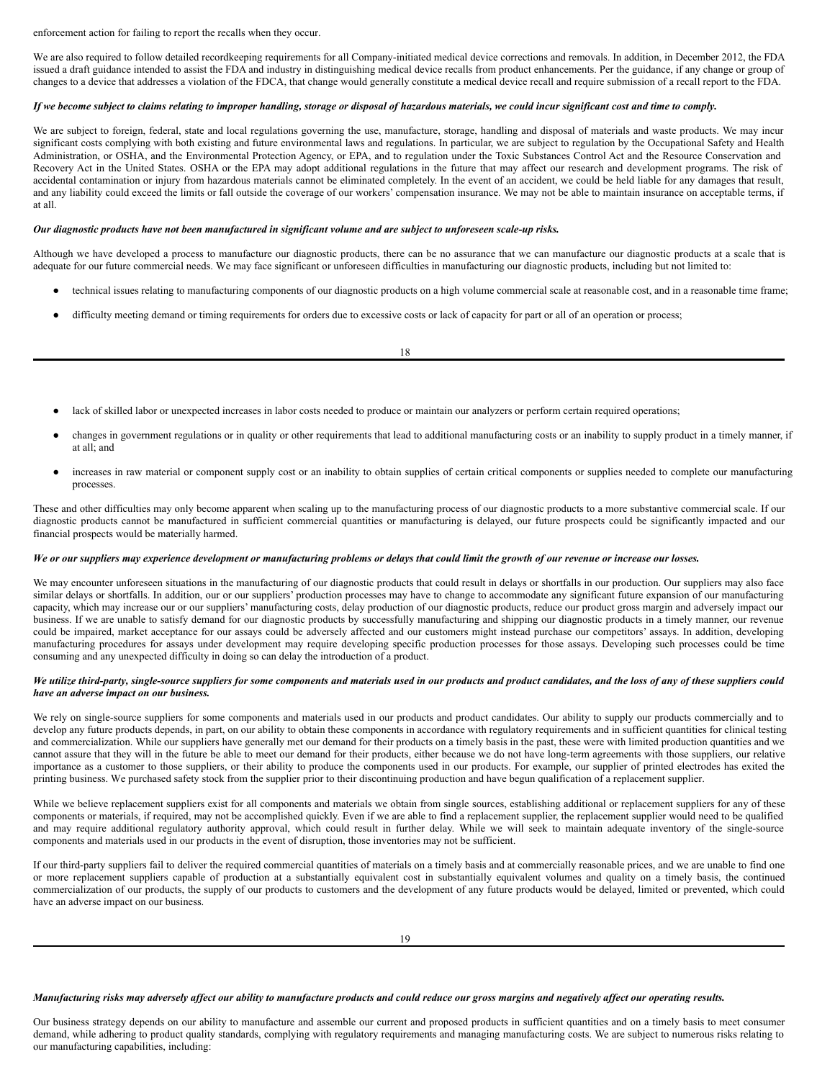enforcement action for failing to report the recalls when they occur.

We are also required to follow detailed recordkeeping requirements for all Company-initiated medical device corrections and removals. In addition, in December 2012, the FDA issued a draft guidance intended to assist the FDA and industry in distinguishing medical device recalls from product enhancements. Per the guidance, if any change or group of changes to a device that addresses a violation of the FDCA, that change would generally constitute a medical device recall and require submission of a recall report to the FDA.

### If we become subject to claims relating to improper handling, storage or disposal of hazardous materials, we could incur significant cost and time to comply.

We are subject to foreign, federal, state and local regulations governing the use, manufacture, storage, handling and disposal of materials and waste products. We may incur significant costs complying with both existing and future environmental laws and regulations. In particular, we are subject to regulation by the Occupational Safety and Health Administration, or OSHA, and the Environmental Protection Agency, or EPA, and to regulation under the Toxic Substances Control Act and the Resource Conservation and Recovery Act in the United States. OSHA or the EPA may adopt additional regulations in the future that may affect our research and development programs. The risk of accidental contamination or injury from hazardous materials cannot be eliminated completely. In the event of an accident, we could be held liable for any damages that result, and any liability could exceed the limits or fall outside the coverage of our workers' compensation insurance. We may not be able to maintain insurance on acceptable terms, if at all.

#### Our diagnostic products have not been manufactured in significant volume and are subject to unforeseen scale-up risks.

Although we have developed a process to manufacture our diagnostic products, there can be no assurance that we can manufacture our diagnostic products at a scale that is adequate for our future commercial needs. We may face significant or unforeseen difficulties in manufacturing our diagnostic products, including but not limited to:

- technical issues relating to manufacturing components of our diagnostic products on a high volume commercial scale at reasonable cost, and in a reasonable time frame;
- difficulty meeting demand or timing requirements for orders due to excessive costs or lack of capacity for part or all of an operation or process;

18

- lack of skilled labor or unexpected increases in labor costs needed to produce or maintain our analyzers or perform certain required operations;
- changes in government regulations or in quality or other requirements that lead to additional manufacturing costs or an inability to supply product in a timely manner, if at all; and
- increases in raw material or component supply cost or an inability to obtain supplies of certain critical components or supplies needed to complete our manufacturing processes.

These and other difficulties may only become apparent when scaling up to the manufacturing process of our diagnostic products to a more substantive commercial scale. If our diagnostic products cannot be manufactured in sufficient commercial quantities or manufacturing is delayed, our future prospects could be significantly impacted and our financial prospects would be materially harmed.

#### We or our suppliers may experience development or manufacturing problems or delays that could limit the growth of our revenue or increase our losses.

We may encounter unforeseen situations in the manufacturing of our diagnostic products that could result in delays or shortfalls in our production. Our suppliers may also face similar delays or shortfalls. In addition, our or our suppliers' production processes may have to change to accommodate any significant future expansion of our manufacturing capacity, which may increase our or our suppliers' manufacturing costs, delay production of our diagnostic products, reduce our product gross margin and adversely impact our business. If we are unable to satisfy demand for our diagnostic products by successfully manufacturing and shipping our diagnostic products in a timely manner, our revenue could be impaired, market acceptance for our assays could be adversely affected and our customers might instead purchase our competitors' assays. In addition, developing manufacturing procedures for assays under development may require developing specific production processes for those assays. Developing such processes could be time consuming and any unexpected difficulty in doing so can delay the introduction of a product.

# We utilize third-party, single-source suppliers for some components and materials used in our products and product candidates, and the loss of any of these suppliers could *have an adverse impact on our business.*

We rely on single-source suppliers for some components and materials used in our products and product candidates. Our ability to supply our products commercially and to develop any future products depends, in part, on our ability to obtain these components in accordance with regulatory requirements and in sufficient quantities for clinical testing and commercialization. While our suppliers have generally met our demand for their products on a timely basis in the past, these were with limited production quantities and we cannot assure that they will in the future be able to meet our demand for their products, either because we do not have long-term agreements with those suppliers, our relative importance as a customer to those suppliers, or their ability to produce the components used in our products. For example, our supplier of printed electrodes has exited the printing business. We purchased safety stock from the supplier prior to their discontinuing production and have begun qualification of a replacement supplier.

While we believe replacement suppliers exist for all components and materials we obtain from single sources, establishing additional or replacement suppliers for any of these components or materials, if required, may not be accomplished quickly. Even if we are able to find a replacement supplier, the replacement supplier would need to be qualified and may require additional regulatory authority approval, which could result in further delay. While we will seek to maintain adequate inventory of the single-source components and materials used in our products in the event of disruption, those inventories may not be sufficient.

If our third-party suppliers fail to deliver the required commercial quantities of materials on a timely basis and at commercially reasonable prices, and we are unable to find one or more replacement suppliers capable of production at a substantially equivalent cost in substantially equivalent volumes and quality on a timely basis, the continued commercialization of our products, the supply of our products to customers and the development of any future products would be delayed, limited or prevented, which could have an adverse impact on our business.

# Manufacturing risks may adversely affect our ability to manufacture products and could reduce our gross margins and negatively affect our operating results.

Our business strategy depends on our ability to manufacture and assemble our current and proposed products in sufficient quantities and on a timely basis to meet consumer demand, while adhering to product quality standards, complying with regulatory requirements and managing manufacturing costs. We are subject to numerous risks relating to our manufacturing capabilities, including: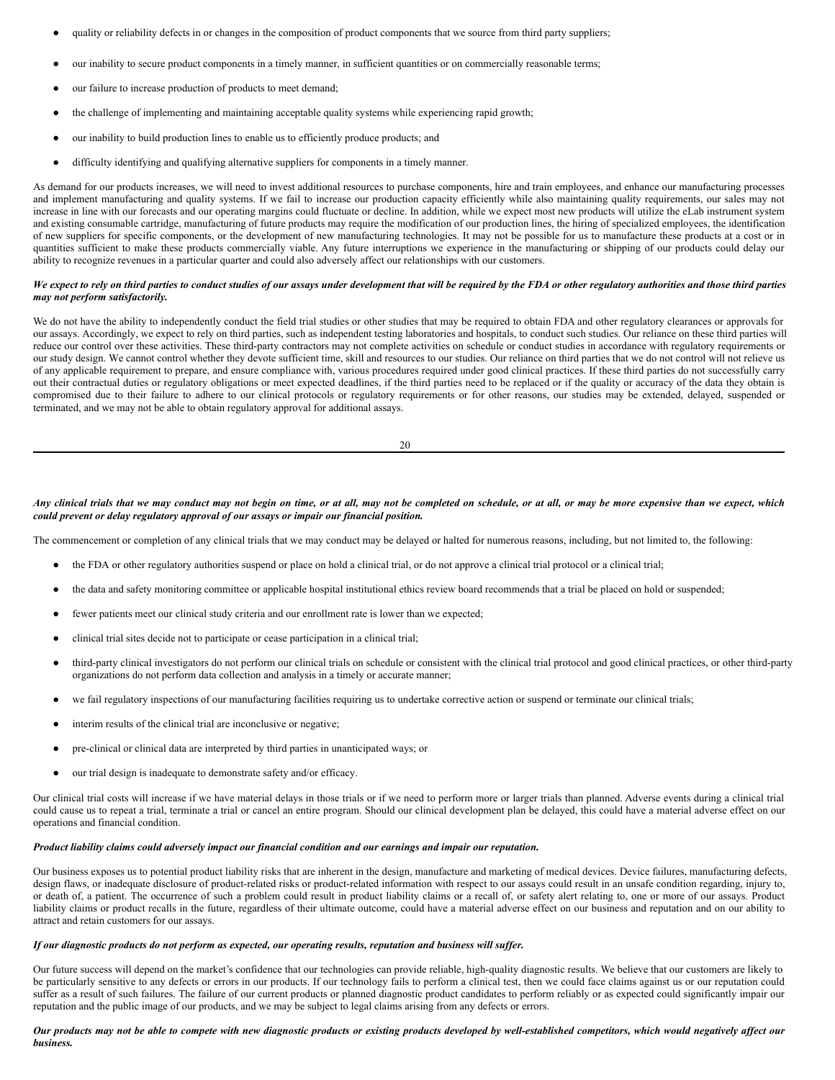- quality or reliability defects in or changes in the composition of product components that we source from third party suppliers;
- our inability to secure product components in a timely manner, in sufficient quantities or on commercially reasonable terms;
- our failure to increase production of products to meet demand;
- the challenge of implementing and maintaining acceptable quality systems while experiencing rapid growth;
- our inability to build production lines to enable us to efficiently produce products; and
- difficulty identifying and qualifying alternative suppliers for components in a timely manner.

As demand for our products increases, we will need to invest additional resources to purchase components, hire and train employees, and enhance our manufacturing processes and implement manufacturing and quality systems. If we fail to increase our production capacity efficiently while also maintaining quality requirements, our sales may not increase in line with our forecasts and our operating margins could fluctuate or decline. In addition, while we expect most new products will utilize the eLab instrument system and existing consumable cartridge, manufacturing of future products may require the modification of our production lines, the hiring of specialized employees, the identification of new suppliers for specific components, or the development of new manufacturing technologies. It may not be possible for us to manufacture these products at a cost or in quantities sufficient to make these products commercially viable. Any future interruptions we experience in the manufacturing or shipping of our products could delay our ability to recognize revenues in a particular quarter and could also adversely affect our relationships with our customers.

## We expect to rely on third parties to conduct studies of our assays under development that will be required by the FDA or other regulatory authorities and those third parties *may not perform satisfactorily.*

We do not have the ability to independently conduct the field trial studies or other studies that may be required to obtain FDA and other regulatory clearances or approvals for our assays. Accordingly, we expect to rely on third parties, such as independent testing laboratories and hospitals, to conduct such studies. Our reliance on these third parties will reduce our control over these activities. These third-party contractors may not complete activities on schedule or conduct studies in accordance with regulatory requirements or our study design. We cannot control whether they devote sufficient time, skill and resources to our studies. Our reliance on third parties that we do not control will not relieve us of any applicable requirement to prepare, and ensure compliance with, various procedures required under good clinical practices. If these third parties do not successfully carry out their contractual duties or regulatory obligations or meet expected deadlines, if the third parties need to be replaced or if the quality or accuracy of the data they obtain is compromised due to their failure to adhere to our clinical protocols or regulatory requirements or for other reasons, our studies may be extended, delayed, suspended or terminated, and we may not be able to obtain regulatory approval for additional assays.

#### 20

# Any clinical trials that we may conduct may not begin on time, or at all, may not be completed on schedule, or at all, or may be more expensive than we expect, which *could prevent or delay regulatory approval of our assays or impair our financial position.*

The commencement or completion of any clinical trials that we may conduct may be delayed or halted for numerous reasons, including, but not limited to, the following:

- the FDA or other regulatory authorities suspend or place on hold a clinical trial, or do not approve a clinical trial protocol or a clinical trial;
- the data and safety monitoring committee or applicable hospital institutional ethics review board recommends that a trial be placed on hold or suspended;
- fewer patients meet our clinical study criteria and our enrollment rate is lower than we expected;
- clinical trial sites decide not to participate or cease participation in a clinical trial;
- third-party clinical investigators do not perform our clinical trials on schedule or consistent with the clinical trial protocol and good clinical practices, or other third-party organizations do not perform data collection and analysis in a timely or accurate manner;
- we fail regulatory inspections of our manufacturing facilities requiring us to undertake corrective action or suspend or terminate our clinical trials;
- interim results of the clinical trial are inconclusive or negative;
- pre-clinical or clinical data are interpreted by third parties in unanticipated ways; or
- our trial design is inadequate to demonstrate safety and/or efficacy.

Our clinical trial costs will increase if we have material delays in those trials or if we need to perform more or larger trials than planned. Adverse events during a clinical trial could cause us to repeat a trial, terminate a trial or cancel an entire program. Should our clinical development plan be delayed, this could have a material adverse effect on our operations and financial condition.

#### Product liability claims could adversely impact our financial condition and our earnings and impair our reputation.

Our business exposes us to potential product liability risks that are inherent in the design, manufacture and marketing of medical devices. Device failures, manufacturing defects, design flaws, or inadequate disclosure of product-related risks or product-related information with respect to our assays could result in an unsafe condition regarding, injury to, or death of, a patient. The occurrence of such a problem could result in product liability claims or a recall of, or safety alert relating to, one or more of our assays. Product liability claims or product recalls in the future, regardless of their ultimate outcome, could have a material adverse effect on our business and reputation and on our ability to attract and retain customers for our assays.

### If our diagnostic products do not perform as expected, our operating results, reputation and business will suffer.

Our future success will depend on the market's confidence that our technologies can provide reliable, high-quality diagnostic results. We believe that our customers are likely to be particularly sensitive to any defects or errors in our products. If our technology fails to perform a clinical test, then we could face claims against us or our reputation could suffer as a result of such failures. The failure of our current products or planned diagnostic product candidates to perform reliably or as expected could significantly impair our reputation and the public image of our products, and we may be subject to legal claims arising from any defects or errors.

# Our products may not be able to compete with new diagnostic products or existing products developed by well-established competitors, which would negatively affect our *business.*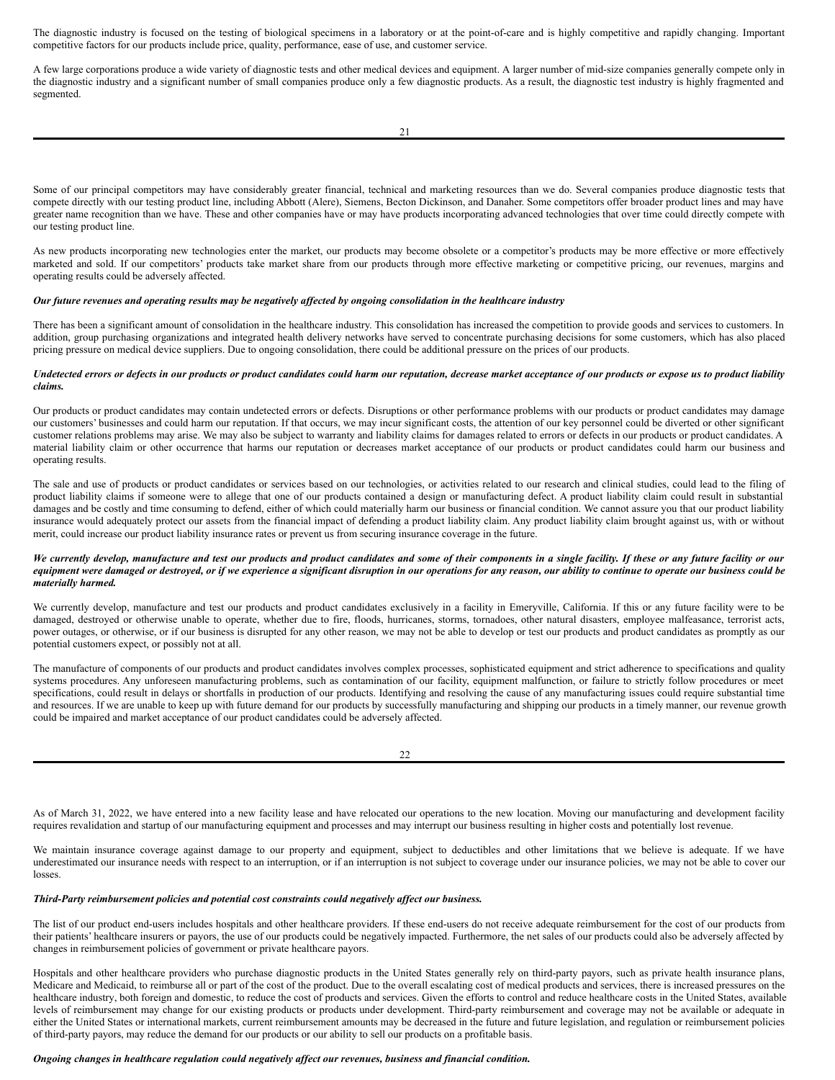The diagnostic industry is focused on the testing of biological specimens in a laboratory or at the point-of-care and is highly competitive and rapidly changing. Important competitive factors for our products include price, quality, performance, ease of use, and customer service.

A few large corporations produce a wide variety of diagnostic tests and other medical devices and equipment. A larger number of mid-size companies generally compete only in the diagnostic industry and a significant number of small companies produce only a few diagnostic products. As a result, the diagnostic test industry is highly fragmented and segmented.

Some of our principal competitors may have considerably greater financial, technical and marketing resources than we do. Several companies produce diagnostic tests that compete directly with our testing product line, including Abbott (Alere), Siemens, Becton Dickinson, and Danaher. Some competitors offer broader product lines and may have greater name recognition than we have. These and other companies have or may have products incorporating advanced technologies that over time could directly compete with our testing product line.

As new products incorporating new technologies enter the market, our products may become obsolete or a competitor's products may be more effective or more effectively marketed and sold. If our competitors' products take market share from our products through more effective marketing or competitive pricing, our revenues, margins and operating results could be adversely affected.

## Our future revenues and operating results may be negatively affected by ongoing consolidation in the healthcare industry

There has been a significant amount of consolidation in the healthcare industry. This consolidation has increased the competition to provide goods and services to customers. In addition, group purchasing organizations and integrated health delivery networks have served to concentrate purchasing decisions for some customers, which has also placed pricing pressure on medical device suppliers. Due to ongoing consolidation, there could be additional pressure on the prices of our products.

## Undetected errors or defects in our products or product candidates could harm our reputation, decrease market acceptance of our products or expose us to product liability *claims.*

Our products or product candidates may contain undetected errors or defects. Disruptions or other performance problems with our products or product candidates may damage our customers' businesses and could harm our reputation. If that occurs, we may incur significant costs, the attention of our key personnel could be diverted or other significant customer relations problems may arise. We may also be subject to warranty and liability claims for damages related to errors or defects in our products or product candidates. A material liability claim or other occurrence that harms our reputation or decreases market acceptance of our products or product candidates could harm our business and operating results.

The sale and use of products or product candidates or services based on our technologies, or activities related to our research and clinical studies, could lead to the filing of product liability claims if someone were to allege that one of our products contained a design or manufacturing defect. A product liability claim could result in substantial damages and be costly and time consuming to defend, either of which could materially harm our business or financial condition. We cannot assure you that our product liability insurance would adequately protect our assets from the financial impact of defending a product liability claim. Any product liability claim brought against us, with or without merit, could increase our product liability insurance rates or prevent us from securing insurance coverage in the future.

# We currently develop, manufacture and test our products and product candidates and some of their components in a single facility. If these or any future facility or our equipment were damaged or destroyed, or if we experience a significant disruption in our operations for any reason, our ability to continue to operate our business could be *materially harmed.*

We currently develop, manufacture and test our products and product candidates exclusively in a facility in Emeryville, California. If this or any future facility were to be damaged, destroyed or otherwise unable to operate, whether due to fire, floods, hurricanes, storms, tornadoes, other natural disasters, employee malfeasance, terrorist acts, power outages, or otherwise, or if our business is disrupted for any other reason, we may not be able to develop or test our products and product candidates as promptly as our potential customers expect, or possibly not at all.

The manufacture of components of our products and product candidates involves complex processes, sophisticated equipment and strict adherence to specifications and quality systems procedures. Any unforeseen manufacturing problems, such as contamination of our facility, equipment malfunction, or failure to strictly follow procedures or meet specifications, could result in delays or shortfalls in production of our products. Identifying and resolving the cause of any manufacturing issues could require substantial time and resources. If we are unable to keep up with future demand for our products by successfully manufacturing and shipping our products in a timely manner, our revenue growth could be impaired and market acceptance of our product candidates could be adversely affected.

| I |  |
|---|--|
|   |  |

As of March 31, 2022, we have entered into a new facility lease and have relocated our operations to the new location. Moving our manufacturing and development facility requires revalidation and startup of our manufacturing equipment and processes and may interrupt our business resulting in higher costs and potentially lost revenue.

We maintain insurance coverage against damage to our property and equipment, subject to deductibles and other limitations that we believe is adequate. If we have underestimated our insurance needs with respect to an interruption, or if an interruption is not subject to coverage under our insurance policies, we may not be able to cover our losses.

# *Third-Party reimbursement policies and potential cost constraints could negatively af ect our business.*

The list of our product end-users includes hospitals and other healthcare providers. If these end-users do not receive adequate reimbursement for the cost of our products from their patients' healthcare insurers or payors, the use of our products could be negatively impacted. Furthermore, the net sales of our products could also be adversely affected by changes in reimbursement policies of government or private healthcare payors.

Hospitals and other healthcare providers who purchase diagnostic products in the United States generally rely on third-party payors, such as private health insurance plans, Medicare and Medicaid, to reimburse all or part of the cost of the product. Due to the overall escalating cost of medical products and services, there is increased pressures on the healthcare industry, both foreign and domestic, to reduce the cost of products and services. Given the efforts to control and reduce healthcare costs in the United States, available levels of reimbursement may change for our existing products or products under development. Third-party reimbursement and coverage may not be available or adequate in either the United States or international markets, current reimbursement amounts may be decreased in the future and future legislation, and regulation or reimbursement policies of third-party payors, may reduce the demand for our products or our ability to sell our products on a profitable basis.

# *Ongoing changes in healthcare regulation could negatively af ect our revenues, business and financial condition.*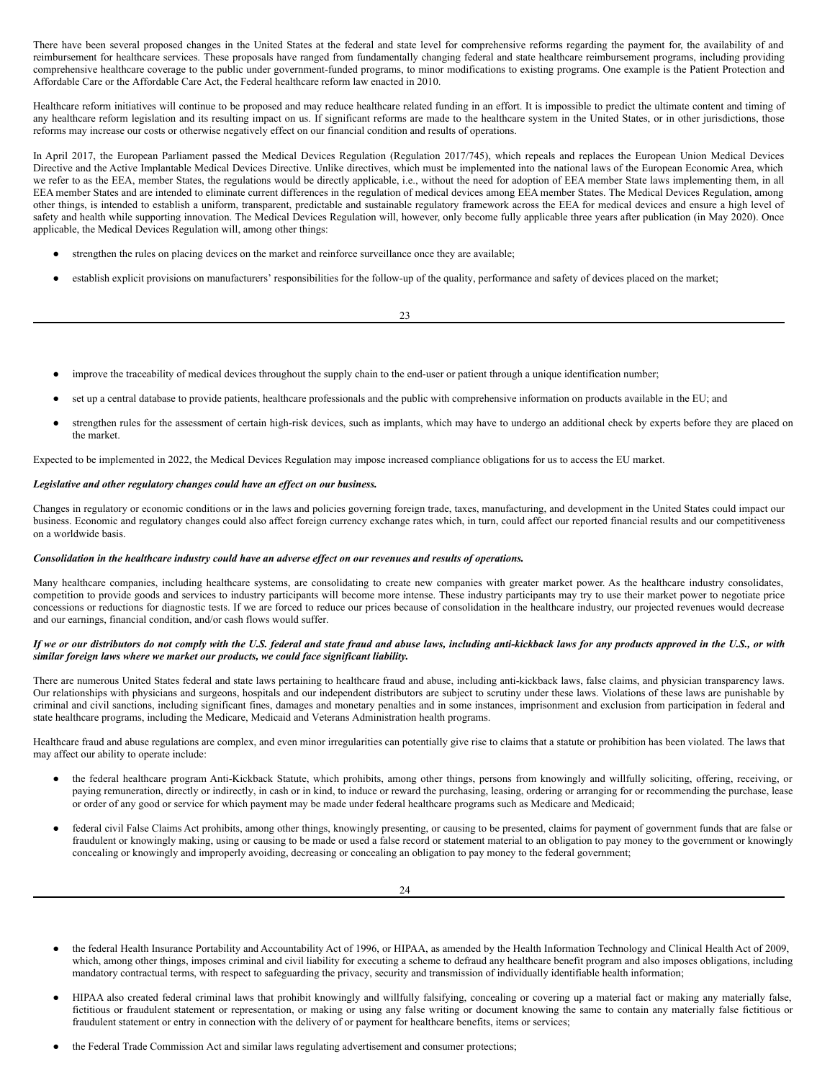There have been several proposed changes in the United States at the federal and state level for comprehensive reforms regarding the payment for, the availability of and reimbursement for healthcare services. These proposals have ranged from fundamentally changing federal and state healthcare reimbursement programs, including providing comprehensive healthcare coverage to the public under government-funded programs, to minor modifications to existing programs. One example is the Patient Protection and Affordable Care or the Affordable Care Act, the Federal healthcare reform law enacted in 2010.

Healthcare reform initiatives will continue to be proposed and may reduce healthcare related funding in an effort. It is impossible to predict the ultimate content and timing of any healthcare reform legislation and its resulting impact on us. If significant reforms are made to the healthcare system in the United States, or in other jurisdictions, those reforms may increase our costs or otherwise negatively effect on our financial condition and results of operations.

In April 2017, the European Parliament passed the Medical Devices Regulation (Regulation 2017/745), which repeals and replaces the European Union Medical Devices Directive and the Active Implantable Medical Devices Directive. Unlike directives, which must be implemented into the national laws of the European Economic Area, which we refer to as the EEA, member States, the regulations would be directly applicable, i.e., without the need for adoption of EEA member State laws implementing them, in all EEA member States and are intended to eliminate current differences in the regulation of medical devices among EEA member States. The Medical Devices Regulation, among other things, is intended to establish a uniform, transparent, predictable and sustainable regulatory framework across the EEA for medical devices and ensure a high level of safety and health while supporting innovation. The Medical Devices Regulation will, however, only become fully applicable three years after publication (in May 2020). Once applicable, the Medical Devices Regulation will, among other things:

- strengthen the rules on placing devices on the market and reinforce surveillance once they are available;
- establish explicit provisions on manufacturers' responsibilities for the follow-up of the quality, performance and safety of devices placed on the market;

| ×       |        |
|---------|--------|
| ×,<br>I |        |
|         | I<br>I |
|         | ×<br>v |

- improve the traceability of medical devices throughout the supply chain to the end-user or patient through a unique identification number;
- set up a central database to provide patients, healthcare professionals and the public with comprehensive information on products available in the EU; and
- strengthen rules for the assessment of certain high-risk devices, such as implants, which may have to undergo an additional check by experts before they are placed on the market.

Expected to be implemented in 2022, the Medical Devices Regulation may impose increased compliance obligations for us to access the EU market.

#### *Legislative and other regulatory changes could have an ef ect on our business.*

Changes in regulatory or economic conditions or in the laws and policies governing foreign trade, taxes, manufacturing, and development in the United States could impact our business. Economic and regulatory changes could also affect foreign currency exchange rates which, in turn, could affect our reported financial results and our competitiveness on a worldwide basis.

#### Consolidation in the healthcare industry could have an adverse effect on our revenues and results of operations.

Many healthcare companies, including healthcare systems, are consolidating to create new companies with greater market power. As the healthcare industry consolidates, competition to provide goods and services to industry participants will become more intense. These industry participants may try to use their market power to negotiate price concessions or reductions for diagnostic tests. If we are forced to reduce our prices because of consolidation in the healthcare industry, our projected revenues would decrease and our earnings, financial condition, and/or cash flows would suffer.

# If we or our distributors do not comply with the U.S. federal and state fraud and abuse laws, including anti-kickback laws for any products approved in the U.S., or with *similar foreign laws where we market our products, we could face significant liability.*

There are numerous United States federal and state laws pertaining to healthcare fraud and abuse, including anti-kickback laws, false claims, and physician transparency laws. Our relationships with physicians and surgeons, hospitals and our independent distributors are subject to scrutiny under these laws. Violations of these laws are punishable by criminal and civil sanctions, including significant fines, damages and monetary penalties and in some instances, imprisonment and exclusion from participation in federal and state healthcare programs, including the Medicare, Medicaid and Veterans Administration health programs.

Healthcare fraud and abuse regulations are complex, and even minor irregularities can potentially give rise to claims that a statute or prohibition has been violated. The laws that may affect our ability to operate include:

- the federal healthcare program Anti-Kickback Statute, which prohibits, among other things, persons from knowingly and willfully soliciting, offering, receiving, or paying remuneration, directly or indirectly, in cash or in kind, to induce or reward the purchasing, leasing, ordering or arranging for or recommending the purchase, lease or order of any good or service for which payment may be made under federal healthcare programs such as Medicare and Medicaid;
- federal civil False Claims Act prohibits, among other things, knowingly presenting, or causing to be presented, claims for payment of government funds that are false or fraudulent or knowingly making, using or causing to be made or used a false record or statement material to an obligation to pay money to the government or knowingly concealing or knowingly and improperly avoiding, decreasing or concealing an obligation to pay money to the federal government;

- the federal Health Insurance Portability and Accountability Act of 1996, or HIPAA, as amended by the Health Information Technology and Clinical Health Act of 2009, which, among other things, imposes criminal and civil liability for executing a scheme to defraud any healthcare benefit program and also imposes obligations, including mandatory contractual terms, with respect to safeguarding the privacy, security and transmission of individually identifiable health information;
- HIPAA also created federal criminal laws that prohibit knowingly and willfully falsifying, concealing or covering up a material fact or making any materially false, fictitious or fraudulent statement or representation, or making or using any false writing or document knowing the same to contain any materially false fictitious or fraudulent statement or entry in connection with the delivery of or payment for healthcare benefits, items or services;
- the Federal Trade Commission Act and similar laws regulating advertisement and consumer protections;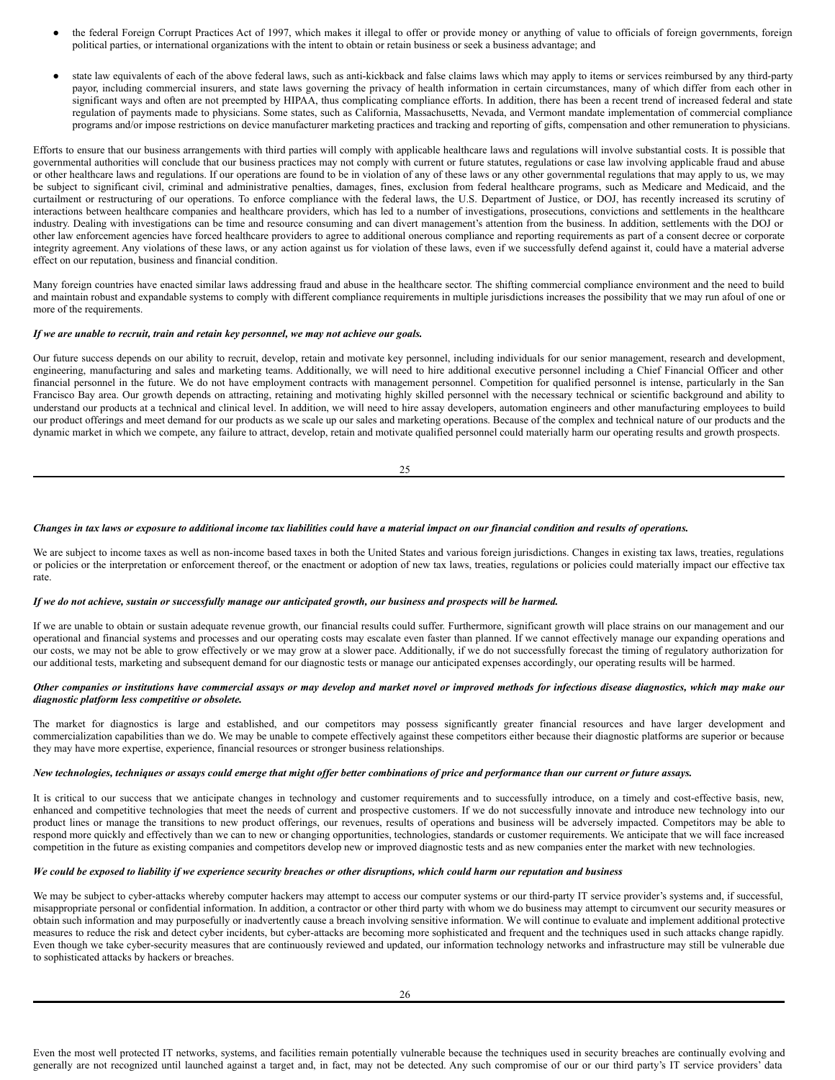- the federal Foreign Corrupt Practices Act of 1997, which makes it illegal to offer or provide money or anything of value to officials of foreign governments, foreign political parties, or international organizations with the intent to obtain or retain business or seek a business advantage; and
- state law equivalents of each of the above federal laws, such as anti-kickback and false claims laws which may apply to items or services reimbursed by any third-party payor, including commercial insurers, and state laws governing the privacy of health information in certain circumstances, many of which differ from each other in significant ways and often are not preempted by HIPAA, thus complicating compliance efforts. In addition, there has been a recent trend of increased federal and state regulation of payments made to physicians. Some states, such as California, Massachusetts, Nevada, and Vermont mandate implementation of commercial compliance programs and/or impose restrictions on device manufacturer marketing practices and tracking and reporting of gifts, compensation and other remuneration to physicians.

Efforts to ensure that our business arrangements with third parties will comply with applicable healthcare laws and regulations will involve substantial costs. It is possible that governmental authorities will conclude that our business practices may not comply with current or future statutes, regulations or case law involving applicable fraud and abuse or other healthcare laws and regulations. If our operations are found to be in violation of any of these laws or any other governmental regulations that may apply to us, we may be subject to significant civil, criminal and administrative penalties, damages, fines, exclusion from federal healthcare programs, such as Medicare and Medicaid, and the curtailment or restructuring of our operations. To enforce compliance with the federal laws, the U.S. Department of Justice, or DOJ, has recently increased its scrutiny of interactions between healthcare companies and healthcare providers, which has led to a number of investigations, prosecutions, convictions and settlements in the healthcare industry. Dealing with investigations can be time and resource consuming and can divert management's attention from the business. In addition, settlements with the DOJ or other law enforcement agencies have forced healthcare providers to agree to additional onerous compliance and reporting requirements as part of a consent decree or corporate integrity agreement. Any violations of these laws, or any action against us for violation of these laws, even if we successfully defend against it, could have a material adverse effect on our reputation, business and financial condition.

Many foreign countries have enacted similar laws addressing fraud and abuse in the healthcare sector. The shifting commercial compliance environment and the need to build and maintain robust and expandable systems to comply with different compliance requirements in multiple jurisdictions increases the possibility that we may run afoul of one or more of the requirements.

## *If we are unable to recruit, train and retain key personnel, we may not achieve our goals.*

Our future success depends on our ability to recruit, develop, retain and motivate key personnel, including individuals for our senior management, research and development, engineering, manufacturing and sales and marketing teams. Additionally, we will need to hire additional executive personnel including a Chief Financial Officer and other financial personnel in the future. We do not have employment contracts with management personnel. Competition for qualified personnel is intense, particularly in the San Francisco Bay area. Our growth depends on attracting, retaining and motivating highly skilled personnel with the necessary technical or scientific background and ability to understand our products at a technical and clinical level. In addition, we will need to hire assay developers, automation engineers and other manufacturing employees to build our product offerings and meet demand for our products as we scale up our sales and marketing operations. Because of the complex and technical nature of our products and the dynamic market in which we compete, any failure to attract, develop, retain and motivate qualified personnel could materially harm our operating results and growth prospects.

| ×,<br>I | ۰. |  |
|---------|----|--|

#### Changes in tax laws or exposure to additional income tax liabilities could have a material impact on our financial condition and results of operations.

We are subject to income taxes as well as non-income based taxes in both the United States and various foreign jurisdictions. Changes in existing tax laws, treaties, regulations or policies or the interpretation or enforcement thereof, or the enactment or adoption of new tax laws, treaties, regulations or policies could materially impact our effective tax rate.

#### If we do not achieve, sustain or successfully manage our anticipated growth, our business and prospects will be harmed.

If we are unable to obtain or sustain adequate revenue growth, our financial results could suffer. Furthermore, significant growth will place strains on our management and our operational and financial systems and processes and our operating costs may escalate even faster than planned. If we cannot effectively manage our expanding operations and our costs, we may not be able to grow effectively or we may grow at a slower pace. Additionally, if we do not successfully forecast the timing of regulatory authorization for our additional tests, marketing and subsequent demand for our diagnostic tests or manage our anticipated expenses accordingly, our operating results will be harmed.

## Other companies or institutions have commercial assays or may develop and market novel or improved methods for infectious disease diagnostics, which may make our *diagnostic platform less competitive or obsolete.*

The market for diagnostics is large and established, and our competitors may possess significantly greater financial resources and have larger development and commercialization capabilities than we do. We may be unable to compete effectively against these competitors either because their diagnostic platforms are superior or because they may have more expertise, experience, financial resources or stronger business relationships.

## New technologies, techniques or assays could emerge that might offer better combinations of price and performance than our current or future assays.

It is critical to our success that we anticipate changes in technology and customer requirements and to successfully introduce, on a timely and cost-effective basis, new, enhanced and competitive technologies that meet the needs of current and prospective customers. If we do not successfully innovate and introduce new technology into our product lines or manage the transitions to new product offerings, our revenues, results of operations and business will be adversely impacted. Competitors may be able to respond more quickly and effectively than we can to new or changing opportunities, technologies, standards or customer requirements. We anticipate that we will face increased competition in the future as existing companies and competitors develop new or improved diagnostic tests and as new companies enter the market with new technologies.

# We could be exposed to liability if we experience security breaches or other disruptions, which could harm our reputation and business

We may be subject to cyber-attacks whereby computer hackers may attempt to access our computer systems or our third-party IT service provider's systems and, if successful, misappropriate personal or confidential information. In addition, a contractor or other third party with whom we do business may attempt to circumvent our security measures or obtain such information and may purposefully or inadvertently cause a breach involving sensitive information. We will continue to evaluate and implement additional protective measures to reduce the risk and detect cyber incidents, but cyber-attacks are becoming more sophisticated and frequent and the techniques used in such attacks change rapidly. Even though we take cyber-security measures that are continuously reviewed and updated, our information technology networks and infrastructure may still be vulnerable due to sophisticated attacks by hackers or breaches.

Even the most well protected IT networks, systems, and facilities remain potentially vulnerable because the techniques used in security breaches are continually evolving and generally are not recognized until launched against a target and, in fact, may not be detected. Any such compromise of our or our third party's IT service providers' data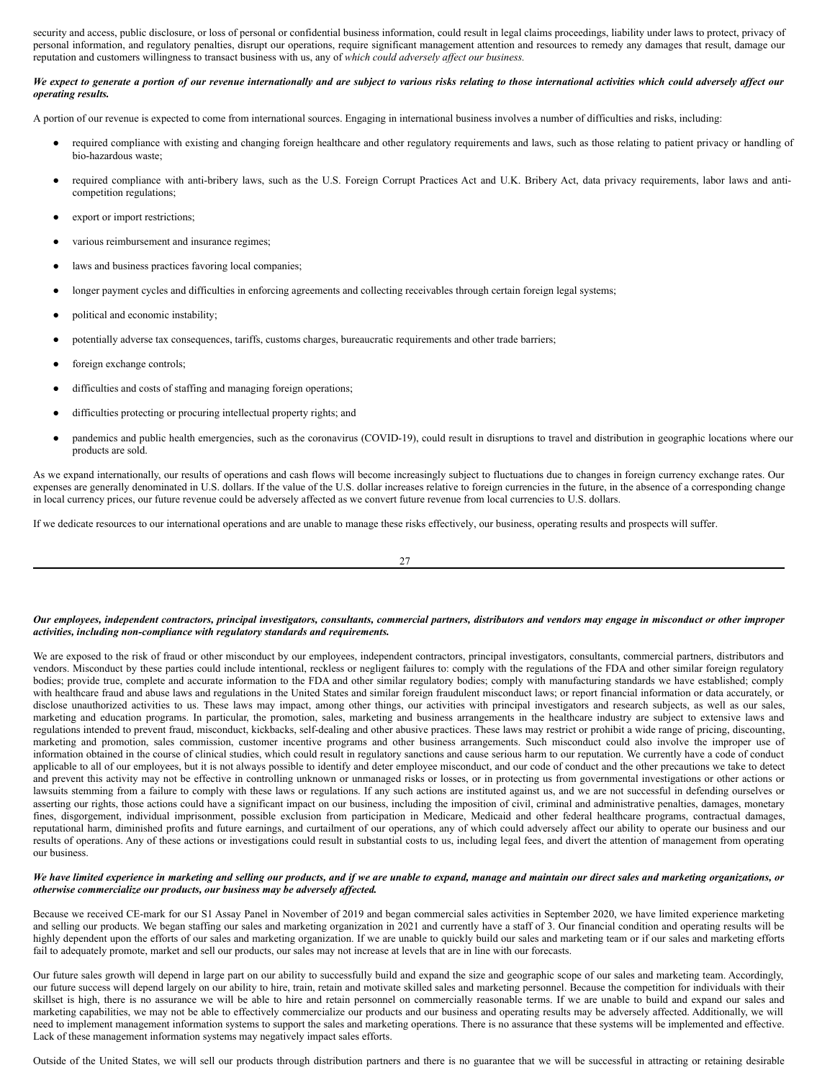security and access, public disclosure, or loss of personal or confidential business information, could result in legal claims proceedings, liability under laws to protect, privacy of personal information, and regulatory penalties, disrupt our operations, require significant management attention and resources to remedy any damages that result, damage our reputation and customers willingness to transact business with us, any of *which could adversely af ect our business.*

# We expect to generate a portion of our revenue internationally and are subject to various risks relating to those international activities which could adversely affect our *operating results.*

A portion of our revenue is expected to come from international sources. Engaging in international business involves a number of difficulties and risks, including:

- required compliance with existing and changing foreign healthcare and other regulatory requirements and laws, such as those relating to patient privacy or handling of bio-hazardous waste;
- required compliance with anti-bribery laws, such as the U.S. Foreign Corrupt Practices Act and U.K. Bribery Act, data privacy requirements, labor laws and anticompetition regulations;
- export or import restrictions;
- various reimbursement and insurance regimes;
- laws and business practices favoring local companies;
- longer payment cycles and difficulties in enforcing agreements and collecting receivables through certain foreign legal systems;
- political and economic instability;
- potentially adverse tax consequences, tariffs, customs charges, bureaucratic requirements and other trade barriers;
- foreign exchange controls;
- difficulties and costs of staffing and managing foreign operations;
- difficulties protecting or procuring intellectual property rights; and
- pandemics and public health emergencies, such as the coronavirus (COVID-19), could result in disruptions to travel and distribution in geographic locations where our products are sold.

As we expand internationally, our results of operations and cash flows will become increasingly subject to fluctuations due to changes in foreign currency exchange rates. Our expenses are generally denominated in U.S. dollars. If the value of the U.S. dollar increases relative to foreign currencies in the future, in the absence of a corresponding change in local currency prices, our future revenue could be adversely affected as we convert future revenue from local currencies to U.S. dollars.

If we dedicate resources to our international operations and are unable to manage these risks effectively, our business, operating results and prospects will suffer.

#### Our employees, independent contractors, principal investigators, consultants, commercial partners, distributors and vendors may engage in misconduct or other improper *activities, including non-compliance with regulatory standards and requirements.*

We are exposed to the risk of fraud or other misconduct by our employees, independent contractors, principal investigators, consultants, commercial partners, distributors and vendors. Misconduct by these parties could include intentional, reckless or negligent failures to: comply with the regulations of the FDA and other similar foreign regulatory bodies; provide true, complete and accurate information to the FDA and other similar regulatory bodies; comply with manufacturing standards we have established; comply with healthcare fraud and abuse laws and regulations in the United States and similar foreign fraudulent misconduct laws; or report financial information or data accurately, or disclose unauthorized activities to us. These laws may impact, among other things, our activities with principal investigators and research subjects, as well as our sales, marketing and education programs. In particular, the promotion, sales, marketing and business arrangements in the healthcare industry are subject to extensive laws and regulations intended to prevent fraud, misconduct, kickbacks, self-dealing and other abusive practices. These laws may restrict or prohibit a wide range of pricing, discounting, marketing and promotion, sales commission, customer incentive programs and other business arrangements. Such misconduct could also involve the improper use of information obtained in the course of clinical studies, which could result in regulatory sanctions and cause serious harm to our reputation. We currently have a code of conduct applicable to all of our employees, but it is not always possible to identify and deter employee misconduct, and our code of conduct and the other precautions we take to detect and prevent this activity may not be effective in controlling unknown or unmanaged risks or losses, or in protecting us from governmental investigations or other actions or lawsuits stemming from a failure to comply with these laws or regulations. If any such actions are instituted against us, and we are not successful in defending ourselves or asserting our rights, those actions could have a significant impact on our business, including the imposition of civil, criminal and administrative penalties, damages, monetary fines, disgorgement, individual imprisonment, possible exclusion from participation in Medicare, Medicaid and other federal healthcare programs, contractual damages, reputational harm, diminished profits and future earnings, and curtailment of our operations, any of which could adversely affect our ability to operate our business and our results of operations. Any of these actions or investigations could result in substantial costs to us, including legal fees, and divert the attention of management from operating our business.

## We have limited experience in marketing and selling our products, and if we are unable to expand, manage and maintain our direct sales and marketing organizations, or *otherwise commercialize our products, our business may be adversely af ected.*

Because we received CE-mark for our S1 Assay Panel in November of 2019 and began commercial sales activities in September 2020, we have limited experience marketing and selling our products. We began staffing our sales and marketing organization in 2021 and currently have a staff of 3. Our financial condition and operating results will be highly dependent upon the efforts of our sales and marketing organization. If we are unable to quickly build our sales and marketing team or if our sales and marketing efforts fail to adequately promote, market and sell our products, our sales may not increase at levels that are in line with our forecasts.

Our future sales growth will depend in large part on our ability to successfully build and expand the size and geographic scope of our sales and marketing team. Accordingly, our future success will depend largely on our ability to hire, train, retain and motivate skilled sales and marketing personnel. Because the competition for individuals with their skillset is high, there is no assurance we will be able to hire and retain personnel on commercially reasonable terms. If we are unable to build and expand our sales and marketing capabilities, we may not be able to effectively commercialize our products and our business and operating results may be adversely affected. Additionally, we will need to implement management information systems to support the sales and marketing operations. There is no assurance that these systems will be implemented and effective. Lack of these management information systems may negatively impact sales efforts.

Outside of the United States, we will sell our products through distribution partners and there is no guarantee that we will be successful in attracting or retaining desirable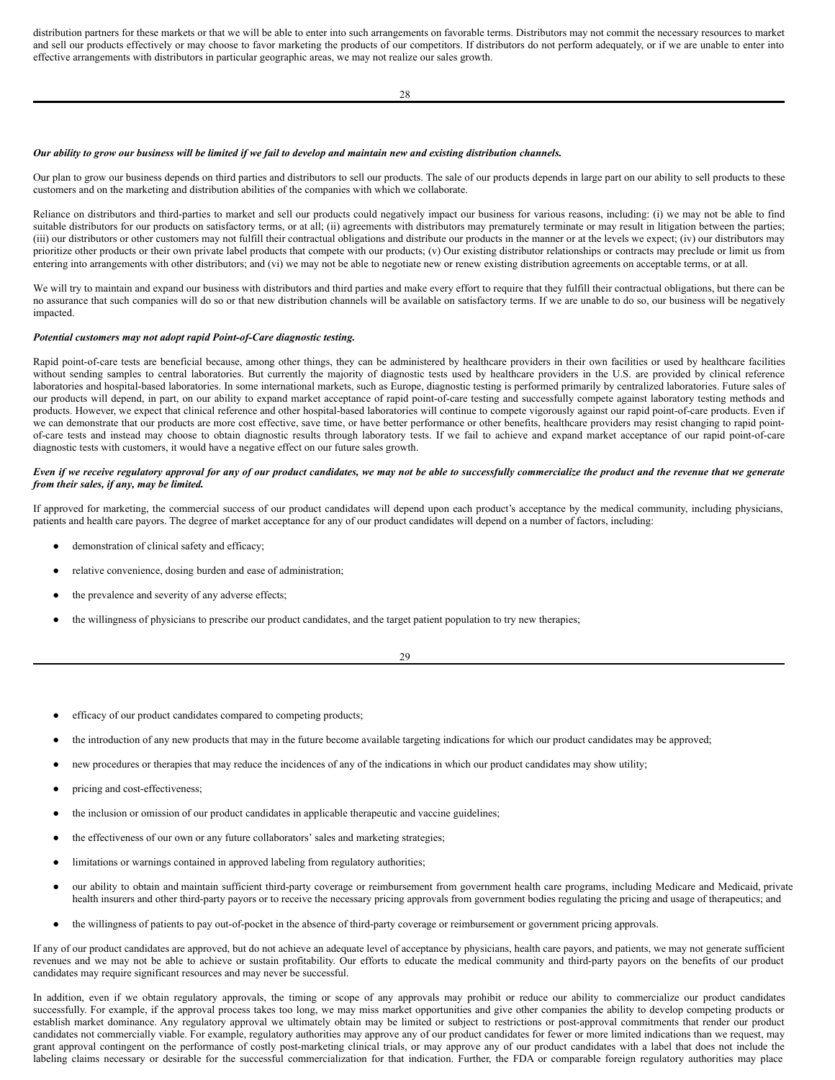distribution partners for these markets or that we will be able to enter into such arrangements on favorable terms. Distributors may not commit the necessary resources to market and sell our products effectively or may choose to favor marketing the products of our competitors. If distributors do not perform adequately, or if we are unable to enter into effective arrangements with distributors in particular geographic areas, we may not realize our sales growth.

# Our ability to grow our business will be limited if we fail to develop and maintain new and existing distribution channels.

Our plan to grow our business depends on third parties and distributors to sell our products. The sale of our products depends in large part on our ability to sell products to these customers and on the marketing and distribution abilities of the companies with which we collaborate.

Reliance on distributors and third-parties to market and sell our products could negatively impact our business for various reasons, including: (i) we may not be able to find suitable distributors for our products on satisfactory terms, or at all; (ii) agreements with distributors may prematurely terminate or may result in litigation between the parties; (iii) our distributors or other customers may not fulfill their contractual obligations and distribute our products in the manner or at the levels we expect; (iv) our distributors may prioritize other products or their own private label products that compete with our products; (v) Our existing distributor relationships or contracts may preclude or limit us from entering into arrangements with other distributors; and (vi) we may not be able to negotiate new or renew existing distribution agreements on acceptable terms, or at all.

We will try to maintain and expand our business with distributors and third parties and make every effort to require that they fulfill their contractual obligations, but there can be no assurance that such companies will do so or that new distribution channels will be available on satisfactory terms. If we are unable to do so, our business will be negatively impacted.

# *Potential customers may not adopt rapid Point-of-Care diagnostic testing.*

Rapid point-of-care tests are beneficial because, among other things, they can be administered by healthcare providers in their own facilities or used by healthcare facilities without sending samples to central laboratories. But currently the majority of diagnostic tests used by healthcare providers in the U.S. are provided by clinical reference laboratories and hospital-based laboratories. In some international markets, such as Europe, diagnostic testing is performed primarily by centralized laboratories. Future sales of our products will depend, in part, on our ability to expand market acceptance of rapid point-of-care testing and successfully compete against laboratory testing methods and products. However, we expect that clinical reference and other hospital-based laboratories will continue to compete vigorously against our rapid point-of-care products. Even if we can demonstrate that our products are more cost effective, save time, or have better performance or other benefits, healthcare providers may resist changing to rapid pointof-care tests and instead may choose to obtain diagnostic results through laboratory tests. If we fail to achieve and expand market acceptance of our rapid point-of-care diagnostic tests with customers, it would have a negative effect on our future sales growth.

# Even if we receive regulatory approval for any of our product candidates, we may not be able to successfully commercialize the product and the revenue that we generate *from their sales, if any, may be limited.*

If approved for marketing, the commercial success of our product candidates will depend upon each product's acceptance by the medical community, including physicians, patients and health care payors. The degree of market acceptance for any of our product candidates will depend on a number of factors, including:

- demonstration of clinical safety and efficacy;
- relative convenience, dosing burden and ease of administration;
- the prevalence and severity of any adverse effects;
- the willingness of physicians to prescribe our product candidates, and the target patient population to try new therapies;

29

- efficacy of our product candidates compared to competing products;
- the introduction of any new products that may in the future become available targeting indications for which our product candidates may be approved;
- new procedures or therapies that may reduce the incidences of any of the indications in which our product candidates may show utility;
- pricing and cost-effectiveness;
- the inclusion or omission of our product candidates in applicable therapeutic and vaccine guidelines;
- the effectiveness of our own or any future collaborators' sales and marketing strategies;
- limitations or warnings contained in approved labeling from regulatory authorities;
- our ability to obtain and maintain sufficient third-party coverage or reimbursement from government health care programs, including Medicare and Medicaid, private health insurers and other third-party payors or to receive the necessary pricing approvals from government bodies regulating the pricing and usage of therapeutics; and
- the willingness of patients to pay out-of-pocket in the absence of third-party coverage or reimbursement or government pricing approvals.

If any of our product candidates are approved, but do not achieve an adequate level of acceptance by physicians, health care payors, and patients, we may not generate sufficient revenues and we may not be able to achieve or sustain profitability. Our efforts to educate the medical community and third-party payors on the benefits of our product candidates may require significant resources and may never be successful.

In addition, even if we obtain regulatory approvals, the timing or scope of any approvals may prohibit or reduce our ability to commercialize our product candidates successfully. For example, if the approval process takes too long, we may miss market opportunities and give other companies the ability to develop competing products or establish market dominance. Any regulatory approval we ultimately obtain may be limited or subject to restrictions or post-approval commitments that render our product candidates not commercially viable. For example, regulatory authorities may approve any of our product candidates for fewer or more limited indications than we request, may grant approval contingent on the performance of costly post-marketing clinical trials, or may approve any of our product candidates with a label that does not include the labeling claims necessary or desirable for the successful commercialization for that indication. Further, the FDA or comparable foreign regulatory authorities may place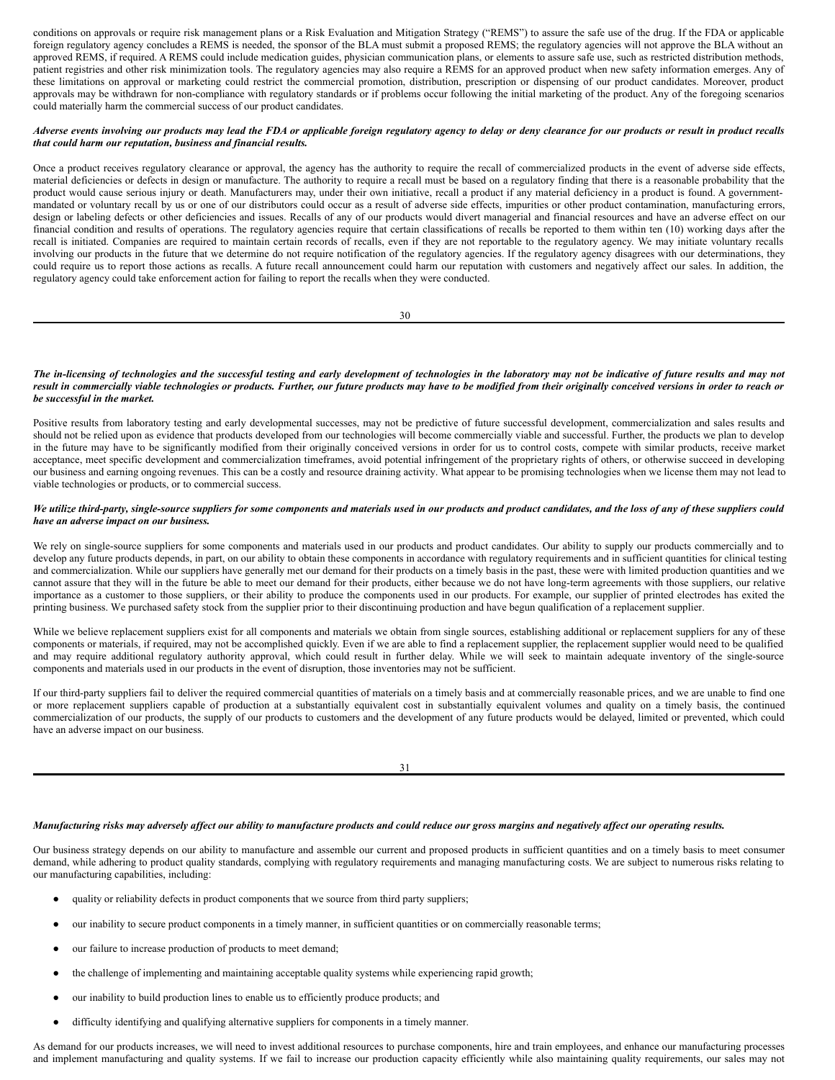conditions on approvals or require risk management plans or a Risk Evaluation and Mitigation Strategy ("REMS") to assure the safe use of the drug. If the FDA or applicable foreign regulatory agency concludes a REMS is needed, the sponsor of the BLA must submit a proposed REMS; the regulatory agencies will not approve the BLA without an approved REMS, if required. A REMS could include medication guides, physician communication plans, or elements to assure safe use, such as restricted distribution methods, patient registries and other risk minimization tools. The regulatory agencies may also require a REMS for an approved product when new safety information emerges. Any of these limitations on approval or marketing could restrict the commercial promotion, distribution, prescription or dispensing of our product candidates. Moreover, product approvals may be withdrawn for non-compliance with regulatory standards or if problems occur following the initial marketing of the product. Any of the foregoing scenarios could materially harm the commercial success of our product candidates.

# Adverse events involving our products may lead the FDA or applicable foreign regulatory agency to delay or deny clearance for our products or result in product recalls *that could harm our reputation, business and financial results.*

Once a product receives regulatory clearance or approval, the agency has the authority to require the recall of commercialized products in the event of adverse side effects, material deficiencies or defects in design or manufacture. The authority to require a recall must be based on a regulatory finding that there is a reasonable probability that the product would cause serious injury or death. Manufacturers may, under their own initiative, recall a product if any material deficiency in a product is found. A governmentmandated or voluntary recall by us or one of our distributors could occur as a result of adverse side effects, impurities or other product contamination, manufacturing errors, design or labeling defects or other deficiencies and issues. Recalls of any of our products would divert managerial and financial resources and have an adverse effect on our financial condition and results of operations. The regulatory agencies require that certain classifications of recalls be reported to them within ten (10) working days after the recall is initiated. Companies are required to maintain certain records of recalls, even if they are not reportable to the regulatory agency. We may initiate voluntary recalls involving our products in the future that we determine do not require notification of the regulatory agencies. If the regulatory agency disagrees with our determinations, they could require us to report those actions as recalls. A future recall announcement could harm our reputation with customers and negatively affect our sales. In addition, the regulatory agency could take enforcement action for failing to report the recalls when they were conducted.

|                   | I                  |  |
|-------------------|--------------------|--|
| I<br>I<br>×<br>۰. | I<br>۰.<br>×<br>۰. |  |

# The in-licensing of technologies and the successful testing and early development of technologies in the laboratory may not be indicative of future results and may not result in commercially viable technologies or products. Further, our future products may have to be modified from their originally conceived versions in order to reach or *be successful in the market.*

Positive results from laboratory testing and early developmental successes, may not be predictive of future successful development, commercialization and sales results and should not be relied upon as evidence that products developed from our technologies will become commercially viable and successful. Further, the products we plan to develop in the future may have to be significantly modified from their originally conceived versions in order for us to control costs, compete with similar products, receive market acceptance, meet specific development and commercialization timeframes, avoid potential infringement of the proprietary rights of others, or otherwise succeed in developing our business and earning ongoing revenues. This can be a costly and resource draining activity. What appear to be promising technologies when we license them may not lead to viable technologies or products, or to commercial success.

# We utilize third-party, single-source suppliers for some components and materials used in our products and product candidates, and the loss of any of these suppliers could *have an adverse impact on our business.*

We rely on single-source suppliers for some components and materials used in our products and product candidates. Our ability to supply our products commercially and to develop any future products depends, in part, on our ability to obtain these components in accordance with regulatory requirements and in sufficient quantities for clinical testing and commercialization. While our suppliers have generally met our demand for their products on a timely basis in the past, these were with limited production quantities and we cannot assure that they will in the future be able to meet our demand for their products, either because we do not have long-term agreements with those suppliers, our relative importance as a customer to those suppliers, or their ability to produce the components used in our products. For example, our supplier of printed electrodes has exited the printing business. We purchased safety stock from the supplier prior to their discontinuing production and have begun qualification of a replacement supplier.

While we believe replacement suppliers exist for all components and materials we obtain from single sources, establishing additional or replacement suppliers for any of these components or materials, if required, may not be accomplished quickly. Even if we are able to find a replacement supplier, the replacement supplier would need to be qualified and may require additional regulatory authority approval, which could result in further delay. While we will seek to maintain adequate inventory of the single-source components and materials used in our products in the event of disruption, those inventories may not be sufficient.

If our third-party suppliers fail to deliver the required commercial quantities of materials on a timely basis and at commercially reasonable prices, and we are unable to find one or more replacement suppliers capable of production at a substantially equivalent cost in substantially equivalent volumes and quality on a timely basis, the continued commercialization of our products, the supply of our products to customers and the development of any future products would be delayed, limited or prevented, which could have an adverse impact on our business.

31

# Manufacturing risks may adversely affect our ability to manufacture products and could reduce our gross margins and negatively affect our operating results.

Our business strategy depends on our ability to manufacture and assemble our current and proposed products in sufficient quantities and on a timely basis to meet consumer demand, while adhering to product quality standards, complying with regulatory requirements and managing manufacturing costs. We are subject to numerous risks relating to our manufacturing capabilities, including:

- quality or reliability defects in product components that we source from third party suppliers;
- our inability to secure product components in a timely manner, in sufficient quantities or on commercially reasonable terms;
- our failure to increase production of products to meet demand;
- the challenge of implementing and maintaining acceptable quality systems while experiencing rapid growth;
- our inability to build production lines to enable us to efficiently produce products; and
- difficulty identifying and qualifying alternative suppliers for components in a timely manner.

As demand for our products increases, we will need to invest additional resources to purchase components, hire and train employees, and enhance our manufacturing processes and implement manufacturing and quality systems. If we fail to increase our production capacity efficiently while also maintaining quality requirements, our sales may not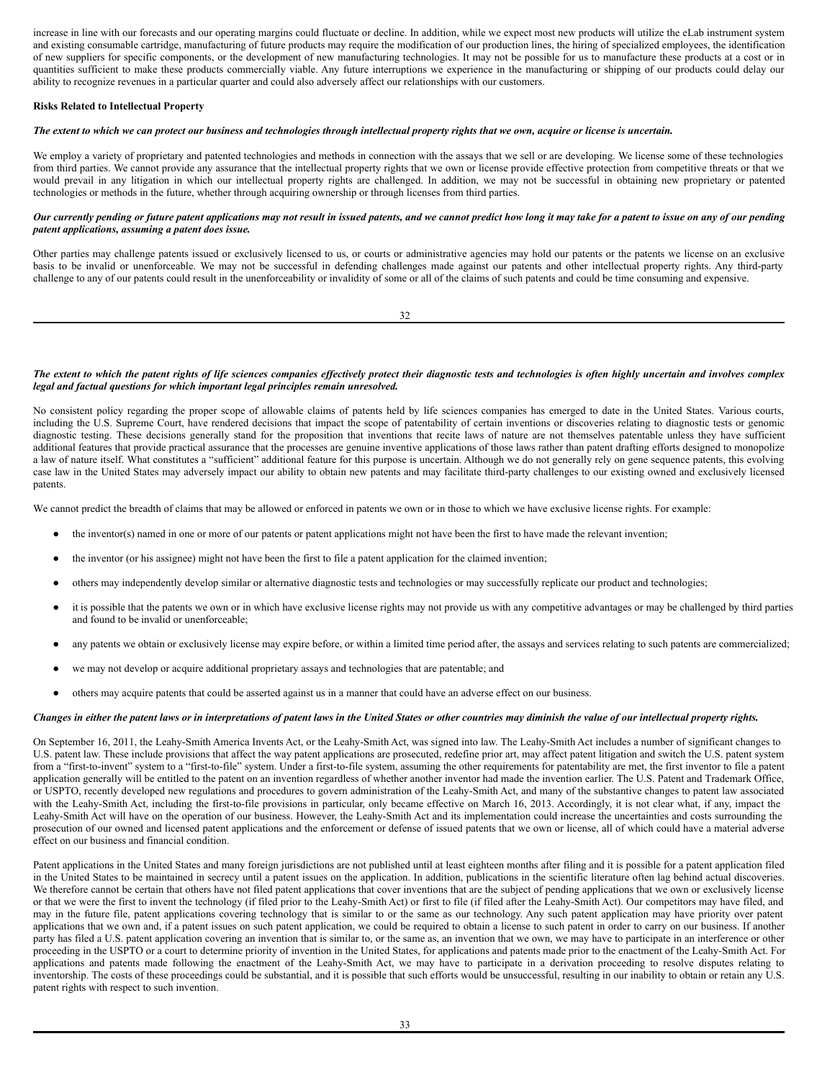increase in line with our forecasts and our operating margins could fluctuate or decline. In addition, while we expect most new products will utilize the eLab instrument system and existing consumable cartridge, manufacturing of future products may require the modification of our production lines, the hiring of specialized employees, the identification of new suppliers for specific components, or the development of new manufacturing technologies. It may not be possible for us to manufacture these products at a cost or in quantities sufficient to make these products commercially viable. Any future interruptions we experience in the manufacturing or shipping of our products could delay our ability to recognize revenues in a particular quarter and could also adversely affect our relationships with our customers.

# **Risks Related to Intellectual Property**

## The extent to which we can protect our business and technologies through intellectual property rights that we own, acquire or license is uncertain.

We employ a variety of proprietary and patented technologies and methods in connection with the assays that we sell or are developing. We license some of these technologies from third parties. We cannot provide any assurance that the intellectual property rights that we own or license provide effective protection from competitive threats or that we would prevail in any litigation in which our intellectual property rights are challenged. In addition, we may not be successful in obtaining new proprietary or patented technologies or methods in the future, whether through acquiring ownership or through licenses from third parties.

## Our currently pending or future patent applications may not result in issued patents, and we cannot predict how long it may take for a patent to issue on any of our pending *patent applications, assuming a patent does issue.*

Other parties may challenge patents issued or exclusively licensed to us, or courts or administrative agencies may hold our patents or the patents we license on an exclusive basis to be invalid or unenforceable. We may not be successful in defending challenges made against our patents and other intellectual property rights. Any third-party challenge to any of our patents could result in the unenforceability or invalidity of some or all of the claims of such patents and could be time consuming and expensive.

32

## The extent to which the patent rights of life sciences companies effectively protect their diagnostic tests and technologies is often highly uncertain and involves complex *legal and factual questions for which important legal principles remain unresolved.*

No consistent policy regarding the proper scope of allowable claims of patents held by life sciences companies has emerged to date in the United States. Various courts, including the U.S. Supreme Court, have rendered decisions that impact the scope of patentability of certain inventions or discoveries relating to diagnostic tests or genomic diagnostic testing. These decisions generally stand for the proposition that inventions that recite laws of nature are not themselves patentable unless they have sufficient additional features that provide practical assurance that the processes are genuine inventive applications of those laws rather than patent drafting efforts designed to monopolize a law of nature itself. What constitutes a "sufficient" additional feature for this purpose is uncertain. Although we do not generally rely on gene sequence patents, this evolving case law in the United States may adversely impact our ability to obtain new patents and may facilitate third-party challenges to our existing owned and exclusively licensed patents.

We cannot predict the breadth of claims that may be allowed or enforced in patents we own or in those to which we have exclusive license rights. For example:

- the inventor(s) named in one or more of our patents or patent applications might not have been the first to have made the relevant invention;
- the inventor (or his assignee) might not have been the first to file a patent application for the claimed invention;
- others may independently develop similar or alternative diagnostic tests and technologies or may successfully replicate our product and technologies;
- it is possible that the patents we own or in which have exclusive license rights may not provide us with any competitive advantages or may be challenged by third parties and found to be invalid or unenforceable;
- any patents we obtain or exclusively license may expire before, or within a limited time period after, the assays and services relating to such patents are commercialized;
- we may not develop or acquire additional proprietary assays and technologies that are patentable; and
- others may acquire patents that could be asserted against us in a manner that could have an adverse effect on our business.

## Changes in either the patent laws or in interpretations of patent laws in the United States or other countries may diminish the value of our intellectual property rights.

On September 16, 2011, the Leahy-Smith America Invents Act, or the Leahy-Smith Act, was signed into law. The Leahy-Smith Act includes a number of significant changes to U.S. patent law. These include provisions that affect the way patent applications are prosecuted, redefine prior art, may affect patent litigation and switch the U.S. patent system from a "first-to-invent" system to a "first-to-file" system. Under a first-to-file system, assuming the other requirements for patentability are met, the first inventor to file a patent application generally will be entitled to the patent on an invention regardless of whether another inventor had made the invention earlier. The U.S. Patent and Trademark Office, or USPTO, recently developed new regulations and procedures to govern administration of the Leahy-Smith Act, and many of the substantive changes to patent law associated with the Leahy-Smith Act, including the first-to-file provisions in particular, only became effective on March 16, 2013. Accordingly, it is not clear what, if any, impact the Leahy-Smith Act will have on the operation of our business. However, the Leahy-Smith Act and its implementation could increase the uncertainties and costs surrounding the prosecution of our owned and licensed patent applications and the enforcement or defense of issued patents that we own or license, all of which could have a material adverse effect on our business and financial condition.

Patent applications in the United States and many foreign jurisdictions are not published until at least eighteen months after filing and it is possible for a patent application filed in the United States to be maintained in secrecy until a patent issues on the application. In addition, publications in the scientific literature often lag behind actual discoveries. We therefore cannot be certain that others have not filed patent applications that cover inventions that are the subject of pending applications that we own or exclusively license or that we were the first to invent the technology (if filed prior to the Leahy-Smith Act) or first to file (if filed after the Leahy-Smith Act). Our competitors may have filed, and may in the future file, patent applications covering technology that is similar to or the same as our technology. Any such patent application may have priority over patent applications that we own and, if a patent issues on such patent application, we could be required to obtain a license to such patent in order to carry on our business. If another party has filed a U.S. patent application covering an invention that is similar to, or the same as, an invention that we own, we may have to participate in an interference or other proceeding in the USPTO or a court to determine priority of invention in the United States, for applications and patents made prior to the enactment of the Leahy-Smith Act. For applications and patents made following the enactment of the Leahy-Smith Act, we may have to participate in a derivation proceeding to resolve disputes relating to inventorship. The costs of these proceedings could be substantial, and it is possible that such efforts would be unsuccessful, resulting in our inability to obtain or retain any U.S. patent rights with respect to such invention.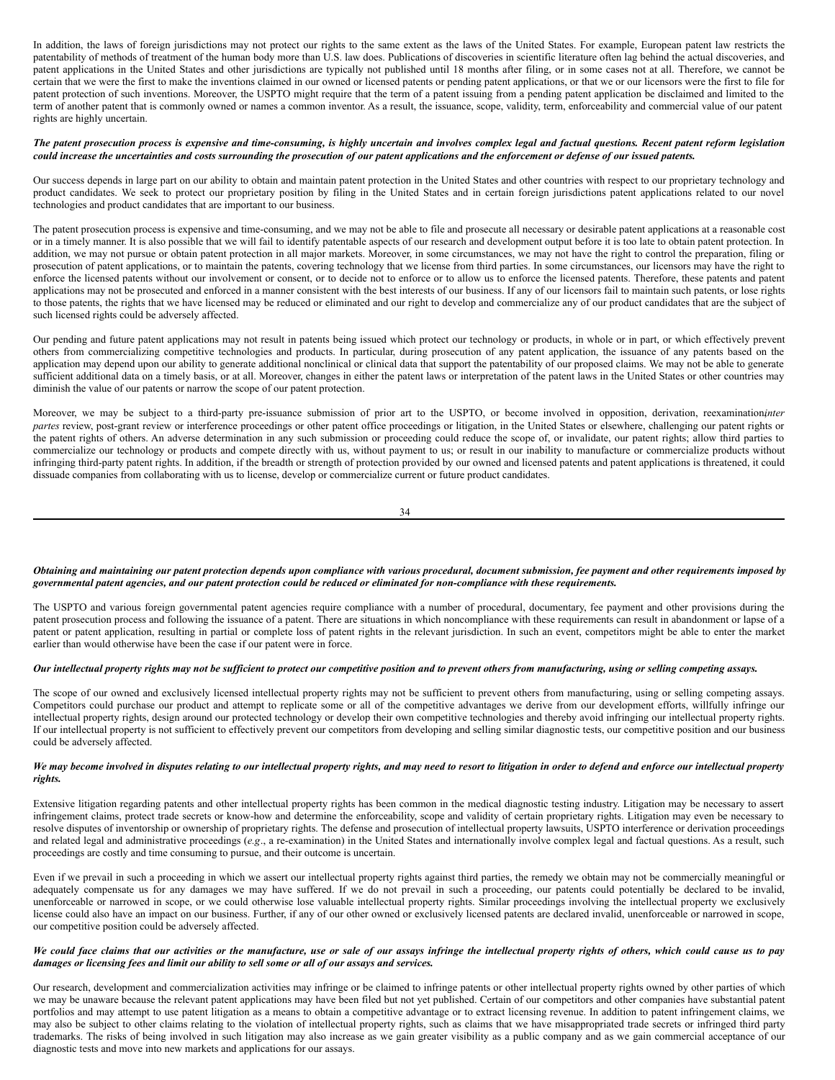In addition, the laws of foreign jurisdictions may not protect our rights to the same extent as the laws of the United States. For example, European patent law restricts the patentability of methods of treatment of the human body more than U.S. law does. Publications of discoveries in scientific literature often lag behind the actual discoveries, and patent applications in the United States and other jurisdictions are typically not published until 18 months after filing, or in some cases not at all. Therefore, we cannot be certain that we were the first to make the inventions claimed in our owned or licensed patents or pending patent applications, or that we or our licensors were the first to file for patent protection of such inventions. Moreover, the USPTO might require that the term of a patent issuing from a pending patent application be disclaimed and limited to the term of another patent that is commonly owned or names a common inventor. As a result, the issuance, scope, validity, term, enforceability and commercial value of our patent rights are highly uncertain.

# The patent prosecution process is expensive and time-consuming, is highly uncertain and involves complex legal and factual questions. Recent patent reform legislation could increase the uncertainties and costs surrounding the prosecution of our patent applications and the enforcement or defense of our issued patents.

Our success depends in large part on our ability to obtain and maintain patent protection in the United States and other countries with respect to our proprietary technology and product candidates. We seek to protect our proprietary position by filing in the United States and in certain foreign jurisdictions patent applications related to our novel technologies and product candidates that are important to our business.

The patent prosecution process is expensive and time-consuming, and we may not be able to file and prosecute all necessary or desirable patent applications at a reasonable cost or in a timely manner. It is also possible that we will fail to identify patentable aspects of our research and development output before it is too late to obtain patent protection. In addition, we may not pursue or obtain patent protection in all major markets. Moreover, in some circumstances, we may not have the right to control the preparation, filing or prosecution of patent applications, or to maintain the patents, covering technology that we license from third parties. In some circumstances, our licensors may have the right to enforce the licensed patents without our involvement or consent, or to decide not to enforce or to allow us to enforce the licensed patents. Therefore, these patents and patent applications may not be prosecuted and enforced in a manner consistent with the best interests of our business. If any of our licensors fail to maintain such patents, or lose rights to those patents, the rights that we have licensed may be reduced or eliminated and our right to develop and commercialize any of our product candidates that are the subject of such licensed rights could be adversely affected.

Our pending and future patent applications may not result in patents being issued which protect our technology or products, in whole or in part, or which effectively prevent others from commercializing competitive technologies and products. In particular, during prosecution of any patent application, the issuance of any patents based on the application may depend upon our ability to generate additional nonclinical or clinical data that support the patentability of our proposed claims. We may not be able to generate sufficient additional data on a timely basis, or at all. Moreover, changes in either the patent laws or interpretation of the patent laws in the United States or other countries may diminish the value of our patents or narrow the scope of our patent protection.

Moreover, we may be subject to a third-party pre-issuance submission of prior art to the USPTO, or become involved in opposition, derivation, reexamination,*inter partes* review, post-grant review or interference proceedings or other patent office proceedings or litigation, in the United States or elsewhere, challenging our patent rights or the patent rights of others. An adverse determination in any such submission or proceeding could reduce the scope of, or invalidate, our patent rights; allow third parties to commercialize our technology or products and compete directly with us, without payment to us; or result in our inability to manufacture or commercialize products without infringing third-party patent rights. In addition, if the breadth or strength of protection provided by our owned and licensed patents and patent applications is threatened, it could dissuade companies from collaborating with us to license, develop or commercialize current or future product candidates.

34

# Obtaining and maintaining our patent protection depends upon compliance with various procedural, document submission, fee payment and other requirements imposed by governmental patent agencies, and our patent protection could be reduced or eliminated for non-compliance with these requirements.

The USPTO and various foreign governmental patent agencies require compliance with a number of procedural, documentary, fee payment and other provisions during the patent prosecution process and following the issuance of a patent. There are situations in which noncompliance with these requirements can result in abandonment or lapse of a patent or patent application, resulting in partial or complete loss of patent rights in the relevant jurisdiction. In such an event, competitors might be able to enter the market earlier than would otherwise have been the case if our patent were in force.

# Our intellectual property rights may not be sufficient to protect our competitive position and to prevent others from manufacturing, using or selling competing assays.

The scope of our owned and exclusively licensed intellectual property rights may not be sufficient to prevent others from manufacturing, using or selling competing assays. Competitors could purchase our product and attempt to replicate some or all of the competitive advantages we derive from our development efforts, willfully infringe our intellectual property rights, design around our protected technology or develop their own competitive technologies and thereby avoid infringing our intellectual property rights. If our intellectual property is not sufficient to effectively prevent our competitors from developing and selling similar diagnostic tests, our competitive position and our business could be adversely affected.

# We may become involved in disputes relating to our intellectual property rights, and may need to resort to litigation in order to defend and enforce our intellectual property *rights.*

Extensive litigation regarding patents and other intellectual property rights has been common in the medical diagnostic testing industry. Litigation may be necessary to assert infringement claims, protect trade secrets or know-how and determine the enforceability, scope and validity of certain proprietary rights. Litigation may even be necessary to resolve disputes of inventorship or ownership of proprietary rights. The defense and prosecution of intellectual property lawsuits, USPTO interference or derivation proceedings and related legal and administrative proceedings (e.g., a re-examination) in the United States and internationally involve complex legal and factual questions. As a result, such proceedings are costly and time consuming to pursue, and their outcome is uncertain.

Even if we prevail in such a proceeding in which we assert our intellectual property rights against third parties, the remedy we obtain may not be commercially meaningful or adequately compensate us for any damages we may have suffered. If we do not prevail in such a proceeding, our patents could potentially be declared to be invalid, unenforceable or narrowed in scope, or we could otherwise lose valuable intellectual property rights. Similar proceedings involving the intellectual property we exclusively license could also have an impact on our business. Further, if any of our other owned or exclusively licensed patents are declared invalid, unenforceable or narrowed in scope, our competitive position could be adversely affected.

# We could face claims that our activities or the manufacture, use or sale of our assays infringe the intellectual property rights of others, which could cause us to pay *damages or licensing fees and limit our ability to sell some or all of our assays and services.*

Our research, development and commercialization activities may infringe or be claimed to infringe patents or other intellectual property rights owned by other parties of which we may be unaware because the relevant patent applications may have been filed but not yet published. Certain of our competitors and other companies have substantial patent portfolios and may attempt to use patent litigation as a means to obtain a competitive advantage or to extract licensing revenue. In addition to patent infringement claims, we may also be subject to other claims relating to the violation of intellectual property rights, such as claims that we have misappropriated trade secrets or infringed third party trademarks. The risks of being involved in such litigation may also increase as we gain greater visibility as a public company and as we gain commercial acceptance of our diagnostic tests and move into new markets and applications for our assays.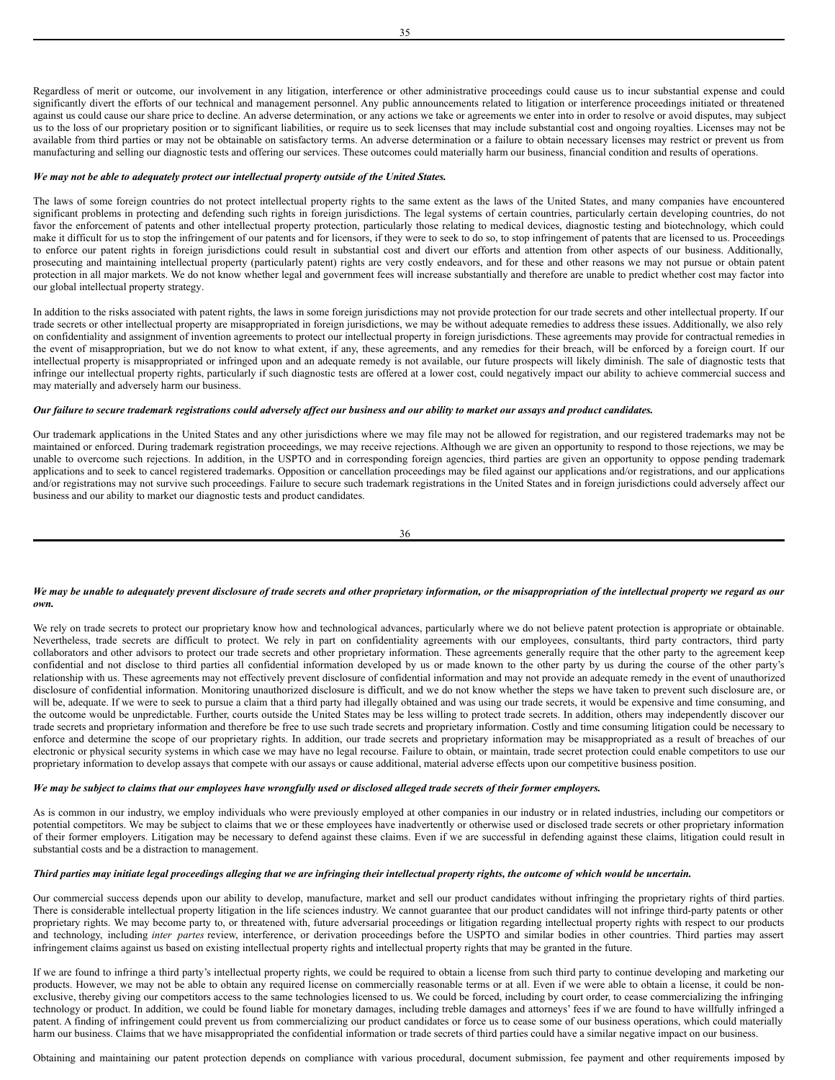Regardless of merit or outcome, our involvement in any litigation, interference or other administrative proceedings could cause us to incur substantial expense and could significantly divert the efforts of our technical and management personnel. Any public announcements related to litigation or interference proceedings initiated or threatened against us could cause our share price to decline. An adverse determination, or any actions we take or agreements we enter into in order to resolve or avoid disputes, may subject us to the loss of our proprietary position or to significant liabilities, or require us to seek licenses that may include substantial cost and ongoing royalties. Licenses may not be available from third parties or may not be obtainable on satisfactory terms. An adverse determination or a failure to obtain necessary licenses may restrict or prevent us from manufacturing and selling our diagnostic tests and offering our services. These outcomes could materially harm our business, financial condition and results of operations.

#### *We may not be able to adequately protect our intellectual property outside of the United States.*

The laws of some foreign countries do not protect intellectual property rights to the same extent as the laws of the United States, and many companies have encountered significant problems in protecting and defending such rights in foreign jurisdictions. The legal systems of certain countries, particularly certain developing countries, do not favor the enforcement of patents and other intellectual property protection, particularly those relating to medical devices, diagnostic testing and biotechnology, which could make it difficult for us to stop the infringement of our patents and for licensors, if they were to seek to do so, to stop infringement of patents that are licensed to us. Proceedings to enforce our patent rights in foreign jurisdictions could result in substantial cost and divert our efforts and attention from other aspects of our business. Additionally, prosecuting and maintaining intellectual property (particularly patent) rights are very costly endeavors, and for these and other reasons we may not pursue or obtain patent protection in all major markets. We do not know whether legal and government fees will increase substantially and therefore are unable to predict whether cost may factor into our global intellectual property strategy.

In addition to the risks associated with patent rights, the laws in some foreign jurisdictions may not provide protection for our trade secrets and other intellectual property. If our trade secrets or other intellectual property are misappropriated in foreign jurisdictions, we may be without adequate remedies to address these issues. Additionally, we also rely on confidentiality and assignment of invention agreements to protect our intellectual property in foreign jurisdictions. These agreements may provide for contractual remedies in the event of misappropriation, but we do not know to what extent, if any, these agreements, and any remedies for their breach, will be enforced by a foreign court. If our intellectual property is misappropriated or infringed upon and an adequate remedy is not available, our future prospects will likely diminish. The sale of diagnostic tests that infringe our intellectual property rights, particularly if such diagnostic tests are offered at a lower cost, could negatively impact our ability to achieve commercial success and may materially and adversely harm our business.

#### Our failure to secure trademark registrations could adversely affect our business and our ability to market our assays and product candidates.

Our trademark applications in the United States and any other jurisdictions where we may file may not be allowed for registration, and our registered trademarks may not be maintained or enforced. During trademark registration proceedings, we may receive rejections. Although we are given an opportunity to respond to those rejections, we may be unable to overcome such rejections. In addition, in the USPTO and in corresponding foreign agencies, third parties are given an opportunity to oppose pending trademark applications and to seek to cancel registered trademarks. Opposition or cancellation proceedings may be filed against our applications and/or registrations, and our applications and/or registrations may not survive such proceedings. Failure to secure such trademark registrations in the United States and in foreign jurisdictions could adversely affect our business and our ability to market our diagnostic tests and product candidates.

$$
36\,
$$

#### We may be unable to adequately prevent disclosure of trade secrets and other proprietary information, or the misappropriation of the intellectual property we regard as our *own.*

We rely on trade secrets to protect our proprietary know how and technological advances, particularly where we do not believe patent protection is appropriate or obtainable. Nevertheless, trade secrets are difficult to protect. We rely in part on confidentiality agreements with our employees, consultants, third party contractors, third party collaborators and other advisors to protect our trade secrets and other proprietary information. These agreements generally require that the other party to the agreement keep confidential and not disclose to third parties all confidential information developed by us or made known to the other party by us during the course of the other party's relationship with us. These agreements may not effectively prevent disclosure of confidential information and may not provide an adequate remedy in the event of unauthorized disclosure of confidential information. Monitoring unauthorized disclosure is difficult, and we do not know whether the steps we have taken to prevent such disclosure are, or will be, adequate. If we were to seek to pursue a claim that a third party had illegally obtained and was using our trade secrets, it would be expensive and time consuming, and the outcome would be unpredictable. Further, courts outside the United States may be less willing to protect trade secrets. In addition, others may independently discover our trade secrets and proprietary information and therefore be free to use such trade secrets and proprietary information. Costly and time consuming litigation could be necessary to enforce and determine the scope of our proprietary rights. In addition, our trade secrets and proprietary information may be misappropriated as a result of breaches of our electronic or physical security systems in which case we may have no legal recourse. Failure to obtain, or maintain, trade secret protection could enable competitors to use our proprietary information to develop assays that compete with our assays or cause additional, material adverse effects upon our competitive business position.

## We may be subject to claims that our employees have wrongfully used or disclosed alleged trade secrets of their former employers.

As is common in our industry, we employ individuals who were previously employed at other companies in our industry or in related industries, including our competitors or potential competitors. We may be subject to claims that we or these employees have inadvertently or otherwise used or disclosed trade secrets or other proprietary information of their former employers. Litigation may be necessary to defend against these claims. Even if we are successful in defending against these claims, litigation could result in substantial costs and be a distraction to management.

#### Third parties may initiate legal proceedings alleging that we are infringing their intellectual property rights, the outcome of which would be uncertain.

Our commercial success depends upon our ability to develop, manufacture, market and sell our product candidates without infringing the proprietary rights of third parties. There is considerable intellectual property litigation in the life sciences industry. We cannot guarantee that our product candidates will not infringe third-party patents or other proprietary rights. We may become party to, or threatened with, future adversarial proceedings or litigation regarding intellectual property rights with respect to our products and technology, including *inter partes* review, interference, or derivation proceedings before the USPTO and similar bodies in other countries. Third parties may assert infringement claims against us based on existing intellectual property rights and intellectual property rights that may be granted in the future.

If we are found to infringe a third party's intellectual property rights, we could be required to obtain a license from such third party to continue developing and marketing our products. However, we may not be able to obtain any required license on commercially reasonable terms or at all. Even if we were able to obtain a license, it could be nonexclusive, thereby giving our competitors access to the same technologies licensed to us. We could be forced, including by court order, to cease commercializing the infringing technology or product. In addition, we could be found liable for monetary damages, including treble damages and attorneys' fees if we are found to have willfully infringed a patent. A finding of infringement could prevent us from commercializing our product candidates or force us to cease some of our business operations, which could materially harm our business. Claims that we have misappropriated the confidential information or trade secrets of third parties could have a similar negative impact on our business.

Obtaining and maintaining our patent protection depends on compliance with various procedural, document submission, fee payment and other requirements imposed by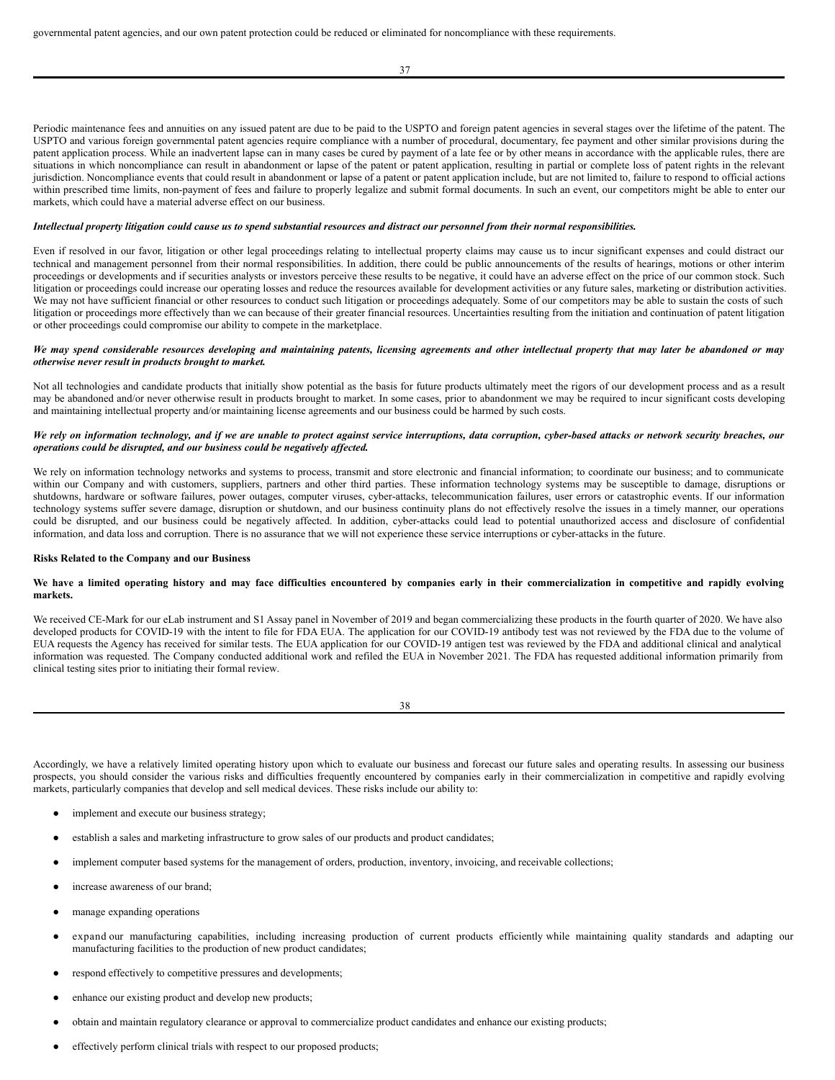37

Periodic maintenance fees and annuities on any issued patent are due to be paid to the USPTO and foreign patent agencies in several stages over the lifetime of the patent. The USPTO and various foreign governmental patent agencies require compliance with a number of procedural, documentary, fee payment and other similar provisions during the patent application process. While an inadvertent lapse can in many cases be cured by payment of a late fee or by other means in accordance with the applicable rules, there are situations in which noncompliance can result in abandonment or lapse of the patent or patent application, resulting in partial or complete loss of patent rights in the relevant jurisdiction. Noncompliance events that could result in abandonment or lapse of a patent or patent application include, but are not limited to, failure to respond to official actions within prescribed time limits, non-payment of fees and failure to properly legalize and submit formal documents. In such an event, our competitors might be able to enter our markets, which could have a material adverse effect on our business.

## Intellectual property litigation could cause us to spend substantial resources and distract our personnel from their normal responsibilities.

Even if resolved in our favor, litigation or other legal proceedings relating to intellectual property claims may cause us to incur significant expenses and could distract our technical and management personnel from their normal responsibilities. In addition, there could be public announcements of the results of hearings, motions or other interim proceedings or developments and if securities analysts or investors perceive these results to be negative, it could have an adverse effect on the price of our common stock. Such litigation or proceedings could increase our operating losses and reduce the resources available for development activities or any future sales, marketing or distribution activities. We may not have sufficient financial or other resources to conduct such litigation or proceedings adequately. Some of our competitors may be able to sustain the costs of such litigation or proceedings more effectively than we can because of their greater financial resources. Uncertainties resulting from the initiation and continuation of patent litigation or other proceedings could compromise our ability to compete in the marketplace.

### We may spend considerable resources developing and maintaining patents, licensing agreements and other intellectual property that may later be abandoned or may *otherwise never result in products brought to market.*

Not all technologies and candidate products that initially show potential as the basis for future products ultimately meet the rigors of our development process and as a result may be abandoned and/or never otherwise result in products brought to market. In some cases, prior to abandonment we may be required to incur significant costs developing and maintaining intellectual property and/or maintaining license agreements and our business could be harmed by such costs.

## We rely on information technology, and if we are unable to protect against service interruptions, data corruption, cyber-based attacks or network security breaches, our *operations could be disrupted, and our business could be negatively af ected.*

We rely on information technology networks and systems to process, transmit and store electronic and financial information; to coordinate our business; and to communicate within our Company and with customers, suppliers, partners and other third parties. These information technology systems may be susceptible to damage, disruptions or shutdowns, hardware or software failures, power outages, computer viruses, cyber-attacks, telecommunication failures, user errors or catastrophic events. If our information technology systems suffer severe damage, disruption or shutdown, and our business continuity plans do not effectively resolve the issues in a timely manner, our operations could be disrupted, and our business could be negatively affected. In addition, cyber-attacks could lead to potential unauthorized access and disclosure of confidential information, and data loss and corruption. There is no assurance that we will not experience these service interruptions or cyber-attacks in the future.

#### **Risks Related to the Company and our Business**

# We have a limited operating history and may face difficulties encountered by companies early in their commercialization in competitive and rapidly evolving **markets.**

We received CE-Mark for our eLab instrument and S1 Assay panel in November of 2019 and began commercializing these products in the fourth quarter of 2020. We have also developed products for COVID-19 with the intent to file for FDA EUA. The application for our COVID-19 antibody test was not reviewed by the FDA due to the volume of EUA requests the Agency has received for similar tests. The EUA application for our COVID-19 antigen test was reviewed by the FDA and additional clinical and analytical information was requested. The Company conducted additional work and refiled the EUA in November 2021. The FDA has requested additional information primarily from clinical testing sites prior to initiating their formal review.

| v<br>I<br>$\sim$ | I<br>w<br>۹ |
|------------------|-------------|

Accordingly, we have a relatively limited operating history upon which to evaluate our business and forecast our future sales and operating results. In assessing our business prospects, you should consider the various risks and difficulties frequently encountered by companies early in their commercialization in competitive and rapidly evolving markets, particularly companies that develop and sell medical devices. These risks include our ability to:

- implement and execute our business strategy;
- establish a sales and marketing infrastructure to grow sales of our products and product candidates;
- implement computer based systems for the management of orders, production, inventory, invoicing, and receivable collections;
- increase awareness of our brand;
- manage expanding operations
- expand our manufacturing capabilities, including increasing production of current products efficiently while maintaining quality standards and adapting our manufacturing facilities to the production of new product candidates;
- respond effectively to competitive pressures and developments;
- enhance our existing product and develop new products;
- obtain and maintain regulatory clearance or approval to commercialize product candidates and enhance our existing products;
- effectively perform clinical trials with respect to our proposed products;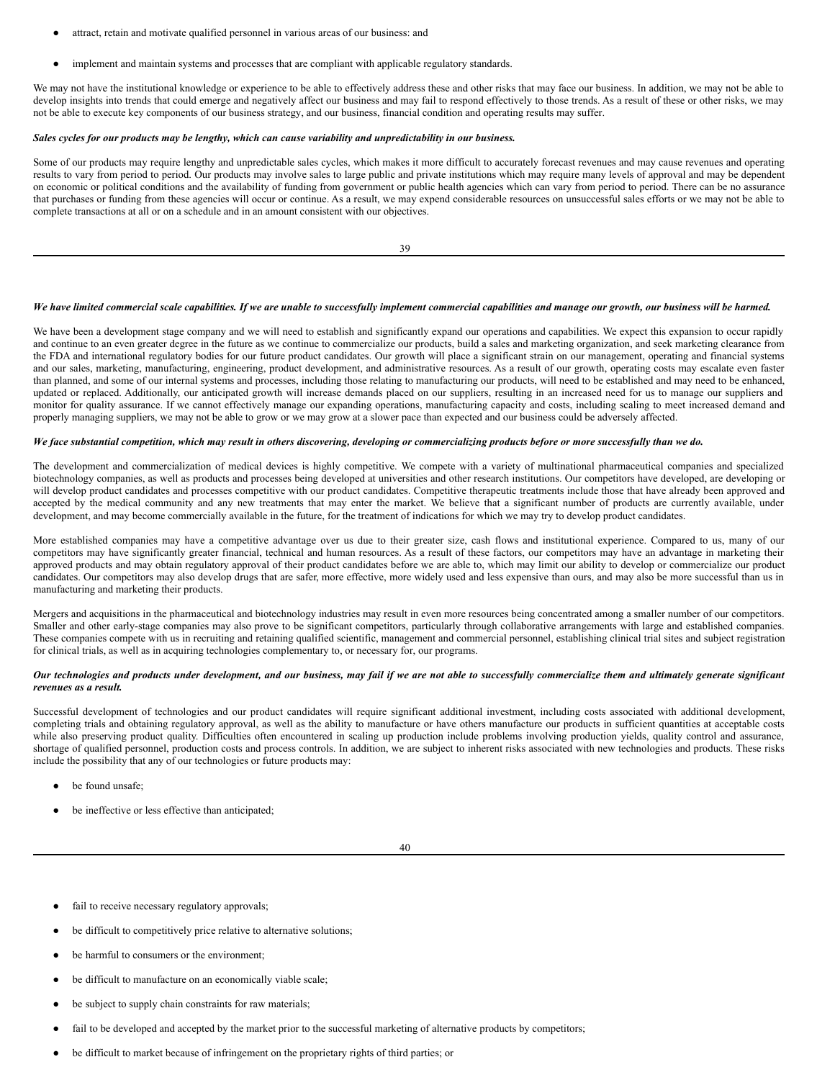- attract, retain and motivate qualified personnel in various areas of our business: and
- implement and maintain systems and processes that are compliant with applicable regulatory standards.

We may not have the institutional knowledge or experience to be able to effectively address these and other risks that may face our business. In addition, we may not be able to develop insights into trends that could emerge and negatively affect our business and may fail to respond effectively to those trends. As a result of these or other risks, we may not be able to execute key components of our business strategy, and our business, financial condition and operating results may suffer.

## Sales cycles for our products may be lengthy, which can cause variability and unpredictability in our business.

Some of our products may require lengthy and unpredictable sales cycles, which makes it more difficult to accurately forecast revenues and may cause revenues and operating results to vary from period to period. Our products may involve sales to large public and private institutions which may require many levels of approval and may be dependent on economic or political conditions and the availability of funding from government or public health agencies which can vary from period to period. There can be no assurance that purchases or funding from these agencies will occur or continue. As a result, we may expend considerable resources on unsuccessful sales efforts or we may not be able to complete transactions at all or on a schedule and in an amount consistent with our objectives.

| I<br>I<br>,<br>۰. | ۰,<br>۰.<br>۰.<br>۰,<br>٧ |
|-------------------|---------------------------|

## We have limited commercial scale capabilities. If we are unable to successfully implement commercial capabilities and manage our growth, our business will be harmed.

We have been a development stage company and we will need to establish and significantly expand our operations and capabilities. We expect this expansion to occur rapidly and continue to an even greater degree in the future as we continue to commercialize our products, build a sales and marketing organization, and seek marketing clearance from the FDA and international regulatory bodies for our future product candidates. Our growth will place a significant strain on our management, operating and financial systems and our sales, marketing, manufacturing, engineering, product development, and administrative resources. As a result of our growth, operating costs may escalate even faster than planned, and some of our internal systems and processes, including those relating to manufacturing our products, will need to be established and may need to be enhanced, updated or replaced. Additionally, our anticipated growth will increase demands placed on our suppliers, resulting in an increased need for us to manage our suppliers and monitor for quality assurance. If we cannot effectively manage our expanding operations, manufacturing capacity and costs, including scaling to meet increased demand and properly managing suppliers, we may not be able to grow or we may grow at a slower pace than expected and our business could be adversely affected.

## We face substantial competition, which may result in others discovering, developing or commercializing products before or more successfully than we do.

The development and commercialization of medical devices is highly competitive. We compete with a variety of multinational pharmaceutical companies and specialized biotechnology companies, as well as products and processes being developed at universities and other research institutions. Our competitors have developed, are developing or will develop product candidates and processes competitive with our product candidates. Competitive therapeutic treatments include those that have already been approved and accepted by the medical community and any new treatments that may enter the market. We believe that a significant number of products are currently available, under development, and may become commercially available in the future, for the treatment of indications for which we may try to develop product candidates.

More established companies may have a competitive advantage over us due to their greater size, cash flows and institutional experience. Compared to us, many of our competitors may have significantly greater financial, technical and human resources. As a result of these factors, our competitors may have an advantage in marketing their approved products and may obtain regulatory approval of their product candidates before we are able to, which may limit our ability to develop or commercialize our product candidates. Our competitors may also develop drugs that are safer, more effective, more widely used and less expensive than ours, and may also be more successful than us in manufacturing and marketing their products.

Mergers and acquisitions in the pharmaceutical and biotechnology industries may result in even more resources being concentrated among a smaller number of our competitors. Smaller and other early-stage companies may also prove to be significant competitors, particularly through collaborative arrangements with large and established companies. These companies compete with us in recruiting and retaining qualified scientific, management and commercial personnel, establishing clinical trial sites and subject registration for clinical trials, as well as in acquiring technologies complementary to, or necessary for, our programs.

## Our technologies and products under development, and our business, may fail if we are not able to successfully commercialize them and ultimately generate significant *revenues as a result.*

Successful development of technologies and our product candidates will require significant additional investment, including costs associated with additional development, completing trials and obtaining regulatory approval, as well as the ability to manufacture or have others manufacture our products in sufficient quantities at acceptable costs while also preserving product quality. Difficulties often encountered in scaling up production include problems involving production yields, quality control and assurance, shortage of qualified personnel, production costs and process controls. In addition, we are subject to inherent risks associated with new technologies and products. These risks include the possibility that any of our technologies or future products may:

- be found unsafe;
- be ineffective or less effective than anticipated;

40

- fail to receive necessary regulatory approvals;
- be difficult to competitively price relative to alternative solutions;
- be harmful to consumers or the environment:
- be difficult to manufacture on an economically viable scale;
- be subject to supply chain constraints for raw materials;
- fail to be developed and accepted by the market prior to the successful marketing of alternative products by competitors;
- be difficult to market because of infringement on the proprietary rights of third parties; or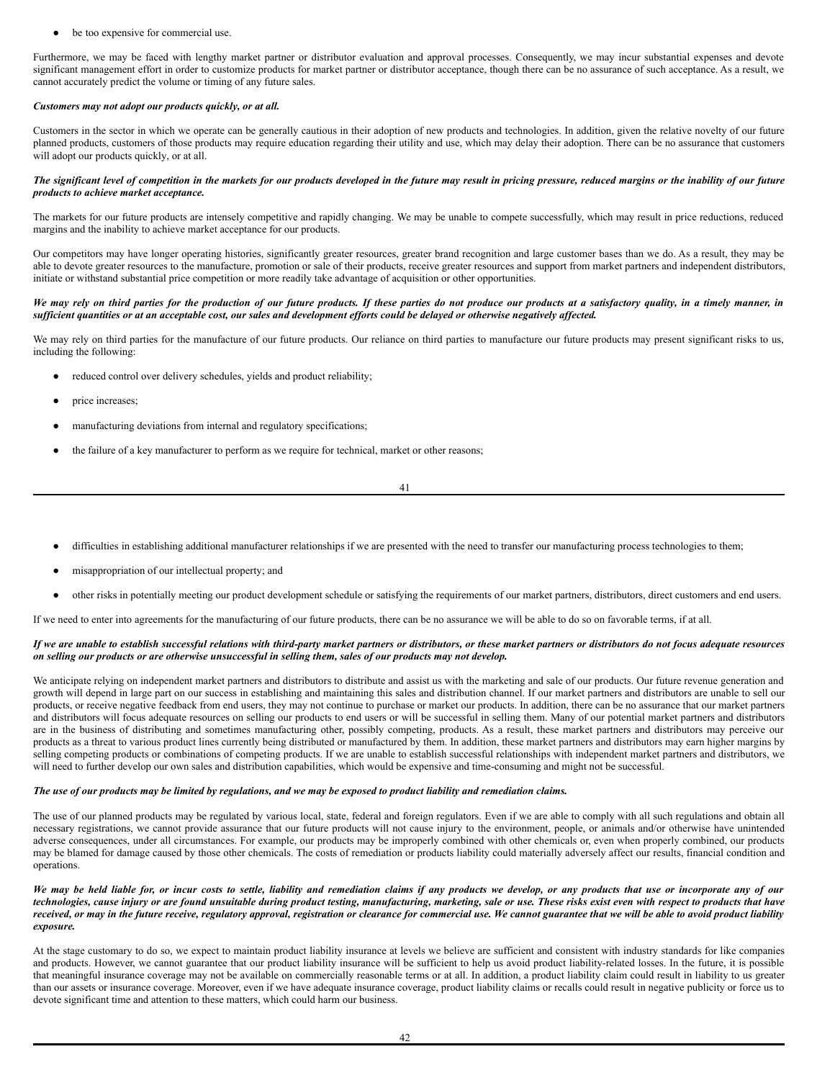be too expensive for commercial use.

Furthermore, we may be faced with lengthy market partner or distributor evaluation and approval processes. Consequently, we may incur substantial expenses and devote significant management effort in order to customize products for market partner or distributor acceptance, though there can be no assurance of such acceptance. As a result, we cannot accurately predict the volume or timing of any future sales.

## *Customers may not adopt our products quickly, or at all.*

Customers in the sector in which we operate can be generally cautious in their adoption of new products and technologies. In addition, given the relative novelty of our future planned products, customers of those products may require education regarding their utility and use, which may delay their adoption. There can be no assurance that customers will adopt our products quickly, or at all.

# The significant level of competition in the markets for our products developed in the future may result in pricing pressure, reduced margins or the inability of our future *products to achieve market acceptance.*

The markets for our future products are intensely competitive and rapidly changing. We may be unable to compete successfully, which may result in price reductions, reduced margins and the inability to achieve market acceptance for our products.

Our competitors may have longer operating histories, significantly greater resources, greater brand recognition and large customer bases than we do. As a result, they may be able to devote greater resources to the manufacture, promotion or sale of their products, receive greater resources and support from market partners and independent distributors, initiate or withstand substantial price competition or more readily take advantage of acquisition or other opportunities.

## We may rely on third parties for the production of our future products. If these parties do not produce our products at a satisfactory quality, in a timely manner, in sufficient quantities or at an acceptable cost, our sales and development efforts could be delayed or otherwise negatively affected.

We may rely on third parties for the manufacture of our future products. Our reliance on third parties to manufacture our future products may present significant risks to us, including the following:

- reduced control over delivery schedules, yields and product reliability;
- price increases;
- manufacturing deviations from internal and regulatory specifications;
- the failure of a key manufacturer to perform as we require for technical, market or other reasons;

41

- difficulties in establishing additional manufacturer relationships if we are presented with the need to transfer our manufacturing process technologies to them;
- misappropriation of our intellectual property; and
- other risks in potentially meeting our product development schedule or satisfying the requirements of our market partners, distributors, direct customers and end users.

If we need to enter into agreements for the manufacturing of our future products, there can be no assurance we will be able to do so on favorable terms, if at all.

# If we are unable to establish successful relations with third-party market partners or distributors, or these market partners or distributors do not focus adequate resources on selling our products or are otherwise unsuccessful in selling them, sales of our products may not develop.

We anticipate relying on independent market partners and distributors to distribute and assist us with the marketing and sale of our products. Our future revenue generation and growth will depend in large part on our success in establishing and maintaining this sales and distribution channel. If our market partners and distributors are unable to sell our products, or receive negative feedback from end users, they may not continue to purchase or market our products. In addition, there can be no assurance that our market partners and distributors will focus adequate resources on selling our products to end users or will be successful in selling them. Many of our potential market partners and distributors are in the business of distributing and sometimes manufacturing other, possibly competing, products. As a result, these market partners and distributors may perceive our products as a threat to various product lines currently being distributed or manufactured by them. In addition, these market partners and distributors may earn higher margins by selling competing products or combinations of competing products. If we are unable to establish successful relationships with independent market partners and distributors, we will need to further develop our own sales and distribution capabilities, which would be expensive and time-consuming and might not be successful.

#### The use of our products may be limited by regulations, and we may be exposed to product liability and remediation claims.

The use of our planned products may be regulated by various local, state, federal and foreign regulators. Even if we are able to comply with all such regulations and obtain all necessary registrations, we cannot provide assurance that our future products will not cause injury to the environment, people, or animals and/or otherwise have unintended adverse consequences, under all circumstances. For example, our products may be improperly combined with other chemicals or, even when properly combined, our products may be blamed for damage caused by those other chemicals. The costs of remediation or products liability could materially adversely affect our results, financial condition and operations.

## We may be held liable for, or incur costs to settle, liability and remediation claims if any products we develop, or any products that use or incorporate any of our technologies, cause injury or are found unsuitable during product testing, manufacturing, marketing, sale or use. These risks exist even with respect to products that have received, or may in the future receive, regulatory approval, registration or clearance for commercial use. We cannot guarantee that we will be able to avoid product liability *exposure.*

At the stage customary to do so, we expect to maintain product liability insurance at levels we believe are sufficient and consistent with industry standards for like companies and products. However, we cannot guarantee that our product liability insurance will be sufficient to help us avoid product liability-related losses. In the future, it is possible that meaningful insurance coverage may not be available on commercially reasonable terms or at all. In addition, a product liability claim could result in liability to us greater than our assets or insurance coverage. Moreover, even if we have adequate insurance coverage, product liability claims or recalls could result in negative publicity or force us to devote significant time and attention to these matters, which could harm our business.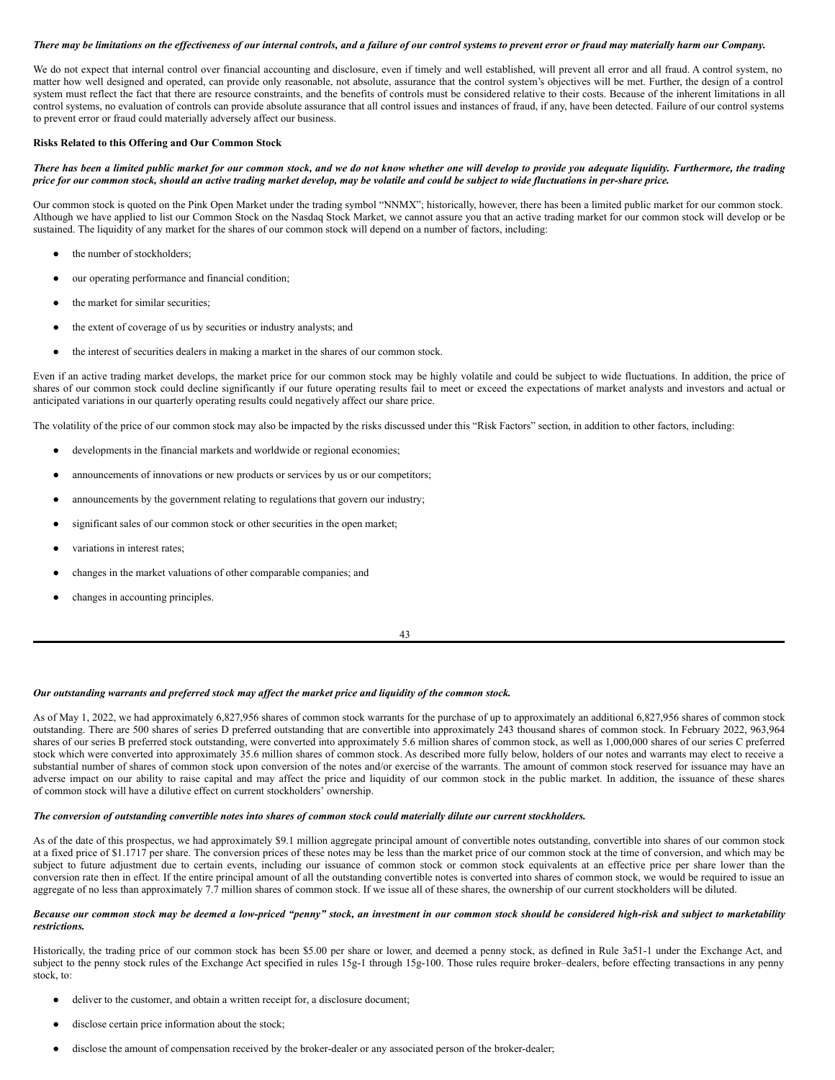#### There may be limitations on the effectiveness of our internal controls, and a failure of our control systems to prevent error or fraud may materially harm our Company.

We do not expect that internal control over financial accounting and disclosure, even if timely and well established, will prevent all error and all fraud. A control system, no matter how well designed and operated, can provide only reasonable, not absolute, assurance that the control system's objectives will be met. Further, the design of a control system must reflect the fact that there are resource constraints, and the benefits of controls must be considered relative to their costs. Because of the inherent limitations in all control systems, no evaluation of controls can provide absolute assurance that all control issues and instances of fraud, if any, have been detected. Failure of our control systems to prevent error or fraud could materially adversely affect our business.

#### **Risks Related to this Offering and Our Common Stock**

## There has been a limited public market for our common stock, and we do not know whether one will develop to provide you adequate liquidity. Furthermore, the trading price for our common stock, should an active trading market develop, may be volatile and could be subject to wide fluctuations in per-share price.

Our common stock is quoted on the Pink Open Market under the trading symbol "NNMX"; historically, however, there has been a limited public market for our common stock. Although we have applied to list our Common Stock on the Nasdaq Stock Market, we cannot assure you that an active trading market for our common stock will develop or be sustained. The liquidity of any market for the shares of our common stock will depend on a number of factors, including:

- the number of stockholders;
- our operating performance and financial condition;
- the market for similar securities;
- the extent of coverage of us by securities or industry analysts; and
- the interest of securities dealers in making a market in the shares of our common stock.

Even if an active trading market develops, the market price for our common stock may be highly volatile and could be subject to wide fluctuations. In addition, the price of shares of our common stock could decline significantly if our future operating results fail to meet or exceed the expectations of market analysts and investors and actual or anticipated variations in our quarterly operating results could negatively affect our share price.

The volatility of the price of our common stock may also be impacted by the risks discussed under this "Risk Factors" section, in addition to other factors, including:

- developments in the financial markets and worldwide or regional economies;
- announcements of innovations or new products or services by us or our competitors;
- announcements by the government relating to regulations that govern our industry;
- significant sales of our common stock or other securities in the open market;
- variations in interest rates;
- changes in the market valuations of other comparable companies; and
- changes in accounting principles.

43

#### Our outstanding warrants and preferred stock may affect the market price and liquidity of the common stock.

As of May 1, 2022, we had approximately 6,827,956 shares of common stock warrants for the purchase of up to approximately an additional 6,827,956 shares of common stock outstanding. There are 500 shares of series D preferred outstanding that are convertible into approximately 243 thousand shares of common stock. In February 2022, 963,964 shares of our series B preferred stock outstanding, were converted into approximately 5.6 million shares of common stock, as well as 1,000,000 shares of our series C preferred stock which were converted into approximately 35.6 million shares of common stock. As described more fully below, holders of our notes and warrants may elect to receive a substantial number of shares of common stock upon conversion of the notes and/or exercise of the warrants. The amount of common stock reserved for issuance may have an adverse impact on our ability to raise capital and may affect the price and liquidity of our common stock in the public market. In addition, the issuance of these shares of common stock will have a dilutive effect on current stockholders' ownership.

#### The conversion of outstanding convertible notes into shares of common stock could materially dilute our current stockholders.

As of the date of this prospectus, we had approximately \$9.1 million aggregate principal amount of convertible notes outstanding, convertible into shares of our common stock at a fixed price of \$1.1717 per share. The conversion prices of these notes may be less than the market price of our common stock at the time of conversion, and which may be subject to future adjustment due to certain events, including our issuance of common stock or common stock equivalents at an effective price per share lower than the conversion rate then in effect. If the entire principal amount of all the outstanding convertible notes is converted into shares of common stock, we would be required to issue an aggregate of no less than approximately 7.7 million shares of common stock. If we issue all of these shares, the ownership of our current stockholders will be diluted.

#### Because our common stock may be deemed a low-priced "penny" stock, an investment in our common stock should be considered high-risk and subject to marketability *restrictions.*

Historically, the trading price of our common stock has been \$5.00 per share or lower, and deemed a penny stock, as defined in Rule 3a51-1 under the Exchange Act, and subject to the penny stock rules of the Exchange Act specified in rules 15g-1 through 15g-100. Those rules require broker-dealers, before effecting transactions in any penny stock, to:

- deliver to the customer, and obtain a written receipt for, a disclosure document;
- disclose certain price information about the stock;
- disclose the amount of compensation received by the broker-dealer or any associated person of the broker-dealer;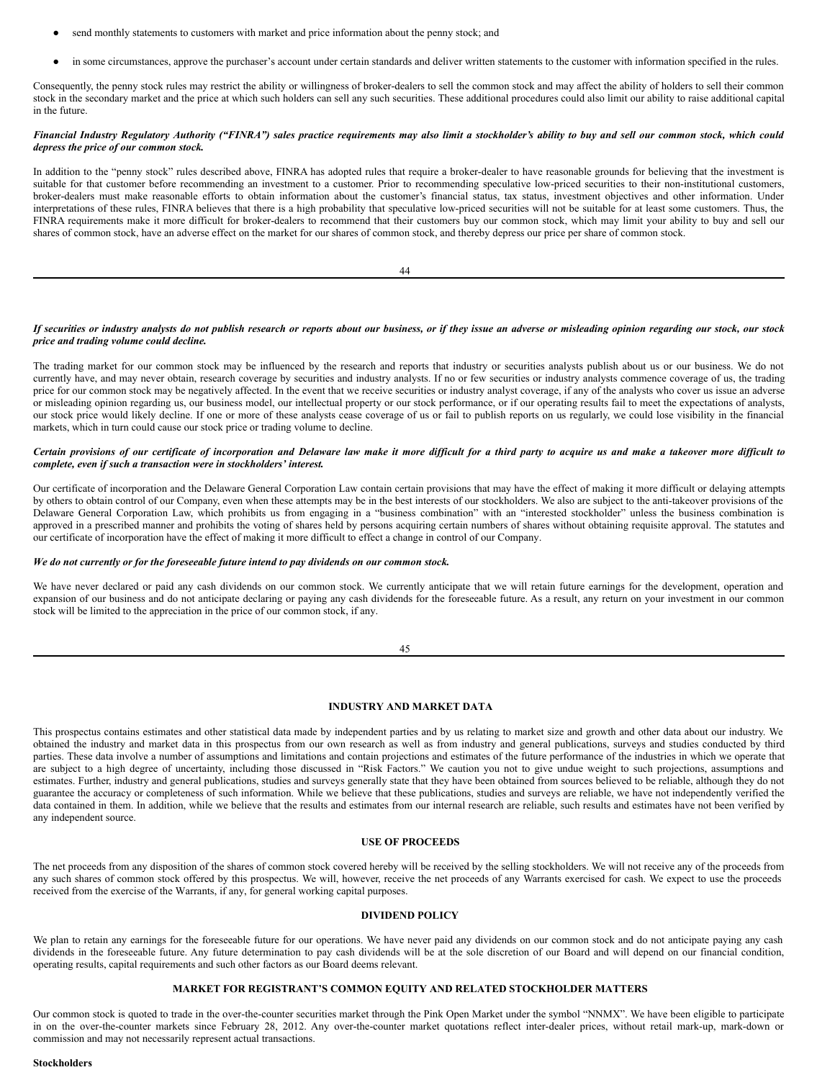- send monthly statements to customers with market and price information about the penny stock; and
- in some circumstances, approve the purchaser's account under certain standards and deliver written statements to the customer with information specified in the rules.

Consequently, the penny stock rules may restrict the ability or willingness of broker-dealers to sell the common stock and may affect the ability of holders to sell their common stock in the secondary market and the price at which such holders can sell any such securities. These additional procedures could also limit our ability to raise additional capital in the future.

### Financial Industry Regulatory Authority ("FINRA") sales practice requirements may also limit a stockholder's ability to buy and sell our common stock, which could *depress the price of our common stock.*

In addition to the "penny stock" rules described above, FINRA has adopted rules that require a broker-dealer to have reasonable grounds for believing that the investment is suitable for that customer before recommending an investment to a customer. Prior to recommending speculative low-priced securities to their non-institutional customers, broker-dealers must make reasonable efforts to obtain information about the customer's financial status, tax status, investment objectives and other information. Under interpretations of these rules, FINRA believes that there is a high probability that speculative low-priced securities will not be suitable for at least some customers. Thus, the FINRA requirements make it more difficult for broker-dealers to recommend that their customers buy our common stock, which may limit your ability to buy and sell our shares of common stock, have an adverse effect on the market for our shares of common stock, and thereby depress our price per share of common stock.

44

## If securities or industry analysts do not publish research or reports about our business, or if they issue an adverse or misleading opinion regarding our stock, our stock *price and trading volume could decline.*

The trading market for our common stock may be influenced by the research and reports that industry or securities analysts publish about us or our business. We do not currently have, and may never obtain, research coverage by securities and industry analysts. If no or few securities or industry analysts commence coverage of us, the trading price for our common stock may be negatively affected. In the event that we receive securities or industry analyst coverage, if any of the analysts who cover us issue an adverse or misleading opinion regarding us, our business model, our intellectual property or our stock performance, or if our operating results fail to meet the expectations of analysts, our stock price would likely decline. If one or more of these analysts cease coverage of us or fail to publish reports on us regularly, we could lose visibility in the financial markets, which in turn could cause our stock price or trading volume to decline.

## Certain provisions of our certificate of incorporation and Delaware law make it more difficult for a third party to acquire us and make a takeover more difficult to *complete, even if such a transaction were in stockholders' interest.*

Our certificate of incorporation and the Delaware General Corporation Law contain certain provisions that may have the effect of making it more difficult or delaying attempts by others to obtain control of our Company, even when these attempts may be in the best interests of our stockholders. We also are subject to the anti-takeover provisions of the Delaware General Corporation Law, which prohibits us from engaging in a "business combination" with an "interested stockholder" unless the business combination is approved in a prescribed manner and prohibits the voting of shares held by persons acquiring certain numbers of shares without obtaining requisite approval. The statutes and our certificate of incorporation have the effect of making it more difficult to effect a change in control of our Company.

## *We do not currently or for the foreseeable future intend to pay dividends on our common stock.*

We have never declared or paid any cash dividends on our common stock. We currently anticipate that we will retain future earnings for the development, operation and expansion of our business and do not anticipate declaring or paying any cash dividends for the foreseeable future. As a result, any return on your investment in our common stock will be limited to the appreciation in the price of our common stock, if any.

45

# <span id="page-27-0"></span>**INDUSTRY AND MARKET DATA**

This prospectus contains estimates and other statistical data made by independent parties and by us relating to market size and growth and other data about our industry. We obtained the industry and market data in this prospectus from our own research as well as from industry and general publications, surveys and studies conducted by third parties. These data involve a number of assumptions and limitations and contain projections and estimates of the future performance of the industries in which we operate that are subject to a high degree of uncertainty, including those discussed in "Risk Factors." We caution you not to give undue weight to such projections, assumptions and estimates. Further, industry and general publications, studies and surveys generally state that they have been obtained from sources believed to be reliable, although they do not guarantee the accuracy or completeness of such information. While we believe that these publications, studies and surveys are reliable, we have not independently verified the data contained in them. In addition, while we believe that the results and estimates from our internal research are reliable, such results and estimates have not been verified by any independent source.

## <span id="page-27-1"></span>**USE OF PROCEEDS**

The net proceeds from any disposition of the shares of common stock covered hereby will be received by the selling stockholders. We will not receive any of the proceeds from any such shares of common stock offered by this prospectus. We will, however, receive the net proceeds of any Warrants exercised for cash. We expect to use the proceeds received from the exercise of the Warrants, if any, for general working capital purposes.

## <span id="page-27-2"></span>**DIVIDEND POLICY**

We plan to retain any earnings for the foreseeable future for our operations. We have never paid any dividends on our common stock and do not anticipate paying any cash dividends in the foreseeable future. Any future determination to pay cash dividends will be at the sole discretion of our Board and will depend on our financial condition, operating results, capital requirements and such other factors as our Board deems relevant.

## **MARKET FOR REGISTRANT'S COMMON EQUITY AND RELATED STOCKHOLDER MATTERS**

Our common stock is quoted to trade in the over-the-counter securities market through the Pink Open Market under the symbol "NNMX". We have been eligible to participate in on the over-the-counter markets since February 28, 2012. Any over-the-counter market quotations reflect inter-dealer prices, without retail mark-up, mark-down or commission and may not necessarily represent actual transactions.

## **Stockholders**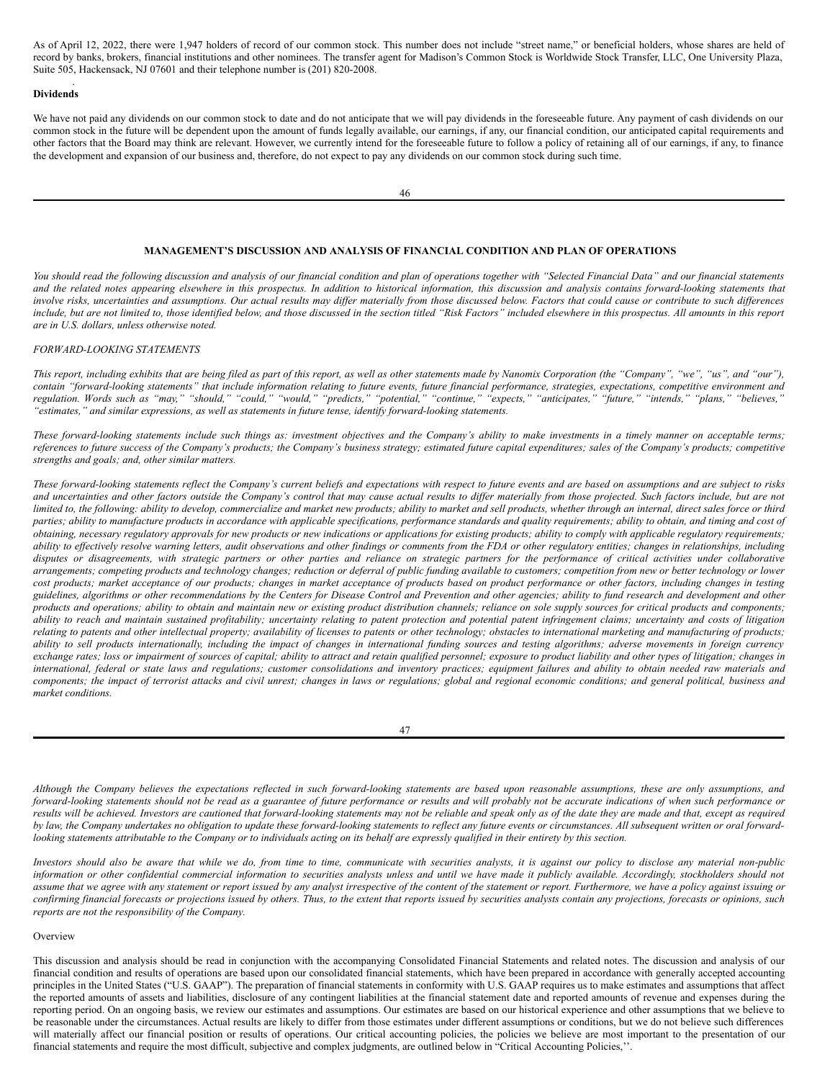As of April 12, 2022, there were 1,947 holders of record of our common stock. This number does not include "street name," or beneficial holders, whose shares are held of record by banks, brokers, financial institutions and other nominees. The transfer agent for Madison's Common Stock is Worldwide Stock Transfer, LLC, One University Plaza, Suite 505, Hackensack, NJ 07601 and their telephone number is (201) 820-2008.

#### **Dividends**

.

We have not paid any dividends on our common stock to date and do not anticipate that we will pay dividends in the foreseeable future. Any payment of cash dividends on our common stock in the future will be dependent upon the amount of funds legally available, our earnings, if any, our financial condition, our anticipated capital requirements and other factors that the Board may think are relevant. However, we currently intend for the foreseeable future to follow a policy of retaining all of our earnings, if any, to finance the development and expansion of our business and, therefore, do not expect to pay any dividends on our common stock during such time.

#### <span id="page-28-0"></span>**MANAGEMENT'S DISCUSSION AND ANALYSIS OF FINANCIAL CONDITION AND PLAN OF OPERATIONS**

You should read the following discussion and analysis of our financial condition and plan of operations together with "Selected Financial Data" and our financial statements and the related notes appearing elsewhere in this prospectus. In addition to historical information, this discussion and analysis contains forward-looking statements that involve risks, uncertainties and assumptions. Our actual results may differ materially from those discussed below. Factors that could cause or contribute to such differences include, but are not limited to, those identified below, and those discussed in the section titled "Risk Factors" included elsewhere in this prospectus. All amounts in this report *are in U.S. dollars, unless otherwise noted.*

#### *FORWARD-LOOKING STATEMENTS*

This report, including exhibits that are being filed as part of this report, as well as other statements made by Nanomix Corporation (the "Company", "we", "us", and "our"), contain "forward-looking statements" that include information relating to future events, future financial performance, strategies, expectations, competitive environment and regulation. Words such as "may," "should," "could," "would," "predicts," "potential," "continue," "expects," "anticipates," "future," "intends," "plans," "believes," *"estimates," and similar expressions, as well as statements in future tense, identify forward-looking statements.*

These forward-looking statements include such things as: investment objectives and the Company's ability to make investments in a timely manner on acceptable terms; references to future success of the Company's products; the Company's business strategy; estimated future capital expenditures; sales of the Company's products; competitive *strengths and goals; and, other similar matters.*

These forward-looking statements reflect the Company's current beliefs and expectations with respect to future events and are based on assumptions and are subject to risks and uncertainties and other factors outside the Company's control that may cause actual results to differ materially from those projected. Such factors include, but are not limited to, the following: ability to develop, commercialize and market new products; ability to market and sell products, whether through an internal, direct sales force or third parties; ability to manufacture products in accordance with applicable specifications, performance standards and quality requirements; ability to obtain, and timing and cost of obtaining, necessary regulatory approvals for new products or new indications or applications for existing products; ability to comply with applicable regulatory requirements; ability to effectively resolve warning letters, audit observations and other findings or comments from the FDA or other regulatory entities; changes in relationships, including disputes or disagreements, with strategic partners or other parties and reliance on strategic partners for the performance of critical activities under collaborative arrangements; competing products and technology changes; reduction or deferral of public funding available to customers; competition from new or better technology or lower cost products; market acceptance of our products; changes in market acceptance of products based on product performance or other factors, including changes in testing guidelines, algorithms or other recommendations by the Centers for Disease Control and Prevention and other agencies; ability to fund research and development and other products and operations; ability to obtain and maintain new or existing product distribution channels; reliance on sole supply sources for critical products and components; ability to reach and maintain sustained profitability; uncertainty relating to patent protection and potential patent infringement claims; uncertainty and costs of litigation relating to patents and other intellectual property; availability of licenses to patents or other technology; obstacles to international marketing and manufacturing of products; ability to sell products internationally, including the impact of changes in international funding sources and testing algorithms; adverse movements in foreign currency exchange rates; loss or impairment of sources of capital; ability to attract and retain qualified personnel; exposure to product liability and other types of litigation; changes in international, federal or state laws and regulations; customer consolidations and inventory practices; equipment failures and ability to obtain needed raw materials and components; the impact of terrorist attacks and civil unrest; changes in laws or regulations; global and regional economic conditions; and general political, business and *market conditions.*

47

Although the Company believes the expectations reflected in such forward-looking statements are based upon reasonable assumptions, these are only assumptions, and forward-looking statements should not be read as a guarantee of future performance or results and will probably not be accurate indications of when such performance or results will be achieved. Investors are cautioned that forward-looking statements may not be reliable and speak only as of the date they are made and that, except as required by law, the Company undertakes no obligation to update these forward-looking statements to reflect any future events or circumstances. All subsequent written or oral forwardlooking statements attributable to the Company or to individuals acting on its behalf are expressly qualified in their entirety by this section.

Investors should also be aware that while we do, from time to time, communicate with securities analysts, it is against our policy to disclose any material non-public information or other confidential commercial information to securities analysts unless and until we have made it publicly available. Accordingly, stockholders should not assume that we agree with any statement or report issued by any analyst irrespective of the content of the statement or report. Furthermore, we have a policy against issuing or confirming financial forecasts or projections issued by others. Thus, to the extent that reports issued by securities analysts contain any projections, forecasts or opinions, such *reports are not the responsibility of the Company.*

#### Overview

This discussion and analysis should be read in conjunction with the accompanying Consolidated Financial Statements and related notes. The discussion and analysis of our financial condition and results of operations are based upon our consolidated financial statements, which have been prepared in accordance with generally accepted accounting principles in the United States ("U.S. GAAP"). The preparation of financial statements in conformity with U.S. GAAP requires us to make estimates and assumptions that affect the reported amounts of assets and liabilities, disclosure of any contingent liabilities at the financial statement date and reported amounts of revenue and expenses during the reporting period. On an ongoing basis, we review our estimates and assumptions. Our estimates are based on our historical experience and other assumptions that we believe to be reasonable under the circumstances. Actual results are likely to differ from those estimates under different assumptions or conditions, but we do not believe such differences will materially affect our financial position or results of operations. Our critical accounting policies, the policies we believe are most important to the presentation of our financial statements and require the most difficult, subjective and complex judgments, are outlined below in "Critical Accounting Policies,''.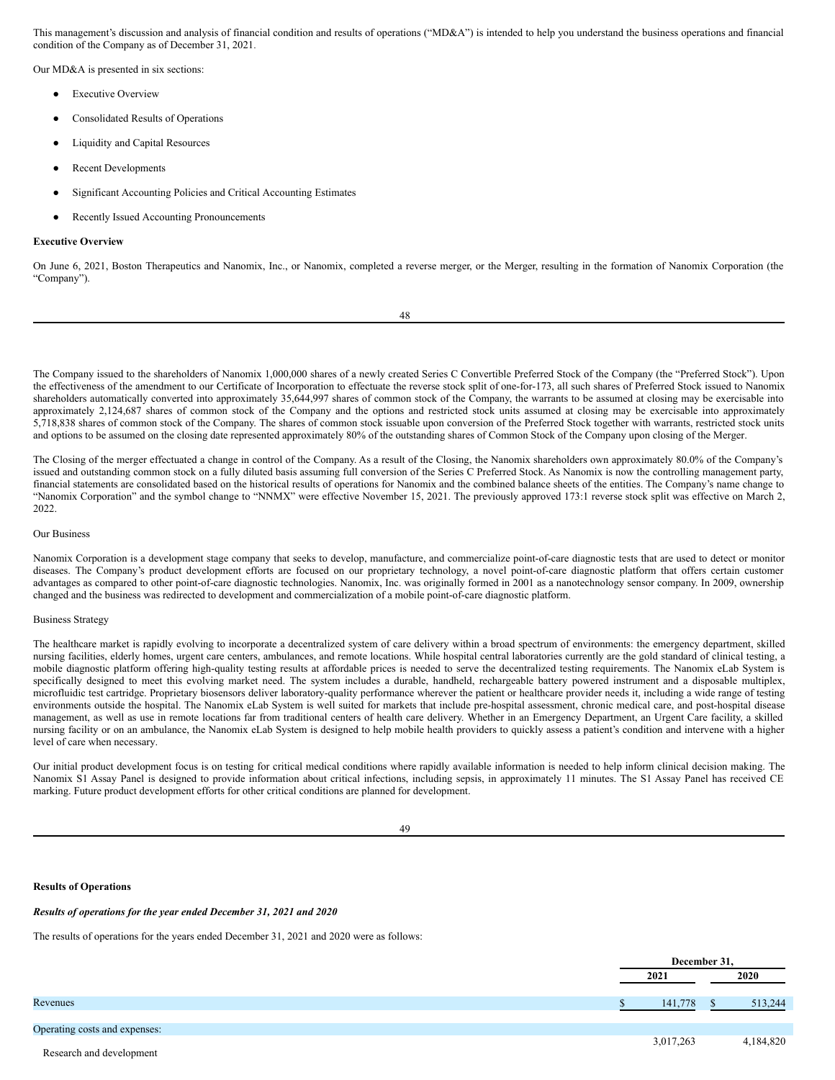This management's discussion and analysis of financial condition and results of operations ("MD&A") is intended to help you understand the business operations and financial condition of the Company as of December 31, 2021*.*

Our MD&A is presented in six sections:

- Executive Overview
- Consolidated Results of Operations
- Liquidity and Capital Resources
- **Recent Developments**
- Significant Accounting Policies and Critical Accounting Estimates
- Recently Issued Accounting Pronouncements

## **Executive Overview**

On June 6, 2021, Boston Therapeutics and Nanomix, Inc., or Nanomix, completed a reverse merger, or the Merger, resulting in the formation of Nanomix Corporation (the "Company").

The Company issued to the shareholders of Nanomix 1,000,000 shares of a newly created Series C Convertible Preferred Stock of the Company (the "Preferred Stock"). Upon the effectiveness of the amendment to our Certificate of Incorporation to effectuate the reverse stock split of one-for-173, all such shares of Preferred Stock issued to Nanomix shareholders automatically converted into approximately 35,644,997 shares of common stock of the Company, the warrants to be assumed at closing may be exercisable into approximately 2,124,687 shares of common stock of the Company and the options and restricted stock units assumed at closing may be exercisable into approximately 5,718,838 shares of common stock of the Company. The shares of common stock issuable upon conversion of the Preferred Stock together with warrants, restricted stock units and options to be assumed on the closing date represented approximately 80% of the outstanding shares of Common Stock of the Company upon closing of the Merger.

The Closing of the merger effectuated a change in control of the Company. As a result of the Closing, the Nanomix shareholders own approximately 80.0% of the Company's issued and outstanding common stock on a fully diluted basis assuming full conversion of the Series C Preferred Stock. As Nanomix is now the controlling management party, financial statements are consolidated based on the historical results of operations for Nanomix and the combined balance sheets of the entities. The Company's name change to "Nanomix Corporation" and the symbol change to "NNMX" were effective November 15, 2021. The previously approved 173:1 reverse stock split was effective on March 2, 2022.

# Our Business

Nanomix Corporation is a development stage company that seeks to develop, manufacture, and commercialize point-of-care diagnostic tests that are used to detect or monitor diseases. The Company's product development efforts are focused on our proprietary technology, a novel point-of-care diagnostic platform that offers certain customer advantages as compared to other point-of-care diagnostic technologies. Nanomix, Inc. was originally formed in 2001 as a nanotechnology sensor company. In 2009, ownership changed and the business was redirected to development and commercialization of a mobile point-of-care diagnostic platform.

#### Business Strategy

The healthcare market is rapidly evolving to incorporate a decentralized system of care delivery within a broad spectrum of environments: the emergency department, skilled nursing facilities, elderly homes, urgent care centers, ambulances, and remote locations. While hospital central laboratories currently are the gold standard of clinical testing, a mobile diagnostic platform offering high-quality testing results at affordable prices is needed to serve the decentralized testing requirements. The Nanomix eLab System is specifically designed to meet this evolving market need. The system includes a durable, handheld, rechargeable battery powered instrument and a disposable multiplex, microfluidic test cartridge. Proprietary biosensors deliver laboratory-quality performance wherever the patient or healthcare provider needs it, including a wide range of testing environments outside the hospital. The Nanomix eLab System is well suited for markets that include pre-hospital assessment, chronic medical care, and post-hospital disease management, as well as use in remote locations far from traditional centers of health care delivery. Whether in an Emergency Department, an Urgent Care facility, a skilled nursing facility or on an ambulance, the Nanomix eLab System is designed to help mobile health providers to quickly assess a patient's condition and intervene with a higher level of care when necessary.

Our initial product development focus is on testing for critical medical conditions where rapidly available information is needed to help inform clinical decision making. The Nanomix S1 Assay Panel is designed to provide information about critical infections, including sepsis, in approximately 11 minutes. The S1 Assay Panel has received CE marking. Future product development efforts for other critical conditions are planned for development.

49

#### **Results of Operations**

*Results of operations for the year ended December 31, 2021 and 2020*

The results of operations for the years ended December 31, 2021 and 2020 were as follows:

|                               |           | December 31, |
|-------------------------------|-----------|--------------|
|                               | 2021      | 2020         |
| Revenues                      | 141,778   | 513,244      |
| Operating costs and expenses: |           |              |
| Research and development      | 3,017,263 | 4,184,820    |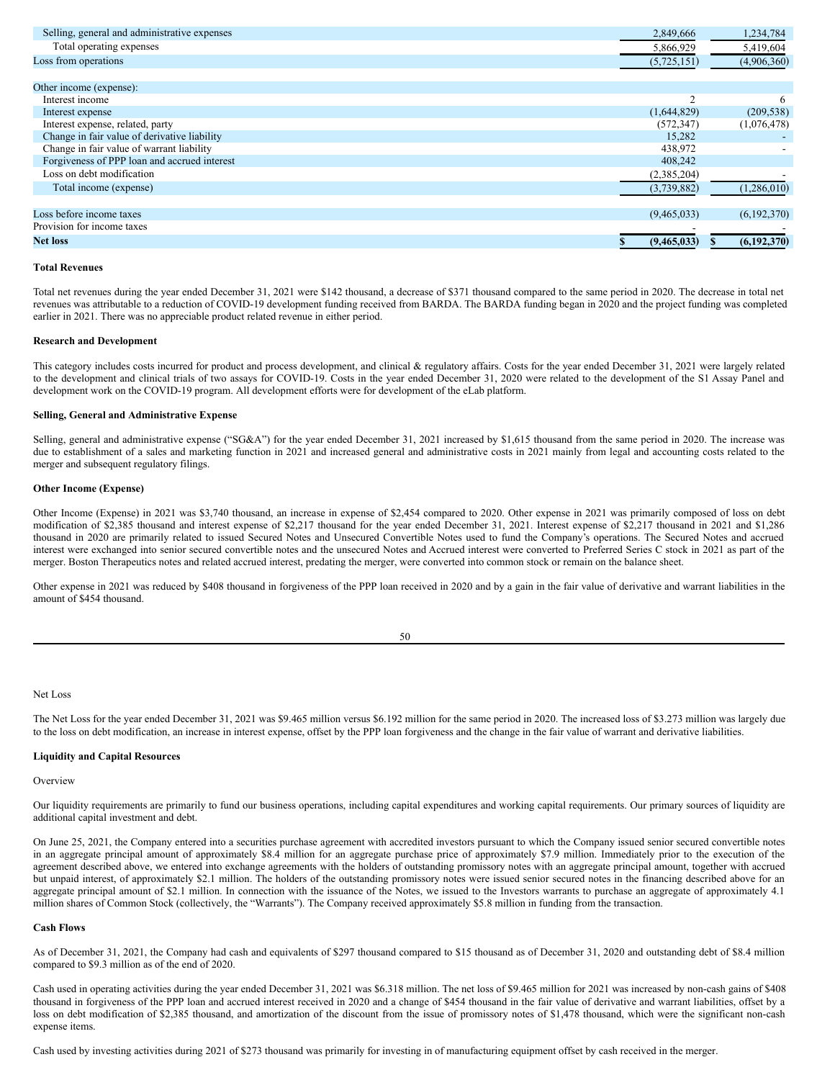| Selling, general and administrative expenses | 2,849,666   | 1,234,784   |
|----------------------------------------------|-------------|-------------|
| Total operating expenses                     | 5,866,929   | 5,419,604   |
| Loss from operations                         | (5,725,151) | (4,906,360) |
|                                              |             |             |
| Other income (expense):                      |             |             |
| Interest income                              |             | 6           |
| Interest expense                             | (1,644,829) | (209, 538)  |
| Interest expense, related, party             | (572, 347)  | (1,076,478) |
| Change in fair value of derivative liability | 15,282      |             |
| Change in fair value of warrant liability    | 438,972     |             |
| Forgiveness of PPP loan and accrued interest | 408,242     |             |
| Loss on debt modification                    | (2,385,204) |             |
| Total income (expense)                       | (3,739,882) | (1,286,010) |
|                                              |             |             |
| Loss before income taxes                     | (9,465,033) | (6,192,370) |
| Provision for income taxes                   |             |             |
| <b>Net loss</b>                              | (9,465,033) | (6,192,370) |

# **Total Revenues**

Total net revenues during the year ended December 31, 2021 were \$142 thousand, a decrease of \$371 thousand compared to the same period in 2020. The decrease in total net revenues was attributable to a reduction of COVID-19 development funding received from BARDA. The BARDA funding began in 2020 and the project funding was completed earlier in 2021. There was no appreciable product related revenue in either period.

#### **Research and Development**

This category includes costs incurred for product and process development, and clinical & regulatory affairs. Costs for the year ended December 31, 2021 were largely related to the development and clinical trials of two assays for COVID-19. Costs in the year ended December 31, 2020 were related to the development of the S1 Assay Panel and development work on the COVID-19 program. All development efforts were for development of the eLab platform.

#### **Selling, General and Administrative Expense**

Selling, general and administrative expense ("SG&A") for the year ended December 31, 2021 increased by \$1,615 thousand from the same period in 2020. The increase was due to establishment of a sales and marketing function in 2021 and increased general and administrative costs in 2021 mainly from legal and accounting costs related to the merger and subsequent regulatory filings.

#### **Other Income (Expense)**

Other Income (Expense) in 2021 was \$3,740 thousand, an increase in expense of \$2,454 compared to 2020. Other expense in 2021 was primarily composed of loss on debt modification of \$2,385 thousand and interest expense of \$2,217 thousand for the year ended December 31, 2021. Interest expense of \$2,217 thousand in 2021 and \$1,286 thousand in 2020 are primarily related to issued Secured Notes and Unsecured Convertible Notes used to fund the Company's operations. The Secured Notes and accrued interest were exchanged into senior secured convertible notes and the unsecured Notes and Accrued interest were converted to Preferred Series C stock in 2021 as part of the merger. Boston Therapeutics notes and related accrued interest, predating the merger, were converted into common stock or remain on the balance sheet.

Other expense in 2021 was reduced by \$408 thousand in forgiveness of the PPP loan received in 2020 and by a gain in the fair value of derivative and warrant liabilities in the amount of \$454 thousand.

|             | I                   |  |
|-------------|---------------------|--|
|             |                     |  |
| I<br>I<br>- | ۰.<br>۰.<br>×<br>۰. |  |

# Net Loss

The Net Loss for the year ended December 31, 2021 was \$9.465 million versus \$6.192 million for the same period in 2020. The increased loss of \$3.273 million was largely due to the loss on debt modification, an increase in interest expense, offset by the PPP loan forgiveness and the change in the fair value of warrant and derivative liabilities.

## **Liquidity and Capital Resources**

#### **Overview**

Our liquidity requirements are primarily to fund our business operations, including capital expenditures and working capital requirements. Our primary sources of liquidity are additional capital investment and debt.

On June 25, 2021, the Company entered into a securities purchase agreement with accredited investors pursuant to which the Company issued senior secured convertible notes in an aggregate principal amount of approximately \$8.4 million for an aggregate purchase price of approximately \$7.9 million. Immediately prior to the execution of the agreement described above, we entered into exchange agreements with the holders of outstanding promissory notes with an aggregate principal amount, together with accrued but unpaid interest, of approximately \$2.1 million. The holders of the outstanding promissory notes were issued senior secured notes in the financing described above for an aggregate principal amount of \$2.1 million. In connection with the issuance of the Notes, we issued to the Investors warrants to purchase an aggregate of approximately 4.1 million shares of Common Stock (collectively, the "Warrants"). The Company received approximately \$5.8 million in funding from the transaction.

# **Cash Flows**

As of December 31, 2021, the Company had cash and equivalents of \$297 thousand compared to \$15 thousand as of December 31, 2020 and outstanding debt of \$8.4 million compared to \$9.3 million as of the end of 2020.

Cash used in operating activities during the year ended December 31, 2021 was \$6.318 million. The net loss of \$9.465 million for 2021 was increased by non-cash gains of \$408 thousand in forgiveness of the PPP loan and accrued interest received in 2020 and a change of \$454 thousand in the fair value of derivative and warrant liabilities, offset by a loss on debt modification of \$2,385 thousand, and amortization of the discount from the issue of promissory notes of \$1,478 thousand, which were the significant non-cash expense items.

Cash used by investing activities during 2021 of \$273 thousand was primarily for investing in of manufacturing equipment offset by cash received in the merger.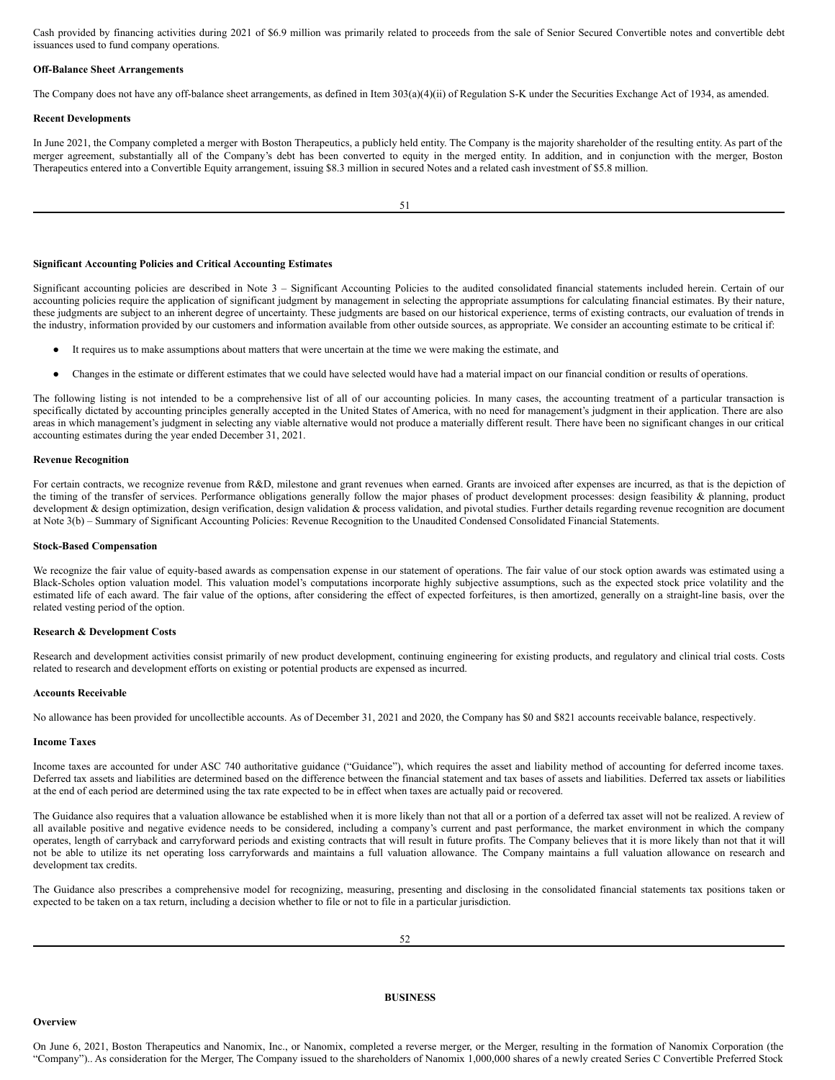Cash provided by financing activities during 2021 of \$6.9 million was primarily related to proceeds from the sale of Senior Secured Convertible notes and convertible debt issuances used to fund company operations.

#### **Off-Balance Sheet Arrangements**

The Company does not have any off-balance sheet arrangements, as defined in Item 303(a)(4)(ii) of Regulation S-K under the Securities Exchange Act of 1934, as amended.

#### **Recent Developments**

In June 2021, the Company completed a merger with Boston Therapeutics, a publicly held entity. The Company is the majority shareholder of the resulting entity. As part of the merger agreement, substantially all of the Company's debt has been converted to equity in the merged entity. In addition, and in conjunction with the merger, Boston Therapeutics entered into a Convertible Equity arrangement, issuing \$8.3 million in secured Notes and a related cash investment of \$5.8 million.

51

## **Significant Accounting Policies and Critical Accounting Estimates**

Significant accounting policies are described in Note 3 – Significant Accounting Policies to the audited consolidated financial statements included herein. Certain of our accounting policies require the application of significant judgment by management in selecting the appropriate assumptions for calculating financial estimates. By their nature, these judgments are subject to an inherent degree of uncertainty. These judgments are based on our historical experience, terms of existing contracts, our evaluation of trends in the industry, information provided by our customers and information available from other outside sources, as appropriate. We consider an accounting estimate to be critical if:

- It requires us to make assumptions about matters that were uncertain at the time we were making the estimate, and
- Changes in the estimate or different estimates that we could have selected would have had a material impact on our financial condition or results of operations.

The following listing is not intended to be a comprehensive list of all of our accounting policies. In many cases, the accounting treatment of a particular transaction is specifically dictated by accounting principles generally accepted in the United States of America, with no need for management's judgment in their application. There are also areas in which management's judgment in selecting any viable alternative would not produce a materially different result. There have been no significant changes in our critical accounting estimates during the year ended December 31, 2021.

#### **Revenue Recognition**

For certain contracts, we recognize revenue from R&D, milestone and grant revenues when earned. Grants are invoiced after expenses are incurred, as that is the depiction of the timing of the transfer of services. Performance obligations generally follow the major phases of product development processes: design feasibility & planning, product development & design optimization, design verification, design validation & process validation, and pivotal studies. Further details regarding revenue recognition are document at Note 3(b) – Summary of Significant Accounting Policies: Revenue Recognition to the Unaudited Condensed Consolidated Financial Statements.

#### **Stock-Based Compensation**

We recognize the fair value of equity-based awards as compensation expense in our statement of operations. The fair value of our stock option awards was estimated using a Black-Scholes option valuation model. This valuation model's computations incorporate highly subjective assumptions, such as the expected stock price volatility and the estimated life of each award. The fair value of the options, after considering the effect of expected forfeitures, is then amortized, generally on a straight-line basis, over the related vesting period of the option.

#### **Research & Development Costs**

Research and development activities consist primarily of new product development, continuing engineering for existing products, and regulatory and clinical trial costs. Costs related to research and development efforts on existing or potential products are expensed as incurred.

#### **Accounts Receivable**

No allowance has been provided for uncollectible accounts. As of December 31, 2021 and 2020, the Company has \$0 and \$821 accounts receivable balance, respectively.

#### **Income Taxes**

Income taxes are accounted for under ASC 740 authoritative guidance ("Guidance"), which requires the asset and liability method of accounting for deferred income taxes. Deferred tax assets and liabilities are determined based on the difference between the financial statement and tax bases of assets and liabilities. Deferred tax assets or liabilities at the end of each period are determined using the tax rate expected to be in effect when taxes are actually paid or recovered.

The Guidance also requires that a valuation allowance be established when it is more likely than not that all or a portion of a deferred tax asset will not be realized. A review of all available positive and negative evidence needs to be considered, including a company's current and past performance, the market environment in which the company operates, length of carryback and carryforward periods and existing contracts that will result in future profits. The Company believes that it is more likely than not that it will not be able to utilize its net operating loss carryforwards and maintains a full valuation allowance. The Company maintains a full valuation allowance on research and development tax credits.

The Guidance also prescribes a comprehensive model for recognizing, measuring, presenting and disclosing in the consolidated financial statements tax positions taken or expected to be taken on a tax return, including a decision whether to file or not to file in a particular jurisdiction.

# **Overview**

On June 6, 2021, Boston Therapeutics and Nanomix, Inc., or Nanomix, completed a reverse merger, or the Merger, resulting in the formation of Nanomix Corporation (the "Company").. As consideration for the Merger, The Company issued to the shareholders of Nanomix 1,000,000 shares of a newly created Series C Convertible Preferred Stock

<span id="page-31-0"></span>**BUSINESS**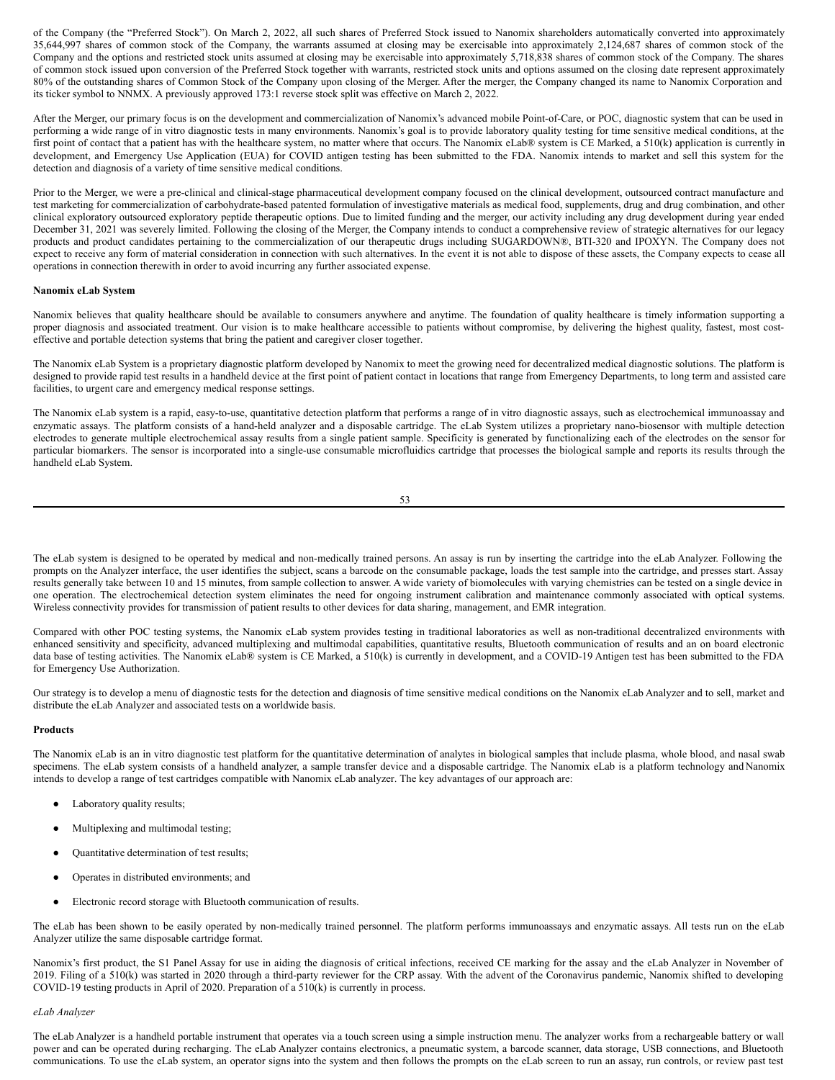of the Company (the "Preferred Stock"). On March 2, 2022, all such shares of Preferred Stock issued to Nanomix shareholders automatically converted into approximately 35,644,997 shares of common stock of the Company, the warrants assumed at closing may be exercisable into approximately 2,124,687 shares of common stock of the Company and the options and restricted stock units assumed at closing may be exercisable into approximately 5,718,838 shares of common stock of the Company. The shares of common stock issued upon conversion of the Preferred Stock together with warrants, restricted stock units and options assumed on the closing date represent approximately 80% of the outstanding shares of Common Stock of the Company upon closing of the Merger. After the merger, the Company changed its name to Nanomix Corporation and its ticker symbol to NNMX. A previously approved 173:1 reverse stock split was effective on March 2, 2022.

After the Merger, our primary focus is on the development and commercialization of Nanomix's advanced mobile Point-of-Care, or POC, diagnostic system that can be used in performing a wide range of in vitro diagnostic tests in many environments. Nanomix's goal is to provide laboratory quality testing for time sensitive medical conditions, at the first point of contact that a patient has with the healthcare system, no matter where that occurs. The Nanomix eLab® system is CE Marked, a 510(k) application is currently in development, and Emergency Use Application (EUA) for COVID antigen testing has been submitted to the FDA. Nanomix intends to market and sell this system for the detection and diagnosis of a variety of time sensitive medical conditions.

Prior to the Merger, we were a pre-clinical and clinical-stage pharmaceutical development company focused on the clinical development, outsourced contract manufacture and test marketing for commercialization of carbohydrate-based patented formulation of investigative materials as medical food, supplements, drug and drug combination, and other clinical exploratory outsourced exploratory peptide therapeutic options. Due to limited funding and the merger, our activity including any drug development during year ended December 31, 2021 was severely limited. Following the closing of the Merger, the Company intends to conduct a comprehensive review of strategic alternatives for our legacy products and product candidates pertaining to the commercialization of our therapeutic drugs including SUGARDOWN®, BTI-320 and IPOXYN. The Company does not expect to receive any form of material consideration in connection with such alternatives. In the event it is not able to dispose of these assets, the Company expects to cease all operations in connection therewith in order to avoid incurring any further associated expense.

## **Nanomix eLab System**

Nanomix believes that quality healthcare should be available to consumers anywhere and anytime. The foundation of quality healthcare is timely information supporting a proper diagnosis and associated treatment. Our vision is to make healthcare accessible to patients without compromise, by delivering the highest quality, fastest, most costeffective and portable detection systems that bring the patient and caregiver closer together.

The Nanomix eLab System is a proprietary diagnostic platform developed by Nanomix to meet the growing need for decentralized medical diagnostic solutions. The platform is designed to provide rapid test results in a handheld device at the first point of patient contact in locations that range from Emergency Departments, to long term and assisted care facilities, to urgent care and emergency medical response settings.

The Nanomix eLab system is a rapid, easy-to-use, quantitative detection platform that performs a range of in vitro diagnostic assays, such as electrochemical immunoassay and enzymatic assays. The platform consists of a hand-held analyzer and a disposable cartridge. The eLab System utilizes a proprietary nano-biosensor with multiple detection electrodes to generate multiple electrochemical assay results from a single patient sample. Specificity is generated by functionalizing each of the electrodes on the sensor for particular biomarkers. The sensor is incorporated into a single-use consumable microfluidics cartridge that processes the biological sample and reports its results through the handheld eLab System.

The eLab system is designed to be operated by medical and non-medically trained persons. An assay is run by inserting the cartridge into the eLab Analyzer. Following the prompts on the Analyzer interface, the user identifies the subject, scans a barcode on the consumable package, loads the test sample into the cartridge, and presses start. Assay results generally take between 10 and 15 minutes, from sample collection to answer. A wide variety of biomolecules with varying chemistries can be tested on a single device in one operation. The electrochemical detection system eliminates the need for ongoing instrument calibration and maintenance commonly associated with optical systems. Wireless connectivity provides for transmission of patient results to other devices for data sharing, management, and EMR integration.

Compared with other POC testing systems, the Nanomix eLab system provides testing in traditional laboratories as well as non-traditional decentralized environments with enhanced sensitivity and specificity, advanced multiplexing and multimodal capabilities, quantitative results, Bluetooth communication of results and an on board electronic data base of testing activities. The Nanomix eLab® system is CE Marked, a 510(k) is currently in development, and a COVID-19 Antigen test has been submitted to the FDA for Emergency Use Authorization.

Our strategy is to develop a menu of diagnostic tests for the detection and diagnosis of time sensitive medical conditions on the Nanomix eLab Analyzer and to sell, market and distribute the eLab Analyzer and associated tests on a worldwide basis.

#### **Products**

The Nanomix eLab is an in vitro diagnostic test platform for the quantitative determination of analytes in biological samples that include plasma, whole blood, and nasal swab specimens. The eLab system consists of a handheld analyzer, a sample transfer device and a disposable cartridge. The Nanomix eLab is a platform technology and Nanomix intends to develop a range of test cartridges compatible with Nanomix eLab analyzer. The key advantages of our approach are:

- Laboratory quality results;
- Multiplexing and multimodal testing;
- Quantitative determination of test results;
- Operates in distributed environments; and
- Electronic record storage with Bluetooth communication of results.

The eLab has been shown to be easily operated by non-medically trained personnel. The platform performs immunoassays and enzymatic assays. All tests run on the eLab Analyzer utilize the same disposable cartridge format.

Nanomix's first product, the S1 Panel Assay for use in aiding the diagnosis of critical infections, received CE marking for the assay and the eLab Analyzer in November of 2019. Filing of a 510(k) was started in 2020 through a third-party reviewer for the CRP assay. With the advent of the Coronavirus pandemic, Nanomix shifted to developing COVID-19 testing products in April of 2020. Preparation of a 510(k) is currently in process.

## *eLab Analyzer*

The eLab Analyzer is a handheld portable instrument that operates via a touch screen using a simple instruction menu. The analyzer works from a rechargeable battery or wall power and can be operated during recharging. The eLab Analyzer contains electronics, a pneumatic system, a barcode scanner, data storage, USB connections, and Bluetooth communications. To use the eLab system, an operator signs into the system and then follows the prompts on the eLab screen to run an assay, run controls, or review past test

<sup>53</sup>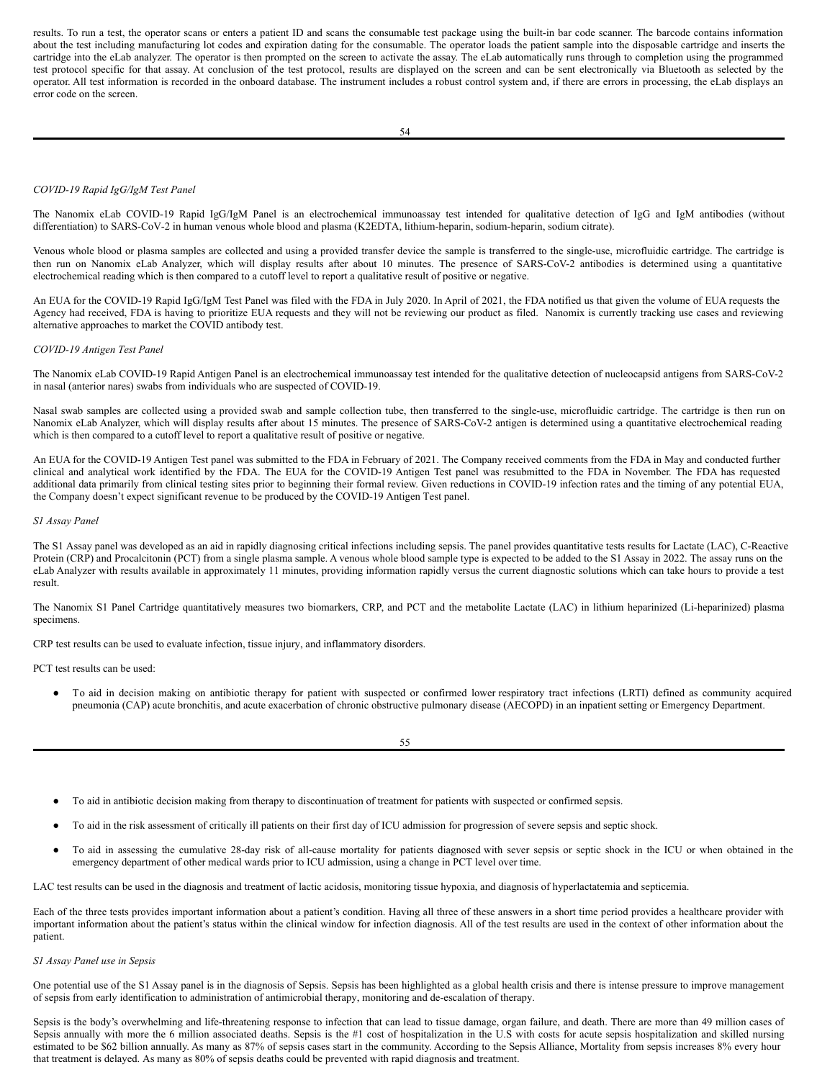results. To run a test, the operator scans or enters a patient ID and scans the consumable test package using the built-in bar code scanner. The barcode contains information about the test including manufacturing lot codes and expiration dating for the consumable. The operator loads the patient sample into the disposable cartridge and inserts the cartridge into the eLab analyzer. The operator is then prompted on the screen to activate the assay. The eLab automatically runs through to completion using the programmed test protocol specific for that assay. At conclusion of the test protocol, results are displayed on the screen and can be sent electronically via Bluetooth as selected by the operator. All test information is recorded in the onboard database. The instrument includes a robust control system and, if there are errors in processing, the eLab displays an error code on the screen.

# *COVID-19 Rapid IgG/IgM Test Panel*

The Nanomix eLab COVID-19 Rapid IgG/IgM Panel is an electrochemical immunoassay test intended for qualitative detection of IgG and IgM antibodies (without differentiation) to SARS-CoV-2 in human venous whole blood and plasma (K2EDTA, lithium-heparin, sodium-heparin, sodium citrate).

Venous whole blood or plasma samples are collected and using a provided transfer device the sample is transferred to the single-use, microfluidic cartridge. The cartridge is then run on Nanomix eLab Analyzer, which will display results after about 10 minutes. The presence of SARS-CoV-2 antibodies is determined using a quantitative electrochemical reading which is then compared to a cutoff level to report a qualitative result of positive or negative.

An EUA for the COVID-19 Rapid IgG/IgM Test Panel was filed with the FDA in July 2020. In April of 2021, the FDA notified us that given the volume of EUA requests the Agency had received, FDA is having to prioritize EUA requests and they will not be reviewing our product as filed. Nanomix is currently tracking use cases and reviewing alternative approaches to market the COVID antibody test.

#### *COVID-19 Antigen Test Panel*

The Nanomix eLab COVID-19 Rapid Antigen Panel is an electrochemical immunoassay test intended for the qualitative detection of nucleocapsid antigens from SARS-CoV-2 in nasal (anterior nares) swabs from individuals who are suspected of COVID-19.

Nasal swab samples are collected using a provided swab and sample collection tube, then transferred to the single-use, microfluidic cartridge. The cartridge is then run on Nanomix eLab Analyzer, which will display results after about 15 minutes. The presence of SARS-CoV-2 antigen is determined using a quantitative electrochemical reading which is then compared to a cutoff level to report a qualitative result of positive or negative.

An EUA for the COVID-19 Antigen Test panel was submitted to the FDA in February of 2021. The Company received comments from the FDA in May and conducted further clinical and analytical work identified by the FDA. The EUA for the COVID-19 Antigen Test panel was resubmitted to the FDA in November. The FDA has requested additional data primarily from clinical testing sites prior to beginning their formal review. Given reductions in COVID-19 infection rates and the timing of any potential EUA, the Company doesn't expect significant revenue to be produced by the COVID-19 Antigen Test panel.

#### *S1 Assay Panel*

The S1 Assay panel was developed as an aid in rapidly diagnosing critical infections including sepsis. The panel provides quantitative tests results for Lactate (LAC), C-Reactive Protein (CRP) and Procalcitonin (PCT) from a single plasma sample. A venous whole blood sample type is expected to be added to the S1 Assay in 2022. The assay runs on the eLab Analyzer with results available in approximately 11 minutes, providing information rapidly versus the current diagnostic solutions which can take hours to provide a test result.

The Nanomix S1 Panel Cartridge quantitatively measures two biomarkers, CRP, and PCT and the metabolite Lactate (LAC) in lithium heparinized (Li-heparinized) plasma specimens.

CRP test results can be used to evaluate infection, tissue injury, and inflammatory disorders.

PCT test results can be used:

● To aid in decision making on antibiotic therapy for patient with suspected or confirmed lower respiratory tract infections (LRTI) defined as community acquired pneumonia (CAP) acute bronchitis, and acute exacerbation of chronic obstructive pulmonary disease (AECOPD) in an inpatient setting or Emergency Department.

- To aid in antibiotic decision making from therapy to discontinuation of treatment for patients with suspected or confirmed sepsis.
- To aid in the risk assessment of critically ill patients on their first day of ICU admission for progression of severe sepsis and septic shock.
- To aid in assessing the cumulative 28-day risk of all-cause mortality for patients diagnosed with sever sepsis or septic shock in the ICU or when obtained in the emergency department of other medical wards prior to ICU admission, using a change in PCT level over time.

LAC test results can be used in the diagnosis and treatment of lactic acidosis, monitoring tissue hypoxia, and diagnosis of hyperlactatemia and septicemia.

Each of the three tests provides important information about a patient's condition. Having all three of these answers in a short time period provides a healthcare provider with important information about the patient's status within the clinical window for infection diagnosis. All of the test results are used in the context of other information about the patient.

#### *S1 Assay Panel use in Sepsis*

One potential use of the S1 Assay panel is in the diagnosis of Sepsis. Sepsis has been highlighted as a global health crisis and there is intense pressure to improve management of sepsis from early identification to administration of antimicrobial therapy, monitoring and de-escalation of therapy.

Sepsis is the body's overwhelming and life-threatening response to infection that can lead to tissue damage, organ failure, and death. There are more than 49 million cases of Sepsis annually with more the 6 million associated deaths. Sepsis is the #1 cost of hospitalization in the U.S with costs for acute sepsis hospitalization and skilled nursing estimated to be \$62 billion annually. As many as 87% of sepsis cases start in the community. According to the Sepsis Alliance, Mortality from sepsis increases 8% every hour that treatment is delayed. As many as 80% of sepsis deaths could be prevented with rapid diagnosis and treatment.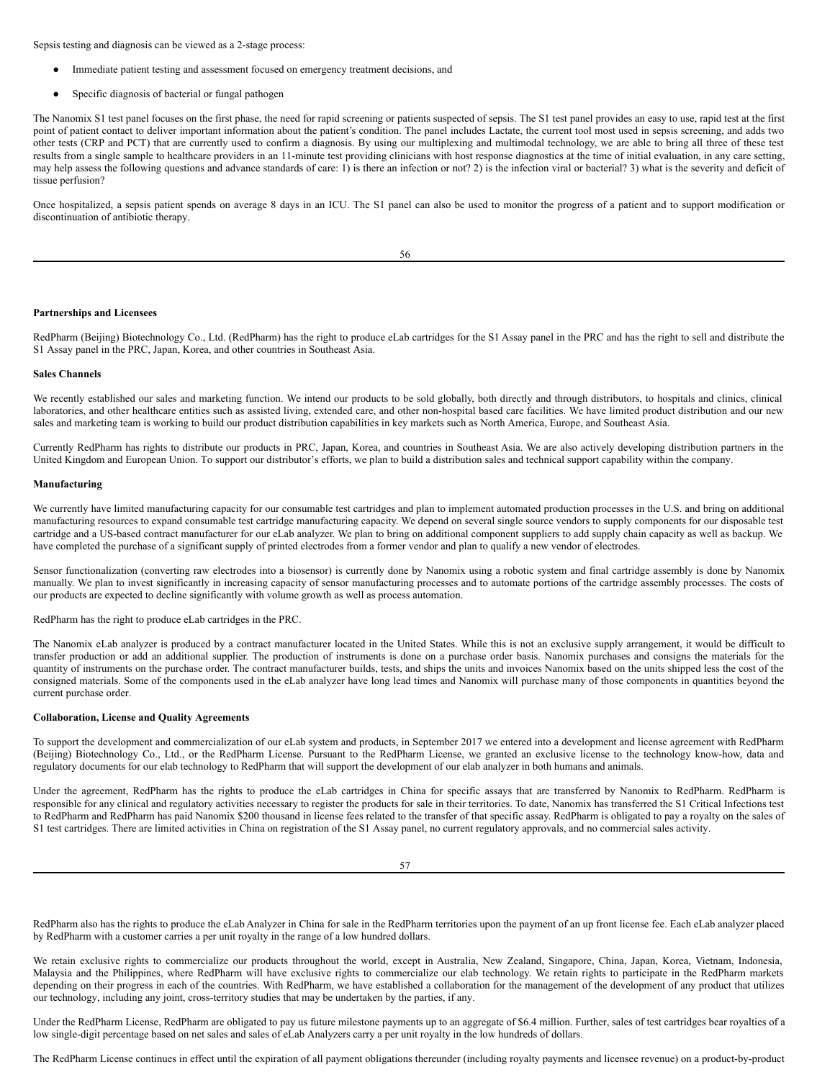Sepsis testing and diagnosis can be viewed as a 2-stage process:

- Immediate patient testing and assessment focused on emergency treatment decisions, and
- Specific diagnosis of bacterial or fungal pathogen

The Nanomix S1 test panel focuses on the first phase, the need for rapid screening or patients suspected of sepsis. The S1 test panel provides an easy to use, rapid test at the first point of patient contact to deliver important information about the patient's condition. The panel includes Lactate, the current tool most used in sepsis screening, and adds two other tests (CRP and PCT) that are currently used to confirm a diagnosis. By using our multiplexing and multimodal technology, we are able to bring all three of these test results from a single sample to healthcare providers in an 11-minute test providing clinicians with host response diagnostics at the time of initial evaluation, in any care setting, may help assess the following questions and advance standards of care: 1) is there an infection or not? 2) is the infection viral or bacterial? 3) what is the severity and deficit of tissue perfusion?

Once hospitalized, a sepsis patient spends on average 8 days in an ICU. The S1 panel can also be used to monitor the progress of a patient and to support modification or discontinuation of antibiotic therapy.

## **Partnerships and Licensees**

RedPharm (Beijing) Biotechnology Co., Ltd. (RedPharm) has the right to produce eLab cartridges for the S1 Assay panel in the PRC and has the right to sell and distribute the S1 Assay panel in the PRC, Japan, Korea, and other countries in Southeast Asia.

#### **Sales Channels**

We recently established our sales and marketing function. We intend our products to be sold globally, both directly and through distributors, to hospitals and clinics, clinical laboratories, and other healthcare entities such as assisted living, extended care, and other non-hospital based care facilities. We have limited product distribution and our new sales and marketing team is working to build our product distribution capabilities in key markets such as North America, Europe, and Southeast Asia.

Currently RedPharm has rights to distribute our products in PRC, Japan, Korea, and countries in Southeast Asia. We are also actively developing distribution partners in the United Kingdom and European Union. To support our distributor's efforts, we plan to build a distribution sales and technical support capability within the company.

## **Manufacturing**

We currently have limited manufacturing capacity for our consumable test cartridges and plan to implement automated production processes in the U.S. and bring on additional manufacturing resources to expand consumable test cartridge manufacturing capacity. We depend on several single source vendors to supply components for our disposable test cartridge and a US-based contract manufacturer for our eLab analyzer. We plan to bring on additional component suppliers to add supply chain capacity as well as backup. We have completed the purchase of a significant supply of printed electrodes from a former vendor and plan to qualify a new vendor of electrodes.

Sensor functionalization (converting raw electrodes into a biosensor) is currently done by Nanomix using a robotic system and final cartridge assembly is done by Nanomix manually. We plan to invest significantly in increasing capacity of sensor manufacturing processes and to automate portions of the cartridge assembly processes. The costs of our products are expected to decline significantly with volume growth as well as process automation.

RedPharm has the right to produce eLab cartridges in the PRC.

The Nanomix eLab analyzer is produced by a contract manufacturer located in the United States. While this is not an exclusive supply arrangement, it would be difficult to transfer production or add an additional supplier. The production of instruments is done on a purchase order basis. Nanomix purchases and consigns the materials for the quantity of instruments on the purchase order. The contract manufacturer builds, tests, and ships the units and invoices Nanomix based on the units shipped less the cost of the consigned materials. Some of the components used in the eLab analyzer have long lead times and Nanomix will purchase many of those components in quantities beyond the current purchase order.

# **Collaboration, License and Quality Agreements**

To support the development and commercialization of our eLab system and products, in September 2017 we entered into a development and license agreement with RedPharm (Beijing) Biotechnology Co., Ltd., or the RedPharm License. Pursuant to the RedPharm License, we granted an exclusive license to the technology know-how, data and regulatory documents for our elab technology to RedPharm that will support the development of our elab analyzer in both humans and animals.

Under the agreement, RedPharm has the rights to produce the eLab cartridges in China for specific assays that are transferred by Nanomix to RedPharm. RedPharm is responsible for any clinical and regulatory activities necessary to register the products for sale in their territories. To date, Nanomix has transferred the S1 Critical Infections test to RedPharm and RedPharm has paid Nanomix \$200 thousand in license fees related to the transfer of that specific assay. RedPharm is obligated to pay a royalty on the sales of S1 test cartridges. There are limited activities in China on registration of the S1 Assay panel, no current regulatory approvals, and no commercial sales activity.

57

RedPharm also has the rights to produce the eLab Analyzer in China for sale in the RedPharm territories upon the payment of an up front license fee. Each eLab analyzer placed by RedPharm with a customer carries a per unit royalty in the range of a low hundred dollars.

We retain exclusive rights to commercialize our products throughout the world, except in Australia, New Zealand, Singapore, China, Japan, Korea, Vietnam, Indonesia, Malaysia and the Philippines, where RedPharm will have exclusive rights to commercialize our elab technology. We retain rights to participate in the RedPharm markets depending on their progress in each of the countries. With RedPharm, we have established a collaboration for the management of the development of any product that utilizes our technology, including any joint, cross-territory studies that may be undertaken by the parties, if any.

Under the RedPharm License, RedPharm are obligated to pay us future milestone payments up to an aggregate of \$6.4 million. Further, sales of test cartridges bear royalties of a low single-digit percentage based on net sales and sales of eLab Analyzers carry a per unit royalty in the low hundreds of dollars.

The RedPharm License continues in effect until the expiration of all payment obligations thereunder (including royalty payments and licensee revenue) on a product-by-product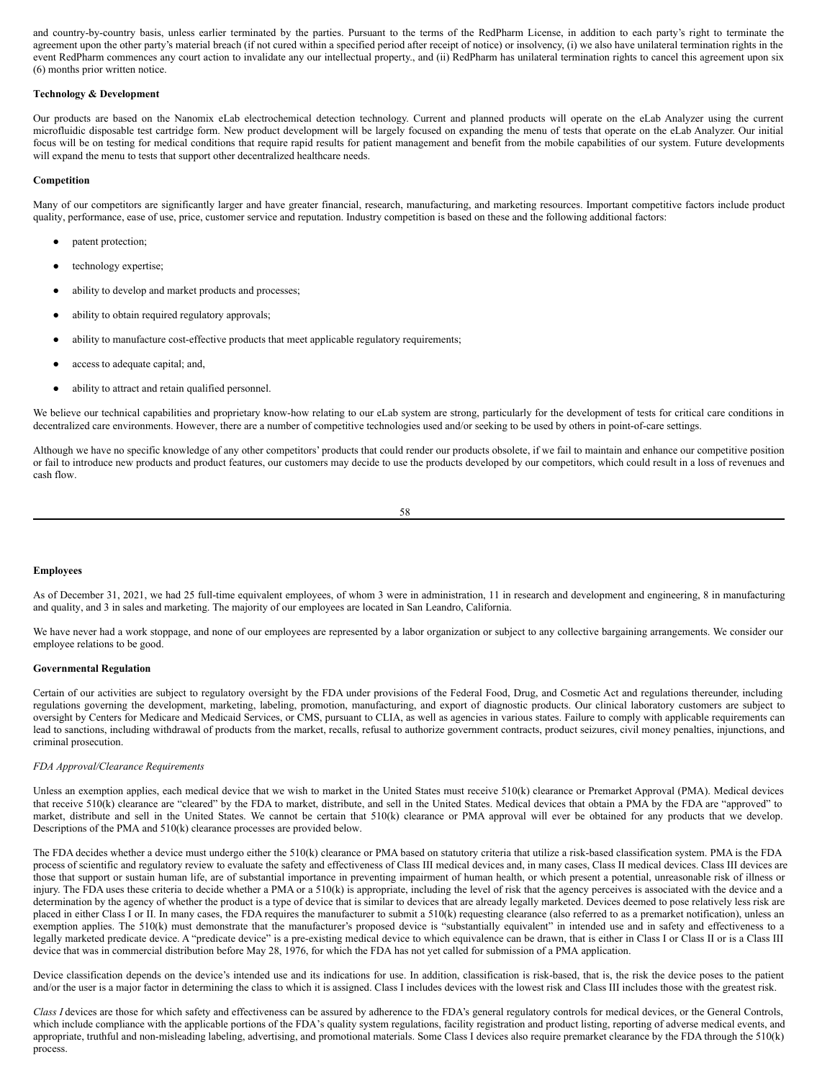and country-by-country basis, unless earlier terminated by the parties. Pursuant to the terms of the RedPharm License, in addition to each party's right to terminate the agreement upon the other party's material breach (if not cured within a specified period after receipt of notice) or insolvency, (i) we also have unilateral termination rights in the event RedPharm commences any court action to invalidate any our intellectual property., and (ii) RedPharm has unilateral termination rights to cancel this agreement upon six (6) months prior written notice.

## **Technology & Development**

Our products are based on the Nanomix eLab electrochemical detection technology. Current and planned products will operate on the eLab Analyzer using the current microfluidic disposable test cartridge form. New product development will be largely focused on expanding the menu of tests that operate on the eLab Analyzer. Our initial focus will be on testing for medical conditions that require rapid results for patient management and benefit from the mobile capabilities of our system. Future developments will expand the menu to tests that support other decentralized healthcare needs.

## **Competition**

Many of our competitors are significantly larger and have greater financial, research, manufacturing, and marketing resources. Important competitive factors include product quality, performance, ease of use, price, customer service and reputation. Industry competition is based on these and the following additional factors:

- patent protection;
- technology expertise;
- ability to develop and market products and processes;
- ability to obtain required regulatory approvals;
- ability to manufacture cost-effective products that meet applicable regulatory requirements;
- access to adequate capital; and,
- ability to attract and retain qualified personnel.

We believe our technical capabilities and proprietary know-how relating to our eLab system are strong, particularly for the development of tests for critical care conditions in decentralized care environments. However, there are a number of competitive technologies used and/or seeking to be used by others in point-of-care settings.

Although we have no specific knowledge of any other competitors' products that could render our products obsolete, if we fail to maintain and enhance our competitive position or fail to introduce new products and product features, our customers may decide to use the products developed by our competitors, which could result in a loss of revenues and cash flow.

58

#### **Employees**

As of December 31, 2021, we had 25 full-time equivalent employees, of whom 3 were in administration, 11 in research and development and engineering, 8 in manufacturing and quality, and 3 in sales and marketing. The majority of our employees are located in San Leandro, California.

We have never had a work stoppage, and none of our employees are represented by a labor organization or subject to any collective bargaining arrangements. We consider our employee relations to be good.

#### **Governmental Regulation**

Certain of our activities are subject to regulatory oversight by the FDA under provisions of the Federal Food, Drug, and Cosmetic Act and regulations thereunder, including regulations governing the development, marketing, labeling, promotion, manufacturing, and export of diagnostic products. Our clinical laboratory customers are subject to oversight by Centers for Medicare and Medicaid Services, or CMS, pursuant to CLIA, as well as agencies in various states. Failure to comply with applicable requirements can lead to sanctions, including withdrawal of products from the market, recalls, refusal to authorize government contracts, product seizures, civil money penalties, injunctions, and criminal prosecution.

#### *FDA Approval/Clearance Requirements*

Unless an exemption applies, each medical device that we wish to market in the United States must receive 510(k) clearance or Premarket Approval (PMA). Medical devices that receive 510(k) clearance are "cleared" by the FDA to market, distribute, and sell in the United States. Medical devices that obtain a PMA by the FDA are "approved" to market, distribute and sell in the United States. We cannot be certain that 510(k) clearance or PMA approval will ever be obtained for any products that we develop. Descriptions of the PMA and 510(k) clearance processes are provided below.

The FDA decides whether a device must undergo either the 510(k) clearance or PMA based on statutory criteria that utilize a risk-based classification system. PMA is the FDA process of scientific and regulatory review to evaluate the safety and effectiveness of Class III medical devices and, in many cases, Class II medical devices. Class III devices are those that support or sustain human life, are of substantial importance in preventing impairment of human health, or which present a potential, unreasonable risk of illness or injury. The FDA uses these criteria to decide whether a PMA or a  $510(k)$  is appropriate, including the level of risk that the agency perceives is associated with the device and a determination by the agency of whether the product is a type of device that is similar to devices that are already legally marketed. Devices deemed to pose relatively less risk are placed in either Class I or II. In many cases, the FDA requires the manufacturer to submit a 510(k) requesting clearance (also referred to as a premarket notification), unless an exemption applies. The 510(k) must demonstrate that the manufacturer's proposed device is "substantially equivalent" in intended use and in safety and effectiveness to a legally marketed predicate device. A "predicate device" is a pre-existing medical device to which equivalence can be drawn, that is either in Class I or Class II or is a Class III device that was in commercial distribution before May 28, 1976, for which the FDA has not yet called for submission of a PMA application.

Device classification depends on the device's intended use and its indications for use. In addition, classification is risk-based, that is, the risk the device poses to the patient and/or the user is a major factor in determining the class to which it is assigned. Class I includes devices with the lowest risk and Class III includes those with the greatest risk.

*Class I* devices are those for which safety and effectiveness can be assured by adherence to the FDA's general regulatory controls for medical devices, or the General Controls, which include compliance with the applicable portions of the FDA's quality system regulations, facility registration and product listing, reporting of adverse medical events, and appropriate, truthful and non-misleading labeling, advertising, and promotional materials. Some Class I devices also require premarket clearance by the FDA through the 510(k) process.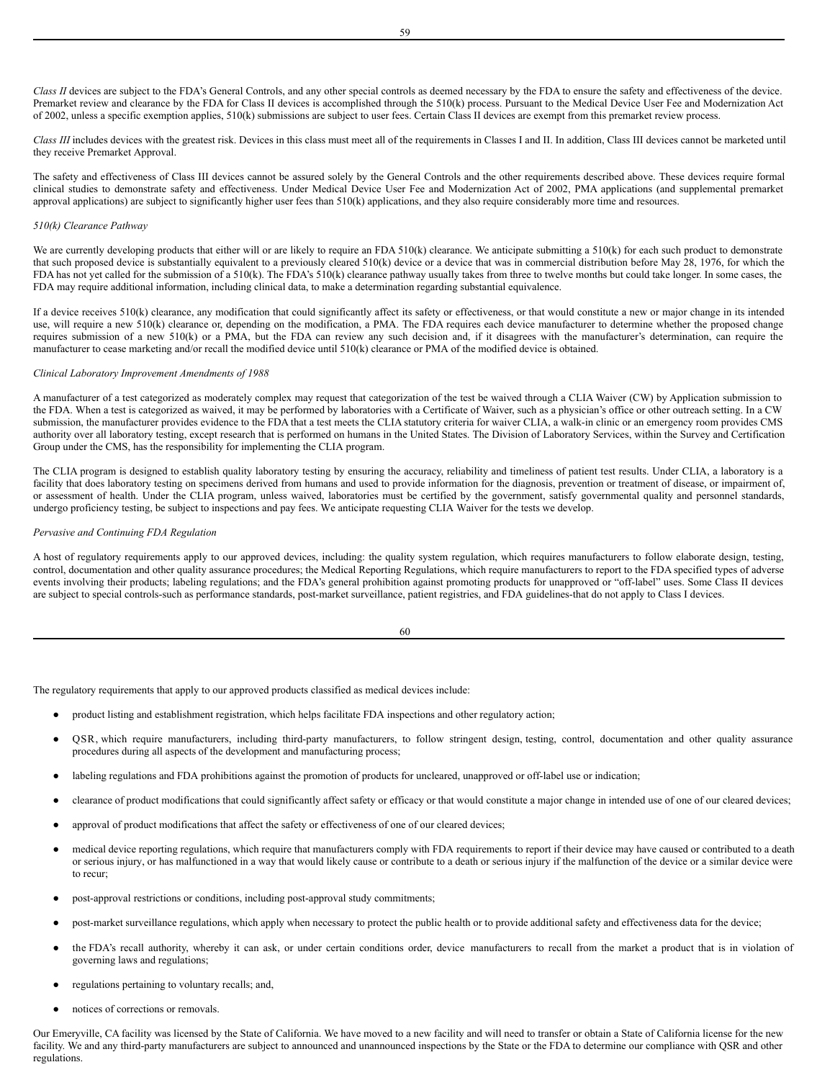*Class II* devices are subject to the FDA's General Controls, and any other special controls as deemed necessary by the FDA to ensure the safety and effectiveness of the device. Premarket review and clearance by the FDA for Class II devices is accomplished through the 510(k) process. Pursuant to the Medical Device User Fee and Modernization Act of 2002, unless a specific exemption applies, 510(k) submissions are subject to user fees. Certain Class II devices are exempt from this premarket review process.

*Class III* includes devices with the greatest risk. Devices in this class must meet all of the requirements in Classes I and II. In addition, Class III devices cannot be marketed until they receive Premarket Approval.

The safety and effectiveness of Class III devices cannot be assured solely by the General Controls and the other requirements described above. These devices require formal clinical studies to demonstrate safety and effectiveness. Under Medical Device User Fee and Modernization Act of 2002, PMA applications (and supplemental premarket approval applications) are subject to significantly higher user fees than 510(k) applications, and they also require considerably more time and resources.

## *510(k) Clearance Pathway*

We are currently developing products that either will or are likely to require an FDA 510(k) clearance. We anticipate submitting a 510(k) for each such product to demonstrate that such proposed device is substantially equivalent to a previously cleared 510(k) device or a device that was in commercial distribution before May 28, 1976, for which the FDA has not yet called for the submission of a 510(k). The FDA's  $510(k)$  clearance pathway usually takes from three to twelve months but could take longer. In some cases, the FDA may require additional information, including clinical data, to make a determination regarding substantial equivalence.

If a device receives 510(k) clearance, any modification that could significantly affect its safety or effectiveness, or that would constitute a new or major change in its intended use, will require a new 510(k) clearance or, depending on the modification, a PMA. The FDA requires each device manufacturer to determine whether the proposed change requires submission of a new 510(k) or a PMA, but the FDA can review any such decision and, if it disagrees with the manufacturer's determination, can require the manufacturer to cease marketing and/or recall the modified device until 510(k) clearance or PMA of the modified device is obtained.

## *Clinical Laboratory Improvement Amendments of 1988*

A manufacturer of a test categorized as moderately complex may request that categorization of the test be waived through a CLIA Waiver (CW) by Application submission to the FDA. When a test is categorized as waived, it may be performed by laboratories with a Certificate of Waiver, such as a physician's office or other outreach setting. In a CW submission, the manufacturer provides evidence to the FDA that a test meets the CLIA statutory criteria for waiver CLIA, a walk-in clinic or an emergency room provides CMS authority over all laboratory testing, except research that is performed on humans in the United States. The Division of Laboratory Services, within the Survey and Certification Group under the CMS, has the responsibility for implementing the CLIA program.

The CLIA program is designed to establish quality laboratory testing by ensuring the accuracy, reliability and timeliness of patient test results. Under CLIA, a laboratory is a facility that does laboratory testing on specimens derived from humans and used to provide information for the diagnosis, prevention or treatment of disease, or impairment of, or assessment of health. Under the CLIA program, unless waived, laboratories must be certified by the government, satisfy governmental quality and personnel standards, undergo proficiency testing, be subject to inspections and pay fees. We anticipate requesting CLIA Waiver for the tests we develop.

## *Pervasive and Continuing FDA Regulation*

A host of regulatory requirements apply to our approved devices, including: the quality system regulation, which requires manufacturers to follow elaborate design, testing, control, documentation and other quality assurance procedures; the Medical Reporting Regulations, which require manufacturers to report to the FDA specified types of adverse events involving their products; labeling regulations; and the FDA's general prohibition against promoting products for unapproved or "off-label" uses. Some Class II devices are subject to special controls-such as performance standards, post-market surveillance, patient registries, and FDA guidelines-that do not apply to Class I devices.

The regulatory requirements that apply to our approved products classified as medical devices include:

- product listing and establishment registration, which helps facilitate FDA inspections and other regulatory action;
- QSR, which require manufacturers, including third-party manufacturers, to follow stringent design, testing, control, documentation and other quality assurance procedures during all aspects of the development and manufacturing process;
- labeling regulations and FDA prohibitions against the promotion of products for uncleared, unapproved or off-label use or indication;
- clearance of product modifications that could significantly affect safety or efficacy or that would constitute a major change in intended use of one of our cleared devices;
- approval of product modifications that affect the safety or effectiveness of one of our cleared devices;
- medical device reporting regulations, which require that manufacturers comply with FDA requirements to report if their device may have caused or contributed to a death or serious injury, or has malfunctioned in a way that would likely cause or contribute to a death or serious injury if the malfunction of the device or a similar device were to recur;
- post-approval restrictions or conditions, including post-approval study commitments;
- post-market surveillance regulations, which apply when necessary to protect the public health or to provide additional safety and effectiveness data for the device;
- the FDA's recall authority, whereby it can ask, or under certain conditions order, device manufacturers to recall from the market a product that is in violation of governing laws and regulations;
- regulations pertaining to voluntary recalls; and,
- notices of corrections or removals.

Our Emeryville, CA facility was licensed by the State of California. We have moved to a new facility and will need to transfer or obtain a State of California license for the new facility. We and any third-party manufacturers are subject to announced and unannounced inspections by the State or the FDA to determine our compliance with QSR and other regulations.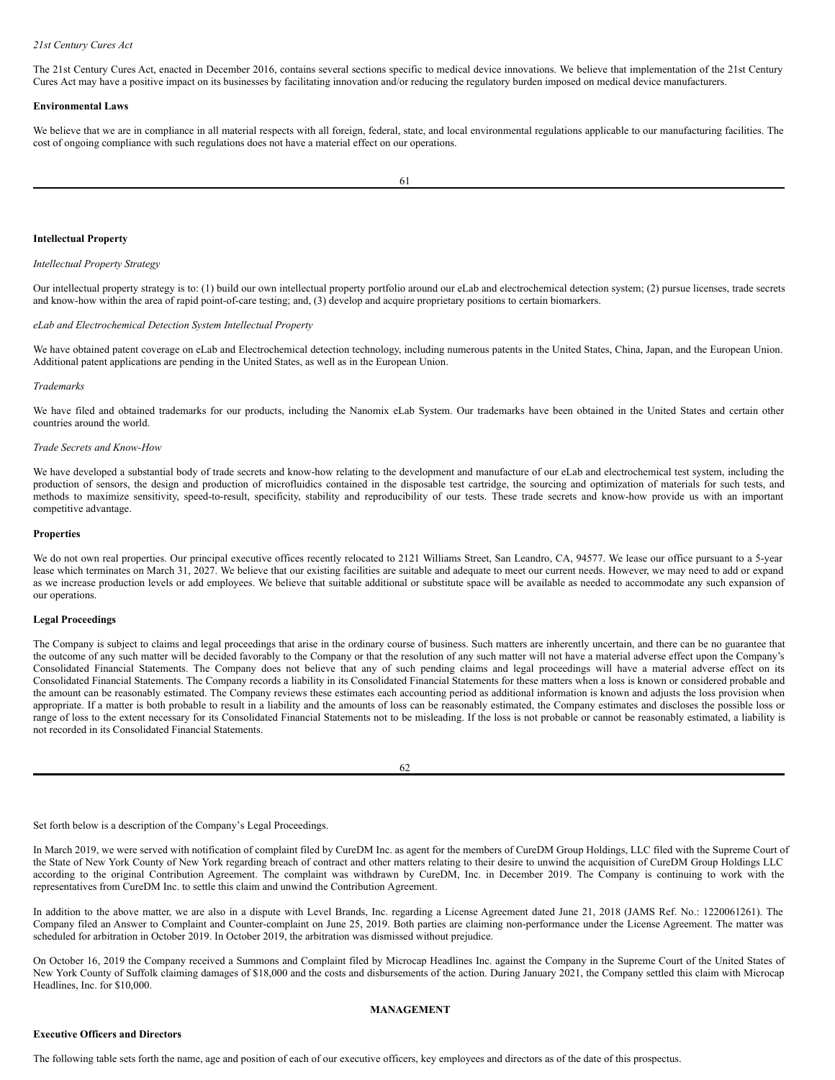## *21st Century Cures Act*

The 21st Century Cures Act, enacted in December 2016, contains several sections specific to medical device innovations. We believe that implementation of the 21st Century Cures Act may have a positive impact on its businesses by facilitating innovation and/or reducing the regulatory burden imposed on medical device manufacturers.

### **Environmental Laws**

We believe that we are in compliance in all material respects with all foreign, federal, state, and local environmental regulations applicable to our manufacturing facilities. The cost of ongoing compliance with such regulations does not have a material effect on our operations.

## **Intellectual Property**

# *Intellectual Property Strategy*

Our intellectual property strategy is to: (1) build our own intellectual property portfolio around our eLab and electrochemical detection system; (2) pursue licenses, trade secrets and know-how within the area of rapid point-of-care testing; and, (3) develop and acquire proprietary positions to certain biomarkers.

# *eLab and Electrochemical Detection System Intellectual Property*

We have obtained patent coverage on eLab and Electrochemical detection technology, including numerous patents in the United States, China, Japan, and the European Union. Additional patent applications are pending in the United States, as well as in the European Union.

#### *Trademarks*

We have filed and obtained trademarks for our products, including the Nanomix eLab System. Our trademarks have been obtained in the United States and certain other countries around the world.

# *Trade Secrets and Know-How*

We have developed a substantial body of trade secrets and know-how relating to the development and manufacture of our eLab and electrochemical test system, including the production of sensors, the design and production of microfluidics contained in the disposable test cartridge, the sourcing and optimization of materials for such tests, and methods to maximize sensitivity, speed-to-result, specificity, stability and reproducibility of our tests. These trade secrets and know-how provide us with an important competitive advantage.

# **Properties**

We do not own real properties. Our principal executive offices recently relocated to 2121 Williams Street, San Leandro, CA, 94577. We lease our office pursuant to a 5-year lease which terminates on March 31, 2027. We believe that our existing facilities are suitable and adequate to meet our current needs. However, we may need to add or expand as we increase production levels or add employees. We believe that suitable additional or substitute space will be available as needed to accommodate any such expansion of our operations.

## **Legal Proceedings**

The Company is subject to claims and legal proceedings that arise in the ordinary course of business. Such matters are inherently uncertain, and there can be no guarantee that the outcome of any such matter will be decided favorably to the Company or that the resolution of any such matter will not have a material adverse effect upon the Company's Consolidated Financial Statements. The Company does not believe that any of such pending claims and legal proceedings will have a material adverse effect on its Consolidated Financial Statements. The Company records a liability in its Consolidated Financial Statements for these matters when a loss is known or considered probable and the amount can be reasonably estimated. The Company reviews these estimates each accounting period as additional information is known and adjusts the loss provision when appropriate. If a matter is both probable to result in a liability and the amounts of loss can be reasonably estimated, the Company estimates and discloses the possible loss or range of loss to the extent necessary for its Consolidated Financial Statements not to be misleading. If the loss is not probable or cannot be reasonably estimated, a liability is not recorded in its Consolidated Financial Statements.

| ٦ |
|---|
|---|

# Set forth below is a description of the Company's Legal Proceedings.

In March 2019, we were served with notification of complaint filed by CureDM Inc. as agent for the members of CureDM Group Holdings, LLC filed with the Supreme Court of the State of New York County of New York regarding breach of contract and other matters relating to their desire to unwind the acquisition of CureDM Group Holdings LLC according to the original Contribution Agreement. The complaint was withdrawn by CureDM, Inc. in December 2019. The Company is continuing to work with the representatives from CureDM Inc. to settle this claim and unwind the Contribution Agreement.

In addition to the above matter, we are also in a dispute with Level Brands, Inc. regarding a License Agreement dated June 21, 2018 (JAMS Ref. No.: 1220061261). The Company filed an Answer to Complaint and Counter-complaint on June 25, 2019. Both parties are claiming non-performance under the License Agreement. The matter was scheduled for arbitration in October 2019. In October 2019, the arbitration was dismissed without prejudice.

On October 16, 2019 the Company received a Summons and Complaint filed by Microcap Headlines Inc. against the Company in the Supreme Court of the United States of New York County of Suffolk claiming damages of \$18,000 and the costs and disbursements of the action. During January 2021, the Company settled this claim with Microcap Headlines, Inc. for \$10,000.

# <span id="page-37-0"></span>**MANAGEMENT**

# **Executive Officers and Directors**

The following table sets forth the name, age and position of each of our executive officers, key employees and directors as of the date of this prospectus.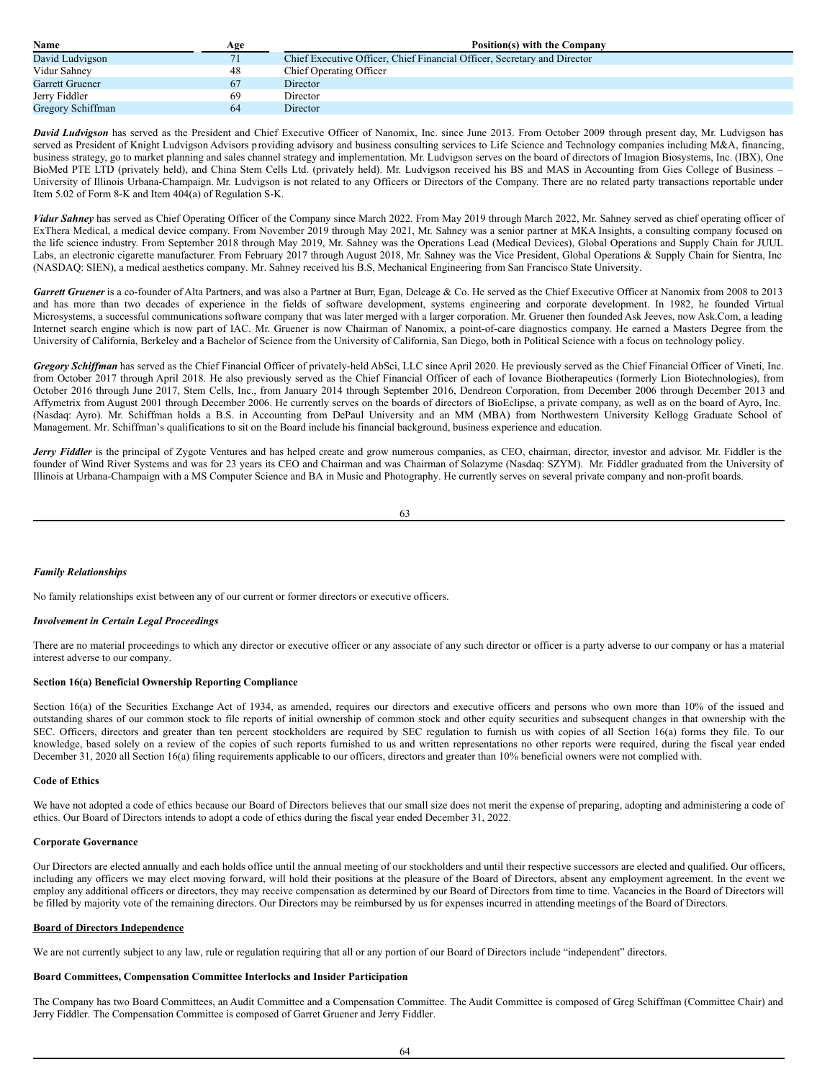| Name                   | Age | Position(s) with the Company                                             |
|------------------------|-----|--------------------------------------------------------------------------|
| David Ludvigson        |     | Chief Executive Officer, Chief Financial Officer, Secretary and Director |
| Vidur Sahney           | 48  | Chief Operating Officer                                                  |
| <b>Garrett Gruener</b> | 67  | Director                                                                 |
| Jerry Fiddler          | 69  | Director                                                                 |
| Gregory Schiffman      | 64  | Director                                                                 |

*David Ludvigson* has served as the President and Chief Executive Officer of Nanomix, Inc. since June 2013. From October 2009 through present day, Mr. Ludvigson has served as President of Knight Ludvigson Advisors providing advisory and business consulting services to Life Science and Technology companies including M&A, financing, business strategy, go to market planning and sales channel strategy and implementation. Mr. Ludvigson serves on the board of directors of Imagion Biosystems, Inc. (IBX), One BioMed PTE LTD (privately held), and China Stem Cells Ltd. (privately held). Mr. Ludvigson received his BS and MAS in Accounting from Gies College of Business – University of Illinois Urbana-Champaign. Mr. Ludvigson is not related to any Officers or Directors of the Company. There are no related party transactions reportable under Item 5.02 of Form 8-K and Item 404(a) of Regulation S-K.

*Vidur Sahney* has served as Chief Operating Officer of the Company since March 2022. From May 2019 through March 2022, Mr. Sahney served as chief operating officer of ExThera Medical, a medical device company. From November 2019 through May 2021, Mr. Sahney was a senior partner at MKA Insights, a consulting company focused on the life science industry. From September 2018 through May 2019, Mr. Sahney was the Operations Lead (Medical Devices), Global Operations and Supply Chain for JUUL Labs, an electronic cigarette manufacturer. From February 2017 through August 2018, Mr. Sahney was the Vice President, Global Operations & Supply Chain for Sientra, Inc (NASDAQ: SIEN), a medical aesthetics company. Mr. Sahney received his B.S, Mechanical Engineering from San Francisco State University.

Garrett Gruener is a co-founder of Alta Partners, and was also a Partner at Burr, Egan, Deleage & Co. He served as the Chief Executive Officer at Nanomix from 2008 to 2013 and has more than two decades of experience in the fields of software development, systems engineering and corporate development. In 1982, he founded Virtual Microsystems, a successful communications software company that was later merged with a larger corporation. Mr. Gruener then founded Ask Jeeves, now Ask.Com, a leading Internet search engine which is now part of IAC. Mr. Gruener is now Chairman of Nanomix, a point-of-care diagnostics company. He earned a Masters Degree from the University of California, Berkeley and a Bachelor of Science from the University of California, San Diego, both in Political Science with a focus on technology policy.

*Gregory Schif man* has served as the Chief Financial Officer of privately-held AbSci, LLC since April 2020. He previously served as the Chief Financial Officer of Vineti, Inc. from October 2017 through April 2018. He also previously served as the Chief Financial Officer of each of Iovance Biotherapeutics (formerly Lion Biotechnologies), from October 2016 through June 2017, Stem Cells, Inc., from January 2014 through September 2016, Dendreon Corporation, from December 2006 through December 2013 and Affymetrix from August 2001 through December 2006. He currently serves on the boards of directors of BioEclipse, a private company, as well as on the board of Ayro, Inc. (Nasdaq: Ayro). Mr. Schiffman holds a B.S. in Accounting from DePaul University and an MM (MBA) from Northwestern University Kellogg Graduate School of Management. Mr. Schiffman's qualifications to sit on the Board include his financial background, business experience and education.

Jerry Fiddler is the principal of Zygote Ventures and has helped create and grow numerous companies, as CEO, chairman, director, investor and advisor. Mr. Fiddler is the founder of Wind River Systems and was for 23 years its CEO and Chairman and was Chairman of Solazyme (Nasdaq: SZYM). Mr. Fiddler graduated from the University of Illinois at Urbana-Champaign with a MS Computer Science and BA in Music and Photography. He currently serves on several private company and non-profit boards.

63

# *Family Relationships*

No family relationships exist between any of our current or former directors or executive officers.

# *Involvement in Certain Legal Proceedings*

There are no material proceedings to which any director or executive officer or any associate of any such director or officer is a party adverse to our company or has a material interest adverse to our company.

# **Section 16(a) Beneficial Ownership Reporting Compliance**

Section 16(a) of the Securities Exchange Act of 1934, as amended, requires our directors and executive officers and persons who own more than 10% of the issued and outstanding shares of our common stock to file reports of initial ownership of common stock and other equity securities and subsequent changes in that ownership with the SEC. Officers, directors and greater than ten percent stockholders are required by SEC regulation to furnish us with copies of all Section 16(a) forms they file. To our knowledge, based solely on a review of the copies of such reports furnished to us and written representations no other reports were required, during the fiscal year ended December 31, 2020 all Section 16(a) filing requirements applicable to our officers, directors and greater than 10% beneficial owners were not complied with.

# **Code of Ethics**

We have not adopted a code of ethics because our Board of Directors believes that our small size does not merit the expense of preparing, adopting and administering a code of ethics. Our Board of Directors intends to adopt a code of ethics during the fiscal year ended December 31, 2022.

# **Corporate Governance**

Our Directors are elected annually and each holds office until the annual meeting of our stockholders and until their respective successors are elected and qualified. Our officers, including any officers we may elect moving forward, will hold their positions at the pleasure of the Board of Directors, absent any employment agreement. In the event we employ any additional officers or directors, they may receive compensation as determined by our Board of Directors from time to time. Vacancies in the Board of Directors will be filled by majority vote of the remaining directors. Our Directors may be reimbursed by us for expenses incurred in attending meetings of the Board of Directors.

# **Board of Directors Independence**

We are not currently subject to any law, rule or regulation requiring that all or any portion of our Board of Directors include "independent" directors.

#### **Board Committees, Compensation Committee Interlocks and Insider Participation**

The Company has two Board Committees, an Audit Committee and a Compensation Committee. The Audit Committee is composed of Greg Schiffman (Committee Chair) and Jerry Fiddler. The Compensation Committee is composed of Garret Gruener and Jerry Fiddler.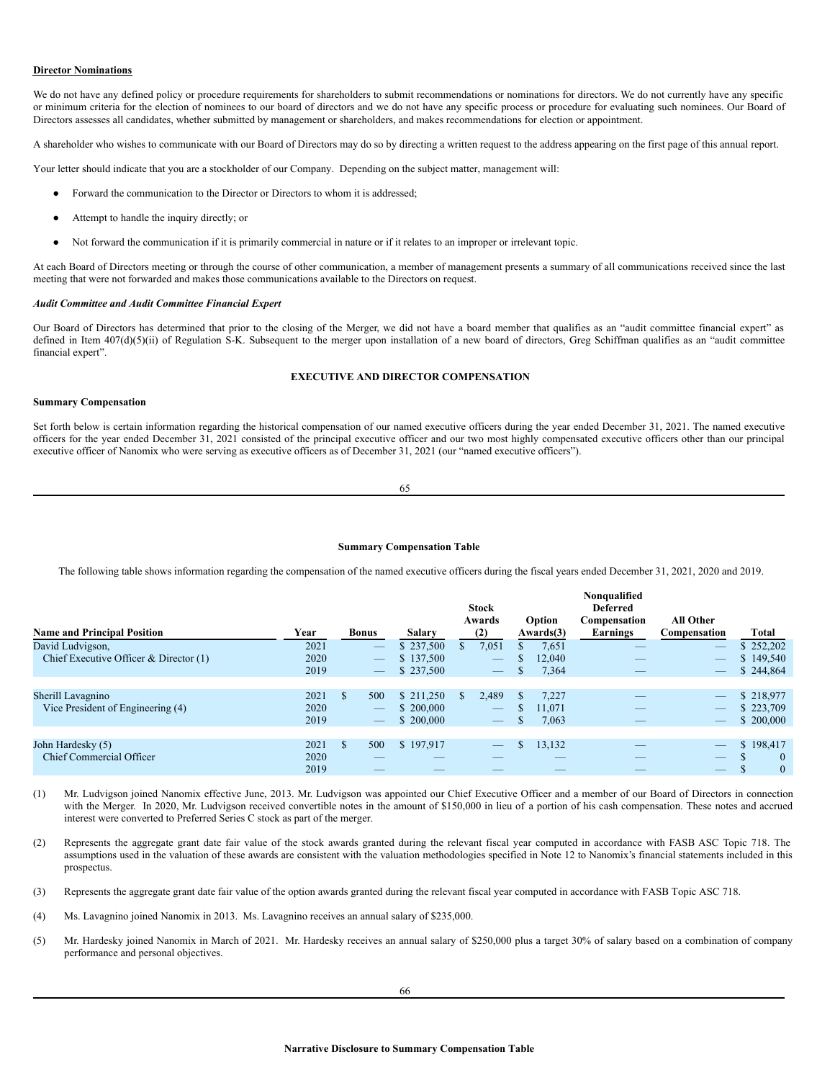## **Director Nominations**

We do not have any defined policy or procedure requirements for shareholders to submit recommendations or nominations for directors. We do not currently have any specific or minimum criteria for the election of nominees to our board of directors and we do not have any specific process or procedure for evaluating such nominees. Our Board of Directors assesses all candidates, whether submitted by management or shareholders, and makes recommendations for election or appointment.

A shareholder who wishes to communicate with our Board of Directors may do so by directing a written request to the address appearing on the first page of this annual report.

Your letter should indicate that you are a stockholder of our Company. Depending on the subject matter, management will:

- Forward the communication to the Director or Directors to whom it is addressed;
- Attempt to handle the inquiry directly; or
- Not forward the communication if it is primarily commercial in nature or if it relates to an improper or irrelevant topic.

At each Board of Directors meeting or through the course of other communication, a member of management presents a summary of all communications received since the last meeting that were not forwarded and makes those communications available to the Directors on request.

#### *Audit Committee and Audit Committee Financial Expert*

Our Board of Directors has determined that prior to the closing of the Merger, we did not have a board member that qualifies as an "audit committee financial expert" as defined in Item  $407(d)(5)(ii)$  of Regulation S-K. Subsequent to the merger upon installation of a new board of directors, Greg Schiffman qualifies as an "audit committee financial expert".

# <span id="page-39-0"></span>**EXECUTIVE AND DIRECTOR COMPENSATION**

#### **Summary Compensation**

Set forth below is certain information regarding the historical compensation of our named executive officers during the year ended December 31, 2021. The named executive officers for the year ended December 31, 2021 consisted of the principal executive officer and our two most highly compensated executive officers other than our principal executive officer of Nanomix who were serving as executive officers as of December 31, 2021 (our "named executive officers").

65

## **Summary Compensation Table**

The following table shows information regarding the compensation of the named executive officers during the fiscal years ended December 31, 2021, 2020 and 2019.

|                                           |      |                 |               |          | <b>Stock</b>             |               |           | Nonqualified<br><b>Deferred</b> |                                 |                               |
|-------------------------------------------|------|-----------------|---------------|----------|--------------------------|---------------|-----------|---------------------------------|---------------------------------|-------------------------------|
|                                           |      |                 |               |          | Awards                   |               | Option    | Compensation                    | <b>All Other</b>                |                               |
| <b>Name and Principal Position</b>        | Year | <b>Bonus</b>    | <b>Salary</b> |          | (2)                      |               | Awards(3) | Earnings                        | Compensation                    | Total                         |
| David Ludvigson,                          | 2021 |                 | \$237,500     |          | 7,051                    |               | 7,651     |                                 | _                               | \$252,202                     |
| Chief Executive Officer $\&$ Director (1) | 2020 |                 | \$137,500     |          |                          |               | 12,040    | _                               | $\hspace{0.1mm}-\hspace{0.1mm}$ | \$149,540                     |
|                                           | 2019 |                 | \$237,500     |          |                          | ъ             | 7,364     |                                 | $\hspace{0.1mm}-\hspace{0.1mm}$ | \$244,864                     |
|                                           |      |                 |               |          |                          |               |           |                                 |                                 |                               |
| Sherill Lavagnino                         | 2021 | \$.<br>500      | \$211,250     | <b>S</b> | 2,489                    | <sup>\$</sup> | 7,227     |                                 |                                 | \$218,977                     |
| Vice President of Engineering (4)         | 2020 |                 | \$200,000     |          | $\overline{\phantom{m}}$ | \$            | 11,071    |                                 |                                 | \$223,709                     |
|                                           | 2019 |                 | \$200,000     |          | $\overline{\phantom{a}}$ | \$            | 7,063     | _                               | $\hspace{0.1mm}-\hspace{0.1mm}$ | \$ 200,000                    |
|                                           |      |                 |               |          |                          |               |           |                                 |                                 |                               |
| John Hardesky (5)                         | 2021 | <b>S</b><br>500 | \$197,917     |          |                          |               | 13,132    | _                               | $\qquad \qquad - \qquad$        | \$198,417                     |
| Chief Commercial Officer                  | 2020 | _               |               |          |                          |               |           |                                 |                                 | $\overline{0}$<br>ъ           |
|                                           | 2019 | _               |               |          |                          |               |           |                                 |                                 | <sup>\$</sup><br>$\mathbf{0}$ |
|                                           |      |                 |               |          |                          |               |           |                                 |                                 |                               |

(1) Mr. Ludvigson joined Nanomix effective June, 2013. Mr. Ludvigson was appointed our Chief Executive Officer and a member of our Board of Directors in connection with the Merger. In 2020, Mr. Ludvigson received convertible notes in the amount of \$150,000 in lieu of a portion of his cash compensation. These notes and accrued interest were converted to Preferred Series C stock as part of the merger.

(2) Represents the aggregate grant date fair value of the stock awards granted during the relevant fiscal year computed in accordance with FASB ASC Topic 718. The assumptions used in the valuation of these awards are consistent with the valuation methodologies specified in Note 12 to Nanomix's financial statements included in this prospectus.

(3) Represents the aggregate grant date fair value of the option awards granted during the relevant fiscal year computed in accordance with FASB Topic ASC 718.

(4) Ms. Lavagnino joined Nanomix in 2013. Ms. Lavagnino receives an annual salary of \$235,000.

(5) Mr. Hardesky joined Nanomix in March of 2021. Mr. Hardesky receives an annual salary of \$250,000 plus a target 30% of salary based on a combination of company performance and personal objectives.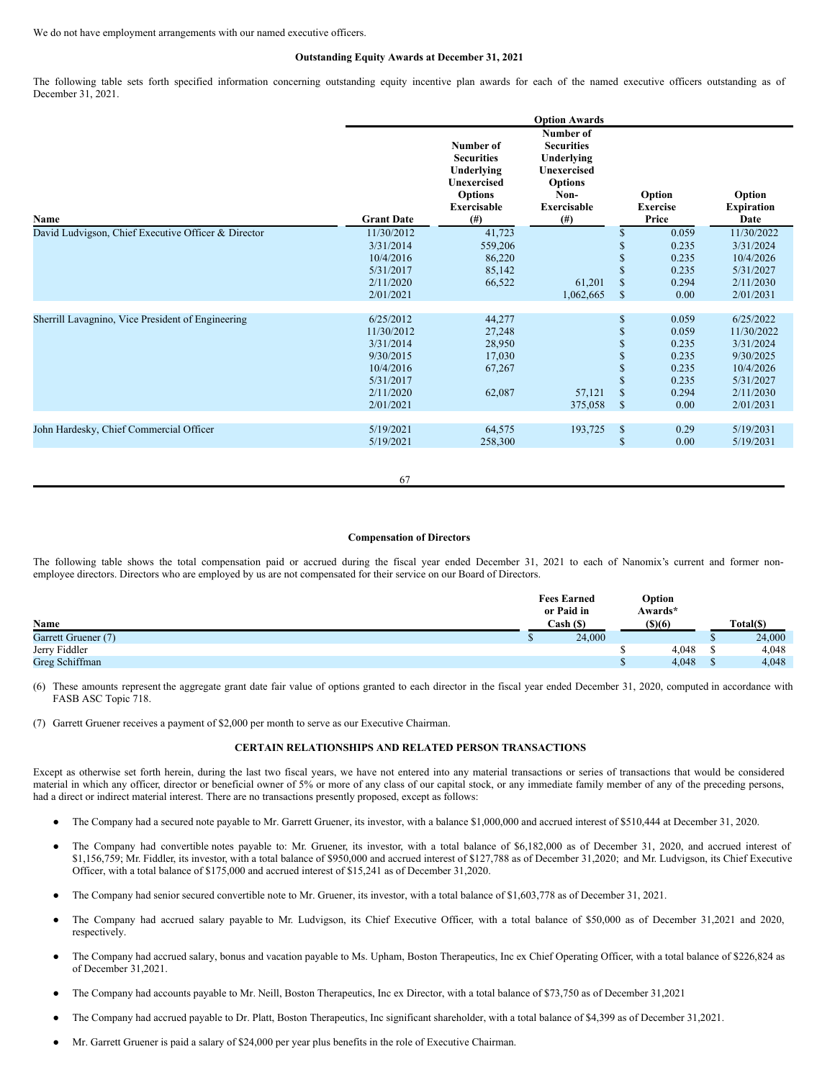We do not have employment arrangements with our named executive officers.

# **Outstanding Equity Awards at December 31, 2021**

The following table sets forth specified information concerning outstanding equity incentive plan awards for each of the named executive officers outstanding as of December 31, 2021.

|                                                     |                                                                                                       |                                                                                                      | <b>Option Awards</b>                                                                                                |                                                        |                                                                     |                                                                                                       |
|-----------------------------------------------------|-------------------------------------------------------------------------------------------------------|------------------------------------------------------------------------------------------------------|---------------------------------------------------------------------------------------------------------------------|--------------------------------------------------------|---------------------------------------------------------------------|-------------------------------------------------------------------------------------------------------|
| Name                                                | <b>Grant Date</b>                                                                                     | Number of<br><b>Securities</b><br>Underlying<br>Unexercised<br><b>Options</b><br>Exercisable<br>(# ) | Number of<br><b>Securities</b><br>Underlying<br><b>Unexercised</b><br><b>Options</b><br>Non-<br>Exercisable<br>(# ) |                                                        | Option<br><b>Exercise</b><br>Price                                  | Option<br><b>Expiration</b><br>Date                                                                   |
| David Ludvigson, Chief Executive Officer & Director | 11/30/2012<br>3/31/2014<br>10/4/2016<br>5/31/2017<br>2/11/2020<br>2/01/2021                           | 41,723<br>559,206<br>86,220<br>85,142<br>66,522                                                      | 61,201<br>1,062,665                                                                                                 | \$<br>\$<br>\$<br>\$<br>\$<br>$\mathbb{S}$             | 0.059<br>0.235<br>0.235<br>0.235<br>0.294<br>0.00                   | 11/30/2022<br>3/31/2024<br>10/4/2026<br>5/31/2027<br>2/11/2030<br>2/01/2031                           |
| Sherrill Lavagnino, Vice President of Engineering   | 6/25/2012<br>11/30/2012<br>3/31/2014<br>9/30/2015<br>10/4/2016<br>5/31/2017<br>2/11/2020<br>2/01/2021 | 44,277<br>27,248<br>28,950<br>17,030<br>67,267<br>62,087                                             | 57,121<br>375,058                                                                                                   | \$<br>\$<br>\$<br>\$<br>\$<br>\$<br>\$<br>$\mathbb{S}$ | 0.059<br>0.059<br>0.235<br>0.235<br>0.235<br>0.235<br>0.294<br>0.00 | 6/25/2022<br>11/30/2022<br>3/31/2024<br>9/30/2025<br>10/4/2026<br>5/31/2027<br>2/11/2030<br>2/01/2031 |
| John Hardesky, Chief Commercial Officer             | 5/19/2021<br>5/19/2021                                                                                | 64,575<br>258,300                                                                                    | 193,725                                                                                                             | \$<br>\$                                               | 0.29<br>0.00                                                        | 5/19/2031<br>5/19/2031                                                                                |

#### **Compensation of Directors**

The following table shows the total compensation paid or accrued during the fiscal year ended December 31, 2021 to each of Nanomix's current and former nonemployee directors. Directors who are employed by us are not compensated for their service on our Board of Directors.

|                     | <b>Fees Earned</b>     |        | Option              |             |           |
|---------------------|------------------------|--------|---------------------|-------------|-----------|
| Name                | or Paid in<br>Cash (S) |        | Awards*<br>$($ )(6) |             | Total(\$) |
| Garrett Gruener (7) |                        | 24,000 |                     |             | 24,000    |
| Jerry Fiddler       |                        |        | 4.048               |             | 4,048     |
| Greg Schiffman      |                        |        | 4,048               | $\triangle$ | 4,048     |

(6) These amounts represent the aggregate grant date fair value of options granted to each director in the fiscal year ended December 31, 2020, computed in accordance with FASB ASC Topic 718.

(7) Garrett Gruener receives a payment of \$2,000 per month to serve as our Executive Chairman.

# <span id="page-40-0"></span>**CERTAIN RELATIONSHIPS AND RELATED PERSON TRANSACTIONS**

Except as otherwise set forth herein, during the last two fiscal years, we have not entered into any material transactions or series of transactions that would be considered material in which any officer, director or beneficial owner of 5% or more of any class of our capital stock, or any immediate family member of any of the preceding persons, had a direct or indirect material interest. There are no transactions presently proposed, except as follows:

- The Company had a secured note payable to Mr. Garrett Gruener, its investor, with a balance \$1,000,000 and accrued interest of \$510,444 at December 31, 2020.
- The Company had convertible notes payable to: Mr. Gruener, its investor, with a total balance of \$6,182,000 as of December 31, 2020, and accrued interest of \$1,156,759; Mr. Fiddler, its investor, with a total balance of \$950,000 and accrued interest of \$127,788 as of December 31,2020; and Mr. Ludvigson, its Chief Executive Officer, with a total balance of \$175,000 and accrued interest of \$15,241 as of December 31,2020.
- The Company had senior secured convertible note to Mr. Gruener, its investor, with a total balance of \$1,603,778 as of December 31, 2021.
- The Company had accrued salary payable to Mr. Ludvigson, its Chief Executive Officer, with a total balance of \$50,000 as of December 31,2021 and 2020, respectively.
- The Company had accrued salary, bonus and vacation payable to Ms. Upham, Boston Therapeutics, Inc ex Chief Operating Officer, with a total balance of \$226,824 as of December 31,2021.
- The Company had accounts payable to Mr. Neill, Boston Therapeutics, Inc ex Director, with a total balance of \$73,750 as of December 31,2021
- The Company had accrued payable to Dr. Platt, Boston Therapeutics, Inc significant shareholder, with a total balance of \$4,399 as of December 31,2021.
- Mr. Garrett Gruener is paid a salary of \$24,000 per year plus benefits in the role of Executive Chairman.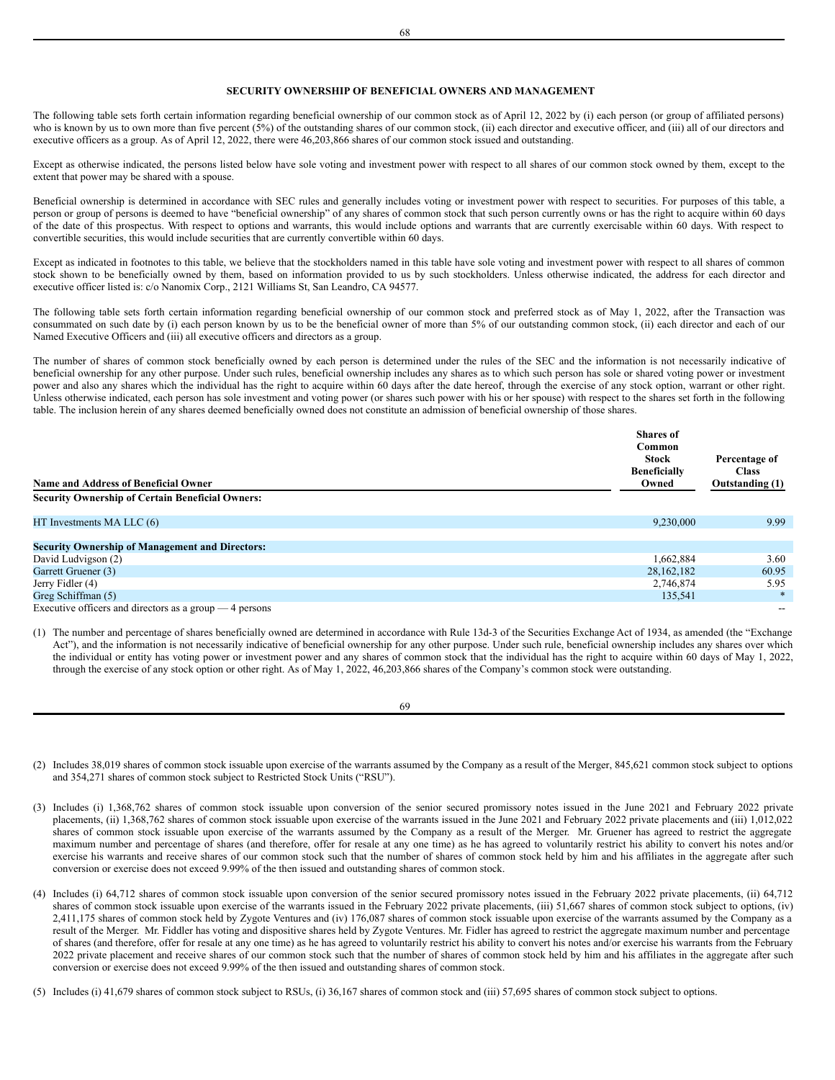# <span id="page-41-0"></span>**SECURITY OWNERSHIP OF BENEFICIAL OWNERS AND MANAGEMENT**

The following table sets forth certain information regarding beneficial ownership of our common stock as of April 12, 2022 by (i) each person (or group of affiliated persons) who is known by us to own more than five percent (5%) of the outstanding shares of our common stock, (ii) each director and executive officer, and (iii) all of our directors and executive officers as a group. As of April 12, 2022, there were 46,203,866 shares of our common stock issued and outstanding.

Except as otherwise indicated, the persons listed below have sole voting and investment power with respect to all shares of our common stock owned by them, except to the extent that power may be shared with a spouse.

Beneficial ownership is determined in accordance with SEC rules and generally includes voting or investment power with respect to securities. For purposes of this table, a person or group of persons is deemed to have "beneficial ownership" of any shares of common stock that such person currently owns or has the right to acquire within 60 days of the date of this prospectus. With respect to options and warrants, this would include options and warrants that are currently exercisable within 60 days. With respect to convertible securities, this would include securities that are currently convertible within 60 days.

Except as indicated in footnotes to this table, we believe that the stockholders named in this table have sole voting and investment power with respect to all shares of common stock shown to be beneficially owned by them, based on information provided to us by such stockholders. Unless otherwise indicated, the address for each director and executive officer listed is: c/o Nanomix Corp., 2121 Williams St, San Leandro, CA 94577.

The following table sets forth certain information regarding beneficial ownership of our common stock and preferred stock as of May 1, 2022, after the Transaction was consummated on such date by (i) each person known by us to be the beneficial owner of more than 5% of our outstanding common stock, (ii) each director and each of our Named Executive Officers and (iii) all executive officers and directors as a group.

The number of shares of common stock beneficially owned by each person is determined under the rules of the SEC and the information is not necessarily indicative of beneficial ownership for any other purpose. Under such rules, beneficial ownership includes any shares as to which such person has sole or shared voting power or investment power and also any shares which the individual has the right to acquire within 60 days after the date hereof, through the exercise of any stock option, warrant or other right. Unless otherwise indicated, each person has sole investment and voting power (or shares such power with his or her spouse) with respect to the shares set forth in the following table. The inclusion herein of any shares deemed beneficially owned does not constitute an admission of beneficial ownership of those shares.

| Name and Address of Beneficial Owner                    | <b>Shares</b> of<br>Common<br><b>Stock</b><br><b>Beneficially</b><br>Owned | Percentage of<br><b>Class</b><br>Outstanding (1) |
|---------------------------------------------------------|----------------------------------------------------------------------------|--------------------------------------------------|
| <b>Security Ownership of Certain Beneficial Owners:</b> |                                                                            |                                                  |
| HT Investments MA LLC $(6)$                             | 9,230,000                                                                  | 9.99                                             |
| <b>Security Ownership of Management and Directors:</b>  |                                                                            |                                                  |
| David Ludvigson (2)                                     | 1,662,884                                                                  | 3.60                                             |
| Garrett Gruener (3)                                     | 28, 162, 182                                                               | 60.95                                            |
| Jerry Fidler (4)                                        | 2,746,874                                                                  | 5.95                                             |
| Greg Schiffman (5)                                      | 135,541                                                                    | $\ast$                                           |
|                                                         |                                                                            |                                                  |

Executive officers and directors as a group  $-4$  persons

(1) The number and percentage of shares beneficially owned are determined in accordance with Rule 13d-3 of the Securities Exchange Act of 1934, as amended (the "Exchange Act"), and the information is not necessarily indicative of beneficial ownership for any other purpose. Under such rule, beneficial ownership includes any shares over which the individual or entity has voting power or investment power and any shares of common stock that the individual has the right to acquire within 60 days of May 1, 2022, through the exercise of any stock option or other right. As of May 1, 2022, 46,203,866 shares of the Company's common stock were outstanding.

(2) Includes 38,019 shares of common stock issuable upon exercise of the warrants assumed by the Company as a result of the Merger, 845,621 common stock subject to options and 354,271 shares of common stock subject to Restricted Stock Units ("RSU").

- (3) Includes (i) 1,368,762 shares of common stock issuable upon conversion of the senior secured promissory notes issued in the June 2021 and February 2022 private placements, (ii) 1,368,762 shares of common stock issuable upon exercise of the warrants issued in the June 2021 and February 2022 private placements and (iii) 1,012,022 shares of common stock issuable upon exercise of the warrants assumed by the Company as a result of the Merger. Mr. Gruener has agreed to restrict the aggregate maximum number and percentage of shares (and therefore, offer for resale at any one time) as he has agreed to voluntarily restrict his ability to convert his notes and/or exercise his warrants and receive shares of our common stock such that the number of shares of common stock held by him and his affiliates in the aggregate after such conversion or exercise does not exceed 9.99% of the then issued and outstanding shares of common stock.
- (4) Includes (i) 64,712 shares of common stock issuable upon conversion of the senior secured promissory notes issued in the February 2022 private placements, (ii) 64,712 shares of common stock issuable upon exercise of the warrants issued in the February 2022 private placements, (iii) 51,667 shares of common stock subject to options, (iv) 2,411,175 shares of common stock held by Zygote Ventures and (iv) 176,087 shares of common stock issuable upon exercise of the warrants assumed by the Company as a result of the Merger. Mr. Fiddler has voting and dispositive shares held by Zygote Ventures. Mr. Fidler has agreed to restrict the aggregate maximum number and percentage of shares (and therefore, offer for resale at any one time) as he has agreed to voluntarily restrict his ability to convert his notes and/or exercise his warrants from the February 2022 private placement and receive shares of our common stock such that the number of shares of common stock held by him and his affiliates in the aggregate after such conversion or exercise does not exceed 9.99% of the then issued and outstanding shares of common stock.
- (5) Includes (i) 41,679 shares of common stock subject to RSUs, (i) 36,167 shares of common stock and (iii) 57,695 shares of common stock subject to options.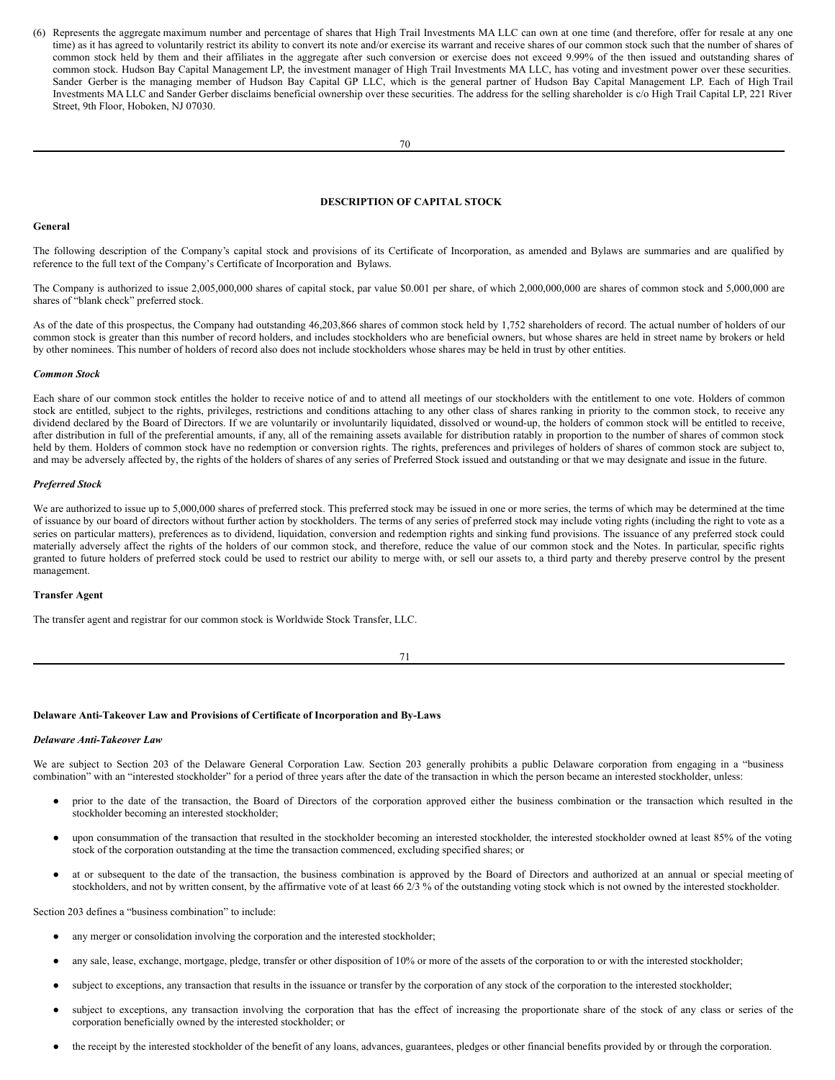(6) Represents the aggregate maximum number and percentage of shares that High Trail Investments MA LLC can own at one time (and therefore, offer for resale at any one time) as it has agreed to voluntarily restrict its ability to convert its note and/or exercise its warrant and receive shares of our common stock such that the number of shares of common stock held by them and their affiliates in the aggregate after such conversion or exercise does not exceed 9.99% of the then issued and outstanding shares of common stock. Hudson Bay Capital Management LP, the investment manager of High Trail Investments MA LLC, has voting and investment power over these securities. Sander Gerber is the managing member of Hudson Bay Capital GP LLC, which is the general partner of Hudson Bay Capital Management LP. Each of High Trail Investments MA LLC and Sander Gerber disclaims beneficial ownership over these securities. The address for the selling shareholder is c/o High Trail Capital LP, 221 River Street, 9th Floor, Hoboken, NJ 07030.

# <span id="page-42-0"></span>**DESCRIPTION OF CAPITAL STOCK**

#### **General**

The following description of the Company's capital stock and provisions of its Certificate of Incorporation, as amended and Bylaws are summaries and are qualified by reference to the full text of the Company's Certificate of Incorporation and Bylaws.

The Company is authorized to issue 2,005,000,000 shares of capital stock, par value \$0.001 per share, of which 2,000,000,000 are shares of common stock and 5,000,000 are shares of "blank check" preferred stock.

As of the date of this prospectus, the Company had outstanding 46,203,866 shares of common stock held by 1,752 shareholders of record. The actual number of holders of our common stock is greater than this number of record holders, and includes stockholders who are beneficial owners, but whose shares are held in street name by brokers or held by other nominees. This number of holders of record also does not include stockholders whose shares may be held in trust by other entities.

#### *Common Stock*

Each share of our common stock entitles the holder to receive notice of and to attend all meetings of our stockholders with the entitlement to one vote. Holders of common stock are entitled, subject to the rights, privileges, restrictions and conditions attaching to any other class of shares ranking in priority to the common stock, to receive any dividend declared by the Board of Directors. If we are voluntarily or involuntarily liquidated, dissolved or wound-up, the holders of common stock will be entitled to receive, after distribution in full of the preferential amounts, if any, all of the remaining assets available for distribution ratably in proportion to the number of shares of common stock held by them. Holders of common stock have no redemption or conversion rights. The rights, preferences and privileges of holders of shares of common stock are subject to, and may be adversely affected by, the rights of the holders of shares of any series of Preferred Stock issued and outstanding or that we may designate and issue in the future.

## *Preferred Stock*

We are authorized to issue up to 5,000,000 shares of preferred stock. This preferred stock may be issued in one or more series, the terms of which may be determined at the time of issuance by our board of directors without further action by stockholders. The terms of any series of preferred stock may include voting rights (including the right to vote as a series on particular matters), preferences as to dividend, liquidation, conversion and redemption rights and sinking fund provisions. The issuance of any preferred stock could materially adversely affect the rights of the holders of our common stock, and therefore, reduce the value of our common stock and the Notes. In particular, specific rights granted to future holders of preferred stock could be used to restrict our ability to merge with, or sell our assets to, a third party and thereby preserve control by the present management.

#### **Transfer Agent**

The transfer agent and registrar for our common stock is Worldwide Stock Transfer, LLC.

71

#### **Delaware Anti-Takeover Law and Provisions of Certificate of Incorporation and By-Laws**

#### *Delaware Anti-Takeover Law*

We are subject to Section 203 of the Delaware General Corporation Law. Section 203 generally prohibits a public Delaware corporation from engaging in a "business combination" with an "interested stockholder" for a period of three years after the date of the transaction in which the person became an interested stockholder, unless:

- prior to the date of the transaction, the Board of Directors of the corporation approved either the business combination or the transaction which resulted in the stockholder becoming an interested stockholder;
- upon consummation of the transaction that resulted in the stockholder becoming an interested stockholder, the interested stockholder owned at least 85% of the voting stock of the corporation outstanding at the time the transaction commenced, excluding specified shares; or
- at or subsequent to the date of the transaction, the business combination is approved by the Board of Directors and authorized at an annual or special meeting of stockholders, and not by written consent, by the affirmative vote of at least 66 2/3 % of the outstanding voting stock which is not owned by the interested stockholder.

Section 203 defines a "business combination" to include:

- any merger or consolidation involving the corporation and the interested stockholder;
- any sale, lease, exchange, mortgage, pledge, transfer or other disposition of 10% or more of the assets of the corporation to or with the interested stockholder;
- subject to exceptions, any transaction that results in the issuance or transfer by the corporation of any stock of the corporation to the interested stockholder;
- subject to exceptions, any transaction involving the corporation that has the effect of increasing the proportionate share of the stock of any class or series of the corporation beneficially owned by the interested stockholder; or
- the receipt by the interested stockholder of the benefit of any loans, advances, guarantees, pledges or other financial benefits provided by or through the corporation.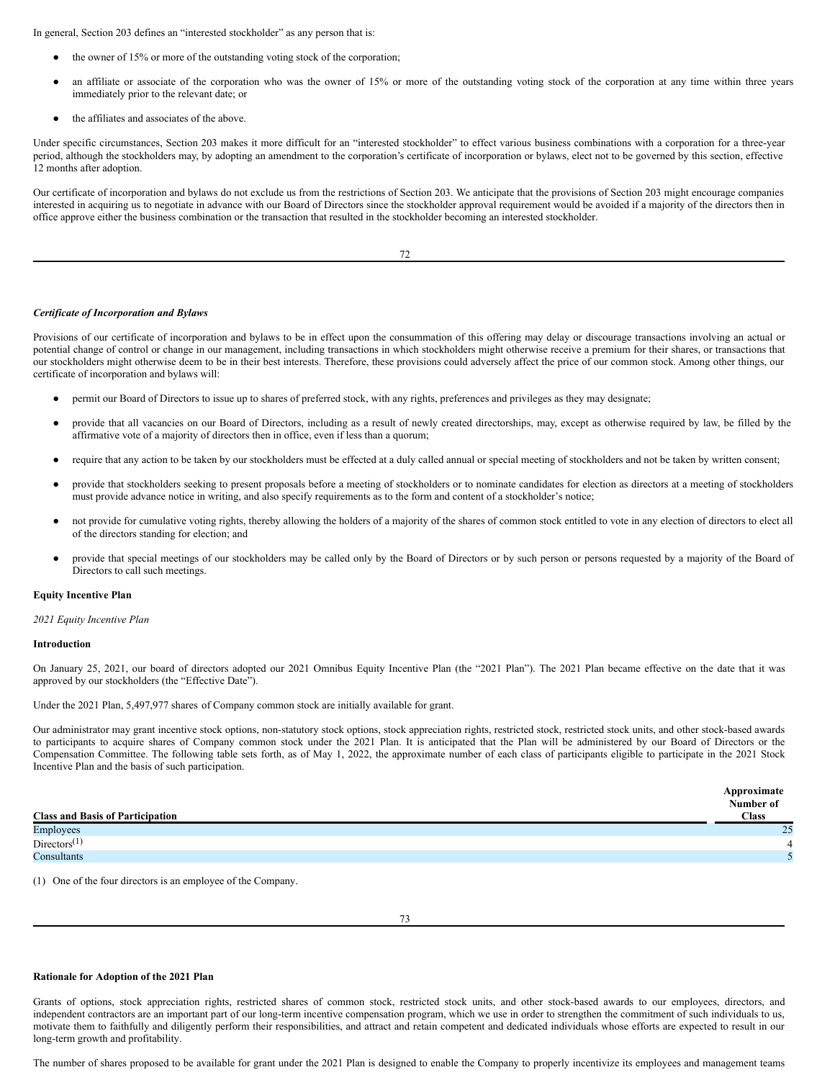In general, Section 203 defines an "interested stockholder" as any person that is:

- the owner of 15% or more of the outstanding voting stock of the corporation;
- an affiliate or associate of the corporation who was the owner of 15% or more of the outstanding voting stock of the corporation at any time within three years immediately prior to the relevant date; or
- the affiliates and associates of the above.

Under specific circumstances, Section 203 makes it more difficult for an "interested stockholder" to effect various business combinations with a corporation for a three-year period, although the stockholders may, by adopting an amendment to the corporation's certificate of incorporation or bylaws, elect not to be governed by this section, effective 12 months after adoption.

Our certificate of incorporation and bylaws do not exclude us from the restrictions of Section 203. We anticipate that the provisions of Section 203 might encourage companies interested in acquiring us to negotiate in advance with our Board of Directors since the stockholder approval requirement would be avoided if a majority of the directors then in office approve either the business combination or the transaction that resulted in the stockholder becoming an interested stockholder.

## *Certificate of Incorporation and Bylaws*

Provisions of our certificate of incorporation and bylaws to be in effect upon the consummation of this offering may delay or discourage transactions involving an actual or potential change of control or change in our management, including transactions in which stockholders might otherwise receive a premium for their shares, or transactions that our stockholders might otherwise deem to be in their best interests. Therefore, these provisions could adversely affect the price of our common stock. Among other things, our certificate of incorporation and bylaws will:

- permit our Board of Directors to issue up to shares of preferred stock, with any rights, preferences and privileges as they may designate;
- provide that all vacancies on our Board of Directors, including as a result of newly created directorships, may, except as otherwise required by law, be filled by the affirmative vote of a majority of directors then in office, even if less than a quorum;
- require that any action to be taken by our stockholders must be effected at a duly called annual or special meeting of stockholders and not be taken by written consent;
- provide that stockholders seeking to present proposals before a meeting of stockholders or to nominate candidates for election as directors at a meeting of stockholders must provide advance notice in writing, and also specify requirements as to the form and content of a stockholder's notice;
- not provide for cumulative voting rights, thereby allowing the holders of a majority of the shares of common stock entitled to vote in any election of directors to elect all of the directors standing for election; and
- provide that special meetings of our stockholders may be called only by the Board of Directors or by such person or persons requested by a majority of the Board of Directors to call such meetings.

#### **Equity Incentive Plan**

#### *2021 Equity Incentive Plan*

#### **Introduction**

On January 25, 2021, our board of directors adopted our 2021 Omnibus Equity Incentive Plan (the "2021 Plan"). The 2021 Plan became effective on the date that it was approved by our stockholders (the "Effective Date").

Under the 2021 Plan, 5,497,977 shares of Company common stock are initially available for grant.

Our administrator may grant incentive stock options, non-statutory stock options, stock appreciation rights, restricted stock, restricted stock units, and other stock-based awards to participants to acquire shares of Company common stock under the 2021 Plan. It is anticipated that the Plan will be administered by our Board of Directors or the Compensation Committee. The following table sets forth, as of May 1, 2022, the approximate number of each class of participants eligible to participate in the 2021 Stock Incentive Plan and the basis of such participation.

| <b>Class and Basis of Participation</b> | Approximate<br>Number of<br><b>Class</b> |
|-----------------------------------------|------------------------------------------|
| Employees                               | 25                                       |
| Directions <sup>(1)</sup>               |                                          |
| Consultants                             |                                          |

(1) One of the four directors is an employee of the Company.

73

#### **Rationale for Adoption of the 2021 Plan**

Grants of options, stock appreciation rights, restricted shares of common stock, restricted stock units, and other stock-based awards to our employees, directors, and independent contractors are an important part of our long-term incentive compensation program, which we use in order to strengthen the commitment of such individuals to us, motivate them to faithfully and diligently perform their responsibilities, and attract and retain competent and dedicated individuals whose efforts are expected to result in our long-term growth and profitability.

The number of shares proposed to be available for grant under the 2021 Plan is designed to enable the Company to properly incentivize its employees and management teams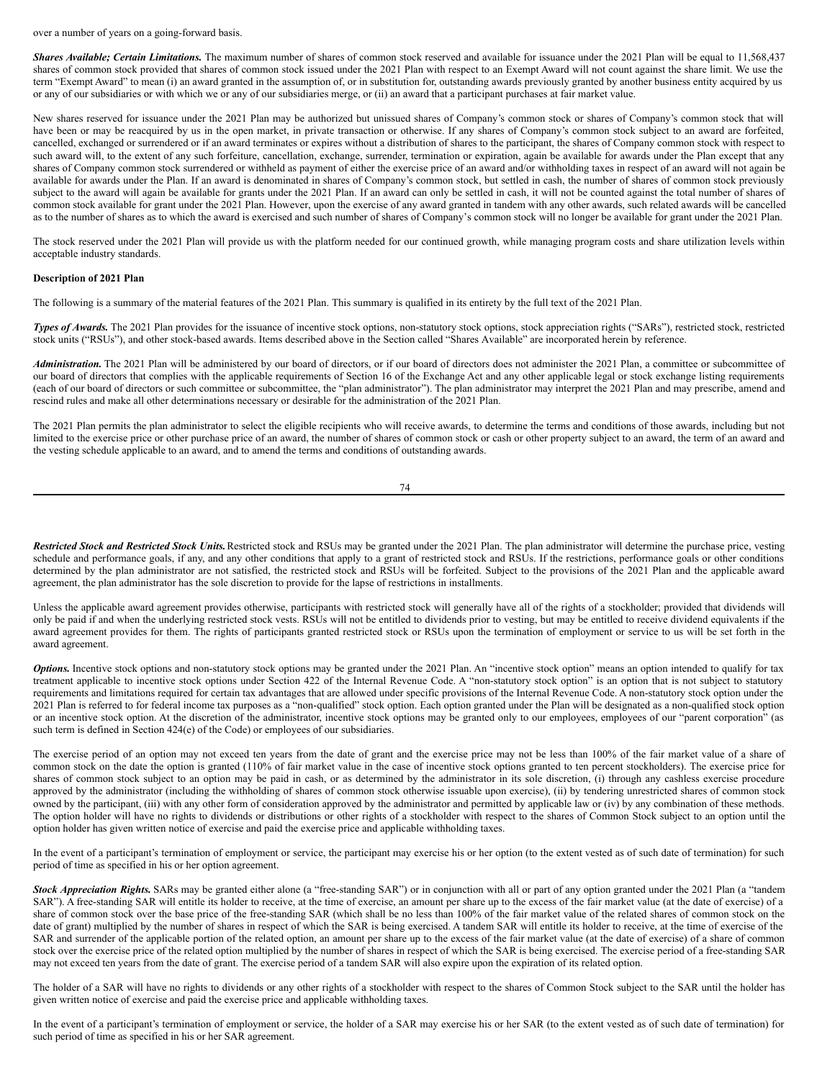over a number of years on a going-forward basis.

*Shares Available; Certain Limitations.* The maximum number of shares of common stock reserved and available for issuance under the 2021 Plan will be equal to 11,568,437 shares of common stock provided that shares of common stock issued under the 2021 Plan with respect to an Exempt Award will not count against the share limit. We use the term "Exempt Award" to mean (i) an award granted in the assumption of, or in substitution for, outstanding awards previously granted by another business entity acquired by us or any of our subsidiaries or with which we or any of our subsidiaries merge, or (ii) an award that a participant purchases at fair market value.

New shares reserved for issuance under the 2021 Plan may be authorized but unissued shares of Company's common stock or shares of Company's common stock that will have been or may be reacquired by us in the open market, in private transaction or otherwise. If any shares of Company's common stock subject to an award are forfeited, cancelled, exchanged or surrendered or if an award terminates or expires without a distribution of shares to the participant, the shares of Company common stock with respect to such award will, to the extent of any such forfeiture, cancellation, exchange, surrender, termination or expiration, again be available for awards under the Plan except that any shares of Company common stock surrendered or withheld as payment of either the exercise price of an award and/or withholding taxes in respect of an award will not again be available for awards under the Plan. If an award is denominated in shares of Company's common stock, but settled in cash, the number of shares of common stock previously subject to the award will again be available for grants under the 2021 Plan. If an award can only be settled in cash, it will not be counted against the total number of shares of common stock available for grant under the 2021 Plan. However, upon the exercise of any award granted in tandem with any other awards, such related awards will be cancelled as to the number of shares as to which the award is exercised and such number of shares of Company's common stock will no longer be available for grant under the 2021 Plan.

The stock reserved under the 2021 Plan will provide us with the platform needed for our continued growth, while managing program costs and share utilization levels within acceptable industry standards.

## **Description of 2021 Plan**

The following is a summary of the material features of the 2021 Plan. This summary is qualified in its entirety by the full text of the 2021 Plan.

*Types of Awards.* The 2021 Plan provides for the issuance of incentive stock options, non-statutory stock options, stock appreciation rights ("SARs"), restricted stock, restricted stock units ("RSUs"), and other stock-based awards. Items described above in the Section called "Shares Available" are incorporated herein by reference.

Administration. The 2021 Plan will be administered by our board of directors, or if our board of directors does not administer the 2021 Plan, a committee or subcommittee of our board of directors that complies with the applicable requirements of Section 16 of the Exchange Act and any other applicable legal or stock exchange listing requirements (each of our board of directors or such committee or subcommittee, the "plan administrator"). The plan administrator may interpret the 2021 Plan and may prescribe, amend and rescind rules and make all other determinations necessary or desirable for the administration of the 2021 Plan.

The 2021 Plan permits the plan administrator to select the eligible recipients who will receive awards, to determine the terms and conditions of those awards, including but not limited to the exercise price or other purchase price of an award, the number of shares of common stock or cash or other property subject to an award, the term of an award and the vesting schedule applicable to an award, and to amend the terms and conditions of outstanding awards.

74

*Restricted Stock and Restricted Stock Units.*Restricted stock and RSUs may be granted under the 2021 Plan. The plan administrator will determine the purchase price, vesting schedule and performance goals, if any, and any other conditions that apply to a grant of restricted stock and RSUs. If the restrictions, performance goals or other conditions determined by the plan administrator are not satisfied, the restricted stock and RSUs will be forfeited. Subject to the provisions of the 2021 Plan and the applicable award agreement, the plan administrator has the sole discretion to provide for the lapse of restrictions in installments.

Unless the applicable award agreement provides otherwise, participants with restricted stock will generally have all of the rights of a stockholder; provided that dividends will only be paid if and when the underlying restricted stock vests. RSUs will not be entitled to dividends prior to vesting, but may be entitled to receive dividend equivalents if the award agreement provides for them. The rights of participants granted restricted stock or RSUs upon the termination of employment or service to us will be set forth in the award agreement.

*Options.* Incentive stock options and non-statutory stock options may be granted under the 2021 Plan. An "incentive stock option" means an option intended to qualify for tax treatment applicable to incentive stock options under Section 422 of the Internal Revenue Code. A "non-statutory stock option" is an option that is not subject to statutory requirements and limitations required for certain tax advantages that are allowed under specific provisions of the Internal Revenue Code. A non-statutory stock option under the 2021 Plan is referred to for federal income tax purposes as a "non-qualified" stock option. Each option granted under the Plan will be designated as a non-qualified stock option or an incentive stock option. At the discretion of the administrator, incentive stock options may be granted only to our employees, employees of our "parent corporation" (as such term is defined in Section 424(e) of the Code) or employees of our subsidiaries.

The exercise period of an option may not exceed ten years from the date of grant and the exercise price may not be less than 100% of the fair market value of a share of common stock on the date the option is granted (110% of fair market value in the case of incentive stock options granted to ten percent stockholders). The exercise price for shares of common stock subject to an option may be paid in cash, or as determined by the administrator in its sole discretion, (i) through any cashless exercise procedure approved by the administrator (including the withholding of shares of common stock otherwise issuable upon exercise), (ii) by tendering unrestricted shares of common stock owned by the participant, (iii) with any other form of consideration approved by the administrator and permitted by applicable law or (iv) by any combination of these methods. The option holder will have no rights to dividends or distributions or other rights of a stockholder with respect to the shares of Common Stock subject to an option until the option holder has given written notice of exercise and paid the exercise price and applicable withholding taxes.

In the event of a participant's termination of employment or service, the participant may exercise his or her option (to the extent vested as of such date of termination) for such period of time as specified in his or her option agreement.

**Stock Appreciation Rights.** SARs may be granted either alone (a "free-standing SAR") or in conjunction with all or part of any option granted under the 2021 Plan (a "tandem SAR"). A free-standing SAR will entitle its holder to receive, at the time of exercise, an amount per share up to the excess of the fair market value (at the date of exercise) of a share of common stock over the base price of the free-standing SAR (which shall be no less than 100% of the fair market value of the related shares of common stock on the date of grant) multiplied by the number of shares in respect of which the SAR is being exercised. A tandem SAR will entitle its holder to receive, at the time of exercise of the SAR and surrender of the applicable portion of the related option, an amount per share up to the excess of the fair market value (at the date of exercise) of a share of common stock over the exercise price of the related option multiplied by the number of shares in respect of which the SAR is being exercised. The exercise period of a free-standing SAR may not exceed ten years from the date of grant. The exercise period of a tandem SAR will also expire upon the expiration of its related option.

The holder of a SAR will have no rights to dividends or any other rights of a stockholder with respect to the shares of Common Stock subject to the SAR until the holder has given written notice of exercise and paid the exercise price and applicable withholding taxes.

In the event of a participant's termination of employment or service, the holder of a SAR may exercise his or her SAR (to the extent vested as of such date of termination) for such period of time as specified in his or her SAR agreement.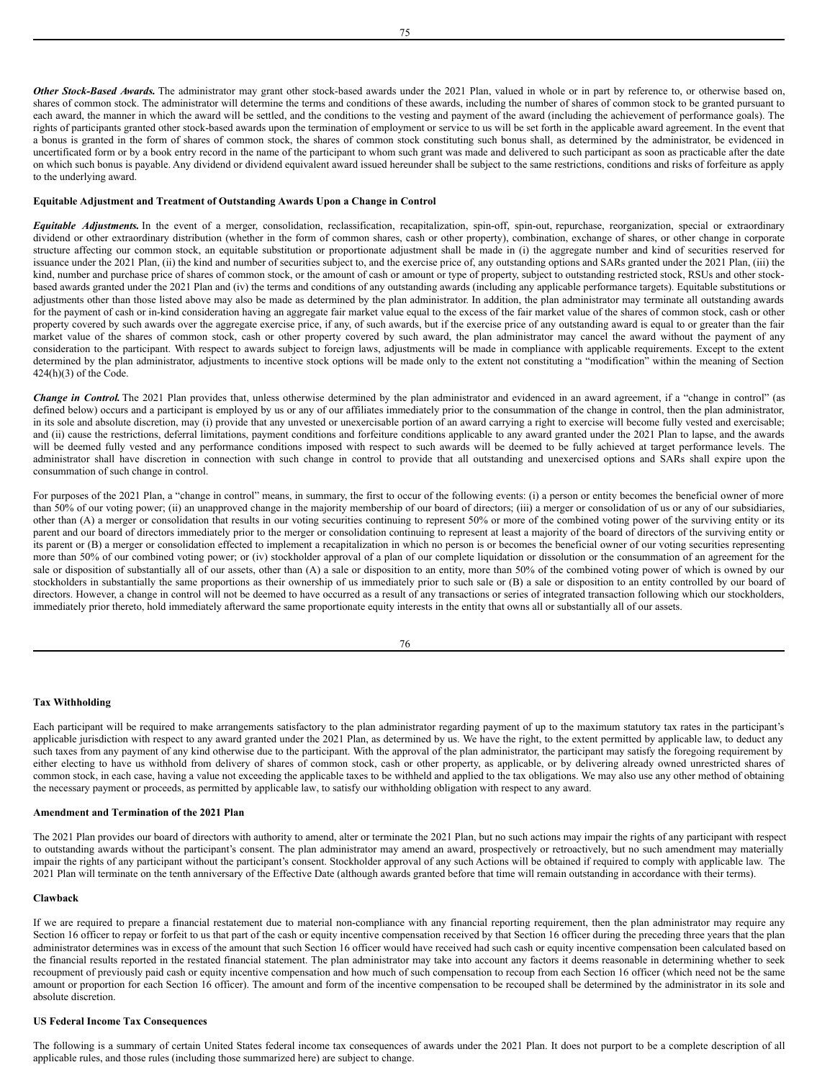*Other Stock-Based Awards.* The administrator may grant other stock-based awards under the 2021 Plan, valued in whole or in part by reference to, or otherwise based on, shares of common stock. The administrator will determine the terms and conditions of these awards, including the number of shares of common stock to be granted pursuant to each award, the manner in which the award will be settled, and the conditions to the vesting and payment of the award (including the achievement of performance goals). The rights of participants granted other stock-based awards upon the termination of employment or service to us will be set forth in the applicable award agreement. In the event that a bonus is granted in the form of shares of common stock, the shares of common stock constituting such bonus shall, as determined by the administrator, be evidenced in uncertificated form or by a book entry record in the name of the participant to whom such grant was made and delivered to such participant as soon as practicable after the date on which such bonus is payable. Any dividend or dividend equivalent award issued hereunder shall be subject to the same restrictions, conditions and risks of forfeiture as apply to the underlying award.

## **Equitable Adjustment and Treatment of Outstanding Awards Upon a Change in Control**

*Equitable Adjustments.* In the event of a merger, consolidation, reclassification, recapitalization, spin-off, spin-out, repurchase, reorganization, special or extraordinary dividend or other extraordinary distribution (whether in the form of common shares, cash or other property), combination, exchange of shares, or other change in corporate structure affecting our common stock, an equitable substitution or proportionate adjustment shall be made in (i) the aggregate number and kind of securities reserved for issuance under the 2021 Plan, (ii) the kind and number of securities subject to, and the exercise price of, any outstanding options and SARs granted under the 2021 Plan, (iii) the kind, number and purchase price of shares of common stock, or the amount of cash or amount or type of property, subject to outstanding restricted stock, RSUs and other stockbased awards granted under the 2021 Plan and (iv) the terms and conditions of any outstanding awards (including any applicable performance targets). Equitable substitutions or adjustments other than those listed above may also be made as determined by the plan administrator. In addition, the plan administrator may terminate all outstanding awards for the payment of cash or in-kind consideration having an aggregate fair market value equal to the excess of the fair market value of the shares of common stock, cash or other property covered by such awards over the aggregate exercise price, if any, of such awards, but if the exercise price of any outstanding award is equal to or greater than the fair market value of the shares of common stock, cash or other property covered by such award, the plan administrator may cancel the award without the payment of any consideration to the participant. With respect to awards subject to foreign laws, adjustments will be made in compliance with applicable requirements. Except to the extent determined by the plan administrator, adjustments to incentive stock options will be made only to the extent not constituting a "modification" within the meaning of Section 424(h)(3) of the Code.

*Change in Control.* The 2021 Plan provides that, unless otherwise determined by the plan administrator and evidenced in an award agreement, if a "change in control" (as defined below) occurs and a participant is employed by us or any of our affiliates immediately prior to the consummation of the change in control, then the plan administrator, in its sole and absolute discretion, may (i) provide that any unvested or unexercisable portion of an award carrying a right to exercise will become fully vested and exercisable; and (ii) cause the restrictions, deferral limitations, payment conditions and forfeiture conditions applicable to any award granted under the 2021 Plan to lapse, and the awards will be deemed fully vested and any performance conditions imposed with respect to such awards will be deemed to be fully achieved at target performance levels. The administrator shall have discretion in connection with such change in control to provide that all outstanding and unexercised options and SARs shall expire upon the consummation of such change in control.

For purposes of the 2021 Plan, a "change in control" means, in summary, the first to occur of the following events: (i) a person or entity becomes the beneficial owner of more than 50% of our voting power; (ii) an unapproved change in the majority membership of our board of directors; (iii) a merger or consolidation of us or any of our subsidiaries, other than (A) a merger or consolidation that results in our voting securities continuing to represent 50% or more of the combined voting power of the surviving entity or its parent and our board of directors immediately prior to the merger or consolidation continuing to represent at least a majority of the board of directors of the surviving entity or its parent or (B) a merger or consolidation effected to implement a recapitalization in which no person is or becomes the beneficial owner of our voting securities representing more than 50% of our combined voting power; or (iv) stockholder approval of a plan of our complete liquidation or dissolution or the consummation of an agreement for the sale or disposition of substantially all of our assets, other than  $(A)$  a sale or disposition to an entity, more than 50% of the combined voting power of which is owned by our stockholders in substantially the same proportions as their ownership of us immediately prior to such sale or (B) a sale or disposition to an entity controlled by our board of directors. However, a change in control will not be deemed to have occurred as a result of any transactions or series of integrated transaction following which our stockholders, immediately prior thereto, hold immediately afterward the same proportionate equity interests in the entity that owns all or substantially all of our assets.

| I<br>×<br>٧ |
|-------------|

#### **Tax Withholding**

Each participant will be required to make arrangements satisfactory to the plan administrator regarding payment of up to the maximum statutory tax rates in the participant's applicable jurisdiction with respect to any award granted under the 2021 Plan, as determined by us. We have the right, to the extent permitted by applicable law, to deduct any such taxes from any payment of any kind otherwise due to the participant. With the approval of the plan administrator, the participant may satisfy the foregoing requirement by either electing to have us withhold from delivery of shares of common stock, cash or other property, as applicable, or by delivering already owned unrestricted shares of common stock, in each case, having a value not exceeding the applicable taxes to be withheld and applied to the tax obligations. We may also use any other method of obtaining the necessary payment or proceeds, as permitted by applicable law, to satisfy our withholding obligation with respect to any award.

#### **Amendment and Termination of the 2021 Plan**

The 2021 Plan provides our board of directors with authority to amend, alter or terminate the 2021 Plan, but no such actions may impair the rights of any participant with respect to outstanding awards without the participant's consent. The plan administrator may amend an award, prospectively or retroactively, but no such amendment may materially impair the rights of any participant without the participant's consent. Stockholder approval of any such Actions will be obtained if required to comply with applicable law. The 2021 Plan will terminate on the tenth anniversary of the Effective Date (although awards granted before that time will remain outstanding in accordance with their terms).

#### **Clawback**

If we are required to prepare a financial restatement due to material non-compliance with any financial reporting requirement, then the plan administrator may require any Section 16 officer to repay or forfeit to us that part of the cash or equity incentive compensation received by that Section 16 officer during the preceding three years that the plan administrator determines was in excess of the amount that such Section 16 officer would have received had such cash or equity incentive compensation been calculated based on the financial results reported in the restated financial statement. The plan administrator may take into account any factors it deems reasonable in determining whether to seek recoupment of previously paid cash or equity incentive compensation and how much of such compensation to recoup from each Section 16 officer (which need not be the same amount or proportion for each Section 16 officer). The amount and form of the incentive compensation to be recouped shall be determined by the administrator in its sole and absolute discretion.

## **US Federal Income Tax Consequences**

The following is a summary of certain United States federal income tax consequences of awards under the 2021 Plan. It does not purport to be a complete description of all applicable rules, and those rules (including those summarized here) are subject to change.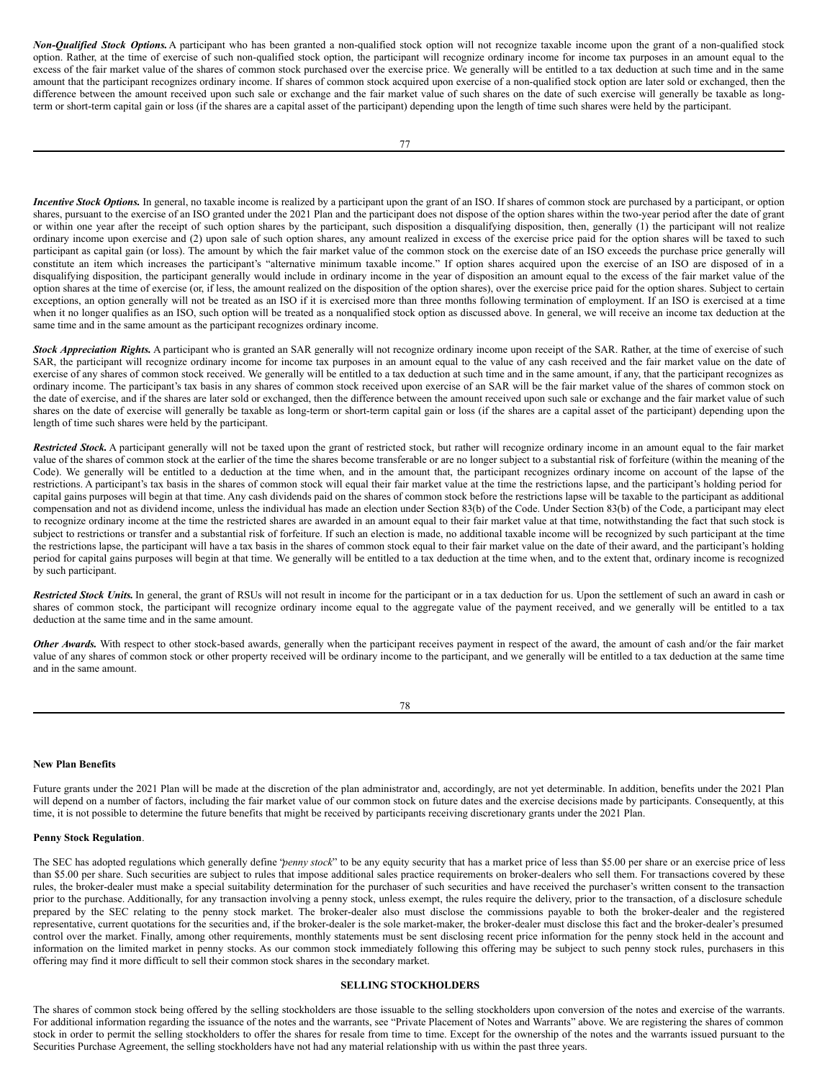*Non-Qualified Stock Options.* A participant who has been granted a non-qualified stock option will not recognize taxable income upon the grant of a non-qualified stock option. Rather, at the time of exercise of such non-qualified stock option, the participant will recognize ordinary income for income tax purposes in an amount equal to the excess of the fair market value of the shares of common stock purchased over the exercise price. We generally will be entitled to a tax deduction at such time and in the same amount that the participant recognizes ordinary income. If shares of common stock acquired upon exercise of a non-qualified stock option are later sold or exchanged, then the difference between the amount received upon such sale or exchange and the fair market value of such shares on the date of such exercise will generally be taxable as longterm or short-term capital gain or loss (if the shares are a capital asset of the participant) depending upon the length of time such shares were held by the participant.

*Incentive Stock Options*. In general, no taxable income is realized by a participant upon the grant of an ISO. If shares of common stock are purchased by a participant, or option shares, pursuant to the exercise of an ISO granted under the 2021 Plan and the participant does not dispose of the option shares within the two-year period after the date of grant or within one year after the receipt of such option shares by the participant, such disposition a disqualifying disposition, then, generally (1) the participant will not realize ordinary income upon exercise and (2) upon sale of such option shares, any amount realized in excess of the exercise price paid for the option shares will be taxed to such participant as capital gain (or loss). The amount by which the fair market value of the common stock on the exercise date of an ISO exceeds the purchase price generally will constitute an item which increases the participant's "alternative minimum taxable income." If option shares acquired upon the exercise of an ISO are disposed of in a disqualifying disposition, the participant generally would include in ordinary income in the year of disposition an amount equal to the excess of the fair market value of the option shares at the time of exercise (or, if less, the amount realized on the disposition of the option shares), over the exercise price paid for the option shares. Subject to certain exceptions, an option generally will not be treated as an ISO if it is exercised more than three months following termination of employment. If an ISO is exercised at a time when it no longer qualifies as an ISO, such option will be treated as a nonqualified stock option as discussed above. In general, we will receive an income tax deduction at the same time and in the same amount as the participant recognizes ordinary income.

**Stock Appreciation Rights.** A participant who is granted an SAR generally will not recognize ordinary income upon receipt of the SAR. Rather, at the time of exercise of such SAR, the participant will recognize ordinary income for income tax purposes in an amount equal to the value of any cash received and the fair market value on the date of exercise of any shares of common stock received. We generally will be entitled to a tax deduction at such time and in the same amount, if any, that the participant recognizes as ordinary income. The participant's tax basis in any shares of common stock received upon exercise of an SAR will be the fair market value of the shares of common stock on the date of exercise, and if the shares are later sold or exchanged, then the difference between the amount received upon such sale or exchange and the fair market value of such shares on the date of exercise will generally be taxable as long-term or short-term capital gain or loss (if the shares are a capital asset of the participant) depending upon the length of time such shares were held by the participant.

*Restricted Stock.* A participant generally will not be taxed upon the grant of restricted stock, but rather will recognize ordinary income in an amount equal to the fair market value of the shares of common stock at the earlier of the time the shares become transferable or are no longer subject to a substantial risk of forfeiture (within the meaning of the Code). We generally will be entitled to a deduction at the time when, and in the amount that, the participant recognizes ordinary income on account of the lapse of the restrictions. A participant's tax basis in the shares of common stock will equal their fair market value at the time the restrictions lapse, and the participant's holding period for capital gains purposes will begin at that time. Any cash dividends paid on the shares of common stock before the restrictions lapse will be taxable to the participant as additional compensation and not as dividend income, unless the individual has made an election under Section 83(b) of the Code. Under Section 83(b) of the Code, a participant may elect to recognize ordinary income at the time the restricted shares are awarded in an amount equal to their fair market value at that time, notwithstanding the fact that such stock is subject to restrictions or transfer and a substantial risk of forfeiture. If such an election is made, no additional taxable income will be recognized by such participant at the time the restrictions lapse, the participant will have a tax basis in the shares of common stock equal to their fair market value on the date of their award, and the participant's holding period for capital gains purposes will begin at that time. We generally will be entitled to a tax deduction at the time when, and to the extent that, ordinary income is recognized by such participant.

*Restricted Stock Units*. In general, the grant of RSUs will not result in income for the participant or in a tax deduction for us. Upon the settlement of such an award in cash or shares of common stock, the participant will recognize ordinary income equal to the aggregate value of the payment received, and we generally will be entitled to a tax deduction at the same time and in the same amount.

*Other Awards.* With respect to other stock-based awards, generally when the participant receives payment in respect of the award, the amount of cash and/or the fair market value of any shares of common stock or other property received will be ordinary income to the participant, and we generally will be entitled to a tax deduction at the same time and in the same amount.

#### **New Plan Benefits**

Future grants under the 2021 Plan will be made at the discretion of the plan administrator and, accordingly, are not yet determinable. In addition, benefits under the 2021 Plan will depend on a number of factors, including the fair market value of our common stock on future dates and the exercise decisions made by participants. Consequently, at this time, it is not possible to determine the future benefits that might be received by participants receiving discretionary grants under the 2021 Plan.

# **Penny Stock Regulation**.

The SEC has adopted regulations which generally define "*penny stock*" to be any equity security that has a market price of less than \$5.00 per share or an exercise price of less than \$5.00 per share. Such securities are subject to rules that impose additional sales practice requirements on broker-dealers who sell them. For transactions covered by these rules, the broker-dealer must make a special suitability determination for the purchaser of such securities and have received the purchaser's written consent to the transaction prior to the purchase. Additionally, for any transaction involving a penny stock, unless exempt, the rules require the delivery, prior to the transaction, of a disclosure schedule prepared by the SEC relating to the penny stock market. The broker-dealer also must disclose the commissions payable to both the broker-dealer and the registered representative, current quotations for the securities and, if the broker-dealer is the sole market-maker, the broker-dealer must disclose this fact and the broker-dealer's presumed control over the market. Finally, among other requirements, monthly statements must be sent disclosing recent price information for the penny stock held in the account and information on the limited market in penny stocks. As our common stock immediately following this offering may be subject to such penny stock rules, purchasers in this offering may find it more difficult to sell their common stock shares in the secondary market.

# <span id="page-46-0"></span>**SELLING STOCKHOLDERS**

The shares of common stock being offered by the selling stockholders are those issuable to the selling stockholders upon conversion of the notes and exercise of the warrants. For additional information regarding the issuance of the notes and the warrants, see "Private Placement of Notes and Warrants" above. We are registering the shares of common stock in order to permit the selling stockholders to offer the shares for resale from time to time. Except for the ownership of the notes and the warrants issued pursuant to the Securities Purchase Agreement, the selling stockholders have not had any material relationship with us within the past three years.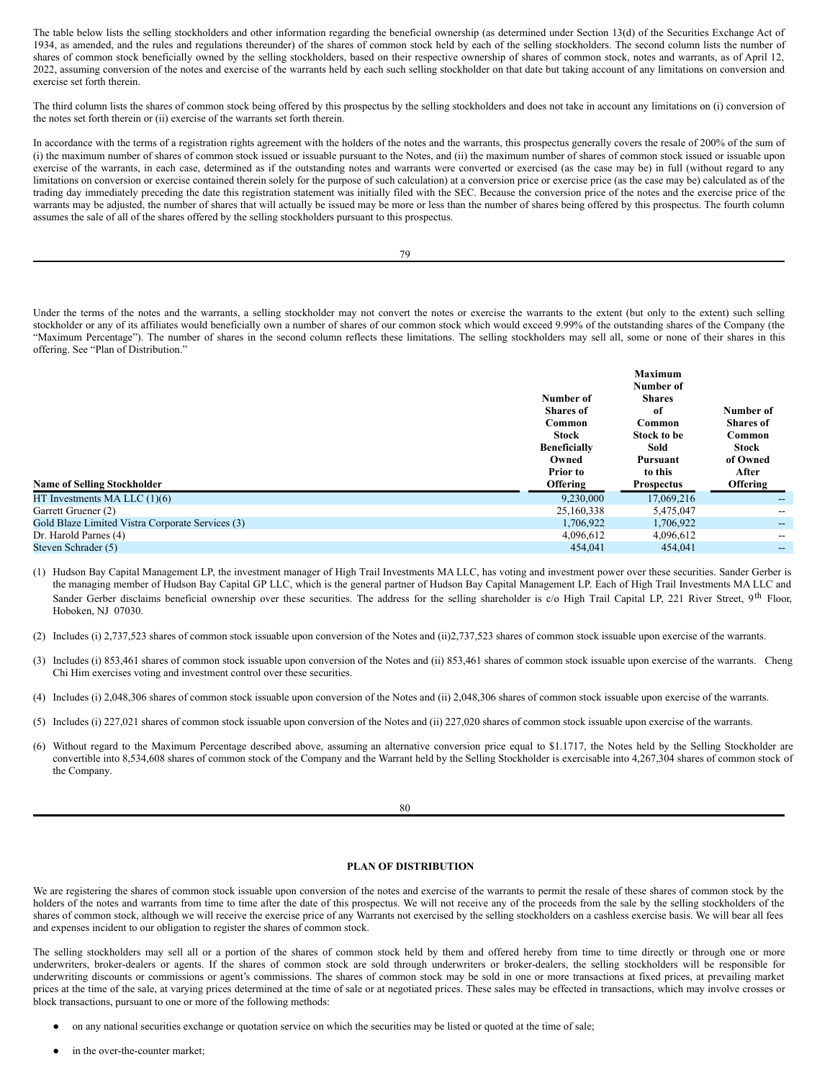The table below lists the selling stockholders and other information regarding the beneficial ownership (as determined under Section 13(d) of the Securities Exchange Act of 1934, as amended, and the rules and regulations thereunder) of the shares of common stock held by each of the selling stockholders. The second column lists the number of shares of common stock beneficially owned by the selling stockholders, based on their respective ownership of shares of common stock, notes and warrants, as of April 12, 2022, assuming conversion of the notes and exercise of the warrants held by each such selling stockholder on that date but taking account of any limitations on conversion and exercise set forth therein.

The third column lists the shares of common stock being offered by this prospectus by the selling stockholders and does not take in account any limitations on (i) conversion of the notes set forth therein or (ii) exercise of the warrants set forth therein.

In accordance with the terms of a registration rights agreement with the holders of the notes and the warrants, this prospectus generally covers the resale of 200% of the sum of (i) the maximum number of shares of common stock issued or issuable pursuant to the Notes, and (ii) the maximum number of shares of common stock issued or issuable upon exercise of the warrants, in each case, determined as if the outstanding notes and warrants were converted or exercised (as the case may be) in full (without regard to any limitations on conversion or exercise contained therein solely for the purpose of such calculation) at a conversion price or exercise price (as the case may be) calculated as of the trading day immediately preceding the date this registration statement was initially filed with the SEC. Because the conversion price of the notes and the exercise price of the warrants may be adjusted, the number of shares that will actually be issued may be more or less than the number of shares being offered by this prospectus. The fourth column assumes the sale of all of the shares offered by the selling stockholders pursuant to this prospectus.

| e v |                    |
|-----|--------------------|
|     | ¢<br>۰.<br>۰,<br>٧ |

Under the terms of the notes and the warrants, a selling stockholder may not convert the notes or exercise the warrants to the extent (but only to the extent) such selling stockholder or any of its affiliates would beneficially own a number of shares of our common stock which would exceed 9.99% of the outstanding shares of the Company (the "Maximum Percentage"). The number of shares in the second column reflects these limitations. The selling stockholders may sell all, some or none of their shares in this offering. See "Plan of Distribution."

| <b>Name of Selling Stockholder</b>               | Number of<br><b>Shares</b> of<br>Common<br><b>Stock</b><br><b>Beneficially</b><br>Owned<br>Prior to<br>Offering | <b>Maximum</b><br>Number of<br><b>Shares</b><br>of<br>Common<br><b>Stock to be</b><br>Sold<br><b>Pursuant</b><br>to this<br><b>Prospectus</b> | Number of<br><b>Shares</b> of<br>Common<br><b>Stock</b><br>of Owned<br>After<br>Offering |
|--------------------------------------------------|-----------------------------------------------------------------------------------------------------------------|-----------------------------------------------------------------------------------------------------------------------------------------------|------------------------------------------------------------------------------------------|
| HT Investments MA LLC $(1)(6)$                   | 9,230,000                                                                                                       | 17,069,216                                                                                                                                    |                                                                                          |
| Garrett Gruener (2)                              | 25,160,338                                                                                                      | 5,475,047                                                                                                                                     | $\qquad \qquad -$                                                                        |
|                                                  |                                                                                                                 |                                                                                                                                               | --                                                                                       |
| Gold Blaze Limited Vistra Corporate Services (3) | 1,706,922                                                                                                       | 1,706,922                                                                                                                                     | $- -$                                                                                    |
| Dr. Harold Parnes (4)                            | 4.096.612                                                                                                       | 4,096,612                                                                                                                                     | --                                                                                       |
| Steven Schrader (5)                              | 454,041                                                                                                         | 454,041                                                                                                                                       | $- -$                                                                                    |
|                                                  |                                                                                                                 |                                                                                                                                               |                                                                                          |

- (1) Hudson Bay Capital Management LP, the investment manager of High Trail Investments MA LLC, has voting and investment power over these securities. Sander Gerber is the managing member of Hudson Bay Capital GP LLC, which is the general partner of Hudson Bay Capital Management LP. Each of High Trail Investments MA LLC and Sander Gerber disclaims beneficial ownership over these securities. The address for the selling shareholder is c/o High Trail Capital LP, 221 River Street, 9<sup>th</sup> Floor, Hoboken, NJ 07030.
- (2) Includes (i) 2,737,523 shares of common stock issuable upon conversion of the Notes and (ii)2,737,523 shares of common stock issuable upon exercise of the warrants.
- (3) Includes (i) 853,461 shares of common stock issuable upon conversion of the Notes and (ii) 853,461 shares of common stock issuable upon exercise of the warrants. Cheng Chi Him exercises voting and investment control over these securities.
- (4) Includes (i) 2,048,306 shares of common stock issuable upon conversion of the Notes and (ii) 2,048,306 shares of common stock issuable upon exercise of the warrants.
- (5) Includes (i) 227,021 shares of common stock issuable upon conversion of the Notes and (ii) 227,020 shares of common stock issuable upon exercise of the warrants.
- (6) Without regard to the Maximum Percentage described above, assuming an alternative conversion price equal to \$1.1717, the Notes held by the Selling Stockholder are convertible into 8,534,608 shares of common stock of the Company and the Warrant held by the Selling Stockholder is exercisable into 4,267,304 shares of common stock of the Company.

#### <span id="page-47-0"></span>**PLAN OF DISTRIBUTION**

We are registering the shares of common stock issuable upon conversion of the notes and exercise of the warrants to permit the resale of these shares of common stock by the holders of the notes and warrants from time to time after the date of this prospectus. We will not receive any of the proceeds from the sale by the selling stockholders of the shares of common stock, although we will receive the exercise price of any Warrants not exercised by the selling stockholders on a cashless exercise basis. We will bear all fees and expenses incident to our obligation to register the shares of common stock.

The selling stockholders may sell all or a portion of the shares of common stock held by them and offered hereby from time to time directly or through one or more underwriters, broker-dealers or agents. If the shares of common stock are sold through underwriters or broker-dealers, the selling stockholders will be responsible for underwriting discounts or commissions or agent's commissions. The shares of common stock may be sold in one or more transactions at fixed prices, at prevailing market prices at the time of the sale, at varying prices determined at the time of sale or at negotiated prices. These sales may be effected in transactions, which may involve crosses or block transactions, pursuant to one or more of the following methods:

- on any national securities exchange or quotation service on which the securities may be listed or quoted at the time of sale;
- in the over-the-counter market: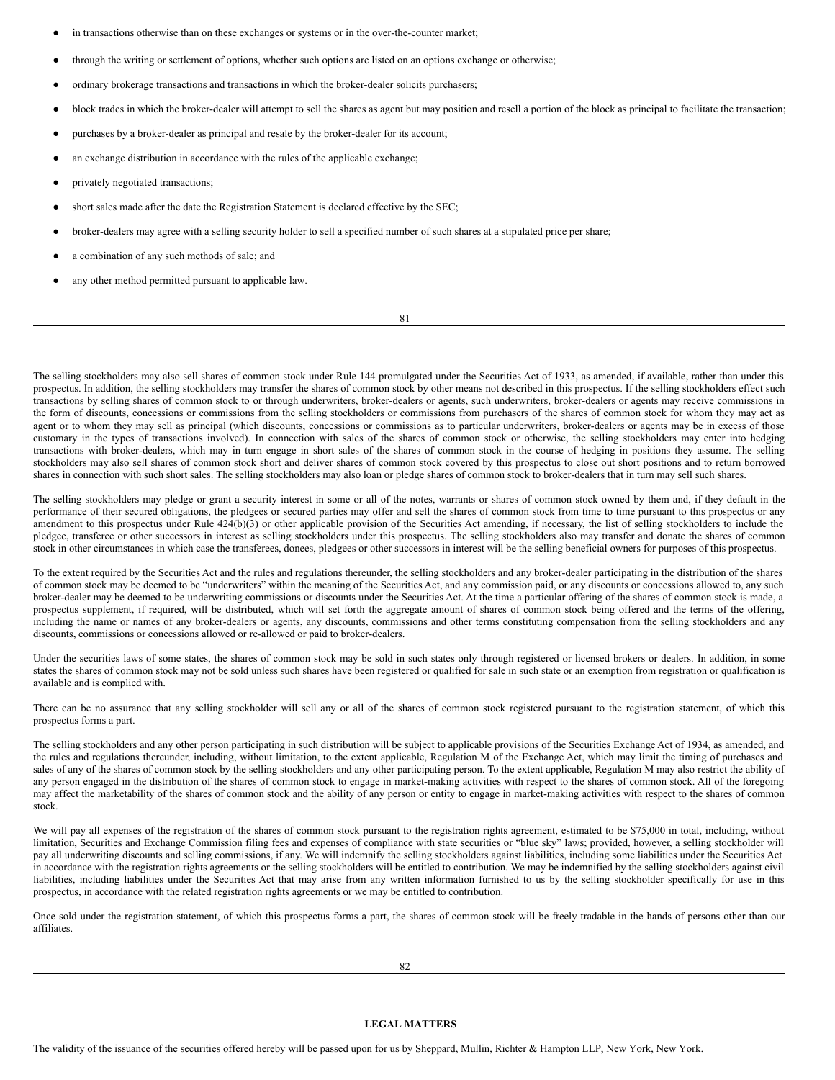- in transactions otherwise than on these exchanges or systems or in the over-the-counter market;
- through the writing or settlement of options, whether such options are listed on an options exchange or otherwise;
- ordinary brokerage transactions and transactions in which the broker-dealer solicits purchasers;
- block trades in which the broker-dealer will attempt to sell the shares as agent but may position and resell a portion of the block as principal to facilitate the transaction;
- purchases by a broker-dealer as principal and resale by the broker-dealer for its account;
- an exchange distribution in accordance with the rules of the applicable exchange;
- privately negotiated transactions;
- short sales made after the date the Registration Statement is declared effective by the SEC;
- broker-dealers may agree with a selling security holder to sell a specified number of such shares at a stipulated price per share;
- a combination of any such methods of sale; and
- any other method permitted pursuant to applicable law.

81

The selling stockholders may also sell shares of common stock under Rule 144 promulgated under the Securities Act of 1933, as amended, if available, rather than under this prospectus. In addition, the selling stockholders may transfer the shares of common stock by other means not described in this prospectus. If the selling stockholders effect such transactions by selling shares of common stock to or through underwriters, broker-dealers or agents, such underwriters, broker-dealers or agents may receive commissions in the form of discounts, concessions or commissions from the selling stockholders or commissions from purchasers of the shares of common stock for whom they may act as agent or to whom they may sell as principal (which discounts, concessions or commissions as to particular underwriters, broker-dealers or agents may be in excess of those customary in the types of transactions involved). In connection with sales of the shares of common stock or otherwise, the selling stockholders may enter into hedging transactions with broker-dealers, which may in turn engage in short sales of the shares of common stock in the course of hedging in positions they assume. The selling stockholders may also sell shares of common stock short and deliver shares of common stock covered by this prospectus to close out short positions and to return borrowed shares in connection with such short sales. The selling stockholders may also loan or pledge shares of common stock to broker-dealers that in turn may sell such shares.

The selling stockholders may pledge or grant a security interest in some or all of the notes, warrants or shares of common stock owned by them and, if they default in the performance of their secured obligations, the pledgees or secured parties may offer and sell the shares of common stock from time to time pursuant to this prospectus or any amendment to this prospectus under Rule 424(b)(3) or other applicable provision of the Securities Act amending, if necessary, the list of selling stockholders to include the pledgee, transferee or other successors in interest as selling stockholders under this prospectus. The selling stockholders also may transfer and donate the shares of common stock in other circumstances in which case the transferees, donees, pledgees or other successors in interest will be the selling beneficial owners for purposes of this prospectus.

To the extent required by the Securities Act and the rules and regulations thereunder, the selling stockholders and any broker-dealer participating in the distribution of the shares of common stock may be deemed to be "underwriters" within the meaning of the Securities Act, and any commission paid, or any discounts or concessions allowed to, any such broker-dealer may be deemed to be underwriting commissions or discounts under the Securities Act. At the time a particular offering of the shares of common stock is made, a prospectus supplement, if required, will be distributed, which will set forth the aggregate amount of shares of common stock being offered and the terms of the offering, including the name or names of any broker-dealers or agents, any discounts, commissions and other terms constituting compensation from the selling stockholders and any discounts, commissions or concessions allowed or re-allowed or paid to broker-dealers.

Under the securities laws of some states, the shares of common stock may be sold in such states only through registered or licensed brokers or dealers. In addition, in some states the shares of common stock may not be sold unless such shares have been registered or qualified for sale in such state or an exemption from registration or qualification is available and is complied with.

There can be no assurance that any selling stockholder will sell any or all of the shares of common stock registered pursuant to the registration statement, of which this prospectus forms a part.

The selling stockholders and any other person participating in such distribution will be subject to applicable provisions of the Securities Exchange Act of 1934, as amended, and the rules and regulations thereunder, including, without limitation, to the extent applicable, Regulation M of the Exchange Act, which may limit the timing of purchases and sales of any of the shares of common stock by the selling stockholders and any other participating person. To the extent applicable, Regulation M may also restrict the ability of any person engaged in the distribution of the shares of common stock to engage in market-making activities with respect to the shares of common stock. All of the foregoing may affect the marketability of the shares of common stock and the ability of any person or entity to engage in market-making activities with respect to the shares of common stock.

We will pay all expenses of the registration of the shares of common stock pursuant to the registration rights agreement, estimated to be \$75,000 in total, including, without limitation, Securities and Exchange Commission filing fees and expenses of compliance with state securities or "blue sky" laws; provided, however, a selling stockholder will pay all underwriting discounts and selling commissions, if any. We will indemnify the selling stockholders against liabilities, including some liabilities under the Securities Act in accordance with the registration rights agreements or the selling stockholders will be entitled to contribution. We may be indemnified by the selling stockholders against civil liabilities, including liabilities under the Securities Act that may arise from any written information furnished to us by the selling stockholder specifically for use in this prospectus, in accordance with the related registration rights agreements or we may be entitled to contribution.

<span id="page-48-0"></span>Once sold under the registration statement, of which this prospectus forms a part, the shares of common stock will be freely tradable in the hands of persons other than our affiliates.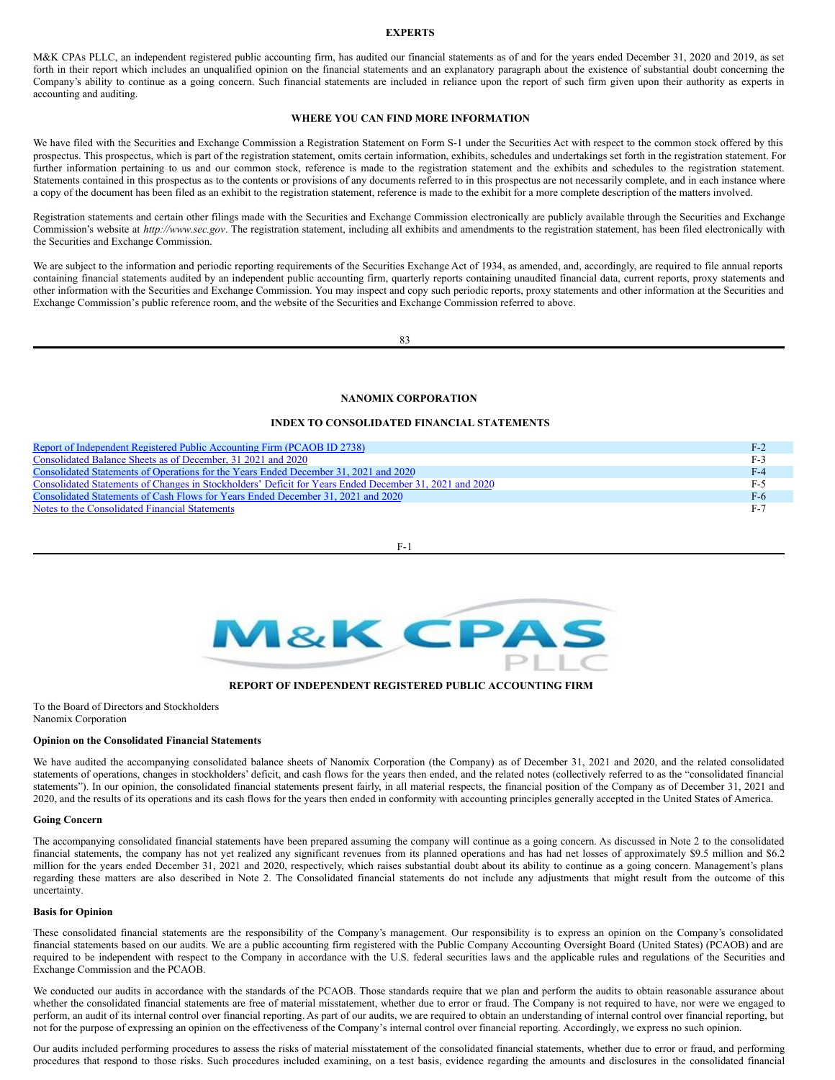#### <span id="page-49-0"></span>**EXPERTS**

M&K CPAs PLLC, an independent registered public accounting firm, has audited our financial statements as of and for the years ended December 31, 2020 and 2019, as set forth in their report which includes an unqualified opinion on the financial statements and an explanatory paragraph about the existence of substantial doubt concerning the Company's ability to continue as a going concern. Such financial statements are included in reliance upon the report of such firm given upon their authority as experts in accounting and auditing.

# <span id="page-49-1"></span>**WHERE YOU CAN FIND MORE INFORMATION**

We have filed with the Securities and Exchange Commission a Registration Statement on Form S-1 under the Securities Act with respect to the common stock offered by this prospectus. This prospectus, which is part of the registration statement, omits certain information, exhibits, schedules and undertakings set forth in the registration statement. For further information pertaining to us and our common stock, reference is made to the registration statement and the exhibits and schedules to the registration statement. Statements contained in this prospectus as to the contents or provisions of any documents referred to in this prospectus are not necessarily complete, and in each instance where a copy of the document has been filed as an exhibit to the registration statement, reference is made to the exhibit for a more complete description of the matters involved.

Registration statements and certain other filings made with the Securities and Exchange Commission electronically are publicly available through the Securities and Exchange Commission's website at *http://www.sec.gov*. The registration statement, including all exhibits and amendments to the registration statement, has been filed electronically with the Securities and Exchange Commission.

We are subject to the information and periodic reporting requirements of the Securities Exchange Act of 1934, as amended, and, accordingly, are required to file annual reports containing financial statements audited by an independent public accounting firm, quarterly reports containing unaudited financial data, current reports, proxy statements and other information with the Securities and Exchange Commission. You may inspect and copy such periodic reports, proxy statements and other information at the Securities and Exchange Commission's public reference room, and the website of the Securities and Exchange Commission referred to above.

83

## **NANOMIX CORPORATION**

## <span id="page-49-2"></span>**INDEX TO CONSOLIDATED FINANCIAL STATEMENTS**

| Report of Independent Registered Public Accounting Firm (PCAOB ID 2738)                                | $F-2$ |
|--------------------------------------------------------------------------------------------------------|-------|
| Consolidated Balance Sheets as of December, 31 2021 and 2020                                           | $F-3$ |
| Consolidated Statements of Operations for the Years Ended December 31, 2021 and 2020                   | $F-4$ |
| Consolidated Statements of Changes in Stockholders' Deficit for Years Ended December 31, 2021 and 2020 | $F-5$ |
| Consolidated Statements of Cash Flows for Years Ended December 31, 2021 and 2020                       | $F-6$ |
| Notes to the Consolidated Financial Statements                                                         | $F-7$ |

F-1



## <span id="page-49-3"></span>**REPORT OF INDEPENDENT REGISTERED PUBLIC ACCOUNTING FIRM**

To the Board of Directors and Stockholders Nanomix Corporation

## **Opinion on the Consolidated Financial Statements**

We have audited the accompanying consolidated balance sheets of Nanomix Corporation (the Company) as of December 31, 2021 and 2020, and the related consolidated statements of operations, changes in stockholders' deficit, and cash flows for the years then ended, and the related notes (collectively referred to as the "consolidated financial statements"). In our opinion, the consolidated financial statements present fairly, in all material respects, the financial position of the Company as of December 31, 2021 and 2020, and the results of its operations and its cash flows for the years then ended in conformity with accounting principles generally accepted in the United States of America.

#### **Going Concern**

The accompanying consolidated financial statements have been prepared assuming the company will continue as a going concern. As discussed in Note 2 to the consolidated financial statements, the company has not yet realized any significant revenues from its planned operations and has had net losses of approximately \$9.5 million and \$6.2 million for the years ended December 31, 2021 and 2020, respectively, which raises substantial doubt about its ability to continue as a going concern. Management's plans regarding these matters are also described in Note 2. The Consolidated financial statements do not include any adjustments that might result from the outcome of this uncertainty.

#### **Basis for Opinion**

These consolidated financial statements are the responsibility of the Company's management. Our responsibility is to express an opinion on the Company's consolidated financial statements based on our audits. We are a public accounting firm registered with the Public Company Accounting Oversight Board (United States) (PCAOB) and are required to be independent with respect to the Company in accordance with the U.S. federal securities laws and the applicable rules and regulations of the Securities and Exchange Commission and the PCAOB.

We conducted our audits in accordance with the standards of the PCAOB. Those standards require that we plan and perform the audits to obtain reasonable assurance about whether the consolidated financial statements are free of material misstatement, whether due to error or fraud. The Company is not required to have, nor were we engaged to perform, an audit of its internal control over financial reporting. As part of our audits, we are required to obtain an understanding of internal control over financial reporting, but not for the purpose of expressing an opinion on the effectiveness of the Company's internal control over financial reporting. Accordingly, we express no such opinion.

Our audits included performing procedures to assess the risks of material misstatement of the consolidated financial statements, whether due to error or fraud, and performing procedures that respond to those risks. Such procedures included examining, on a test basis, evidence regarding the amounts and disclosures in the consolidated financial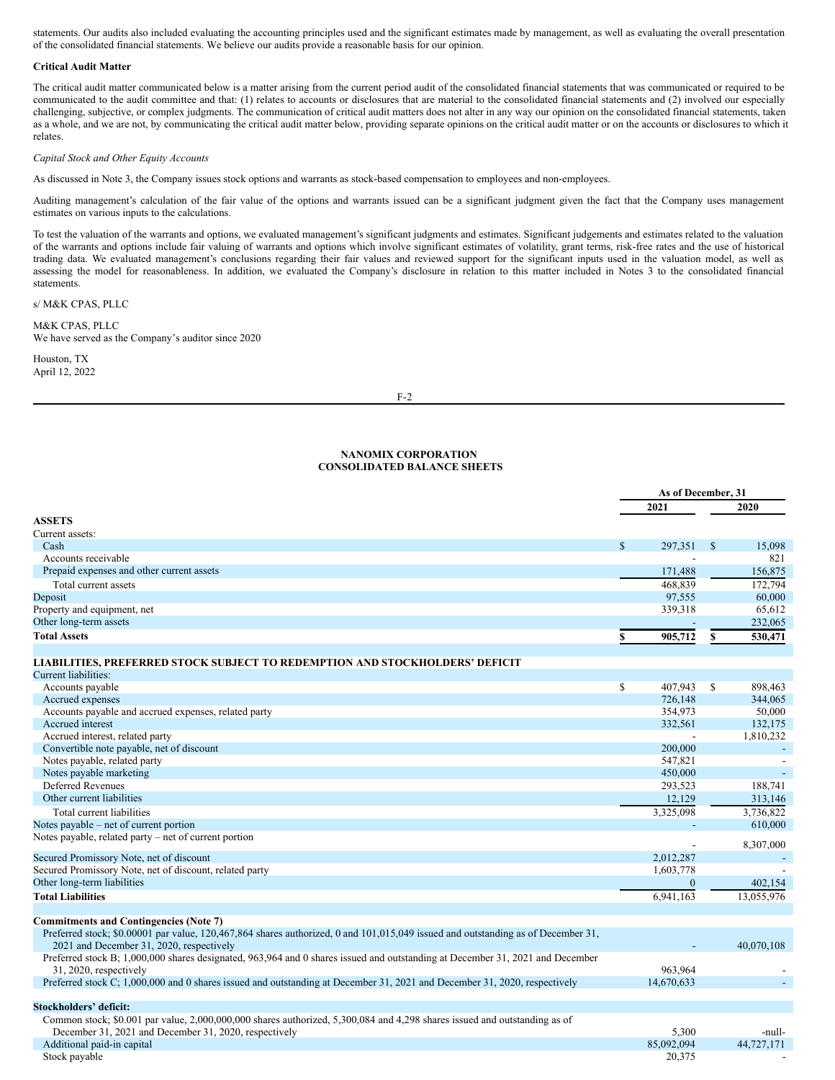statements. Our audits also included evaluating the accounting principles used and the significant estimates made by management, as well as evaluating the overall presentation of the consolidated financial statements. We believe our audits provide a reasonable basis for our opinion.

# **Critical Audit Matter**

The critical audit matter communicated below is a matter arising from the current period audit of the consolidated financial statements that was communicated or required to be communicated to the audit committee and that: (1) relates to accounts or disclosures that are material to the consolidated financial statements and (2) involved our especially challenging, subjective, or complex judgments. The communication of critical audit matters does not alter in any way our opinion on the consolidated financial statements, taken as a whole, and we are not, by communicating the critical audit matter below, providing separate opinions on the critical audit matter or on the accounts or disclosures to which it relates.

# *Capital Stock and Other Equity Accounts*

As discussed in Note 3, the Company issues stock options and warrants as stock-based compensation to employees and non-employees.

Auditing management's calculation of the fair value of the options and warrants issued can be a significant judgment given the fact that the Company uses management estimates on various inputs to the calculations.

To test the valuation of the warrants and options, we evaluated management's significant judgments and estimates. Significant judgements and estimates related to the valuation of the warrants and options include fair valuing of warrants and options which involve significant estimates of volatility, grant terms, risk-free rates and the use of historical trading data. We evaluated management's conclusions regarding their fair values and reviewed support for the significant inputs used in the valuation model, as well as assessing the model for reasonableness. In addition, we evaluated the Company's disclosure in relation to this matter included in Notes 3 to the consolidated financial statements.

s/ M&K CPAS, PLLC

M&K CPAS, PLLC We have served as the Company's auditor since 2020

Houston, TX April 12, 2022

F-2

# <span id="page-50-0"></span>**NANOMIX CORPORATION CONSOLIDATED BALANCE SHEETS**

|                                                                                                                                                                              |              | As of December, 31 |               |            |
|------------------------------------------------------------------------------------------------------------------------------------------------------------------------------|--------------|--------------------|---------------|------------|
|                                                                                                                                                                              |              | 2021               |               | 2020       |
| <b>ASSETS</b>                                                                                                                                                                |              |                    |               |            |
| Current assets:                                                                                                                                                              |              |                    |               |            |
| Cash                                                                                                                                                                         | $\mathbb{S}$ | 297,351            | \$            | 15,098     |
| Accounts receivable                                                                                                                                                          |              |                    |               | 821        |
| Prepaid expenses and other current assets                                                                                                                                    |              | 171,488            |               | 156,875    |
| Total current assets                                                                                                                                                         |              | 468.839            |               | 172,794    |
| Deposit                                                                                                                                                                      |              | 97,555             |               | 60,000     |
| Property and equipment, net                                                                                                                                                  |              | 339,318            |               | 65,612     |
| Other long-term assets                                                                                                                                                       |              |                    |               | 232,065    |
| <b>Total Assets</b>                                                                                                                                                          | \$           | 905,712            | \$            | 530,471    |
|                                                                                                                                                                              |              |                    |               |            |
| <b>LIABILITIES, PREFERRED STOCK SUBJECT TO REDEMPTION AND STOCKHOLDERS' DEFICIT</b>                                                                                          |              |                    |               |            |
| <b>Current liabilities:</b>                                                                                                                                                  |              |                    |               |            |
| Accounts payable                                                                                                                                                             | \$           | 407,943            | <sup>\$</sup> | 898,463    |
| Accrued expenses                                                                                                                                                             |              | 726.148            |               | 344,065    |
| Accounts payable and accrued expenses, related party                                                                                                                         |              | 354,973            |               | 50,000     |
| Accrued interest                                                                                                                                                             |              | 332,561            |               | 132,175    |
| Accrued interest, related party<br>Convertible note payable, net of discount                                                                                                 |              | 200,000            |               | 1,810,232  |
| Notes payable, related party                                                                                                                                                 |              | 547,821            |               |            |
| Notes payable marketing                                                                                                                                                      |              | 450,000            |               |            |
| <b>Deferred Revenues</b>                                                                                                                                                     |              | 293,523            |               | 188,741    |
| Other current liabilities                                                                                                                                                    |              | 12,129             |               | 313,146    |
| Total current liabilities                                                                                                                                                    |              | 3,325,098          |               | 3,736,822  |
| Notes payable – net of current portion                                                                                                                                       |              |                    |               | 610,000    |
| Notes payable, related party – net of current portion                                                                                                                        |              |                    |               |            |
|                                                                                                                                                                              |              |                    |               | 8,307,000  |
| Secured Promissory Note, net of discount                                                                                                                                     |              | 2,012,287          |               |            |
| Secured Promissory Note, net of discount, related party<br>Other long-term liabilities                                                                                       |              | 1,603,778          |               |            |
|                                                                                                                                                                              |              | $\mathbf{0}$       |               | 402,154    |
| <b>Total Liabilities</b>                                                                                                                                                     |              | 6,941,163          |               | 13,055,976 |
| <b>Commitments and Contingencies (Note 7)</b>                                                                                                                                |              |                    |               |            |
| Preferred stock; \$0.00001 par value, 120,467,864 shares authorized, 0 and 101,015,049 issued and outstanding as of December 31,<br>2021 and December 31, 2020, respectively |              |                    |               | 40.070.108 |
| Preferred stock B; 1,000,000 shares designated, 963,964 and 0 shares issued and outstanding at December 31, 2021 and December<br>31, 2020, respectively                      |              | 963.964            |               |            |
| Preferred stock C; 1,000,000 and 0 shares issued and outstanding at December 31, 2021 and December 31, 2020, respectively                                                    |              | 14,670,633         |               |            |
| Stockholders' deficit:                                                                                                                                                       |              |                    |               |            |
| Common stock; \$0.001 par value, 2,000,000,000 shares authorized, 5,300,084 and 4,298 shares issued and outstanding as of                                                    |              |                    |               |            |
| December 31, 2021 and December 31, 2020, respectively                                                                                                                        |              | 5.300              |               | -null-     |
| Additional paid-in capital                                                                                                                                                   |              | 85,092,094         |               | 44,727,171 |
| Stock payable                                                                                                                                                                |              | 20,375             |               |            |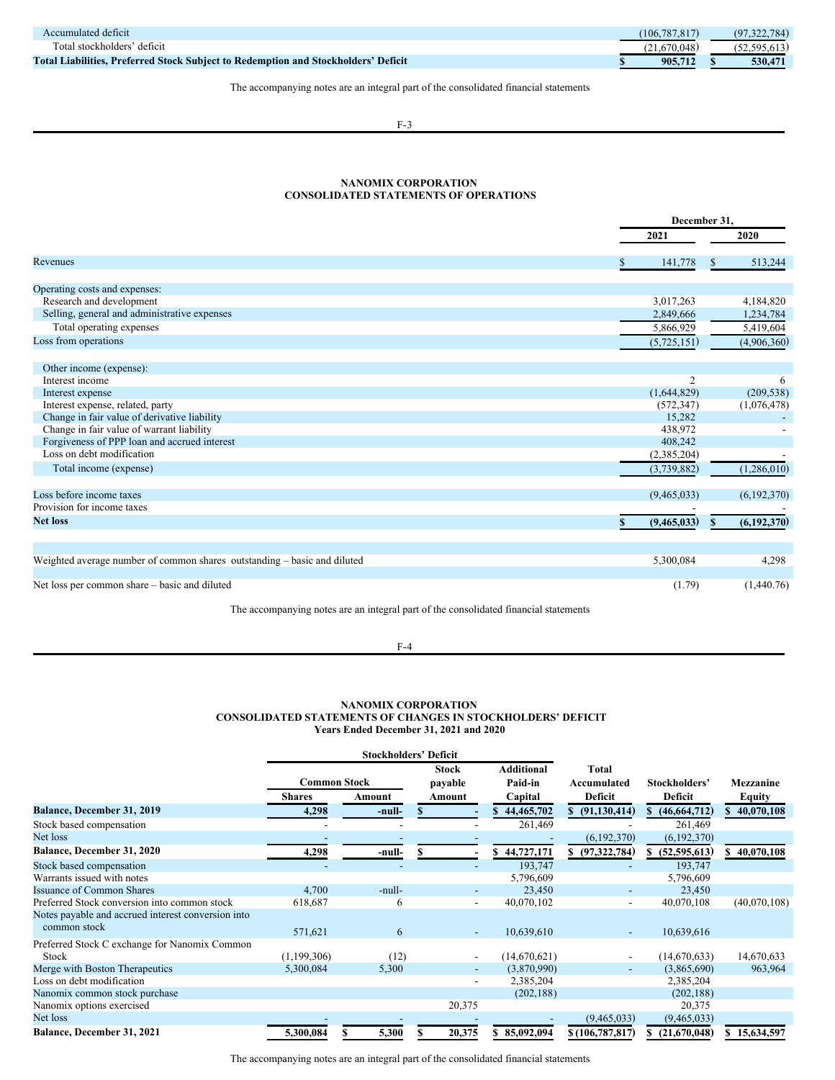| Accumulated deficit                                                                | (106.787.817 | (97, 322, 784) |
|------------------------------------------------------------------------------------|--------------|----------------|
| Total stockholders' deficit                                                        | .670.048     | .595.613       |
| Total Liabilities, Preferred Stock Subject to Redemption and Stockholders' Deficit | 905,712      | 530.471        |

The accompanying notes are an integral part of the consolidated financial statements

F-3

# <span id="page-51-0"></span>**NANOMIX CORPORATION CONSOLIDATED STATEMENTS OF OPERATIONS**

|                                                                          |                   | December 31,      |
|--------------------------------------------------------------------------|-------------------|-------------------|
|                                                                          | 2021              | 2020              |
| Revenues                                                                 | 141,778<br>S      | 513,244<br>\$     |
| Operating costs and expenses:                                            |                   |                   |
| Research and development                                                 | 3,017,263         | 4,184,820         |
| Selling, general and administrative expenses                             | 2,849,666         | 1,234,784         |
| Total operating expenses                                                 | 5,866,929         | 5,419,604         |
| Loss from operations                                                     | (5,725,151)       | (4,906,360)       |
|                                                                          |                   |                   |
| Other income (expense):                                                  |                   |                   |
| Interest income                                                          | $\overline{2}$    | 6                 |
| Interest expense                                                         | (1,644,829)       | (209, 538)        |
| Interest expense, related, party                                         | (572, 347)        | (1,076,478)       |
| Change in fair value of derivative liability                             | 15,282            |                   |
| Change in fair value of warrant liability                                | 438,972           |                   |
| Forgiveness of PPP loan and accrued interest                             | 408,242           |                   |
| Loss on debt modification                                                | (2,385,204)       |                   |
| Total income (expense)                                                   | (3,739,882)       | (1,286,010)       |
| Loss before income taxes                                                 | (9,465,033)       | (6,192,370)       |
| Provision for income taxes                                               |                   |                   |
| <b>Net loss</b>                                                          | (9,465,033)<br>S. | (6,192,370)<br>\$ |
|                                                                          |                   |                   |
| Weighted average number of common shares outstanding - basic and diluted | 5,300,084         | 4,298             |
| Net loss per common share – basic and diluted                            | (1.79)            | (1,440.76)        |
|                                                                          |                   |                   |

The accompanying notes are an integral part of the consolidated financial statements

F-4

# <span id="page-51-1"></span>**NANOMIX CORPORATION CONSOLIDATED STATEMENTS OF CHANGES IN STOCKHOLDERS' DEFICIT Years Ended December 31, 2021 and 2020**

|                                                                    |                     | <b>Stockholders' Deficit</b> |                         |                              |                      |                |                  |
|--------------------------------------------------------------------|---------------------|------------------------------|-------------------------|------------------------------|----------------------|----------------|------------------|
|                                                                    | <b>Common Stock</b> |                              | <b>Stock</b><br>payable | <b>Additional</b><br>Paid-in | Total<br>Accumulated | Stockholders'  | <b>Mezzanine</b> |
|                                                                    | <b>Shares</b>       | Amount                       | Amount                  | Capital                      | <b>Deficit</b>       | Deficit        | Equity           |
| Balance, December 31, 2019                                         | 4,298               | -null-                       |                         | 44,465,702                   | \$ (91,130,414)      | (46, 664, 712) | 40,070,108       |
| Stock based compensation                                           |                     |                              |                         | 261,469                      |                      | 261,469        |                  |
| Net loss                                                           |                     |                              |                         |                              | (6,192,370)          | (6,192,370)    |                  |
| Balance, December 31, 2020                                         | 4,298               | -null-                       |                         | 44,727,171                   | (97, 322, 784)       | (52, 595, 613) | \$40,070,108     |
| Stock based compensation                                           |                     |                              |                         | 193,747                      |                      | 193,747        |                  |
| Warrants issued with notes                                         |                     |                              |                         | 5,796,609                    |                      | 5,796,609      |                  |
| <b>Issuance of Common Shares</b>                                   | 4.700               | -null-                       |                         | 23,450                       |                      | 23,450         |                  |
| Preferred Stock conversion into common stock                       | 618,687             | 6                            |                         | 40,070,102                   |                      | 40,070,108     | (40,070,108)     |
| Notes payable and accrued interest conversion into<br>common stock | 571,621             | 6                            | $\sim$                  | 10,639,610                   |                      | 10,639,616     |                  |
| Preferred Stock C exchange for Nanomix Common                      |                     |                              |                         |                              |                      |                |                  |
| Stock                                                              | (1,199,306)         | (12)                         |                         | (14,670,621)                 |                      | (14,670,633)   | 14,670,633       |
| Merge with Boston Therapeutics                                     | 5,300,084           | 5,300                        | $\sim$                  | (3,870,990)                  |                      | (3,865,690)    | 963,964          |
| Loss on debt modification                                          |                     |                              |                         | 2,385,204                    |                      | 2,385,204      |                  |
| Nanomix common stock purchase                                      |                     |                              |                         | (202, 188)                   |                      | (202, 188)     |                  |
| Nanomix options exercised                                          |                     |                              | 20,375                  |                              |                      | 20,375         |                  |
| Net loss                                                           |                     |                              |                         |                              | (9,465,033)          | (9,465,033)    |                  |
| Balance, December 31, 2021                                         | 5,300,084           | 5,300                        | 20,375                  | \$85,092,094                 | \$(106, 787, 817)    | (21,670,048)   | \$15,634,597     |

The accompanying notes are an integral part of the consolidated financial statements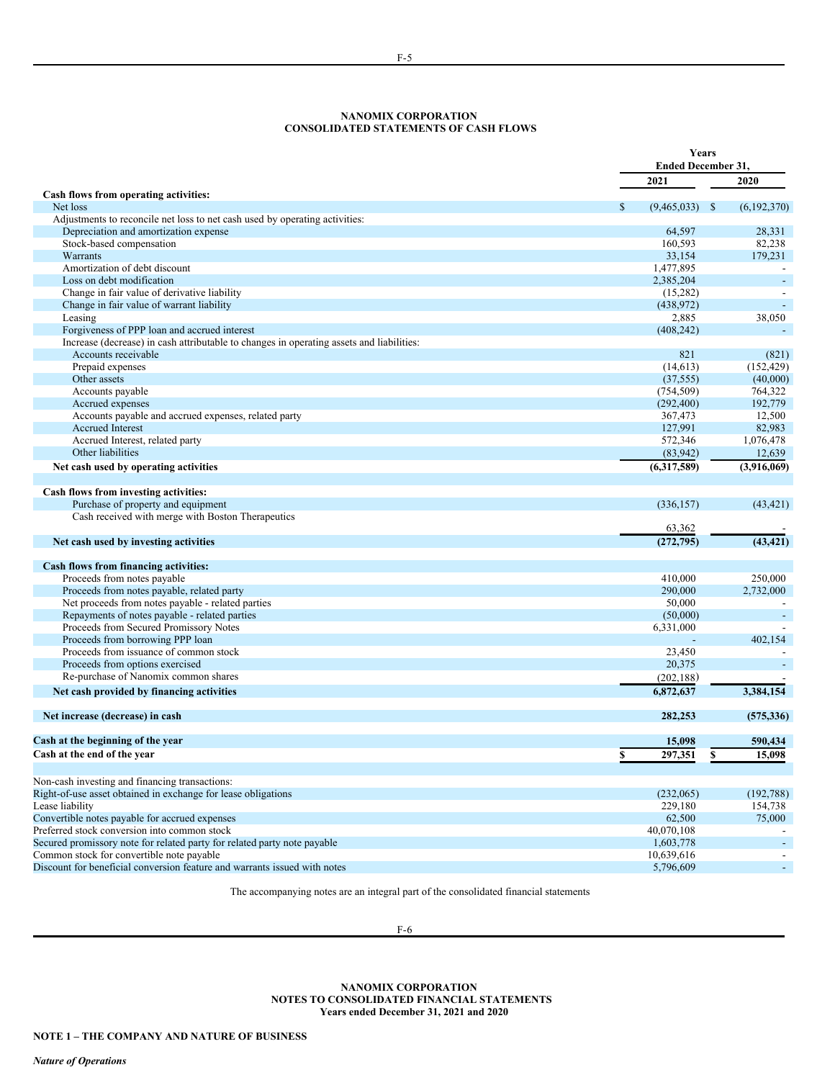# <span id="page-52-0"></span>**NANOMIX CORPORATION CONSOLIDATED STATEMENTS OF CASH FLOWS**

|                                                                                          | Years                       |                          |
|------------------------------------------------------------------------------------------|-----------------------------|--------------------------|
|                                                                                          | <b>Ended December 31,</b>   |                          |
|                                                                                          | 2021                        | 2020                     |
| Cash flows from operating activities:                                                    |                             |                          |
| Net loss                                                                                 | $\mathbb{S}$<br>(9,465,033) | (6,192,370)<br>- \$      |
| Adjustments to reconcile net loss to net cash used by operating activities:              |                             |                          |
| Depreciation and amortization expense                                                    | 64,597                      | 28,331                   |
| Stock-based compensation                                                                 | 160,593                     | 82,238                   |
| Warrants                                                                                 | 33,154                      | 179,231                  |
| Amortization of debt discount                                                            | 1,477,895                   | $\blacksquare$           |
| Loss on debt modification                                                                | 2,385,204                   |                          |
| Change in fair value of derivative liability                                             | (15,282)                    |                          |
| Change in fair value of warrant liability                                                | (438,972)                   |                          |
| Leasing                                                                                  | 2,885                       | 38,050                   |
| Forgiveness of PPP loan and accrued interest                                             | (408, 242)                  |                          |
| Increase (decrease) in cash attributable to changes in operating assets and liabilities: |                             |                          |
| Accounts receivable                                                                      | 821                         | (821)                    |
| Prepaid expenses                                                                         | (14, 613)                   | (152, 429)               |
| Other assets                                                                             | (37, 555)                   | (40,000)                 |
| Accounts payable                                                                         | (754, 509)                  | 764,322                  |
| Accrued expenses                                                                         | (292, 400)                  | 192,779                  |
| Accounts payable and accrued expenses, related party                                     | 367,473                     | 12,500                   |
| <b>Accrued Interest</b>                                                                  | 127,991                     | 82,983                   |
| Accrued Interest, related party                                                          | 572,346                     | 1,076,478                |
| Other liabilities                                                                        |                             |                          |
|                                                                                          | (83,942)                    | 12,639                   |
| Net cash used by operating activities                                                    | (6,317,589)                 | (3,916,069)              |
| Cash flows from investing activities:                                                    |                             |                          |
| Purchase of property and equipment                                                       | (336, 157)                  | (43, 421)                |
| Cash received with merge with Boston Therapeutics                                        |                             |                          |
|                                                                                          | 63,362                      |                          |
| Net cash used by investing activities                                                    | (272, 795)                  | (43, 421)                |
|                                                                                          |                             |                          |
| Cash flows from financing activities:                                                    |                             |                          |
| Proceeds from notes payable                                                              | 410,000                     | 250,000                  |
| Proceeds from notes payable, related party                                               | 290,000                     | 2,732,000                |
| Net proceeds from notes payable - related parties                                        | 50,000                      |                          |
| Repayments of notes payable - related parties                                            | (50,000)                    |                          |
| Proceeds from Secured Promissory Notes                                                   | 6,331,000                   |                          |
| Proceeds from borrowing PPP loan                                                         |                             | 402,154                  |
| Proceeds from issuance of common stock                                                   | 23,450                      |                          |
| Proceeds from options exercised                                                          | 20,375                      |                          |
| Re-purchase of Nanomix common shares                                                     | (202, 188)                  |                          |
| Net cash provided by financing activities                                                | 6,872,637                   | 3,384,154                |
|                                                                                          |                             |                          |
| Net increase (decrease) in cash                                                          | 282,253                     | (575, 336)               |
| Cash at the beginning of the year                                                        | 15,098                      | 590,434                  |
| Cash at the end of the year                                                              | 297,351<br>\$               | 15,098<br>\$             |
|                                                                                          |                             |                          |
| Non-cash investing and financing transactions:                                           |                             |                          |
| Right-of-use asset obtained in exchange for lease obligations                            | (232,065)                   | (192, 788)               |
| Lease liability                                                                          | 229,180                     | 154,738                  |
| Convertible notes payable for accrued expenses                                           | 62,500                      | 75,000                   |
| Preferred stock conversion into common stock                                             | 40,070,108                  |                          |
| Secured promissory note for related party for related party note payable                 | 1,603,778                   | $\overline{\phantom{a}}$ |
| Common stock for convertible note payable                                                | 10,639,616                  |                          |
| Discount for beneficial conversion feature and warrants issued with notes                | 5,796,609                   | $\sim$                   |
|                                                                                          |                             |                          |

The accompanying notes are an integral part of the consolidated financial statements

F-6

<span id="page-52-1"></span>**NANOMIX CORPORATION NOTES TO CONSOLIDATED FINANCIAL STATEMENTS Years ended December 31, 2021 and 2020**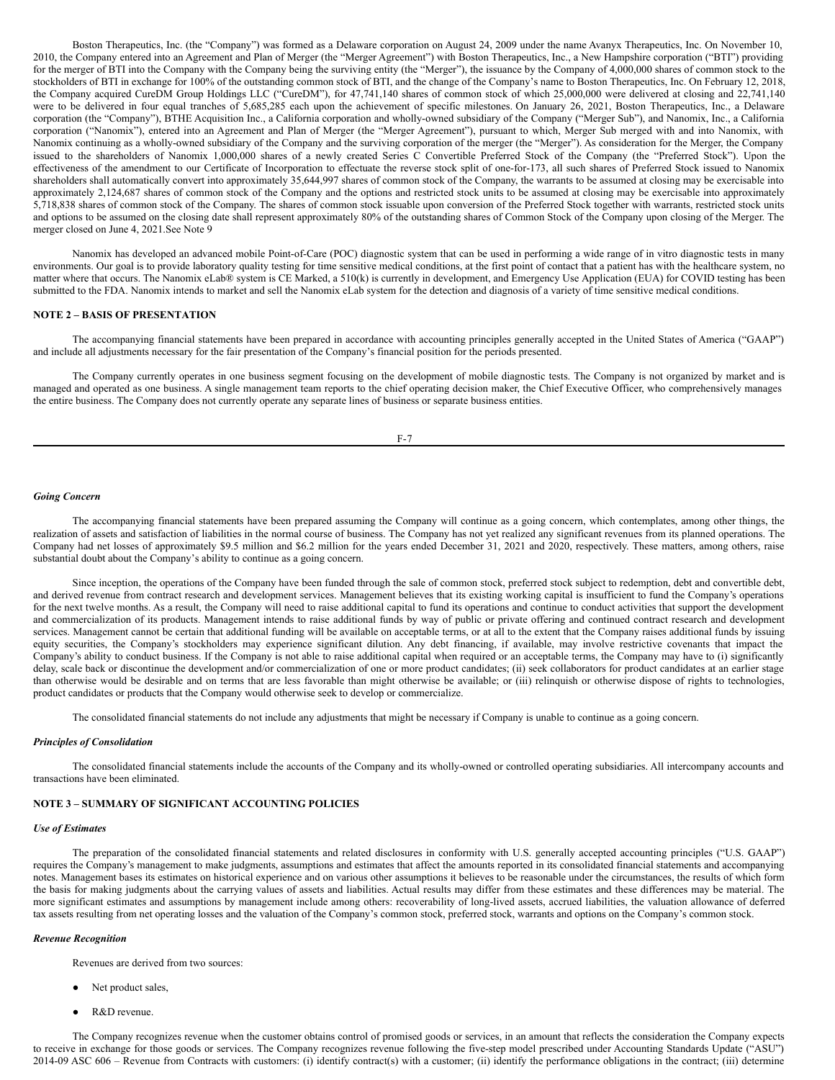Boston Therapeutics, Inc. (the "Company") was formed as a Delaware corporation on August 24, 2009 under the name Avanyx Therapeutics, Inc. On November 10, 2010, the Company entered into an Agreement and Plan of Merger (the "Merger Agreement") with Boston Therapeutics, Inc., a New Hampshire corporation ("BTI") providing for the merger of BTI into the Company with the Company being the surviving entity (the "Merger"), the issuance by the Company of 4,000,000 shares of common stock to the stockholders of BTI in exchange for 100% of the outstanding common stock of BTI, and the change of the Company's name to Boston Therapeutics, Inc. On February 12, 2018, the Company acquired CureDM Group Holdings LLC ("CureDM"), for 47,741,140 shares of common stock of which 25,000,000 were delivered at closing and 22,741,140 were to be delivered in four equal tranches of 5,685,285 each upon the achievement of specific milestones. On January 26, 2021, Boston Therapeutics, Inc., a Delaware corporation (the "Company"), BTHE Acquisition Inc., a California corporation and wholly-owned subsidiary of the Company ("Merger Sub"), and Nanomix, Inc., a California corporation ("Nanomix"), entered into an Agreement and Plan of Merger (the "Merger Agreement"), pursuant to which, Merger Sub merged with and into Nanomix, with Nanomix continuing as a wholly-owned subsidiary of the Company and the surviving corporation of the merger (the "Merger"). As consideration for the Merger, the Company issued to the shareholders of Nanomix 1,000,000 shares of a newly created Series C Convertible Preferred Stock of the Company (the "Preferred Stock"). Upon the effectiveness of the amendment to our Certificate of Incorporation to effectuate the reverse stock split of one-for-173, all such shares of Preferred Stock issued to Nanomix shareholders shall automatically convert into approximately 35,644,997 shares of common stock of the Company, the warrants to be assumed at closing may be exercisable into approximately 2,124,687 shares of common stock of the Company and the options and restricted stock units to be assumed at closing may be exercisable into approximately 5,718,838 shares of common stock of the Company. The shares of common stock issuable upon conversion of the Preferred Stock together with warrants, restricted stock units and options to be assumed on the closing date shall represent approximately 80% of the outstanding shares of Common Stock of the Company upon closing of the Merger. The merger closed on June 4, 2021.See Note 9

Nanomix has developed an advanced mobile Point-of-Care (POC) diagnostic system that can be used in performing a wide range of in vitro diagnostic tests in many environments. Our goal is to provide laboratory quality testing for time sensitive medical conditions, at the first point of contact that a patient has with the healthcare system, no matter where that occurs. The Nanomix eLab® system is CE Marked, a 510(k) is currently in development, and Emergency Use Application (EUA) for COVID testing has been submitted to the FDA. Nanomix intends to market and sell the Nanomix eLab system for the detection and diagnosis of a variety of time sensitive medical conditions.

## **NOTE 2 – BASIS OF PRESENTATION**

The accompanying financial statements have been prepared in accordance with accounting principles generally accepted in the United States of America ("GAAP") and include all adjustments necessary for the fair presentation of the Company's financial position for the periods presented.

The Company currently operates in one business segment focusing on the development of mobile diagnostic tests. The Company is not organized by market and is managed and operated as one business. A single management team reports to the chief operating decision maker, the Chief Executive Officer, who comprehensively manages the entire business. The Company does not currently operate any separate lines of business or separate business entities.

#### *Going Concern*

The accompanying financial statements have been prepared assuming the Company will continue as a going concern, which contemplates, among other things, the realization of assets and satisfaction of liabilities in the normal course of business. The Company has not yet realized any significant revenues from its planned operations. The Company had net losses of approximately \$9.5 million and \$6.2 million for the years ended December 31, 2021 and 2020, respectively. These matters, among others, raise substantial doubt about the Company's ability to continue as a going concern.

Since inception, the operations of the Company have been funded through the sale of common stock, preferred stock subject to redemption, debt and convertible debt, and derived revenue from contract research and development services. Management believes that its existing working capital is insufficient to fund the Company's operations for the next twelve months. As a result, the Company will need to raise additional capital to fund its operations and continue to conduct activities that support the development and commercialization of its products. Management intends to raise additional funds by way of public or private offering and continued contract research and development services. Management cannot be certain that additional funding will be available on acceptable terms, or at all to the extent that the Company raises additional funds by issuing equity securities, the Company's stockholders may experience significant dilution. Any debt financing, if available, may involve restrictive covenants that impact the Company's ability to conduct business. If the Company is not able to raise additional capital when required or an acceptable terms, the Company may have to (i) significantly delay, scale back or discontinue the development and/or commercialization of one or more product candidates; (ii) seek collaborators for product candidates at an earlier stage than otherwise would be desirable and on terms that are less favorable than might otherwise be available; or (iii) relinquish or otherwise dispose of rights to technologies, product candidates or products that the Company would otherwise seek to develop or commercialize.

The consolidated financial statements do not include any adjustments that might be necessary if Company is unable to continue as a going concern.

## *Principles of Consolidation*

The consolidated financial statements include the accounts of the Company and its wholly-owned or controlled operating subsidiaries. All intercompany accounts and transactions have been eliminated.

# **NOTE 3 – SUMMARY OF SIGNIFICANT ACCOUNTING POLICIES**

#### *Use of Estimates*

The preparation of the consolidated financial statements and related disclosures in conformity with U.S. generally accepted accounting principles ("U.S. GAAP") requires the Company's management to make judgments, assumptions and estimates that affect the amounts reported in its consolidated financial statements and accompanying notes. Management bases its estimates on historical experience and on various other assumptions it believes to be reasonable under the circumstances, the results of which form the basis for making judgments about the carrying values of assets and liabilities. Actual results may differ from these estimates and these differences may be material. The more significant estimates and assumptions by management include among others: recoverability of long-lived assets, accrued liabilities, the valuation allowance of deferred tax assets resulting from net operating losses and the valuation of the Company's common stock, preferred stock, warrants and options on the Company's common stock.

# *Revenue Recognition*

Revenues are derived from two sources:

- Net product sales,
- R&D revenue.

The Company recognizes revenue when the customer obtains control of promised goods or services, in an amount that reflects the consideration the Company expects to receive in exchange for those goods or services. The Company recognizes revenue following the five-step model prescribed under Accounting Standards Update ("ASU") 2014-09 ASC 606 – Revenue from Contracts with customers: (i) identify contract(s) with a customer; (ii) identify the performance obligations in the contract; (iii) determine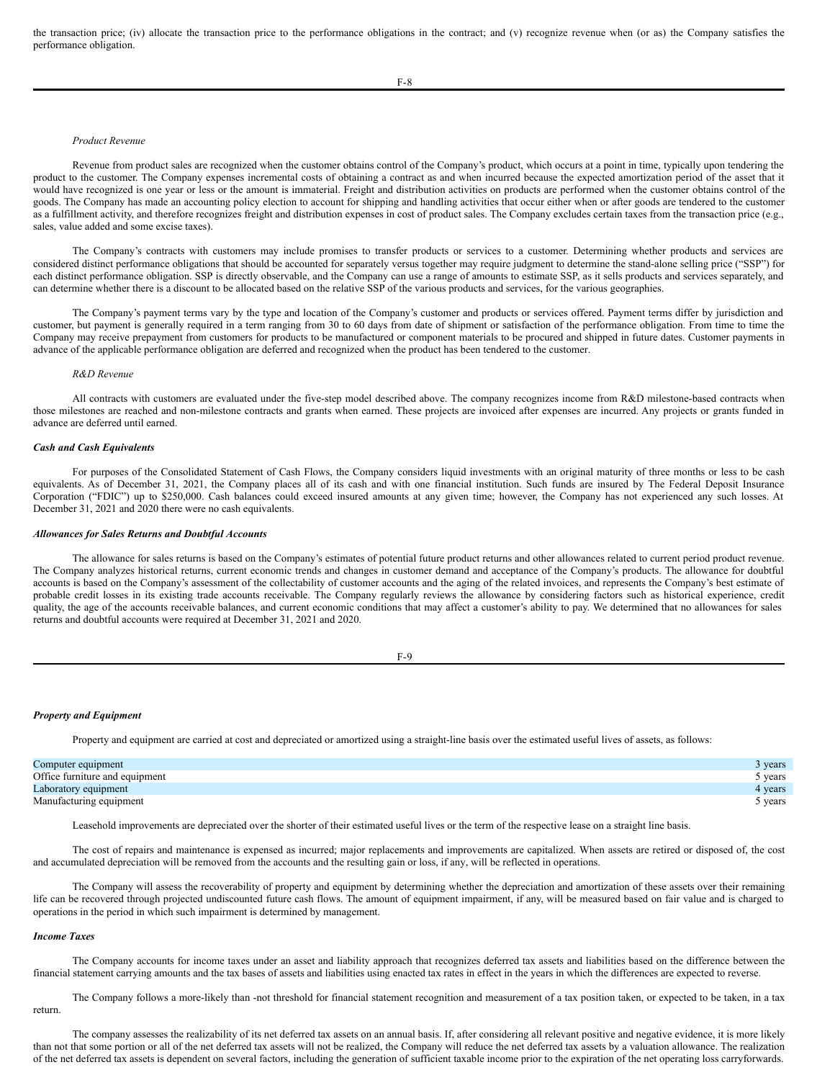the transaction price; (iv) allocate the transaction price to the performance obligations in the contract; and (v) recognize revenue when (or as) the Company satisfies the performance obligation.

# *Product Revenue*

Revenue from product sales are recognized when the customer obtains control of the Company's product, which occurs at a point in time, typically upon tendering the product to the customer. The Company expenses incremental costs of obtaining a contract as and when incurred because the expected amortization period of the asset that it would have recognized is one year or less or the amount is immaterial. Freight and distribution activities on products are performed when the customer obtains control of the goods. The Company has made an accounting policy election to account for shipping and handling activities that occur either when or after goods are tendered to the customer as a fulfillment activity, and therefore recognizes freight and distribution expenses in cost of product sales. The Company excludes certain taxes from the transaction price (e.g., sales, value added and some excise taxes).

The Company's contracts with customers may include promises to transfer products or services to a customer. Determining whether products and services are considered distinct performance obligations that should be accounted for separately versus together may require judgment to determine the stand-alone selling price ("SSP") for each distinct performance obligation. SSP is directly observable, and the Company can use a range of amounts to estimate SSP, as it sells products and services separately, and can determine whether there is a discount to be allocated based on the relative SSP of the various products and services, for the various geographies.

The Company's payment terms vary by the type and location of the Company's customer and products or services offered. Payment terms differ by jurisdiction and customer, but payment is generally required in a term ranging from 30 to 60 days from date of shipment or satisfaction of the performance obligation. From time to time the Company may receive prepayment from customers for products to be manufactured or component materials to be procured and shipped in future dates. Customer payments in advance of the applicable performance obligation are deferred and recognized when the product has been tendered to the customer.

#### *R&D Revenue*

All contracts with customers are evaluated under the five-step model described above. The company recognizes income from R&D milestone-based contracts when those milestones are reached and non-milestone contracts and grants when earned. These projects are invoiced after expenses are incurred. Any projects or grants funded in advance are deferred until earned.

## *Cash and Cash Equivalents*

For purposes of the Consolidated Statement of Cash Flows, the Company considers liquid investments with an original maturity of three months or less to be cash equivalents. As of December 31, 2021, the Company places all of its cash and with one financial institution. Such funds are insured by The Federal Deposit Insurance Corporation ("FDIC") up to \$250,000. Cash balances could exceed insured amounts at any given time; however, the Company has not experienced any such losses. At December 31, 2021 and 2020 there were no cash equivalents.

## *Allowances for Sales Returns and Doubtful Accounts*

The allowance for sales returns is based on the Company's estimates of potential future product returns and other allowances related to current period product revenue. The Company analyzes historical returns, current economic trends and changes in customer demand and acceptance of the Company's products. The allowance for doubtful accounts is based on the Company's assessment of the collectability of customer accounts and the aging of the related invoices, and represents the Company's best estimate of probable credit losses in its existing trade accounts receivable. The Company regularly reviews the allowance by considering factors such as historical experience, credit quality, the age of the accounts receivable balances, and current economic conditions that may affect a customer's ability to pay. We determined that no allowances for sales returns and doubtful accounts were required at December 31, 2021 and 2020.

| _<br>٦<br>۰, |
|--------------|
|--------------|

# *Property and Equipment*

Property and equipment are carried at cost and depreciated or amortized using a straight-line basis over the estimated useful lives of assets, as follows:

| Computer equipment             | 3 years |
|--------------------------------|---------|
| Office furniture and equipment | 5 years |
| Laboratory equipment           | 4 years |
| Manufacturing equipment        | 5 years |

Leasehold improvements are depreciated over the shorter of their estimated useful lives or the term of the respective lease on a straight line basis.

The cost of repairs and maintenance is expensed as incurred; major replacements and improvements are capitalized. When assets are retired or disposed of, the cost and accumulated depreciation will be removed from the accounts and the resulting gain or loss, if any, will be reflected in operations.

The Company will assess the recoverability of property and equipment by determining whether the depreciation and amortization of these assets over their remaining life can be recovered through projected undiscounted future cash flows. The amount of equipment impairment, if any, will be measured based on fair value and is charged to operations in the period in which such impairment is determined by management.

## *Income Taxes*

The Company accounts for income taxes under an asset and liability approach that recognizes deferred tax assets and liabilities based on the difference between the financial statement carrying amounts and the tax bases of assets and liabilities using enacted tax rates in effect in the years in which the differences are expected to reverse.

The Company follows a more-likely than -not threshold for financial statement recognition and measurement of a tax position taken, or expected to be taken, in a tax return.

The company assesses the realizability of its net deferred tax assets on an annual basis. If, after considering all relevant positive and negative evidence, it is more likely than not that some portion or all of the net deferred tax assets will not be realized, the Company will reduce the net deferred tax assets by a valuation allowance. The realization of the net deferred tax assets is dependent on several factors, including the generation of sufficient taxable income prior to the expiration of the net operating loss carryforwards.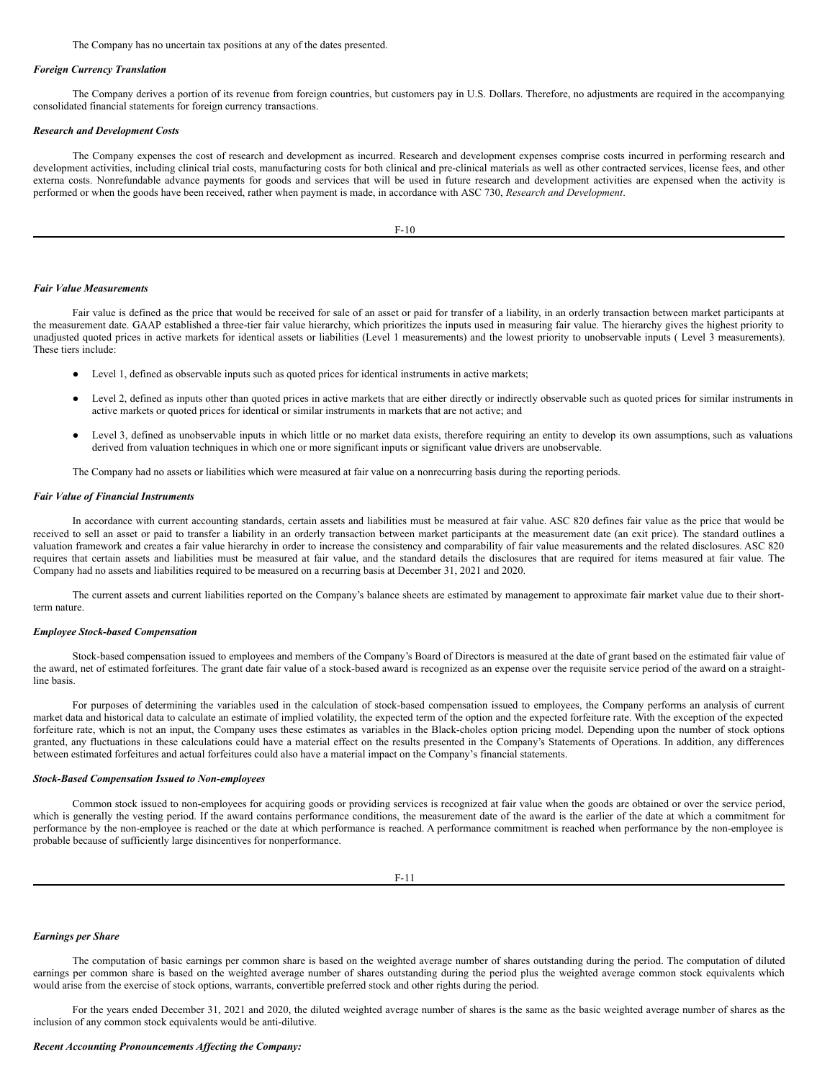The Company has no uncertain tax positions at any of the dates presented.

#### *Foreign Currency Translation*

The Company derives a portion of its revenue from foreign countries, but customers pay in U.S. Dollars. Therefore, no adjustments are required in the accompanying consolidated financial statements for foreign currency transactions.

#### *Research and Development Costs*

The Company expenses the cost of research and development as incurred. Research and development expenses comprise costs incurred in performing research and development activities, including clinical trial costs, manufacturing costs for both clinical and pre-clinical materials as well as other contracted services, license fees, and other externa costs. Nonrefundable advance payments for goods and services that will be used in future research and development activities are expensed when the activity is performed or when the goods have been received, rather when payment is made, in accordance with ASC 730, *Research and Development*.

F-10

#### *Fair Value Measurements*

Fair value is defined as the price that would be received for sale of an asset or paid for transfer of a liability, in an orderly transaction between market participants at the measurement date. GAAP established a three-tier fair value hierarchy, which prioritizes the inputs used in measuring fair value. The hierarchy gives the highest priority to unadjusted quoted prices in active markets for identical assets or liabilities (Level 1 measurements) and the lowest priority to unobservable inputs ( Level 3 measurements). These tiers include:

- Level 1, defined as observable inputs such as quoted prices for identical instruments in active markets;
- Level 2, defined as inputs other than quoted prices in active markets that are either directly or indirectly observable such as quoted prices for similar instruments in active markets or quoted prices for identical or similar instruments in markets that are not active; and
- Level 3, defined as unobservable inputs in which little or no market data exists, therefore requiring an entity to develop its own assumptions, such as valuations derived from valuation techniques in which one or more significant inputs or significant value drivers are unobservable.

The Company had no assets or liabilities which were measured at fair value on a nonrecurring basis during the reporting periods.

# *Fair Value of Financial Instruments*

In accordance with current accounting standards, certain assets and liabilities must be measured at fair value. ASC 820 defines fair value as the price that would be received to sell an asset or paid to transfer a liability in an orderly transaction between market participants at the measurement date (an exit price). The standard outlines a valuation framework and creates a fair value hierarchy in order to increase the consistency and comparability of fair value measurements and the related disclosures. ASC 820 requires that certain assets and liabilities must be measured at fair value, and the standard details the disclosures that are required for items measured at fair value. The Company had no assets and liabilities required to be measured on a recurring basis at December 31, 2021 and 2020.

The current assets and current liabilities reported on the Company's balance sheets are estimated by management to approximate fair market value due to their shortterm nature.

#### *Employee Stock-based Compensation*

Stock-based compensation issued to employees and members of the Company's Board of Directors is measured at the date of grant based on the estimated fair value of the award, net of estimated forfeitures. The grant date fair value of a stock-based award is recognized as an expense over the requisite service period of the award on a straightline basis.

For purposes of determining the variables used in the calculation of stock-based compensation issued to employees, the Company performs an analysis of current market data and historical data to calculate an estimate of implied volatility, the expected term of the option and the expected forfeiture rate. With the exception of the expected forfeiture rate, which is not an input, the Company uses these estimates as variables in the Black-choles option pricing model. Depending upon the number of stock options granted, any fluctuations in these calculations could have a material effect on the results presented in the Company's Statements of Operations. In addition, any differences between estimated forfeitures and actual forfeitures could also have a material impact on the Company's financial statements.

#### *Stock-Based Compensation Issued to Non-employees*

Common stock issued to non-employees for acquiring goods or providing services is recognized at fair value when the goods are obtained or over the service period, which is generally the vesting period. If the award contains performance conditions, the measurement date of the award is the earlier of the date at which a commitment for performance by the non-employee is reached or the date at which performance is reached. A performance commitment is reached when performance by the non-employee is probable because of sufficiently large disincentives for nonperformance.

#### *Earnings per Share*

The computation of basic earnings per common share is based on the weighted average number of shares outstanding during the period. The computation of diluted earnings per common share is based on the weighted average number of shares outstanding during the period plus the weighted average common stock equivalents which would arise from the exercise of stock options, warrants, convertible preferred stock and other rights during the period.

For the years ended December 31, 2021 and 2020, the diluted weighted average number of shares is the same as the basic weighted average number of shares as the inclusion of any common stock equivalents would be anti-dilutive.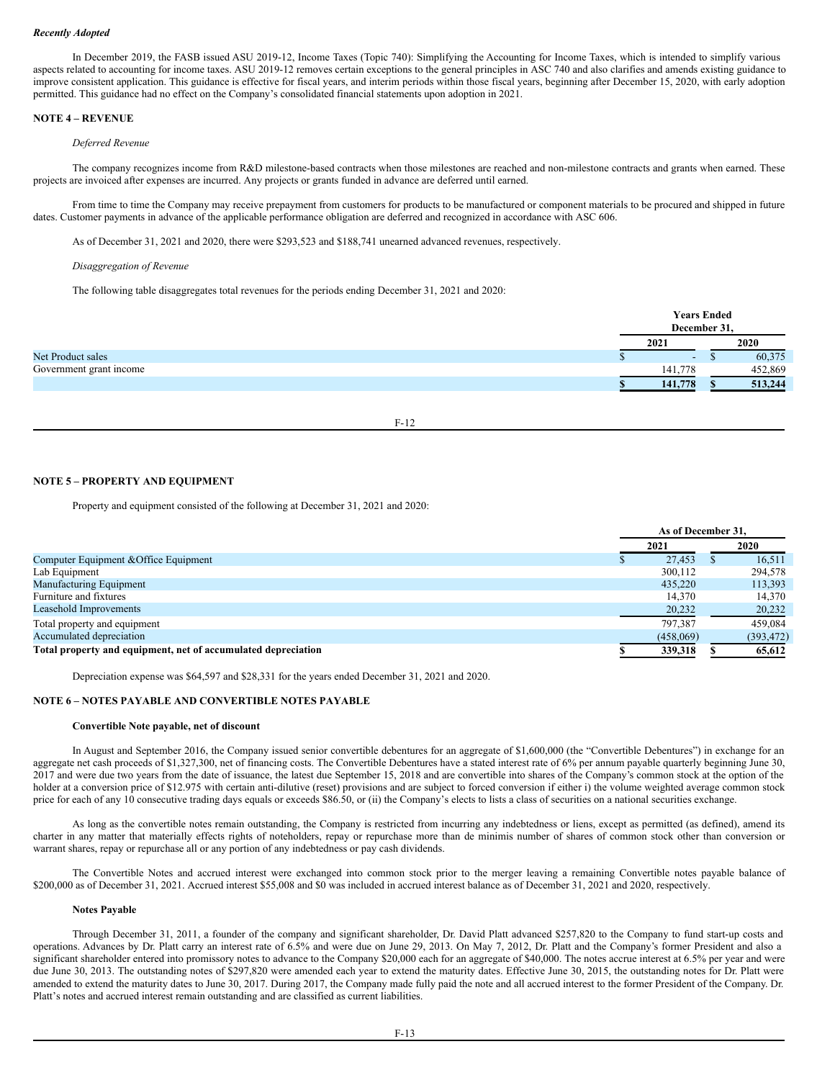## *Recently Adopted*

In December 2019, the FASB issued ASU 2019-12, Income Taxes (Topic 740): Simplifying the Accounting for Income Taxes, which is intended to simplify various aspects related to accounting for income taxes. ASU 2019-12 removes certain exceptions to the general principles in ASC 740 and also clarifies and amends existing guidance to improve consistent application. This guidance is effective for fiscal years, and interim periods within those fiscal years, beginning after December 15, 2020, with early adoption permitted. This guidance had no effect on the Company's consolidated financial statements upon adoption in 2021.

# **NOTE 4 – REVENUE**

# *Deferred Revenue*

The company recognizes income from R&D milestone-based contracts when those milestones are reached and non-milestone contracts and grants when earned. These projects are invoiced after expenses are incurred. Any projects or grants funded in advance are deferred until earned.

From time to time the Company may receive prepayment from customers for products to be manufactured or component materials to be procured and shipped in future dates. Customer payments in advance of the applicable performance obligation are deferred and recognized in accordance with ASC 606.

As of December 31, 2021 and 2020, there were \$293,523 and \$188,741 unearned advanced revenues, respectively.

#### *Disaggregation of Revenue*

The following table disaggregates total revenues for the periods ending December 31, 2021 and 2020:

|                         | <b>Years Ended</b>       |    |         |
|-------------------------|--------------------------|----|---------|
|                         | December 31,             |    |         |
|                         | 2021                     |    | 2020    |
| Net Product sales       | $\overline{\phantom{a}}$ | ۰D | 60,375  |
| Government grant income | 141,778                  |    | 452,869 |
|                         | 141,778                  |    | 513,244 |
|                         |                          |    |         |

#### F-12

## **NOTE 5 – PROPERTY AND EQUIPMENT**

Property and equipment consisted of the following at December 31, 2021 and 2020:

|                                                               | As of December 31. |           |  |            |
|---------------------------------------------------------------|--------------------|-----------|--|------------|
|                                                               |                    | 2021      |  | 2020       |
| Computer Equipment & Office Equipment                         |                    | 27,453    |  | 16.511     |
| Lab Equipment                                                 |                    | 300,112   |  | 294,578    |
| Manufacturing Equipment                                       |                    | 435,220   |  | 113,393    |
| Furniture and fixtures                                        |                    | 14.370    |  | 14,370     |
| Leasehold Improvements                                        |                    | 20,232    |  | 20,232     |
| Total property and equipment                                  |                    | 797.387   |  | 459.084    |
| Accumulated depreciation                                      |                    | (458,069) |  | (393, 472) |
| Total property and equipment, net of accumulated depreciation |                    | 339,318   |  | 65,612     |

Depreciation expense was \$64,597 and \$28,331 for the years ended December 31, 2021 and 2020.

# **NOTE 6 – NOTES PAYABLE AND CONVERTIBLE NOTES PAYABLE**

## **Convertible Note payable, net of discount**

In August and September 2016, the Company issued senior convertible debentures for an aggregate of \$1,600,000 (the "Convertible Debentures") in exchange for an aggregate net cash proceeds of \$1,327,300, net of financing costs. The Convertible Debentures have a stated interest rate of 6% per annum payable quarterly beginning June 30, 2017 and were due two years from the date of issuance, the latest due September 15, 2018 and are convertible into shares of the Company's common stock at the option of the holder at a conversion price of \$12.975 with certain anti-dilutive (reset) provisions and are subject to forced conversion if either i) the volume weighted average common stock price for each of any 10 consecutive trading days equals or exceeds \$86.50, or (ii) the Company's elects to lists a class of securities on a national securities exchange.

As long as the convertible notes remain outstanding, the Company is restricted from incurring any indebtedness or liens, except as permitted (as defined), amend its charter in any matter that materially effects rights of noteholders, repay or repurchase more than de minimis number of shares of common stock other than conversion or warrant shares, repay or repurchase all or any portion of any indebtedness or pay cash dividends.

The Convertible Notes and accrued interest were exchanged into common stock prior to the merger leaving a remaining Convertible notes payable balance of \$200,000 as of December 31, 2021. Accrued interest \$55,008 and \$0 was included in accrued interest balance as of December 31, 2021 and 2020, respectively.

#### **Notes Payable**

Through December 31, 2011, a founder of the company and significant shareholder, Dr. David Platt advanced \$257,820 to the Company to fund start-up costs and operations. Advances by Dr. Platt carry an interest rate of 6.5% and were due on June 29, 2013. On May 7, 2012, Dr. Platt and the Company's former President and also a significant shareholder entered into promissory notes to advance to the Company \$20,000 each for an aggregate of \$40,000. The notes accrue interest at 6.5% per year and were due June 30, 2013. The outstanding notes of \$297,820 were amended each year to extend the maturity dates. Effective June 30, 2015, the outstanding notes for Dr. Platt were amended to extend the maturity dates to June 30, 2017. During 2017, the Company made fully paid the note and all accrued interest to the former President of the Company. Dr. Platt's notes and accrued interest remain outstanding and are classified as current liabilities.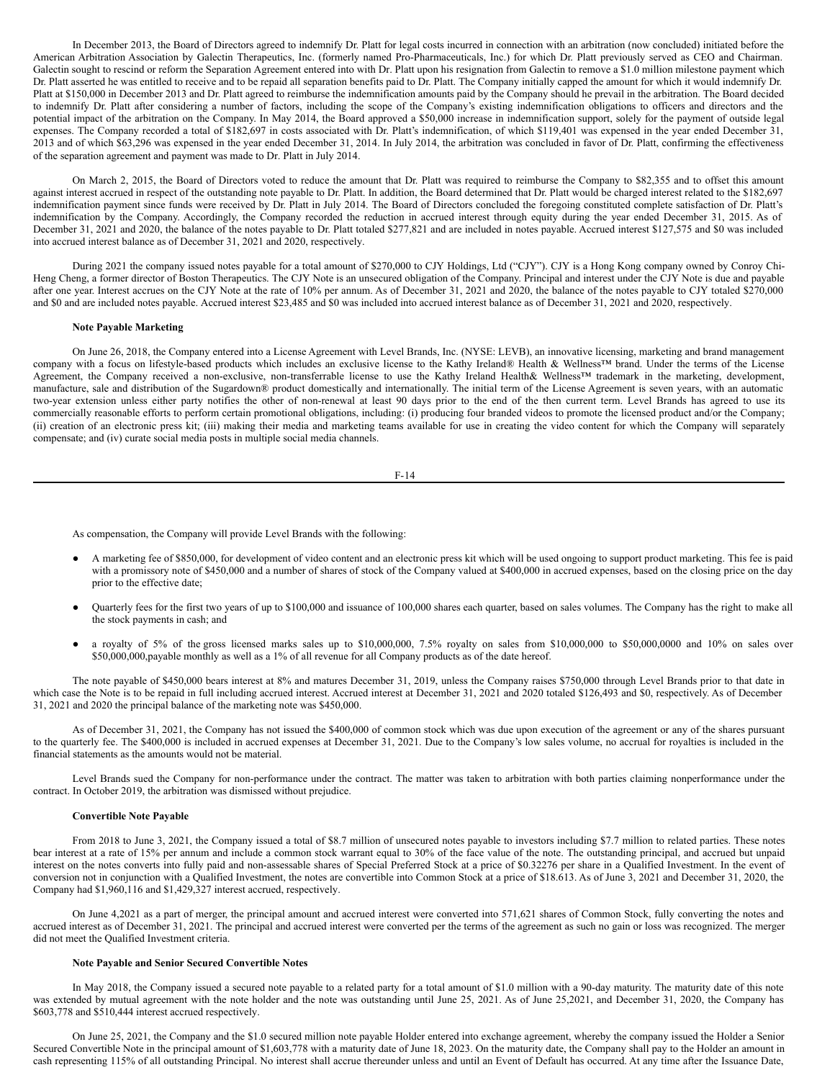In December 2013, the Board of Directors agreed to indemnify Dr. Platt for legal costs incurred in connection with an arbitration (now concluded) initiated before the American Arbitration Association by Galectin Therapeutics, Inc. (formerly named Pro-Pharmaceuticals, Inc.) for which Dr. Platt previously served as CEO and Chairman. Galectin sought to rescind or reform the Separation Agreement entered into with Dr. Platt upon his resignation from Galectin to remove a \$1.0 million milestone payment which Dr. Platt asserted he was entitled to receive and to be repaid all separation benefits paid to Dr. Platt. The Company initially capped the amount for which it would indemnify Dr. Platt at \$150,000 in December 2013 and Dr. Platt agreed to reimburse the indemnification amounts paid by the Company should he prevail in the arbitration. The Board decided to indemnify Dr. Platt after considering a number of factors, including the scope of the Company's existing indemnification obligations to officers and directors and the potential impact of the arbitration on the Company. In May 2014, the Board approved a \$50,000 increase in indemnification support, solely for the payment of outside legal expenses. The Company recorded a total of \$182,697 in costs associated with Dr. Platt's indemnification, of which \$119,401 was expensed in the year ended December 31, 2013 and of which \$63,296 was expensed in the year ended December 31, 2014. In July 2014, the arbitration was concluded in favor of Dr. Platt, confirming the effectiveness of the separation agreement and payment was made to Dr. Platt in July 2014.

On March 2, 2015, the Board of Directors voted to reduce the amount that Dr. Platt was required to reimburse the Company to \$82,355 and to offset this amount against interest accrued in respect of the outstanding note payable to Dr. Platt. In addition, the Board determined that Dr. Platt would be charged interest related to the \$182,697 indemnification payment since funds were received by Dr. Platt in July 2014. The Board of Directors concluded the foregoing constituted complete satisfaction of Dr. Platt's indemnification by the Company. Accordingly, the Company recorded the reduction in accrued interest through equity during the year ended December 31, 2015. As of December 31, 2021 and 2020, the balance of the notes payable to Dr. Platt totaled \$277,821 and are included in notes payable. Accrued interest \$127,575 and \$0 was included into accrued interest balance as of December 31, 2021 and 2020, respectively.

During 2021 the company issued notes payable for a total amount of \$270,000 to CJY Holdings, Ltd ("CJY"). CJY is a Hong Kong company owned by Conroy Chi-Heng Cheng, a former director of Boston Therapeutics. The CJY Note is an unsecured obligation of the Company. Principal and interest under the CJY Note is due and payable after one year. Interest accrues on the CJY Note at the rate of 10% per annum. As of December 31, 2021 and 2020, the balance of the notes payable to CJY totaled \$270,000 and \$0 and are included notes payable. Accrued interest \$23,485 and \$0 was included into accrued interest balance as of December 31, 2021 and 2020, respectively.

## **Note Payable Marketing**

On June 26, 2018, the Company entered into a License Agreement with Level Brands, Inc. (NYSE: LEVB), an innovative licensing, marketing and brand management company with a focus on lifestyle-based products which includes an exclusive license to the Kathy Ireland® Health & Wellness™ brand. Under the terms of the License Agreement, the Company received a non-exclusive, non-transferrable license to use the Kathy Ireland Health& Wellness™ trademark in the marketing, development, manufacture, sale and distribution of the Sugardown® product domestically and internationally. The initial term of the License Agreement is seven years, with an automatic two-year extension unless either party notifies the other of non-renewal at least 90 days prior to the end of the then current term. Level Brands has agreed to use its commercially reasonable efforts to perform certain promotional obligations, including: (i) producing four branded videos to promote the licensed product and/or the Company; (ii) creation of an electronic press kit; (iii) making their media and marketing teams available for use in creating the video content for which the Company will separately compensate; and (iv) curate social media posts in multiple social media channels.

F-14

As compensation, the Company will provide Level Brands with the following:

- A marketing fee of \$850,000, for development of video content and an electronic press kit which will be used ongoing to support product marketing. This fee is paid with a promissory note of \$450,000 and a number of shares of stock of the Company valued at \$400,000 in accrued expenses, based on the closing price on the day prior to the effective date;
- Quarterly fees for the first two years of up to \$100,000 and issuance of 100,000 shares each quarter, based on sales volumes. The Company has the right to make all the stock payments in cash; and
- a royalty of 5% of the gross licensed marks sales up to \$10,000,000, 7.5% royalty on sales from \$10,000,000 to \$50,000,0000 and 10% on sales over \$50,000,000,payable monthly as well as a 1% of all revenue for all Company products as of the date hereof.

The note payable of \$450,000 bears interest at 8% and matures December 31, 2019, unless the Company raises \$750,000 through Level Brands prior to that date in which case the Note is to be repaid in full including accrued interest. Accrued interest at December 31, 2021 and 2020 totaled \$126,493 and \$0, respectively. As of December 31, 2021 and 2020 the principal balance of the marketing note was \$450,000.

As of December 31, 2021, the Company has not issued the \$400,000 of common stock which was due upon execution of the agreement or any of the shares pursuant to the quarterly fee. The \$400,000 is included in accrued expenses at December 31, 2021. Due to the Company's low sales volume, no accrual for royalties is included in the financial statements as the amounts would not be material.

Level Brands sued the Company for non-performance under the contract. The matter was taken to arbitration with both parties claiming nonperformance under the contract. In October 2019, the arbitration was dismissed without prejudice.

# **Convertible Note Payable**

From 2018 to June 3, 2021, the Company issued a total of \$8.7 million of unsecured notes payable to investors including \$7.7 million to related parties. These notes bear interest at a rate of 15% per annum and include a common stock warrant equal to 30% of the face value of the note. The outstanding principal, and accrued but unpaid interest on the notes converts into fully paid and non-assessable shares of Special Preferred Stock at a price of \$0.32276 per share in a Qualified Investment. In the event of conversion not in conjunction with a Qualified Investment, the notes are convertible into Common Stock at a price of \$18.613. As of June 3, 2021 and December 31, 2020, the Company had \$1,960,116 and \$1,429,327 interest accrued, respectively.

On June 4,2021 as a part of merger, the principal amount and accrued interest were converted into 571,621 shares of Common Stock, fully converting the notes and accrued interest as of December 31, 2021. The principal and accrued interest were converted per the terms of the agreement as such no gain or loss was recognized. The merger did not meet the Qualified Investment criteria.

#### **Note Payable and Senior Secured Convertible Notes**

In May 2018, the Company issued a secured note payable to a related party for a total amount of \$1.0 million with a 90-day maturity. The maturity date of this note was extended by mutual agreement with the note holder and the note was outstanding until June 25, 2021. As of June 25,2021, and December 31, 2020, the Company has \$603,778 and \$510,444 interest accrued respectively.

On June 25, 2021, the Company and the \$1.0 secured million note payable Holder entered into exchange agreement, whereby the company issued the Holder a Senior Secured Convertible Note in the principal amount of \$1,603,778 with a maturity date of June 18, 2023. On the maturity date, the Company shall pay to the Holder an amount in cash representing 115% of all outstanding Principal. No interest shall accrue thereunder unless and until an Event of Default has occurred. At any time after the Issuance Date,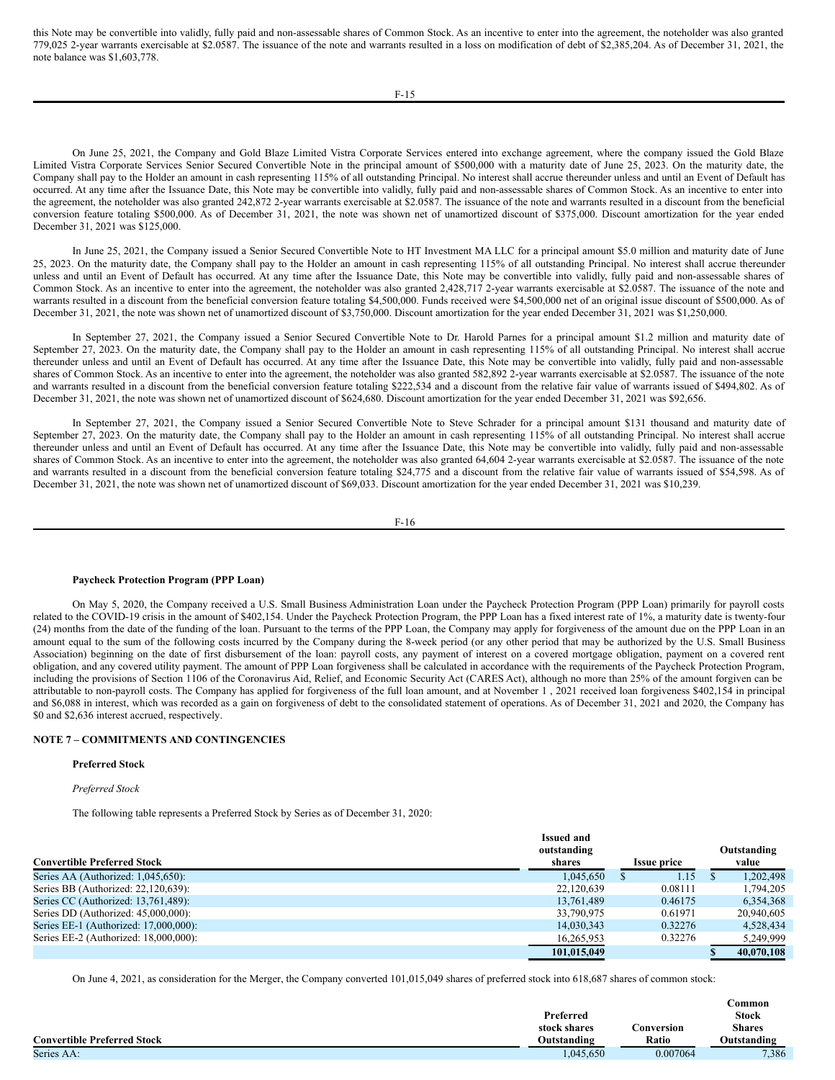this Note may be convertible into validly, fully paid and non-assessable shares of Common Stock. As an incentive to enter into the agreement, the noteholder was also granted 779,025 2-year warrants exercisable at \$2.0587. The issuance of the note and warrants resulted in a loss on modification of debt of \$2,385,204. As of December 31, 2021, the note balance was \$1,603,778.

On June 25, 2021, the Company and Gold Blaze Limited Vistra Corporate Services entered into exchange agreement, where the company issued the Gold Blaze Limited Vistra Corporate Services Senior Secured Convertible Note in the principal amount of \$500,000 with a maturity date of June 25, 2023. On the maturity date, the Company shall pay to the Holder an amount in cash representing 115% of all outstanding Principal. No interest shall accrue thereunder unless and until an Event of Default has occurred. At any time after the Issuance Date, this Note may be convertible into validly, fully paid and non-assessable shares of Common Stock. As an incentive to enter into the agreement, the noteholder was also granted 242,872 2-year warrants exercisable at \$2.0587. The issuance of the note and warrants resulted in a discount from the beneficial conversion feature totaling \$500,000. As of December 31, 2021, the note was shown net of unamortized discount of \$375,000. Discount amortization for the year ended December 31, 2021 was \$125,000.

In June 25, 2021, the Company issued a Senior Secured Convertible Note to HT Investment MA LLC for a principal amount \$5.0 million and maturity date of June 25, 2023. On the maturity date, the Company shall pay to the Holder an amount in cash representing 115% of all outstanding Principal. No interest shall accrue thereunder unless and until an Event of Default has occurred. At any time after the Issuance Date, this Note may be convertible into validly, fully paid and non-assessable shares of Common Stock. As an incentive to enter into the agreement, the noteholder was also granted 2,428,717 2-year warrants exercisable at \$2.0587. The issuance of the note and warrants resulted in a discount from the beneficial conversion feature totaling \$4,500,000. Funds received were \$4,500,000 net of an original issue discount of \$500,000. As of December 31, 2021, the note was shown net of unamortized discount of \$3,750,000. Discount amortization for the year ended December 31, 2021 was \$1,250,000.

In September 27, 2021, the Company issued a Senior Secured Convertible Note to Dr. Harold Parnes for a principal amount \$1.2 million and maturity date of September 27, 2023. On the maturity date, the Company shall pay to the Holder an amount in cash representing 115% of all outstanding Principal. No interest shall accrue thereunder unless and until an Event of Default has occurred. At any time after the Issuance Date, this Note may be convertible into validly, fully paid and non-assessable shares of Common Stock. As an incentive to enter into the agreement, the noteholder was also granted 582,892 2-year warrants exercisable at \$2.0587. The issuance of the note and warrants resulted in a discount from the beneficial conversion feature totaling \$222,534 and a discount from the relative fair value of warrants issued of \$494,802. As of December 31, 2021, the note was shown net of unamortized discount of \$624,680. Discount amortization for the year ended December 31, 2021 was \$92,656.

In September 27, 2021, the Company issued a Senior Secured Convertible Note to Steve Schrader for a principal amount \$131 thousand and maturity date of September 27, 2023. On the maturity date, the Company shall pay to the Holder an amount in cash representing 115% of all outstanding Principal. No interest shall accrue thereunder unless and until an Event of Default has occurred. At any time after the Issuance Date, this Note may be convertible into validly, fully paid and non-assessable shares of Common Stock. As an incentive to enter into the agreement, the noteholder was also granted 64,604 2-year warrants exercisable at \$2.0587. The issuance of the note and warrants resulted in a discount from the beneficial conversion feature totaling \$24,775 and a discount from the relative fair value of warrants issued of \$54,598. As of December 31, 2021, the note was shown net of unamortized discount of \$69,033. Discount amortization for the year ended December 31, 2021 was \$10,239.

$$
F-16
$$

## **Paycheck Protection Program (PPP Loan)**

On May 5, 2020, the Company received a U.S. Small Business Administration Loan under the Paycheck Protection Program (PPP Loan) primarily for payroll costs related to the COVID-19 crisis in the amount of \$402,154. Under the Paycheck Protection Program, the PPP Loan has a fixed interest rate of 1%, a maturity date is twenty-four (24) months from the date of the funding of the loan. Pursuant to the terms of the PPP Loan, the Company may apply for forgiveness of the amount due on the PPP Loan in an amount equal to the sum of the following costs incurred by the Company during the 8-week period (or any other period that may be authorized by the U.S. Small Business Association) beginning on the date of first disbursement of the loan: payroll costs, any payment of interest on a covered mortgage obligation, payment on a covered rent obligation, and any covered utility payment. The amount of PPP Loan forgiveness shall be calculated in accordance with the requirements of the Paycheck Protection Program, including the provisions of Section 1106 of the Coronavirus Aid, Relief, and Economic Security Act (CARES Act), although no more than 25% of the amount forgiven can be attributable to non-payroll costs. The Company has applied for forgiveness of the full loan amount, and at November 1 , 2021 received loan forgiveness \$402,154 in principal and \$6,088 in interest, which was recorded as a gain on forgiveness of debt to the consolidated statement of operations. As of December 31, 2021 and 2020, the Company has \$0 and \$2,636 interest accrued, respectively.

#### **NOTE 7 – COMMITMENTS AND CONTINGENCIES**

# **Preferred Stock**

# *Preferred Stock*

The following table represents a Preferred Stock by Series as of December 31, 2020:

|                                       | <b>Issued and</b> |                    |             |
|---------------------------------------|-------------------|--------------------|-------------|
|                                       | outstanding       |                    | Outstanding |
| <b>Convertible Preferred Stock</b>    | shares            | <b>Issue price</b> | value       |
| Series AA (Authorized: 1,045,650):    | 1,045,650         | 1.15               | 1,202,498   |
| Series BB (Authorized: 22,120,639):   | 22,120,639        | 0.08111            | 1,794,205   |
| Series CC (Authorized: 13,761,489):   | 13.761.489        | 0.46175            | 6,354,368   |
| Series DD (Authorized: 45,000,000):   | 33,790,975        | 0.61971            | 20,940,605  |
| Series EE-1 (Authorized: 17,000,000): | 14.030.343        | 0.32276            | 4.528.434   |
| Series EE-2 (Authorized: 18,000,000): | 16,265,953        | 0.32276            | 5,249,999   |
|                                       | 101.015.049       |                    | 40.070.108  |

On June 4, 2021, as consideration for the Merger, the Company converted 101,015,049 shares of preferred stock into 618,687 shares of common stock:

| .`ommon                                                                   |       |
|---------------------------------------------------------------------------|-------|
| <b>Stock</b><br>Preferred                                                 |       |
| <b>Shares</b><br>stock shares<br>Conversion                               |       |
| <b>Convertible Preferred Stock</b><br>Outstanding<br>Ratio<br>Outstanding |       |
| 1,045,650<br>Series AA:<br>0.007064                                       | 7,386 |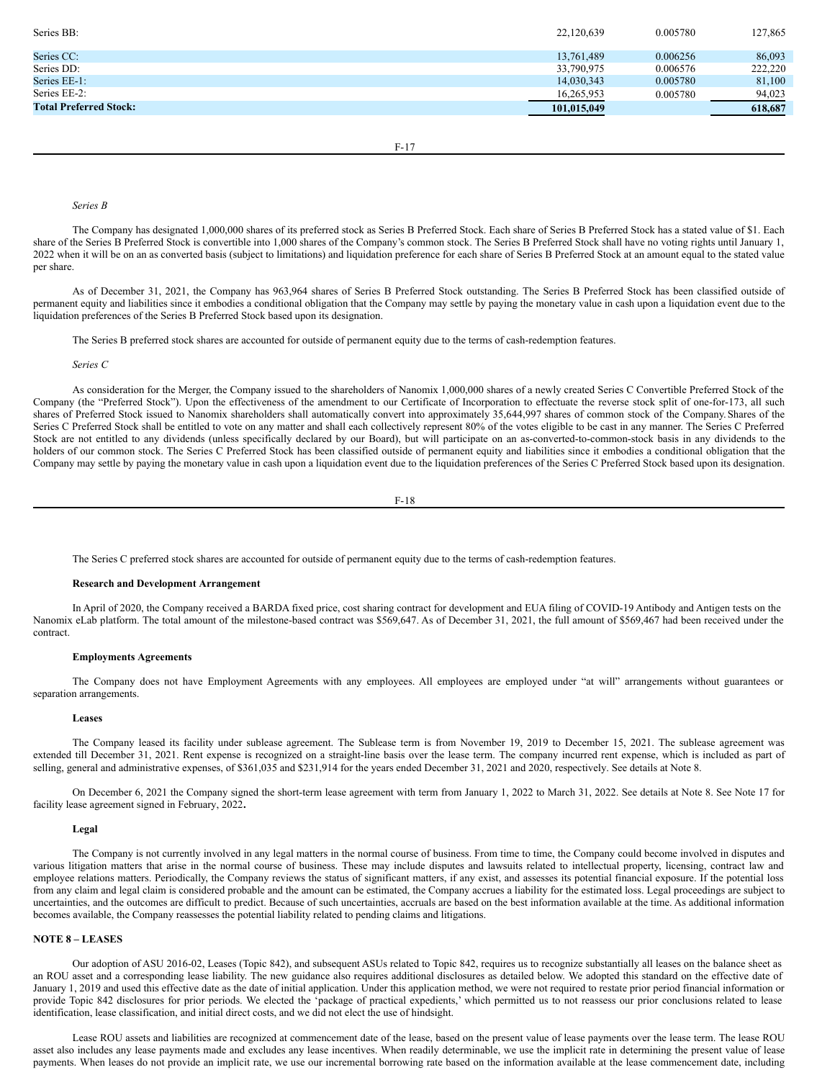| Series BB:                    | 22,120,639  | 0.005780 | 127,865 |
|-------------------------------|-------------|----------|---------|
| Series CC:                    | 13.761.489  | 0.006256 | 86,093  |
| Series DD:                    | 33,790,975  | 0.006576 | 222,220 |
| Series EE-1:                  | 14.030.343  | 0.005780 | 81,100  |
| Series EE-2:                  | 16,265,953  | 0.005780 | 94.023  |
| <b>Total Preferred Stock:</b> | 101,015,049 |          | 618.687 |

F-17

#### *Series B*

The Company has designated 1,000,000 shares of its preferred stock as Series B Preferred Stock. Each share of Series B Preferred Stock has a stated value of \$1. Each share of the Series B Preferred Stock is convertible into 1,000 shares of the Company's common stock. The Series B Preferred Stock shall have no voting rights until January 1, 2022 when it will be on an as converted basis (subject to limitations) and liquidation preference for each share of Series B Preferred Stock at an amount equal to the stated value per share.

As of December 31, 2021, the Company has 963,964 shares of Series B Preferred Stock outstanding. The Series B Preferred Stock has been classified outside of permanent equity and liabilities since it embodies a conditional obligation that the Company may settle by paying the monetary value in cash upon a liquidation event due to the liquidation preferences of the Series B Preferred Stock based upon its designation.

The Series B preferred stock shares are accounted for outside of permanent equity due to the terms of cash-redemption features.

#### *Series C*

As consideration for the Merger, the Company issued to the shareholders of Nanomix 1,000,000 shares of a newly created Series C Convertible Preferred Stock of the Company (the "Preferred Stock"). Upon the effectiveness of the amendment to our Certificate of Incorporation to effectuate the reverse stock split of one-for-173, all such shares of Preferred Stock issued to Nanomix shareholders shall automatically convert into approximately 35,644,997 shares of common stock of the Company. Shares of the Series C Preferred Stock shall be entitled to vote on any matter and shall each collectively represent 80% of the votes eligible to be cast in any manner. The Series C Preferred Stock are not entitled to any dividends (unless specifically declared by our Board), but will participate on an as-converted-to-common-stock basis in any dividends to the holders of our common stock. The Series C Preferred Stock has been classified outside of permanent equity and liabilities since it embodies a conditional obligation that the Company may settle by paying the monetary value in cash upon a liquidation event due to the liquidation preferences of the Series C Preferred Stock based upon its designation.

$$
F-18
$$

The Series C preferred stock shares are accounted for outside of permanent equity due to the terms of cash-redemption features.

# **Research and Development Arrangement**

In April of 2020, the Company received a BARDA fixed price, cost sharing contract for development and EUA filing of COVID-19 Antibody and Antigen tests on the Nanomix eLab platform. The total amount of the milestone-based contract was \$569,647. As of December 31, 2021, the full amount of \$569,467 had been received under the contract.

# **Employments Agreements**

The Company does not have Employment Agreements with any employees. All employees are employed under "at will" arrangements without guarantees or separation arrangements.

## **Leases**

The Company leased its facility under sublease agreement. The Sublease term is from November 19, 2019 to December 15, 2021. The sublease agreement was extended till December 31, 2021. Rent expense is recognized on a straight-line basis over the lease term. The company incurred rent expense, which is included as part of selling, general and administrative expenses, of \$361,035 and \$231,914 for the years ended December 31, 2021 and 2020, respectively. See details at Note 8.

On December 6, 2021 the Company signed the short-term lease agreement with term from January 1, 2022 to March 31, 2022. See details at Note 8. See Note 17 for facility lease agreement signed in February, 2022**.**

#### **Legal**

The Company is not currently involved in any legal matters in the normal course of business. From time to time, the Company could become involved in disputes and various litigation matters that arise in the normal course of business. These may include disputes and lawsuits related to intellectual property, licensing, contract law and employee relations matters. Periodically, the Company reviews the status of significant matters, if any exist, and assesses its potential financial exposure. If the potential loss from any claim and legal claim is considered probable and the amount can be estimated, the Company accrues a liability for the estimated loss. Legal proceedings are subject to uncertainties, and the outcomes are difficult to predict. Because of such uncertainties, accruals are based on the best information available at the time. As additional information becomes available, the Company reassesses the potential liability related to pending claims and litigations.

# **NOTE 8 – LEASES**

Our adoption of ASU 2016-02, Leases (Topic 842), and subsequent ASUs related to Topic 842, requires us to recognize substantially all leases on the balance sheet as an ROU asset and a corresponding lease liability. The new guidance also requires additional disclosures as detailed below. We adopted this standard on the effective date of January 1, 2019 and used this effective date as the date of initial application. Under this application method, we were not required to restate prior period financial information or provide Topic 842 disclosures for prior periods. We elected the 'package of practical expedients,' which permitted us to not reassess our prior conclusions related to lease identification, lease classification, and initial direct costs, and we did not elect the use of hindsight.

Lease ROU assets and liabilities are recognized at commencement date of the lease, based on the present value of lease payments over the lease term. The lease ROU asset also includes any lease payments made and excludes any lease incentives. When readily determinable, we use the implicit rate in determining the present value of lease payments. When leases do not provide an implicit rate, we use our incremental borrowing rate based on the information available at the lease commencement date, including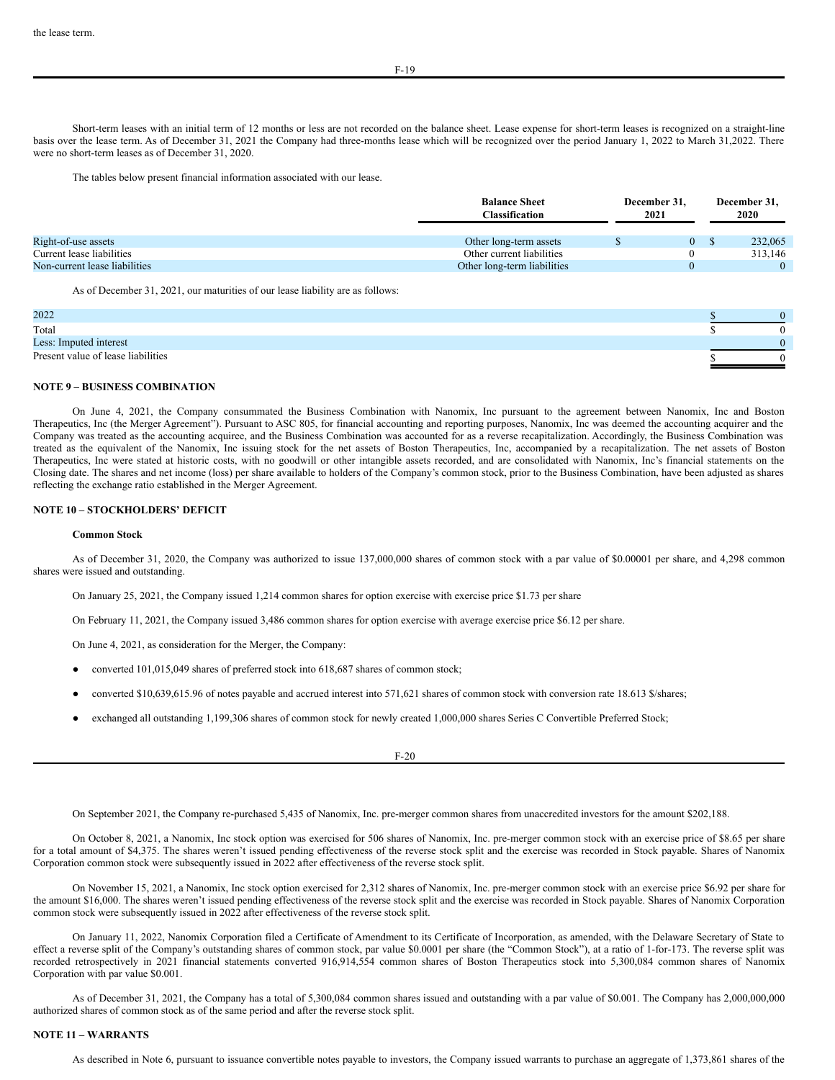Short-term leases with an initial term of 12 months or less are not recorded on the balance sheet. Lease expense for short-term leases is recognized on a straight-line basis over the lease term. As of December 31, 2021 the Company had three-months lease which will be recognized over the period January 1, 2022 to March 31,2022. There were no short-term leases as of December 31, 2020.

The tables below present financial information associated with our lease.

|                               | <b>Balance Sheet</b><br>Classification |  | December 31.<br>2021 |  | December 31.<br>2020 |  |
|-------------------------------|----------------------------------------|--|----------------------|--|----------------------|--|
| Right-of-use assets           | Other long-term assets                 |  | 0                    |  | 232,065              |  |
| Current lease liabilities     | Other current liabilities              |  |                      |  | 313,146              |  |
| Non-current lease liabilities | Other long-term liabilities            |  |                      |  |                      |  |

As of December 31, 2021, our maturities of our lease liability are as follows:

| 2022                               |  |
|------------------------------------|--|
| Total                              |  |
| Less: Imputed interest             |  |
| Present value of lease liabilities |  |

# **NOTE 9 – BUSINESS COMBINATION**

On June 4, 2021, the Company consummated the Business Combination with Nanomix, Inc pursuant to the agreement between Nanomix, Inc and Boston Therapeutics, Inc (the Merger Agreement"). Pursuant to ASC 805, for financial accounting and reporting purposes, Nanomix, Inc was deemed the accounting acquirer and the Company was treated as the accounting acquiree, and the Business Combination was accounted for as a reverse recapitalization. Accordingly, the Business Combination was treated as the equivalent of the Nanomix, Inc issuing stock for the net assets of Boston Therapeutics, Inc, accompanied by a recapitalization. The net assets of Boston Therapeutics, Inc were stated at historic costs, with no goodwill or other intangible assets recorded, and are consolidated with Nanomix, Inc's financial statements on the Closing date. The shares and net income (loss) per share available to holders of the Company's common stock, prior to the Business Combination, have been adjusted as shares reflecting the exchange ratio established in the Merger Agreement.

## **NOTE 10 – STOCKHOLDERS' DEFICIT**

#### **Common Stock**

As of December 31, 2020, the Company was authorized to issue 137,000,000 shares of common stock with a par value of \$0.00001 per share, and 4,298 common shares were issued and outstanding.

On January 25, 2021, the Company issued 1,214 common shares for option exercise with exercise price \$1.73 per share

On February 11, 2021, the Company issued 3,486 common shares for option exercise with average exercise price \$6.12 per share.

On June 4, 2021, as consideration for the Merger, the Company:

- converted 101,015,049 shares of preferred stock into 618,687 shares of common stock;
- converted \$10,639,615.96 of notes payable and accrued interest into 571,621 shares of common stock with conversion rate 18.613 \$/shares;
- exchanged all outstanding 1,199,306 shares of common stock for newly created 1,000,000 shares Series C Convertible Preferred Stock;

On September 2021, the Company re-purchased 5,435 of Nanomix, Inc. pre-merger common shares from unaccredited investors for the amount \$202,188.

On October 8, 2021, a Nanomix, Inc stock option was exercised for 506 shares of Nanomix, Inc. pre-merger common stock with an exercise price of \$8.65 per share for a total amount of \$4,375. The shares weren't issued pending effectiveness of the reverse stock split and the exercise was recorded in Stock payable. Shares of Nanomix Corporation common stock were subsequently issued in 2022 after effectiveness of the reverse stock split.

On November 15, 2021, a Nanomix, Inc stock option exercised for 2,312 shares of Nanomix, Inc. pre-merger common stock with an exercise price \$6.92 per share for the amount \$16,000. The shares weren't issued pending effectiveness of the reverse stock split and the exercise was recorded in Stock payable. Shares of Nanomix Corporation common stock were subsequently issued in 2022 after effectiveness of the reverse stock split.

On January 11, 2022, Nanomix Corporation filed a Certificate of Amendment to its Certificate of Incorporation, as amended, with the Delaware Secretary of State to effect a reverse split of the Company's outstanding shares of common stock, par value \$0.0001 per share (the "Common Stock"), at a ratio of 1-for-173. The reverse split was recorded retrospectively in 2021 financial statements converted 916,914,554 common shares of Boston Therapeutics stock into 5,300,084 common shares of Nanomix Corporation with par value \$0.001.

As of December 31, 2021, the Company has a total of 5,300,084 common shares issued and outstanding with a par value of \$0.001. The Company has 2,000,000,000 authorized shares of common stock as of the same period and after the reverse stock split.

# **NOTE 11 – WARRANTS**

As described in Note 6, pursuant to issuance convertible notes payable to investors, the Company issued warrants to purchase an aggregate of 1,373,861 shares of the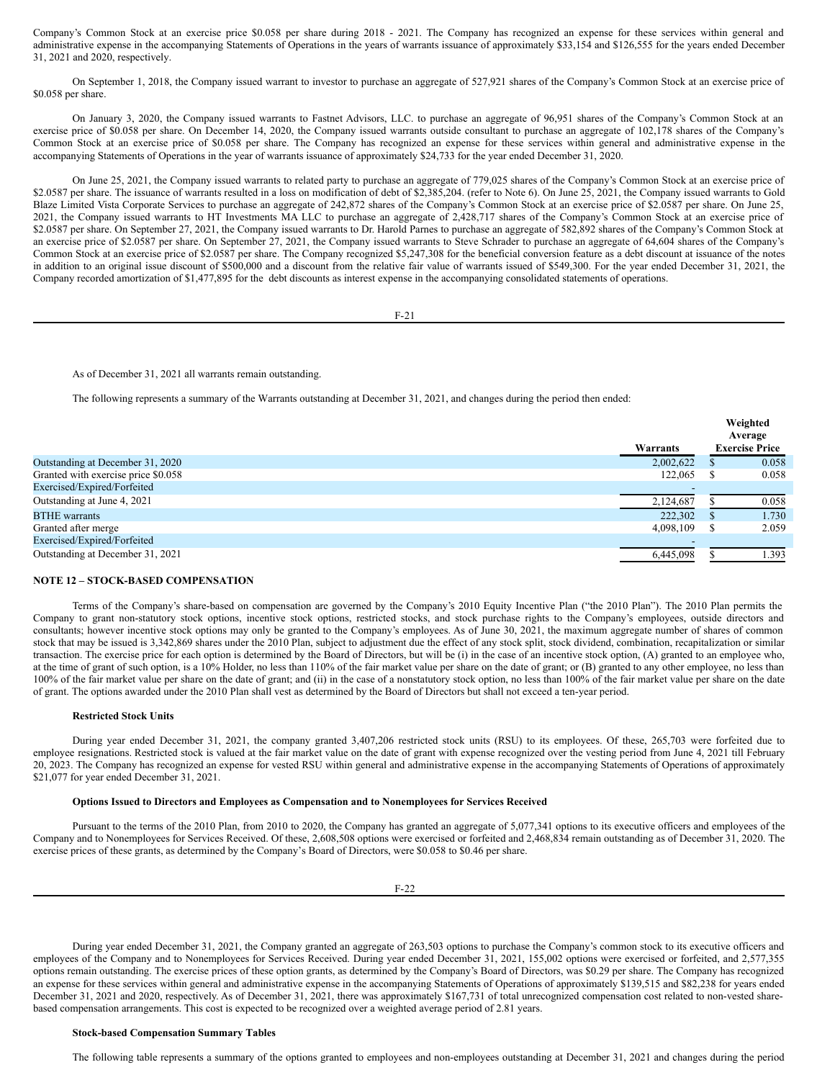Company's Common Stock at an exercise price \$0.058 per share during 2018 - 2021. The Company has recognized an expense for these services within general and administrative expense in the accompanying Statements of Operations in the years of warrants issuance of approximately \$33,154 and \$126,555 for the years ended December 31, 2021 and 2020, respectively.

On September 1, 2018, the Company issued warrant to investor to purchase an aggregate of 527,921 shares of the Company's Common Stock at an exercise price of \$0.058 per share.

On January 3, 2020, the Company issued warrants to Fastnet Advisors, LLC. to purchase an aggregate of 96,951 shares of the Company's Common Stock at an exercise price of \$0.058 per share. On December 14, 2020, the Company issued warrants outside consultant to purchase an aggregate of 102,178 shares of the Company's Common Stock at an exercise price of \$0.058 per share. The Company has recognized an expense for these services within general and administrative expense in the accompanying Statements of Operations in the year of warrants issuance of approximately \$24,733 for the year ended December 31, 2020.

On June 25, 2021, the Company issued warrants to related party to purchase an aggregate of 779,025 shares of the Company's Common Stock at an exercise price of \$2.0587 per share. The issuance of warrants resulted in a loss on modification of debt of \$2,385,204. (refer to Note 6). On June 25, 2021, the Company issued warrants to Gold Blaze Limited Vista Corporate Services to purchase an aggregate of 242,872 shares of the Company's Common Stock at an exercise price of \$2.0587 per share. On June 25, 2021, the Company issued warrants to HT Investments MA LLC to purchase an aggregate of 2,428,717 shares of the Company's Common Stock at an exercise price of \$2.0587 per share. On September 27, 2021, the Company issued warrants to Dr. Harold Parnes to purchase an aggregate of 582,892 shares of the Company's Common Stock at an exercise price of \$2.0587 per share. On September 27, 2021, the Company issued warrants to Steve Schrader to purchase an aggregate of 64,604 shares of the Company's Common Stock at an exercise price of \$2.0587 per share. The Company recognized \$5,247,308 for the beneficial conversion feature as a debt discount at issuance of the notes in addition to an original issue discount of \$500,000 and a discount from the relative fair value of warrants issued of \$549,300. For the year ended December 31, 2021, the Company recorded amortization of \$1,477,895 for the debt discounts as interest expense in the accompanying consolidated statements of operations.

F-21

As of December 31, 2021 all warrants remain outstanding.

The following represents a summary of the Warrants outstanding at December 31, 2021, and changes during the period then ended:

|                                     |           |     | Weighted<br>Average   |
|-------------------------------------|-----------|-----|-----------------------|
|                                     | Warrants  |     | <b>Exercise Price</b> |
| Outstanding at December 31, 2020    | 2.002.622 | аħ. | 0.058                 |
| Granted with exercise price \$0.058 | 122,065   |     | 0.058                 |
| Exercised/Expired/Forfeited         |           |     |                       |
| Outstanding at June 4, 2021         | 2,124,687 |     | 0.058                 |
| <b>BTHE</b> warrants                | 222,302   |     | 1.730                 |
| Granted after merge                 | 4,098,109 |     | 2.059                 |
| Exercised/Expired/Forfeited         |           |     |                       |
| Outstanding at December 31, 2021    | 6.445.098 |     | .393                  |

# **NOTE 12 – STOCK-BASED COMPENSATION**

Terms of the Company's share-based on compensation are governed by the Company's 2010 Equity Incentive Plan ("the 2010 Plan"). The 2010 Plan permits the Company to grant non-statutory stock options, incentive stock options, restricted stocks, and stock purchase rights to the Company's employees, outside directors and consultants; however incentive stock options may only be granted to the Company's employees. As of June 30, 2021, the maximum aggregate number of shares of common stock that may be issued is 3,342,869 shares under the 2010 Plan, subject to adjustment due the effect of any stock split, stock dividend, combination, recapitalization or similar transaction. The exercise price for each option is determined by the Board of Directors, but will be (i) in the case of an incentive stock option, (A) granted to an employee who, at the time of grant of such option, is a 10% Holder, no less than 110% of the fair market value per share on the date of grant; or (B) granted to any other employee, no less than 100% of the fair market value per share on the date of grant; and (ii) in the case of a nonstatutory stock option, no less than 100% of the fair market value per share on the date of grant. The options awarded under the 2010 Plan shall vest as determined by the Board of Directors but shall not exceed a ten-year period.

#### **Restricted Stock Units**

During year ended December 31, 2021, the company granted 3,407,206 restricted stock units (RSU) to its employees. Of these, 265,703 were forfeited due to employee resignations. Restricted stock is valued at the fair market value on the date of grant with expense recognized over the vesting period from June 4, 2021 till February 20, 2023. The Company has recognized an expense for vested RSU within general and administrative expense in the accompanying Statements of Operations of approximately \$21,077 for year ended December 31, 2021.

# **Options Issued to Directors and Employees as Compensation and to Nonemployees for Services Received**

Pursuant to the terms of the 2010 Plan, from 2010 to 2020, the Company has granted an aggregate of 5,077,341 options to its executive officers and employees of the Company and to Nonemployees for Services Received. Of these, 2,608,508 options were exercised or forfeited and 2,468,834 remain outstanding as of December 31, 2020. The exercise prices of these grants, as determined by the Company's Board of Directors, were \$0.058 to \$0.46 per share.

During year ended December 31, 2021, the Company granted an aggregate of 263,503 options to purchase the Company's common stock to its executive officers and employees of the Company and to Nonemployees for Services Received. During year ended December 31, 2021, 155,002 options were exercised or forfeited, and 2,577,355 options remain outstanding. The exercise prices of these option grants, as determined by the Company's Board of Directors, was \$0.29 per share. The Company has recognized an expense for these services within general and administrative expense in the accompanying Statements of Operations of approximately \$139,515 and \$82,238 for years ended December 31, 2021 and 2020, respectively. As of December 31, 2021, there was approximately \$167,731 of total unrecognized compensation cost related to non-vested sharebased compensation arrangements. This cost is expected to be recognized over a weighted average period of 2.81 years.

## **Stock-based Compensation Summary Tables**

The following table represents a summary of the options granted to employees and non-employees outstanding at December 31, 2021 and changes during the period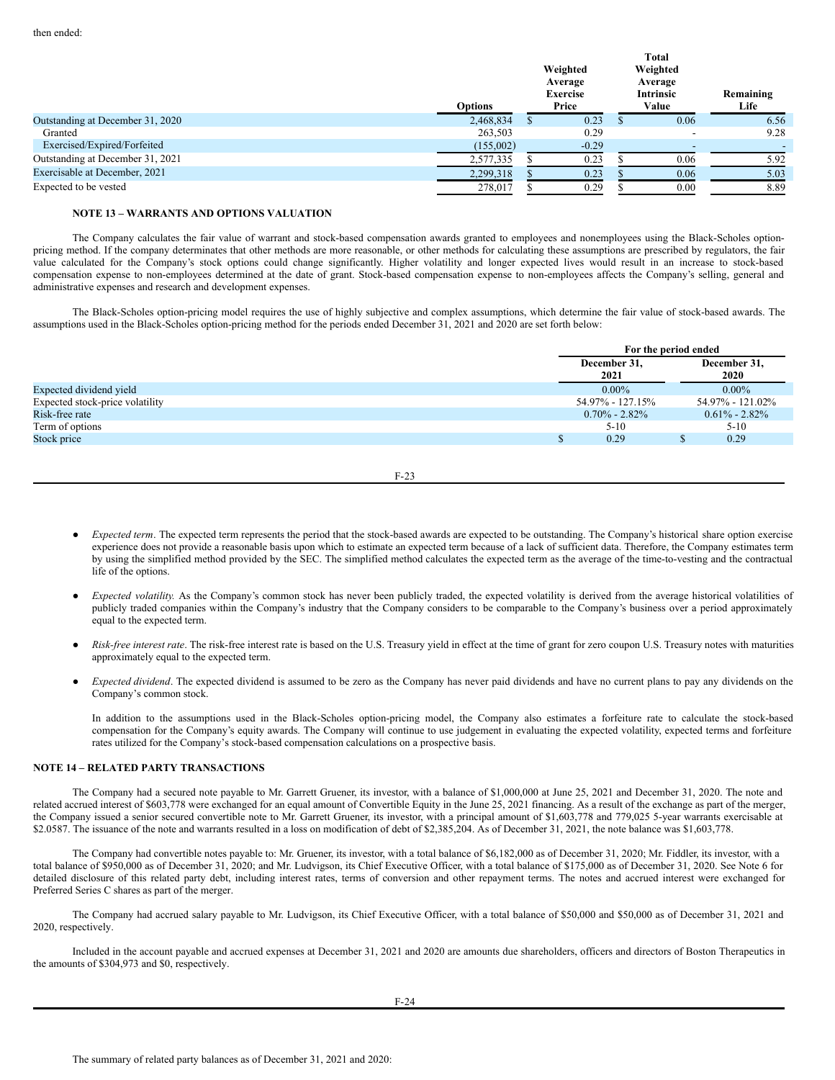|                                  | <b>Options</b> | Weighted<br>Average<br><b>Exercise</b><br>Price | <b>Total</b><br>Weighted<br>Average<br>Intrinsic<br>Value | Remaining<br>Life |
|----------------------------------|----------------|-------------------------------------------------|-----------------------------------------------------------|-------------------|
| Outstanding at December 31, 2020 | 2,468,834      | 0.23                                            | 0.06                                                      | 6.56              |
| Granted                          | 263,503        | 0.29                                            | -                                                         | 9.28              |
| Exercised/Expired/Forfeited      | (155,002)      | $-0.29$                                         | -                                                         |                   |
| Outstanding at December 31, 2021 | 2,577,335      | 0.23                                            | 0.06                                                      | 5.92              |
| Exercisable at December, 2021    | 2,299,318      | 0.23                                            | 0.06                                                      | 5.03              |
| Expected to be vested            | 278,017        | 0.29                                            | 0.00                                                      | 8.89              |

## **NOTE 13 – WARRANTS AND OPTIONS VALUATION**

The Company calculates the fair value of warrant and stock-based compensation awards granted to employees and nonemployees using the Black-Scholes optionpricing method. If the company determinates that other methods are more reasonable, or other methods for calculating these assumptions are prescribed by regulators, the fair value calculated for the Company's stock options could change significantly. Higher volatility and longer expected lives would result in an increase to stock-based compensation expense to non-employees determined at the date of grant. Stock-based compensation expense to non-employees affects the Company's selling, general and administrative expenses and research and development expenses.

The Black-Scholes option-pricing model requires the use of highly subjective and complex assumptions, which determine the fair value of stock-based awards. The assumptions used in the Black-Scholes option-pricing method for the periods ended December 31, 2021 and 2020 are set forth below:

|                                 |                      | For the period ended |    |                      |
|---------------------------------|----------------------|----------------------|----|----------------------|
|                                 | December 31,<br>2021 |                      |    | December 31,<br>2020 |
| Expected dividend yield         |                      | $0.00\%$             |    | $0.00\%$             |
| Expected stock-price volatility |                      | 54.97% - 127.15%     |    | 54.97% - 121.02%     |
| Risk-free rate                  |                      | $0.70\%$ - 2.82%     |    | $0.61\% - 2.82\%$    |
| Term of options                 |                      | $5 - 10$             |    | $5-10$               |
| Stock price                     |                      | 0.29                 | D. | 0.29                 |
|                                 |                      |                      |    |                      |
|                                 |                      |                      |    |                      |

F-23

- *Expected term*. The expected term represents the period that the stock-based awards are expected to be outstanding. The Company's historical share option exercise experience does not provide a reasonable basis upon which to estimate an expected term because of a lack of sufficient data. Therefore, the Company estimates term by using the simplified method provided by the SEC. The simplified method calculates the expected term as the average of the time-to-vesting and the contractual life of the options.
- Expected volatility. As the Company's common stock has never been publicly traded, the expected volatility is derived from the average historical volatilities of publicly traded companies within the Company's industry that the Company considers to be comparable to the Company's business over a period approximately equal to the expected term.
- *Risk-free interest rate*. The risk-free interest rate is based on the U.S. Treasury yield in effect at the time of grant for zero coupon U.S. Treasury notes with maturities approximately equal to the expected term.
- Expected dividend. The expected dividend is assumed to be zero as the Company has never paid dividends and have no current plans to pay any dividends on the Company's common stock.

In addition to the assumptions used in the Black-Scholes option-pricing model, the Company also estimates a forfeiture rate to calculate the stock-based compensation for the Company's equity awards. The Company will continue to use judgement in evaluating the expected volatility, expected terms and forfeiture rates utilized for the Company's stock-based compensation calculations on a prospective basis.

# **NOTE 14 – RELATED PARTY TRANSACTIONS**

The Company had a secured note payable to Mr. Garrett Gruener, its investor, with a balance of \$1,000,000 at June 25, 2021 and December 31, 2020. The note and related accrued interest of \$603,778 were exchanged for an equal amount of Convertible Equity in the June 25, 2021 financing. As a result of the exchange as part of the merger, the Company issued a senior secured convertible note to Mr. Garrett Gruener, its investor, with a principal amount of \$1,603,778 and 779,025 5-year warrants exercisable at \$2.0587. The issuance of the note and warrants resulted in a loss on modification of debt of \$2,385,204. As of December 31, 2021, the note balance was \$1,603,778.

The Company had convertible notes payable to: Mr. Gruener, its investor, with a total balance of \$6,182,000 as of December 31, 2020; Mr. Fiddler, its investor, with a total balance of \$950,000 as of December 31, 2020; and Mr. Ludvigson, its Chief Executive Officer, with a total balance of \$175,000 as of December 31, 2020. See Note 6 for detailed disclosure of this related party debt, including interest rates, terms of conversion and other repayment terms. The notes and accrued interest were exchanged for Preferred Series C shares as part of the merger.

The Company had accrued salary payable to Mr. Ludvigson, its Chief Executive Officer, with a total balance of \$50,000 and \$50,000 as of December 31, 2021 and 2020, respectively.

Included in the account payable and accrued expenses at December 31, 2021 and 2020 are amounts due shareholders, officers and directors of Boston Therapeutics in the amounts of \$304,973 and \$0, respectively.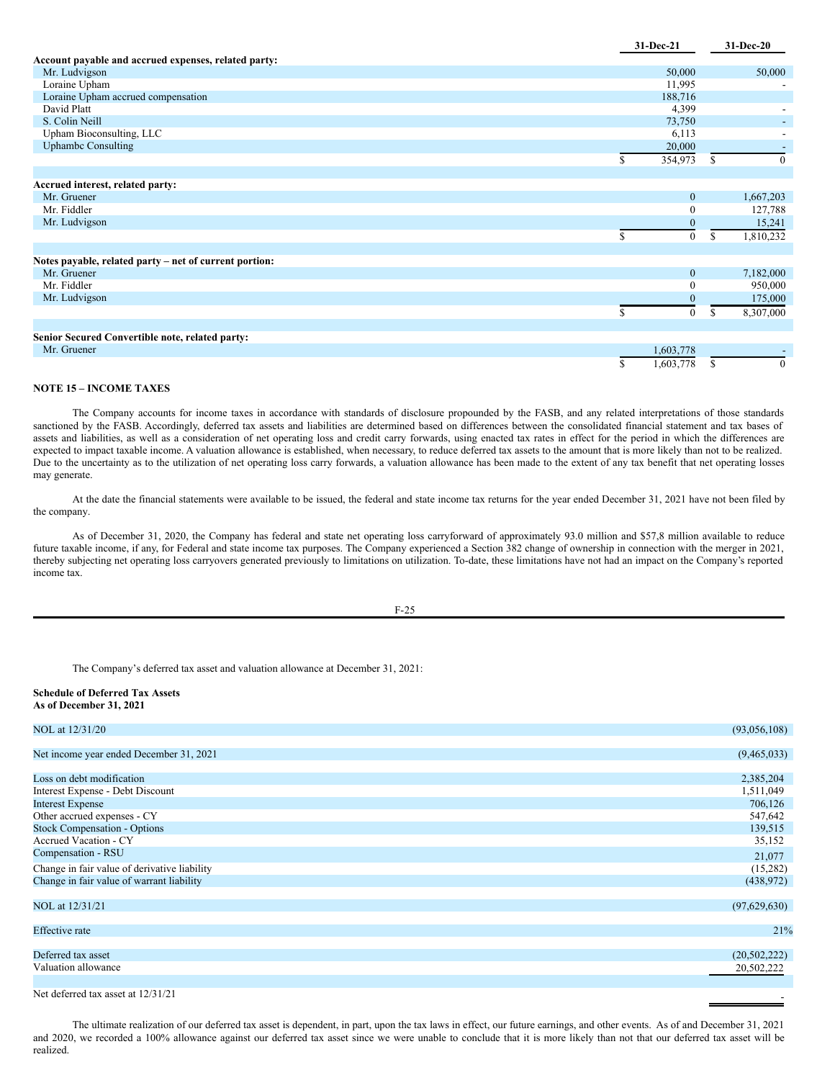|                                                        |   | 31-Dec-21      |    | 31-Dec-20    |
|--------------------------------------------------------|---|----------------|----|--------------|
| Account payable and accrued expenses, related party:   |   |                |    |              |
| Mr. Ludvigson                                          |   | 50,000         |    | 50,000       |
| Loraine Upham                                          |   | 11,995         |    |              |
| Loraine Upham accrued compensation                     |   | 188,716        |    |              |
| David Platt                                            |   | 4,399          |    |              |
| S. Colin Neill                                         |   | 73,750         |    |              |
| Upham Bioconsulting, LLC                               |   | 6,113          |    |              |
| <b>Uphambe Consulting</b>                              |   | 20,000         |    |              |
|                                                        | S | 354,973        | \$ | $\theta$     |
|                                                        |   |                |    |              |
| Accrued interest, related party:                       |   |                |    |              |
| Mr. Gruener                                            |   | $\mathbf{0}$   |    | 1,667,203    |
| Mr. Fiddler                                            |   | 0              |    | 127,788      |
| Mr. Ludvigson                                          |   | 0              |    | 15,241       |
|                                                        | S | $\mathbf{0}$   | \$ | 1,810,232    |
|                                                        |   |                |    |              |
| Notes payable, related party - net of current portion: |   |                |    |              |
| Mr. Gruener                                            |   | $\mathbf{0}$   |    | 7,182,000    |
| Mr. Fiddler                                            |   | 0              |    | 950,000      |
| Mr. Ludvigson                                          |   | $\overline{0}$ |    | 175,000      |
|                                                        | S | $\mathbf{0}$   | \$ | 8,307,000    |
|                                                        |   |                |    |              |
| Senior Secured Convertible note, related party:        |   |                |    |              |
| Mr. Gruener                                            |   | 1,603,778      |    |              |
|                                                        | S | 1,603,778      | S. | $\mathbf{0}$ |

# **NOTE 15 – INCOME TAXES**

The Company accounts for income taxes in accordance with standards of disclosure propounded by the FASB, and any related interpretations of those standards sanctioned by the FASB. Accordingly, deferred tax assets and liabilities are determined based on differences between the consolidated financial statement and tax bases of assets and liabilities, as well as a consideration of net operating loss and credit carry forwards, using enacted tax rates in effect for the period in which the differences are expected to impact taxable income. A valuation allowance is established, when necessary, to reduce deferred tax assets to the amount that is more likely than not to be realized. Due to the uncertainty as to the utilization of net operating loss carry forwards, a valuation allowance has been made to the extent of any tax benefit that net operating losses may generate.

At the date the financial statements were available to be issued, the federal and state income tax returns for the year ended December 31, 2021 have not been filed by the company.

As of December 31, 2020, the Company has federal and state net operating loss carryforward of approximately 93.0 million and \$57,8 million available to reduce future taxable income, if any, for Federal and state income tax purposes. The Company experienced a Section 382 change of ownership in connection with the merger in 2021, thereby subjecting net operating loss carryovers generated previously to limitations on utilization. To-date, these limitations have not had an impact on the Company's reported income tax.

F-25

The Company's deferred tax asset and valuation allowance at December 31, 2021:

**Schedule of Deferred Tax Assets As of December 31, 2021**

| NOL at 12/31/20                              | (93,056,108)   |
|----------------------------------------------|----------------|
|                                              |                |
| Net income year ended December 31, 2021      | (9,465,033)    |
|                                              |                |
| Loss on debt modification                    | 2,385,204      |
| Interest Expense - Debt Discount             | 1,511,049      |
| <b>Interest Expense</b>                      | 706,126        |
| Other accrued expenses - CY                  | 547,642        |
| <b>Stock Compensation - Options</b>          | 139,515        |
| <b>Accrued Vacation - CY</b>                 | 35,152         |
| Compensation - RSU                           | 21,077         |
| Change in fair value of derivative liability | (15,282)       |
| Change in fair value of warrant liability    | (438,972)      |
| NOL at 12/31/21                              | (97,629,630)   |
|                                              |                |
| <b>Effective</b> rate                        | 21%            |
|                                              |                |
| Deferred tax asset                           | (20, 502, 222) |
| Valuation allowance                          | 20,502,222     |
|                                              |                |

Net deferred tax asset at  $12/31/21$ 

The ultimate realization of our deferred tax asset is dependent, in part, upon the tax laws in effect, our future earnings, and other events. As of and December 31, 2021 and 2020, we recorded a 100% allowance against our deferred tax asset since we were unable to conclude that it is more likely than not that our deferred tax asset will be realized.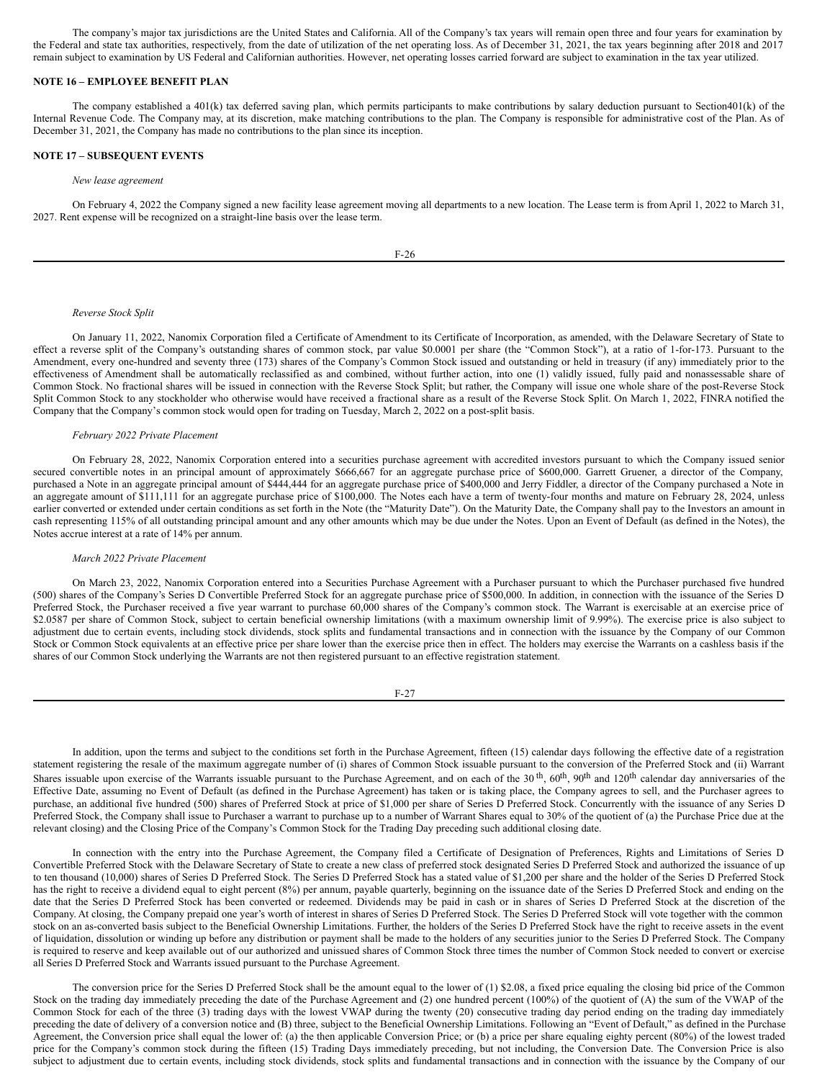The company's major tax jurisdictions are the United States and California. All of the Company's tax years will remain open three and four years for examination by the Federal and state tax authorities, respectively, from the date of utilization of the net operating loss. As of December 31, 2021, the tax years beginning after 2018 and 2017 remain subject to examination by US Federal and Californian authorities. However, net operating losses carried forward are subject to examination in the tax year utilized.

## **NOTE 16 – EMPLOYEE BENEFIT PLAN**

The company established a 401(k) tax deferred saving plan, which permits participants to make contributions by salary deduction pursuant to Section401(k) of the Internal Revenue Code. The Company may, at its discretion, make matching contributions to the plan. The Company is responsible for administrative cost of the Plan. As of December 31, 2021, the Company has made no contributions to the plan since its inception.

## **NOTE 17 – SUBSEQUENT EVENTS**

#### *New lease agreement*

On February 4, 2022 the Company signed a new facility lease agreement moving all departments to a new location. The Lease term is from April 1, 2022 to March 31, 2027. Rent expense will be recognized on a straight-line basis over the lease term.

# *Reverse Stock Split*

On January 11, 2022, Nanomix Corporation filed a Certificate of Amendment to its Certificate of Incorporation, as amended, with the Delaware Secretary of State to effect a reverse split of the Company's outstanding shares of common stock, par value \$0.0001 per share (the "Common Stock"), at a ratio of 1-for-173. Pursuant to the Amendment, every one-hundred and seventy three (173) shares of the Company's Common Stock issued and outstanding or held in treasury (if any) immediately prior to the effectiveness of Amendment shall be automatically reclassified as and combined, without further action, into one (1) validly issued, fully paid and nonassessable share of Common Stock. No fractional shares will be issued in connection with the Reverse Stock Split; but rather, the Company will issue one whole share of the post-Reverse Stock Split Common Stock to any stockholder who otherwise would have received a fractional share as a result of the Reverse Stock Split. On March 1, 2022, FINRA notified the Company that the Company's common stock would open for trading on Tuesday, March 2, 2022 on a post-split basis.

# *February 2022 Private Placement*

On February 28, 2022, Nanomix Corporation entered into a securities purchase agreement with accredited investors pursuant to which the Company issued senior secured convertible notes in an principal amount of approximately \$666,667 for an aggregate purchase price of \$600,000. Garrett Gruener, a director of the Company, purchased a Note in an aggregate principal amount of \$444,444 for an aggregate purchase price of \$400,000 and Jerry Fiddler, a director of the Company purchased a Note in an aggregate amount of \$111,111 for an aggregate purchase price of \$100,000. The Notes each have a term of twenty-four months and mature on February 28, 2024, unless earlier converted or extended under certain conditions as set forth in the Note (the "Maturity Date"). On the Maturity Date, the Company shall pay to the Investors an amount in cash representing 115% of all outstanding principal amount and any other amounts which may be due under the Notes. Upon an Event of Default (as defined in the Notes), the Notes accrue interest at a rate of 14% per annum.

#### *March 2022 Private Placement*

On March 23, 2022, Nanomix Corporation entered into a Securities Purchase Agreement with a Purchaser pursuant to which the Purchaser purchased five hundred (500) shares of the Company's Series D Convertible Preferred Stock for an aggregate purchase price of \$500,000. In addition, in connection with the issuance of the Series D Preferred Stock, the Purchaser received a five year warrant to purchase 60,000 shares of the Company's common stock. The Warrant is exercisable at an exercise price of \$2.0587 per share of Common Stock, subject to certain beneficial ownership limitations (with a maximum ownership limit of 9.99%). The exercise price is also subject to adjustment due to certain events, including stock dividends, stock splits and fundamental transactions and in connection with the issuance by the Company of our Common Stock or Common Stock equivalents at an effective price per share lower than the exercise price then in effect. The holders may exercise the Warrants on a cashless basis if the shares of our Common Stock underlying the Warrants are not then registered pursuant to an effective registration statement.

#### F-27

In addition, upon the terms and subject to the conditions set forth in the Purchase Agreement, fifteen (15) calendar days following the effective date of a registration statement registering the resale of the maximum aggregate number of (i) shares of Common Stock issuable pursuant to the conversion of the Preferred Stock and (ii) Warrant Shares issuable upon exercise of the Warrants issuable pursuant to the Purchase Agreement, and on each of the  $30<sup>th</sup>$ ,  $60<sup>th</sup>$ ,  $90<sup>th</sup>$  and  $120<sup>th</sup>$  calendar day anniversaries of the Effective Date, assuming no Event of Default (as defined in the Purchase Agreement) has taken or is taking place, the Company agrees to sell, and the Purchaser agrees to purchase, an additional five hundred (500) shares of Preferred Stock at price of \$1,000 per share of Series D Preferred Stock. Concurrently with the issuance of any Series D Preferred Stock, the Company shall issue to Purchaser a warrant to purchase up to a number of Warrant Shares equal to 30% of the quotient of (a) the Purchase Price due at the relevant closing) and the Closing Price of the Company's Common Stock for the Trading Day preceding such additional closing date.

In connection with the entry into the Purchase Agreement, the Company filed a Certificate of Designation of Preferences, Rights and Limitations of Series D Convertible Preferred Stock with the Delaware Secretary of State to create a new class of preferred stock designated Series D Preferred Stock and authorized the issuance of up to ten thousand (10,000) shares of Series D Preferred Stock. The Series D Preferred Stock has a stated value of \$1,200 per share and the holder of the Series D Preferred Stock has the right to receive a dividend equal to eight percent (8%) per annum, payable quarterly, beginning on the issuance date of the Series D Preferred Stock and ending on the date that the Series D Preferred Stock has been converted or redeemed. Dividends may be paid in cash or in shares of Series D Preferred Stock at the discretion of the Company. At closing, the Company prepaid one year's worth of interest in shares of Series D Preferred Stock. The Series D Preferred Stock will vote together with the common stock on an as-converted basis subject to the Beneficial Ownership Limitations. Further, the holders of the Series D Preferred Stock have the right to receive assets in the event of liquidation, dissolution or winding up before any distribution or payment shall be made to the holders of any securities junior to the Series D Preferred Stock. The Company is required to reserve and keep available out of our authorized and unissued shares of Common Stock three times the number of Common Stock needed to convert or exercise all Series D Preferred Stock and Warrants issued pursuant to the Purchase Agreement.

The conversion price for the Series D Preferred Stock shall be the amount equal to the lower of (1) \$2.08, a fixed price equaling the closing bid price of the Common Stock on the trading day immediately preceding the date of the Purchase Agreement and (2) one hundred percent (100%) of the quotient of (A) the sum of the VWAP of the Common Stock for each of the three (3) trading days with the lowest VWAP during the twenty (20) consecutive trading day period ending on the trading day immediately preceding the date of delivery of a conversion notice and (B) three, subject to the Beneficial Ownership Limitations. Following an "Event of Default," as defined in the Purchase Agreement, the Conversion price shall equal the lower of: (a) the then applicable Conversion Price; or (b) a price per share equaling eighty percent (80%) of the lowest traded price for the Company's common stock during the fifteen (15) Trading Days immediately preceding, but not including, the Conversion Date. The Conversion Price is also subject to adjustment due to certain events, including stock dividends, stock splits and fundamental transactions and in connection with the issuance by the Company of our